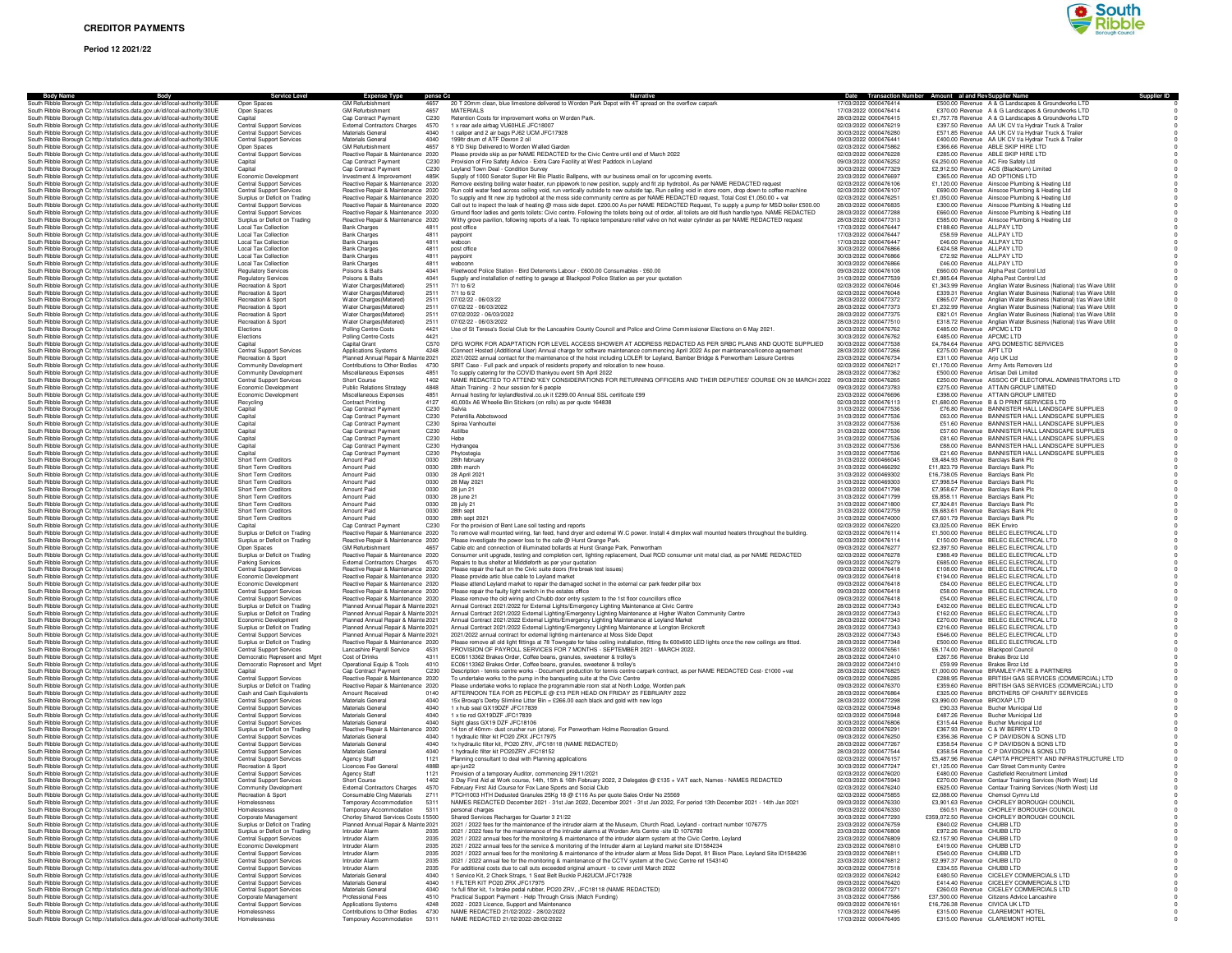

|                                                                                                                                                                | ervice Level                                                       |                                                                            |                                                                                                                                                                                                                                                                                                  |                                                | Date Transaction Number Amount al and Rev Supplier Name                                                                                    |
|----------------------------------------------------------------------------------------------------------------------------------------------------------------|--------------------------------------------------------------------|----------------------------------------------------------------------------|--------------------------------------------------------------------------------------------------------------------------------------------------------------------------------------------------------------------------------------------------------------------------------------------------|------------------------------------------------|--------------------------------------------------------------------------------------------------------------------------------------------|
| South Ribble Borough Cc http://statistics.data.gov.uk/id/local-authority/30UE                                                                                  | Open Spaces                                                        | <b>Expense Type</b><br><b>GM Refurbishment</b><br>4657                     | 20 T 20mm clean, blue limestone delivered to Worden Park Depot with 4T spread on the overflow carpark                                                                                                                                                                                            | 17/03/2022 0000476414                          | £500.00 Revenue A & G Landscapes & Groundworks LTD                                                                                         |
| South Ribble Borough Cc http://statistics.data.gov.uk/id/local-authority/30UE                                                                                  | Open Spaces                                                        | <b>GM Refurbishment</b><br>4657                                            | MATERIALS                                                                                                                                                                                                                                                                                        | 17/03/2022 0000476414                          | £370.00 Revenue A & G Landscapes & Groundworks LTD                                                                                         |
| South Ribble Borough Cc http://statistics.data.gov.uk/id/local-authority/30UE<br>South Ribble Borough Cohttp://statistics.data.gov.uk/id/local-authority/30UE  | Capital<br><b>Central Support Services</b>                         | Cap Contract Payment<br>C230                                               | Retention Costs for improvement works on Worden Park.                                                                                                                                                                                                                                            | 28/03/2022 0000476415<br>02/03/2022 0000476219 | £1,757.78 Revenue A & G Landscapes & Groundworks LTD                                                                                       |
| South Ribble Borough Cc http://statistics.data.gov.uk/id/local-authority/30UE                                                                                  | <b>Central Support Services</b>                                    | 4570<br><b>External Contractors Charges</b><br>Materials General<br>4040   | 1 x rear axle airbag VU60HLE JFC18007<br>1 caliper and 2 air bags PJ62 UCM JFC17928                                                                                                                                                                                                              | 30/03/2022 0000476280                          | £397.50 Revenue AA UK CV t/a Hydrair Truck & Trailer<br>£571.85 Revenue AA UK CV t/a Hydrair Truck & Trailer                               |
| South Ribble Borough Cohttp://statistics.data.gov.uk/id/local-authority/30UE                                                                                   | <b>Central Support Services</b>                                    | Materials General<br>4040                                                  | 199ltr drum of ATF Dexron 2 oil                                                                                                                                                                                                                                                                  | 09/03/2022 0000476441                          | £400.00 Revenue AA UK CV t/a Hydrair Truck & Trailer                                                                                       |
| South Ribble Borough Cc http://statistics.data.gov.uk/id/local-authority/30UE<br>South Ribble Borough Cc http://statistics.data.gov.uk/id/local-authority/30UE | Open Spaces<br><b>Central Support Services</b>                     | <b>GM Refurbishment</b><br>4657<br>Reactive Repair & Maintenance 2020      | 8 YD Skip Delivered to Worden Walled Garden<br>Please provide skip as per NAME REDACTED for the Civic Centre until end of March 2022                                                                                                                                                             | 02/03/2022 0000475862<br>02/03/2022 0000476228 | £366.66 Revenue ABLE SKIP HIRE LTD<br>£285.00 Revenue ABLE SKIP HIRE LTD                                                                   |
| South Ribble Borough Cohttp://statistics.data.gov.uk/id/local-authority/30UE                                                                                   | Capital                                                            | Cap Contract Payment<br>C <sub>230</sub>                                   | Provision of Fire Safety Advice - Extra Care Facility at West Paddock in Leyland                                                                                                                                                                                                                 | 09/03/2022 0000476252                          | £4,250.00 Revenue AC Fire Safety Ltd                                                                                                       |
| South Ribble Borough Cohttp://statistics.data.gov.uk/id/local-authority/30UE                                                                                   | Capital                                                            | C <sub>230</sub><br>Cap Contract Payment                                   | Levland Town Deal - Condition Survey                                                                                                                                                                                                                                                             | 30/03/2022 0000477329                          | £2.912.50 Revenue ACS (Blackburn) Limited                                                                                                  |
| South Ribble Borough Cc http://statistics.data.gov.uk/id/local-authority/30UE                                                                                  | Economic Development                                               | Investment & Improvement<br>485K                                           | Supply of 1000 Senator Super Hit Bio Plastic Ballpens, with our business email on for upcoming events.                                                                                                                                                                                           | 23/03/2022 0000476697                          | £365.00 Revenue AD OPTIONS LTD<br>£1,120.00 Revenue Ainscoe Plumbing & Heating Ltd                                                         |
| South Ribble Borough Cc http://statistics.data.gov.uk/id/local-authority/30UE<br>South Ribble Borough Cohttp://statistics.data.gov.uk/id/local-authority/30UE  | Central Support Services<br><b>Central Support Services</b>        | Reactive Repair & Maintenance 2020<br>Reactive Repair & Maintenance 2020   | Remove existing boiling water heater, run pipework to new position, supply and fit zip hydroboil, As per NAME REDACTED request<br>Run cold water feed across ceiling void, run vertically outside to new outside tap. Run ceiling void in store room, drop down to coffee machine                | 02/03/2022 0000476106<br>02/03/2022 0000476107 | £690.00 Revenue Ainscoe Plumbing & Heating Ltd                                                                                             |
| South Ribble Borough Cc http://statistics.data.gov.uk/id/local-authority/30UE                                                                                  | Surplus or Deficit on Trading                                      | Reactive Repair & Maintenance 2020                                         | To supply and fit new zip hydroboil at the moss side community centre as per NAME REDACTED request, Total Cost £1,050.00 + vat                                                                                                                                                                   | 02/03/2022 0000476251                          | £1,050.00 Revenue Ainscoe Plumbing & Heating Ltd                                                                                           |
| South Ribble Borough Cohttp://statistics.data.gov.uk/id/local-authority/30UE                                                                                   | Central Support Services                                           | Reactive Repair & Maintenance 2020                                         | Call out to inspect the leak of heating @ moss side depot. £200.00 As per NAME REDACTED Request, To supply a pump for MSD boiler £500.00                                                                                                                                                         | 28/03/2022 0000476835                          | £300.00 Revenue Ainscoe Plumbing & Heating Ltd                                                                                             |
| South Ribble Borough Cohttp://statistics.data.gov.uk/id/local-authority/30UE<br>South Ribble Borough Cc http://statistics.data.gov.uk/id/local-authority/30UE  | <b>Central Support Services</b><br>Surplus or Deficit on Trading   | Reactive Repair & Maintenance 2020<br>Reactive Repair & Maintenance 2020   | Ground floor ladies and gents toilets: Civic centre. Following the toilets being out of order, all toilets are old flush handle type. NAME REDACTED<br>Withy grove pavilion, following reports of a leak. To replace temperature relief valve on hot water cylinder as per NAME REDACTED request | 28/03/2022 0000477288<br>28/03/2022 0000477313 | £660.00 Revenue Ainscoe Plumbing & Heating Ltd<br>£585.00 Revenue Ainscoe Plumbing & Heating Ltd                                           |
| South Ribble Borough C; http://statistics.data.gov.uk/id/local-authority/30UE                                                                                  | <b>Local Tax Collection</b>                                        | <b>Bank Charges</b><br>4811                                                | post office                                                                                                                                                                                                                                                                                      | 17/03/2022 0000476447                          | £188.60 Revenue ALLPAY LTD                                                                                                                 |
| South Ribble Borough Cc http://statistics.data.gov.uk/id/local-authority/30UE                                                                                  | <b>Local Tax Collection</b>                                        | <b>Bank Charges</b><br>4811                                                | paypoint                                                                                                                                                                                                                                                                                         | 17/03/2022 0000476447                          | £58.59 Revenue ALLPAY LTD                                                                                                                  |
| South Ribble Borough Cohttp://statistics.data.gov.uk/id/local-authority/30UE<br>South Ribble Borough Cohttp://statistics.data.gov.uk/id/local-authority/30UE   | <b>Local Tax Collection</b><br><b>Local Tax Collection</b>         | <b>Bank Charges</b><br>4811<br>4811                                        | webcon<br>post office                                                                                                                                                                                                                                                                            | 17/03/2022 0000476447<br>30/03/2022 0000476866 | £46.00 Revenue ALLPAY LTD<br>£424.58 Revenue ALLPAY LTD                                                                                    |
| South Ribble Borough Cohttp://statistics.data.gov.uk/id/local-authority/30UE                                                                                   | <b>Local Tax Collection</b>                                        | <b>Bank Charges</b><br>4811<br><b>Bank Charges</b>                         | paypoint                                                                                                                                                                                                                                                                                         | 30/03/2022 0000476866                          | £72.92 Revenue ALLPAY LTD                                                                                                                  |
| South Ribble Borough Cohttp://statistics.data.gov.uk/id/local-authority/30UE                                                                                   | <b>Local Tax Collection</b>                                        | <b>Bank Charges</b><br>4811                                                | webconn                                                                                                                                                                                                                                                                                          | 30/03/2022 0000476866                          | £46.00 Revenue ALLPAY LTD                                                                                                                  |
| South Ribble Borough Cohttp://statistics.data.gov.uk/id/local-authority/30UE                                                                                   | <b>Regulatory Services</b><br><b>Regulatory Services</b>           | 4041<br>Poisons & Baits<br>Poisons & Baits<br>4041                         | Fleetwood Police Station - Bird Deterrents Labour - £600.00 Consumables - £60.00                                                                                                                                                                                                                 | 09/03/2022 0000476108<br>31/03/2022 0000477539 | £660.00 Revenue Alpha Pest Control Ltd<br>£1,985.64 Revenue Alpha Pest Control Ltd                                                         |
| South Ribble Borough Cc http://statistics.data.gov.uk/id/local-authority/30UE<br>South Ribble Borough Cohttp://statistics.data.gov.uk/id/local-authority/30UE  | Recreation & Sport                                                 | Water Charges(Metered)<br>2511                                             | Supply and installation of netting to garage at Blackpool Police Station as per your quotation<br>7/1 to 6/2                                                                                                                                                                                     | 02/03/2022 0000476046                          | £1,343.99 Revenue Anglian Water Business (National) t/as Wave Utilit                                                                       |
| South Ribble Borough Cc http://statistics.data.gov.uk/id/local-authority/30UE                                                                                  | Recreation & Sport                                                 | Water Charges(Metered)<br>2511                                             | 7/1 to 6/2                                                                                                                                                                                                                                                                                       | 02/03/2022 0000476048                          | £339.31 Revenue Anglian Water Business (National) t/as Wave Utilit                                                                         |
| South Ribble Borough Cc http://statistics.data.gov.uk/id/local-authority/30UE                                                                                  | Recreation & Sport                                                 | Water Charges(Metered)<br>2511                                             | 07/02/22 - 06/03/22                                                                                                                                                                                                                                                                              | 28/03/2022 0000477372                          | £865.07 Revenue Anglian Water Business (National) t/as Wave Utilit                                                                         |
| South Ribble Borough Cohttp://statistics.data.gov.uk/id/local-authority/30UE<br>South Ribble Borough Cc http://statistics.data.gov.uk/id/local-authority/30UE  | Recreation & Sport<br>Recreation & Sport                           | Water Charges(Metered)<br>2511<br>Water Charges(Metered)<br>2511           | 07/02/22 - 06/03/2022<br>07/02/2022 - 06/03/2022                                                                                                                                                                                                                                                 | 28/03/2022 0000477373<br>28/03/2022 0000477375 | £1,232.99 Revenue Anglian Water Business (National) t/as Wave Utilit<br>£821.01 Revenue Anglian Water Business (National) t/as Wave Utilit |
| South Ribble Borough Cohttp://statistics.data.gov.uk/id/local-authority/30UE                                                                                   | Recreation & Sport                                                 | Water Charges(Metered)<br>2511                                             | 07/02/22 - 06/03/2022                                                                                                                                                                                                                                                                            | 28/03/2022 0000477510                          | £318.72 Revenue Anglian Water Business (National) t/as Wave Utilit                                                                         |
| South Ribble Borough Cohttp://statistics.data.gov.uk/id/local-authority/30UE                                                                                   | Elections                                                          | 4421<br>Polling Centre Costs                                               | Use of St Teresa's Social Club for the Lancashire County Council and Police and Crime Commissioner Elections on 6 May 2021.                                                                                                                                                                      | 30/03/2022 0000476762                          | £485.00 Revenue APCMC LTD                                                                                                                  |
| South Ribble Borough Cohttp://statistics.data.gov.uk/id/local-authority/30UE<br>South Ribble Borough Cohttp://statistics.data.gov.uk/id/local-authority/30UE   | Elections<br>Capital                                               | 4421<br><b>Polling Centre Costs</b><br>C570<br>Capital Grant               | DFG WORK FOR ADAPTATION FOR LEVEL ACCESS SHOWER AT ADDRESS REDACTED AS PER SRBC PLANS AND QUOTE SUPPLIED                                                                                                                                                                                         | 30/03/2022 0000476762<br>30/03/2022 0000477538 | £485.00 Revenue APCMC LTD<br>£4,784.64 Revenue APG DOMESTIC SERVICES                                                                       |
| South Ribble Borough Cohttp://statistics.data.gov.uk/id/local-authority/30UE                                                                                   | <b>Central Support Services</b>                                    | 4248<br><b>Applications Systems</b>                                        | iConnect Hosted (Additional User) Annual charge for software maintenance commencing April 2022 As per maintenance/licence agreement                                                                                                                                                              | 28/03/2022 0000477266                          | £275.00 Revenue APT LTD                                                                                                                    |
| South Ribble Borough Cc http://statistics.data.gov.uk/id/local-authority/30UE                                                                                  | Recreation & Sport                                                 | Planned Annual Repair & Mainte 2021                                        | 2021/2022 annual contact for the maintenance of the hoist including LOLER for Leyland, Bamber Bridge & Penwortham Leisure Centres                                                                                                                                                                | 23/03/2022 0000476734                          | £311.00 Revenue Arjo UK Ltd                                                                                                                |
| South Ribble Borough Cc http://statistics.data.gov.uk/id/local-authority/30UE                                                                                  | <b>Community Development</b>                                       | Contributions to Other Bodies<br>4730                                      | SRIT Case - Full pack and unpack of residents property and relocation to new house.                                                                                                                                                                                                              | 02/03/2022 0000476217                          | £1,170.00 Revenue Army Ants Removers Ltd                                                                                                   |
| South Ribble Borough Cc http://statistics.data.gov.uk/id/local-authority/30UE<br>South Ribble Borough Cc http://statistics.data.gov.uk/id/local-authority/30UE | Community Developmen<br><b>Central Support Services</b>            | 4851<br>Miscellaneous Expenses<br>Short Course<br>1402                     | To supply catering for the COVID thankyou event 5th April 2022<br>NAME REDACTED TO ATTEND 'KEY CONSIDERATIONS FOR RETURNING OFFICERS AND THEIR DEPUTIES' COURSE ON 30 MARCH 2022                                                                                                                 | 28/03/2022 0000477362<br>09/03/2022 0000476265 | £500.00 Revenue Artisan Deli Limited<br>£250.00 Revenue ASSOC OF ELECTORAL ADMINISTRATORS LTD                                              |
| South Ribble Borough Cohttp://statistics.data.gov.uk/id/local-authority/30UE                                                                                   | Economic Development                                               | <b>Public Relations Strategy</b><br>4848                                   | Attain Training - 2 hour session for 6 people                                                                                                                                                                                                                                                    | 09/03/2022 0000473783                          | £275.00 Revenue ATTAIN GROUP LIMITED                                                                                                       |
| South Ribble Borough Cohttp://statistics.data.gov.uk/id/local-authority/30UE                                                                                   | Economic Development                                               | 4851<br>Miscellaneous Expenses                                             | Annual hosting for leylandfestival.co.uk it £299.00 Annual SSL certificate £99                                                                                                                                                                                                                   | 23/03/2022 0000476696<br>02/03/2022 0000476113 | £398.00 Revenue ATTAIN GROUP LIMITED                                                                                                       |
| South Ribble Borough Cohttp://statistics.data.gov.uk/id/local-authority/30UE<br>South Ribble Borough Cohttp://statistics.data.gov.uk/id/local-authority/30UE   | Recycling<br>Capital                                               | 4127<br>Contract Printing<br>C <sub>230</sub><br>Cap Contract Payment      | 40,000x A6 Wheelie Bin Stickers (on rolls) as per quote 164838<br>Salvia                                                                                                                                                                                                                         | 31/03/2022 0000477536                          | £1,680.00 Revenue B & D PRINT SERVICES LTD<br>£76.80 Revenue BANNISTER HALL LANDSCAPE SUPPLIES                                             |
| South Ribble Borough Cc http://statistics.data.gov.uk/id/local-authority/30UE                                                                                  | Capital                                                            | Cap Contract Payment<br>C230                                               | Potentilla Abbotswood                                                                                                                                                                                                                                                                            | 31/03/2022 0000477536                          | £63.00 Revenue BANNISTER HALL LANDSCAPE SUPPLIES                                                                                           |
| South Ribble Borough Cohttp://statistics.data.gov.uk/id/local-authority/30UE                                                                                   | Capital                                                            | Cap Contract Payment<br>C230                                               | Spirea Vanhouttei                                                                                                                                                                                                                                                                                | 31/03/2022 0000477536                          | £51.60 Revenue BANNISTER HALL LANDSCAPE SUPPLIES                                                                                           |
| South Ribble Borough Cc http://statistics.data.gov.uk/id/local-authority/30UE                                                                                  | Capital<br>Capital                                                 | Cap Contract Payment<br>C230<br>C230<br>Cap Contract Payment               | Astilbe<br>Hebe                                                                                                                                                                                                                                                                                  | 31/03/2022 0000477536<br>31/03/2022 0000477536 | £57.60 Revenue BANNISTER HALL LANDSCAPE SUPPLIES<br>£81.60 Revenue BANNISTER HALL LANDSCAPE SUPPLIES                                       |
| South Ribble Borough Cc http://statistics.data.gov.uk/id/local-authority/30UE<br>South Ribble Borough Cohttp://statistics.data.gov.uk/id/local-authority/30UE  | Capital                                                            | C230<br>Cap Contract Payment                                               | Hydrangea                                                                                                                                                                                                                                                                                        | 31/03/2022 0000477536                          | £88.00 Revenue BANNISTER HALL LANDSCAPE SUPPLIES                                                                                           |
| South Ribble Borough Cohttp://statistics.data.gov.uk/id/local-authority/30UE                                                                                   | Capital                                                            | C230<br>Cap Contract Payment                                               | Phytostegia                                                                                                                                                                                                                                                                                      | 31/03/2022 0000477536                          | £21.60 Revenue BANNISTER HALL LANDSCAPE SUPPLIES                                                                                           |
| South Ribble Borough Cohttp://statistics.data.gov.uk/id/local-authority/30UE                                                                                   | <b>Short Term Creditors</b>                                        | 0030<br>Amount Paid<br>0030                                                | 28th february                                                                                                                                                                                                                                                                                    | 31/03/2022 0000466045<br>31/03/2022 0000466292 | £8,484.93 Revenue Barclays Bank Plc<br>£11.823.79 Revenue Barclays Bank Plc                                                                |
| South Ribble Borough Cohttp://statistics.data.gov.uk/id/local-authority/30UE<br>South Ribble Borough Cc http://statistics.data.gov.uk/id/local-authority/30UE  | Short Term Creditors<br>Short Term Creditors                       | Amount Paid<br>Amount Paid<br>0030                                         | 28th march<br>28 April 2021                                                                                                                                                                                                                                                                      | 31/03/2022 0000469302                          | £16,738.05 Revenue Barclays Bank Plc                                                                                                       |
| South Ribble Borough Cc http://statistics.data.gov.uk/id/local-authority/30UE                                                                                  | Short Term Creditors                                               | Amount Paid<br>0030                                                        | 28 May 2021                                                                                                                                                                                                                                                                                      | 31/03/2022 0000469303                          | £7,998.54 Revenue Barclays Bank Plc                                                                                                        |
| South Ribble Borough Cohttp://statistics.data.gov.uk/id/local-authority/30UE                                                                                   | <b>Short Term Creditors</b>                                        | 0030<br>Amount Paid                                                        | 28 jun 21                                                                                                                                                                                                                                                                                        | 31/03/2022 0000471798                          | £7,958.67 Revenue Barclays Bank Plc                                                                                                        |
| South Ribble Borough Cc http://statistics.data.gov.uk/id/local-authority/30UE<br>South Ribble Borough Cohttp://statistics.data.gov.uk/id/local-authority/30UE  | Short Term Creditors<br>Short Term Creditors                       | 0030<br>Amount Paid<br>Amount Paid<br>0030                                 | 28 june 21<br>28 july 21                                                                                                                                                                                                                                                                         | 31/03/2022 0000471799<br>31/03/2022 0000471800 | £6,858.11 Revenue Barclays Bank Plc<br>£7,924.81 Revenue Barclays Bank Plc                                                                 |
| South Ribble Borough Cohttp://statistics.data.gov.uk/id/local-authority/30UE                                                                                   | Short Term Creditors                                               | Amount Paid<br>0030                                                        | 28th sept                                                                                                                                                                                                                                                                                        | 31/03/2022 0000472759                          | £6,683.61 Revenue Barclays Bank Plc                                                                                                        |
| South Ribble Borough Cohttp://statistics.data.gov.uk/id/local-authority/30UE                                                                                   | <b>Short Term Creditors</b>                                        | 0030<br>Amount Paid                                                        | 28th sept 2021                                                                                                                                                                                                                                                                                   | 31/03/2022 0000474000                          | £7,601.79 Revenue Barclays Bank Plc                                                                                                        |
| South Ribble Borough Cohttp://statistics.data.gov.uk/id/local-authority/30UE                                                                                   | Capital<br>Sumlus or Deficit on Trading                            | C230<br>Cap Contract Payment<br>Reactive Repair & Maintenance 2020         | For the provision of Bent Lane soil testing and reports                                                                                                                                                                                                                                          | 02/03/2022 0000476220<br>02/03/2022 0000476114 | £3,025.00 Revenue BEK Enviro<br>£1,500.00 Bevenue BELEC ELECTRICAL LTD                                                                     |
| South Ribble Borough Cohttp://statistics.data.gov.uk/id/local-authority/30UE<br>South Ribble Borough Cc http://statistics.data.gov.uk/id/local-authority/30UE  | Surplus or Deficit on Trading                                      | Reactive Repair & Maintenance 2020                                         | To remove wall mounted wiring, fan feed, hand dryer and external W.C power. Install 4 dimplex wall mounted heaters throughout the building.<br>Please investigate the power loss to the cafe @ Hurst Grange Park.                                                                                | 02/03/2022 0000476114                          | £150.00 Revenue BELEC ELECTRICAL LTD                                                                                                       |
| South Ribble Borough Cc http://statistics.data.gov.uk/id/local-authority/30UE                                                                                  | Open Spaces                                                        | <b>GM Refurbishment</b><br>4657                                            | Cable etc and connection of illuminated bollards at Hurst Grange Park, Penwortham                                                                                                                                                                                                                | 09/03/2022 0000476277                          | £2,397.50 Revenue BELEC ELECTRICAL LTD                                                                                                     |
| South Ribble Borough Cohttp://statistics.data.gov.uk/id/local-authority/30UE                                                                                   | Surplus or Deficit on Trading                                      | Reactive Repair & Maintenance 2020                                         | Consumer unit upgrade, testing and completion cert, lighting replacement, Dual RCD consumer unit metal clad, as per NAME REDACTED                                                                                                                                                                | 02/03/2022 0000476278                          | £988.49 Revenue BELEC ELECTRICAL LTD                                                                                                       |
| South Ribble Borough Cc http://statistics.data.gov.uk/id/local-authority/30UE<br>South Ribble Borough Cohttp://statistics.data.gov.uk/id/local-authority/30UE  | <b>Parking Services</b><br><b>Central Support Services</b>         | External Contractors Charges 4570<br>Reactive Repair & Maintenance 2020    | Repairs to bus shelter at Middleforth as per your quotation<br>Please repair the fault on the Civic suite doors (fire break test issues)                                                                                                                                                         | 09/03/2022 0000476279<br>09/03/2022 0000476418 | £685.00 Revenue BELEC ELECTRICAL LTD<br>£108.00 Revenue BELEC ELECTRICAL LTD                                                               |
| South Ribble Borough Cohttp://statistics.data.gov.uk/id/local-authority/30UE                                                                                   | Economic Development                                               | Reactive Repair & Maintenance 2020                                         | Please provide artic blue cable to Leyland market                                                                                                                                                                                                                                                | 09/03/2022 0000476418                          | £194.00 Revenue BELEC ELECTRICAL LTD                                                                                                       |
| South Ribble Borough Cohttp://statistics.data.gov.uk/id/local-authority/30UE                                                                                   | Economic Development                                               | Reactive Repair & Maintenance 2020                                         | Please attend Leyland market to repair the damaged socket in the external car park feeder pillar box                                                                                                                                                                                             | 09/03/2022 0000476418                          | £84.00 Revenue BELEC ELECTRICAL LTD                                                                                                        |
| South Ribble Borough Cohttp://statistics.data.gov.uk/id/local-authority/30UE                                                                                   | <b>Central Support Services</b>                                    | Reactive Repair & Maintenance 2020<br>Reactive Repair & Maintenance 2020   | Please repair the faulty light switch in the estates office                                                                                                                                                                                                                                      | 09/03/2022 0000476418<br>09/03/2022 0000476418 | £58.00 Revenue BELEC ELECTRICAL LTD                                                                                                        |
| South Ribble Borough Cc http://statistics.data.gov.uk/id/local-authority/30UE<br>South Ribble Borough Cc http://statistics.data.gov.uk/id/local-authority/30UE | Central Support Services<br>Surplus or Deficit on Trading          | Planned Annual Repair & Mainte 2021                                        | Please remove the old wiring and Chubb door entry system to the 1st floor councillors office<br>Annual Contract 2021/2022 for External Lights/Emergency Lighting Maintenance at Civic Centre                                                                                                     | 28/03/2022 0000477343                          | £54.00 Revenue BELEC ELECTRICAL LTD<br>£432.00 Revenue BELEC ELECTRICAL LTD                                                                |
| South Ribble Borough Cc http://statistics.data.gov.uk/id/local-authority/30UE                                                                                  | Surplus or Deficit on Trading                                      | Planned Annual Repair & Mainte 2021                                        | Annual Contract 2021/2022 External Lighting/Emergency Lighting Maintenance at Higher Walton Community Centre                                                                                                                                                                                     | 28/03/2022 0000477343                          | £162.00 Revenue BELEC ELECTRICAL LTD                                                                                                       |
| South Ribble Borough Cc http://statistics.data.gov.uk/id/local-authority/30UE                                                                                  | Economic Development                                               | Planned Annual Repair & Mainte 2021                                        | Annual Contract 2021/2022 External Lights/Emergency Lighting Maintenance at Leyland Market                                                                                                                                                                                                       | 28/03/2022 0000477343                          | £270.00 Revenue BELEC ELECTRICAL LTD                                                                                                       |
| South Ribble Borough Cohttp://statistics.data.gov.uk/id/local-authority/30UE<br>South Ribble Borough Cohttp://statistics.data.gov.uk/id/local-authority/30UE   | Surplus or Deficit on Trading<br><b>Central Support Services</b>   | Planned Annual Repair & Mainte 2021<br>Planned Annual Repair & Mainte 2021 | Annual Contract 2021/2022 External Lighting/Emergency Lighting Maintenance at Longton Brickcroft<br>2021/2022 annual contract for external lighting maintenance at Moss Side Depot                                                                                                               | 28/03/2022 0000477343<br>28/03/2022 0000477343 | £216.00 Revenue BELEC ELECTRICAL LTD<br>£646.00 Revenue BELEC ELECTRICAL LTD                                                               |
| South Ribble Borough Cc http://statistics.data.gov.uk/id/local-authority/30UE                                                                                  | Surplus or Deficit on Trading                                      | Reactive Repair & Maintenance 2020                                         | Please remove all old light fittings at 78 Towngate for false ceiling installation, fitting 8x 600x600 LED lights once the new ceilings are fitted.                                                                                                                                              | 28/03/2022 0000477348                          | £500.00 Revenue BELEC ELECTRICAL LTD                                                                                                       |
| South Ribble Borough Cohttp://statistics.data.gov.uk/id/local-authority/30UE                                                                                   | Central Support Services                                           | Lancashire Payroll Service<br>4531                                         | PROVISION OF PAYROLL SERVICES FOR 7 MONTHS - SEPTEMBER 2021 - MARCH 2022.                                                                                                                                                                                                                        | 28/03/2022 0000476561                          | £6.174.00 Revenue Blackpool Council                                                                                                        |
| South Ribble Borough Cc http://statistics.data.gov.uk/id/local-authority/30UE<br>South Ribble Borough Cc http://statistics.data.gov.uk/id/local-authority/30UE | Democratic Represent and Mgnt<br>Democratic Represent and Mgnt     | Cost of Drinks<br>4311<br>Operational Equip & Tools<br>4010                | EC06113362 Brakes Order, Coffee beans, granules, sweetener & trolley's<br>EC06113362 Brakes Order, Coffee beans, granules, sweetener & trolley's                                                                                                                                                 | 28/03/2022 0000472410<br>28/03/2022 0000472410 | £267.56 Revenue Brakes Broz Ltd<br>£59.99 Revenue Brakes Broz Ltd                                                                          |
| South Ribble Borough Cc http://statistics.data.gov.uk/id/local-authority/30UE                                                                                  | Capital                                                            | Cap Contract Payment<br>C230                                               | Description - tennis centre works - Document production for tennis centre carpark contract, as per NAME REDACTED Cost- £1000 +vat                                                                                                                                                                | 28/03/2022 0000476825                          | £1,000.00 Revenue BRAMLEY-PATE & PARTNERS                                                                                                  |
| South Ribble Borough Cc http://statistics.data.gov.uk/id/local-authority/30UE<br>South Ribble Borough Cohttp://statistics.data.gov.uk/id/local-authority/30UE  | <b>Central Support Services</b>                                    | Reactive Repair & Maintenance 2020<br>Reactive Repair & Maintenance 2020   | To undertake works to the pump in the banqueting suite at the Civic Centre                                                                                                                                                                                                                       | 09/03/2022 0000476285                          | £288.95 Revenue BRITISH GAS SERVICES (COMMERCIAL) LTD<br>£359.60 Revenue BRITISH GAS SERVICES (COMMERCIAL) LTD                             |
| South Ribble Borough Cohttp://statistics.data.gov.uk/id/local-authority/30UE                                                                                   | Surplus or Deficit on Trading<br>Cash and Cash Equivalents         | Amount Received<br>0140                                                    | Please undertake works to replace the programmable room stat at North Lodge, Worden park<br>AFTERNOON TEA FOR 25 PEOPLE @ £13 PER HEAD ON FRIDAY 25 FEBRUARY 2022                                                                                                                                | 09/03/2022 0000476370<br>28/03/2022 0000476864 | £325.00 Revenue BROTHERS OF CHARITY SERVICES                                                                                               |
| South Ribble Borough Cohttp://statistics.data.gov.uk/id/local-authority/30UE                                                                                   | <b>Central Support Services</b>                                    | 4040<br>Materials General                                                  | 15x Broxap's Derby Slimline Litter Bin = £266.00 each black and gold with new logo                                                                                                                                                                                                               | 28/03/2022 0000477298                          | £3,990.00 Revenue BROXAP LTD                                                                                                               |
| South Ribble Borough Cohttp://statistics.data.gov.uk/id/local-authority/30UE<br>South Ribble Borough Cc http://statistics.data.gov.uk/id/local-authority/30UE  | Central Support Services<br><b>Central Support Services</b>        | 4040<br>Materials General<br>4040<br>Materials General                     | 1 x hub seal GX19DZF JFC17839<br>1 x tie rod GX19DZF JFC17839                                                                                                                                                                                                                                    | 02/03/2022 0000475948<br>02/03/2022 0000475948 | £90.33 Revenue Bucher Municipal Ltd<br>£487.26 Revenue Bucher Municipal Ltd                                                                |
| South Ribble Borough Cc http://statistics.data.gov.uk/id/local-authority/30UE                                                                                  | <b>Central Support Services</b>                                    | Materials General<br>4040                                                  | Sight glass GX19 DZF JFC18106                                                                                                                                                                                                                                                                    | 30/03/2022 0000476806                          | £315.44 Revenue Bucher Municipal Ltd                                                                                                       |
| South Ribble Borough Cc http://statistics.data.gov.uk/id/local-authority/30UE                                                                                  | Surplus or Deficit on Trading                                      | Reactive Repair & Maintenance 2020                                         | 14 ton of 40mm- dust crusher run (stone). For Penwortham Holme Recreation Ground.                                                                                                                                                                                                                | 02/03/2022 0000476291                          | £367.93 Revenue C & W BERRY LTD                                                                                                            |
| South Ribble Borough Cohttp://statistics.data.gov.uk/id/local-authority/30UE                                                                                   | <b>Central Support Services</b>                                    | 4040<br>Materials Genera                                                   | 1 hydraulic filter kit PO20 ZRX JFC17975<br>1x hydraulic filter kit, PO20 ZRV, JFC18118 (NAME REDACTED)                                                                                                                                                                                          | 09/03/2022 0000476250                          | £356.36 Revenue C P DAVIDSON & SONS LTD                                                                                                    |
| South Ribble Borough Cc http://statistics.data.gov.uk/id/local-authority/30UE<br>South Ribble Borough Cohttp://statistics.data.gov.uk/id/local-authority/30UE  | Central Support Services<br><b>Central Support Services</b>        | 4040<br>Materials Genera<br>Materials General<br>4040                      | 1 hydraulic filter kit PO20ZRY JFC18152                                                                                                                                                                                                                                                          | 28/03/2022 0000477267<br>28/03/2022 0000477544 | £358.54 Revenue C P DAVIDSON & SONS LTD<br>£358.54 Revenue C P DAVIDSON & SONS LTD                                                         |
| South Ribble Borough Cohttp://statistics.data.gov.uk/id/local-authority/30UE                                                                                   | <b>Central Support Services</b>                                    | 1121<br>Agency Staff                                                       | Planning consultant to deal with Planning applications                                                                                                                                                                                                                                           | 02/03/2022 0000476157                          | £5,487.96 Revenue CAPITA PROPERTY AND INFRASTRUCTURE LTD                                                                                   |
| South Ribble Borough Cohttp://statistics.data.gov.uk/id/local-authority/30UE                                                                                   | Recreation & Sport                                                 | Licences Fee General<br>488B                                               | apr-jun22                                                                                                                                                                                                                                                                                        | 30/03/2022 0000477247                          | £1.125.00 Bevenue Carr Street Community Centre<br>£480.00 Bevenue Castlefield Becruitment Limited                                          |
| South Ribble Borough Cc http://statistics.data.gov.uk/id/local-authority/30UE                                                                                  | <b>Central Support Services</b>                                    | 1121<br><b>Agency Staff</b><br>1402                                        | Provision of a temporary Auditor, commencing 29/11/2021<br>3 Day First Aid at Work course, 14th, 15th & 16th February 2022, 2 Delegates @ £135 + VAT each, Names - NAMES REDACTED                                                                                                                | 02/03/2022 0000476020<br>02/03/2022 0000475943 |                                                                                                                                            |
| South Ribble Borough Cc http://statistics.data.gov.uk/id/local-authority/30UE<br>South Ribble Borough Cc http://statistics.data.gov.uk/id/local-authority/30UE | Central Support Services<br>Community Development                  | Short Course<br>External Contractors Charges 4570                          | February First Aid Course for Fox Lane Sports and Social Club                                                                                                                                                                                                                                    | 02/03/2022 0000476240                          | £270.00 Revenue Centaur Training Services (North West) Ltd<br>£625.00 Revenue Centaur Training Services (North West) Ltd                   |
| South Ribble Borough Cc http://statistics.data.gov.uk/id/local-authority/30UE                                                                                  | Recreation & Sport                                                 | Consumable Clng Materials 2711                                             | PTCH1003 HTH Dedusted Granules 25Kg 18 @ £116 As per quote Sales Order No 25569                                                                                                                                                                                                                  | 02/03/2022 0000475855                          | £2,088.00 Revenue Chemsol Cymru Ltd                                                                                                        |
| South Ribble Borough Cc http://statistics.data.gov.uk/id/local-authority/30UE<br>South Ribble Borough Cc http://statistics.data.gov.uk/id/local-authority/30UE | Homelessness<br>Homelessness                                       | Temporary Accommodation<br>5311<br>Temporary Accommodation<br>5311         | NAMES REDACTED December 2021 - 31st Jan 2022, December 2021 - 31st Jan 2022, For period 13th December 2021 - 14th Jan 2021<br>personal charges                                                                                                                                                   | 09/03/2022 0000476330<br>09/03/2022 0000476330 | £3,901.63 Revenue CHORLEY BOROUGH COUNCIL<br>£60.51 Revenue CHORLEY BOROUGH COUNCIL                                                        |
| South Ribble Borough Cr http://statistics.data.gov.uk/id/local-authority/30UE                                                                                  | Corporate Management                                               | Chorley Shared Services Costs § 5500                                       | Shared Services Recharges for Quarter 3 21/22                                                                                                                                                                                                                                                    | 30/03/2022 0000477293                          | £359,072.50 Revenue CHORLEY BOROUGH COUNCIL                                                                                                |
| South Ribble Borough Cc http://statistics.data.gov.uk/id/local-authority/30UE                                                                                  | Surplus or Deficit on Trading                                      | Planned Annual Repair & Mainte 2021                                        | 2021 / 2022 fees for the maintenance of the intruder alarm at the Museum, Church Road, Leyland - contract number 1076775                                                                                                                                                                         | 23/03/2022 0000476759                          | £840.02 Revenue CHUBB LTD                                                                                                                  |
| South Ribble Borough Cohttp://statistics.data.gov.uk/id/local-authority/30UE                                                                                   | Surplus or Deficit on Trading                                      | Intruder Alarm<br>2035                                                     | 2021 / 2022 fees for the maintenance of the intruder alarms at Worden Arts Centre -site ID 1076780                                                                                                                                                                                               | 23/03/2022 0000476808<br>23/03/2022 0000476809 | £972.26 Revenue CHUBB LTD                                                                                                                  |
| South Ribble Borough Cc http://statistics.data.gov.uk/id/local-authority/30UE<br>South Ribble Borough Cc http://statistics.data.gov.uk/id/local-authority/30UE | <b>Central Support Services</b><br>Economic Development            | Intruder Alarm<br>2035<br>Intruder Alarm<br>2035                           | 2021 / 2022 annual fees for the monitoring & maintenance of the intruder alarm system at the Civic Centre. Levland<br>2021 / 2022 annual fees for the service & monitoring of the Intruder alarm at Leyland market site ID1584234                                                                | 23/03/2022 0000476810                          | £2,157.90 Revenue CHUBB LTD<br>£419.00 Revenue CHUBB LTD                                                                                   |
| South Ribble Borough Cc http://statistics.data.gov.uk/id/local-authority/30UE                                                                                  | <b>Central Support Services</b>                                    | Intruder Alarm<br>2035                                                     | 2021 / 2022 annual fees for the monitoring & maintenance of the intruder alarm at Moss Side Depot, 81 Bison Place, Leyland Site ID1584236                                                                                                                                                        | 23/03/2022 0000476811                          | £540.00 Revenue CHUBB LTD                                                                                                                  |
| South Ribble Borough Cc http://statistics.data.gov.uk/id/local-authority/30UE                                                                                  | Central Support Services                                           | Intruder Alarm<br>2035                                                     | 2021 / 2022 annual fee for the monitoring & maintenance of the CCTV system at the Civic Centre ref 1543140                                                                                                                                                                                       | 23/03/2022 0000476812                          | £2,997.37 Revenue CHUBB LTD                                                                                                                |
| South Ribble Borough Cohttp://statistics.data.gov.uk/id/local-authority/30UE<br>South Ribble Borough Cohttp://statistics.data.gov.uk/id/local-authority/30UE   | <b>Central Support Services</b><br><b>Central Support Services</b> | Intruder Alarm<br>2035<br>Materials General<br>4040                        | For additional costs due to call outs exceeded original amount - to cover until March 2022<br>1 Service Kit, 2 Check Straps, 1 Seat Belt Buckle PJ62UCM JFC17928                                                                                                                                 | 30/03/2022 0000477518<br>02/03/2022 0000476242 | £334.55 Revenue CHUBB LTD<br>£480.50 Revenue CICELEY COMMERCIALS LTD                                                                       |
| South Ribble Borough C: http://statistics.data.gov.uk/id/local-authority/30UE                                                                                  | <b>Central Support Services</b>                                    | Materials General<br>4040                                                  | 1 FILTER KIT PO20 ZRX JFC17975                                                                                                                                                                                                                                                                   | 09/03/2022 0000476420                          | £414.40 Revenue CICELEY COMMERCIALS LTD                                                                                                    |
| South Ribble Borough Cc http://statistics.data.gov.uk/id/local-authority/30UE                                                                                  | Central Support Services                                           | Materials General<br>4040                                                  | 1x full filter kit, 1x brake pedal rubber, PO20 ZRV, JFC18118 (NAME REDACTED)                                                                                                                                                                                                                    | 28/03/2022 0000477271                          | £260.03 Revenue CICELEY COMMERCIALS LTD                                                                                                    |
| South Ribble Borough Cc http://statistics.data.gov.uk/id/local-authority/30UE<br>South Ribble Borough Cc http://statistics.data.gov.uk/id/local-authority/30UE | Corporate Management<br>Central Support Services                   | 4510<br>Professional Fees<br>Applications Systems<br>4248                  | Practical Support Payment - Help Through Crisis (Match Funding)<br>2022 - 2023 Licence, Support and Maintenance                                                                                                                                                                                  | 31/03/2022 0000477586<br>09/03/2022 0000476161 | £37,500.00 Revenue Citizens Advice Lancashire<br>£16,726.38 Revenue CIVICA UK LTD                                                          |
| South Ribble Borough Cc http://statistics.data.gov.uk/id/local-authority/30UE                                                                                  | Homelessness                                                       | Contributions to Other Bodies<br>4730                                      | NAME REDACTED 21/02/2022 - 28/02/2022                                                                                                                                                                                                                                                            | 17/03/2022 0000476495                          | £315.00 Revenue CLAREMONT HOTEL                                                                                                            |
| South Ribble Borough Cc http://statistics.data.gov.uk/id/local-authority/30UE                                                                                  | Homelessness                                                       | 5311<br>Temporary Accommodation                                            | NAME REDACTED 21/02/2022-28/02/2022                                                                                                                                                                                                                                                              | 17/03/2022 0000476495                          | £315.00 Revenue CLAREMONT HOTEL                                                                                                            |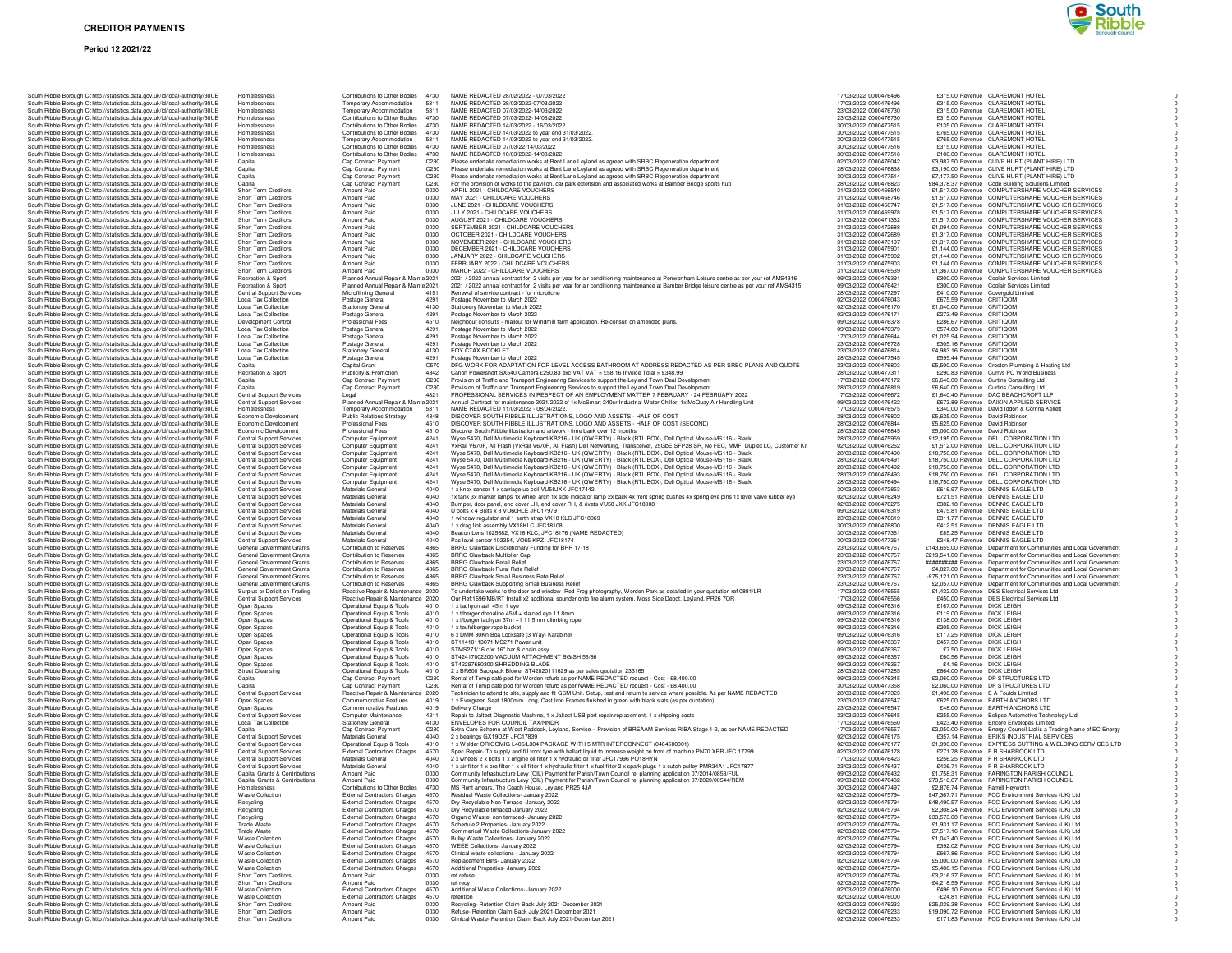| South Ribble Borough Cc http://statistics.data.gov.uk/id/local-authority/30UE                                                                                  | Homelessness                                         | Contributions to Other Bod                                                         |
|----------------------------------------------------------------------------------------------------------------------------------------------------------------|------------------------------------------------------|------------------------------------------------------------------------------------|
| South Ribble Borough Cc http://statistics.data.gov.uk/id/local-authority/30UE                                                                                  | Homelessness                                         | Temporary Accommodatio                                                             |
| South Ribble Borough Cohttp://statistics.data.gov.uk/id/local-authority/30UE                                                                                   | Homelessness                                         | Temporary Accommodatic<br>Contributions to Other Box<br>Contributions to Other Box |
| South Ribble Borough Cc http://statistics.data.gov.uk/id/local-authority/30UE                                                                                  | Homelessness                                         |                                                                                    |
| South Ribble Borough Cohttp://statistics.data.gov.uk/id/local-authority/30UE                                                                                   | Homelessness                                         |                                                                                    |
| South Ribble Borough Cc http://statistics.data.gov.uk/id/local-authority/30UE                                                                                  | Homelessness                                         | Contributions to Other Box                                                         |
| South Ribble Borough Cc http://statistics.data.gov.uk/id/local-authority/30UE                                                                                  | Homelessness                                         | Temporary Accommodatio                                                             |
| South Ribble Borough Cc http://statistics.data.gov.uk/id/local-authority/30UE                                                                                  | Homelessness                                         | Contributions to Other Box                                                         |
| South Ribble Borough Cc http://statistics.data.gov.uk/id/local-authority/30UE                                                                                  | Homelessness                                         | Contributions to Other Bod                                                         |
| South Ribble Borough Cc http://statistics.data.gov.uk/id/local-authority/30UE                                                                                  | Capital                                              | Cap Contract Payment                                                               |
| South Ribble Borough Cc http://statistics.data.gov.uk/id/local-authority/30UE                                                                                  | Capital                                              | Cap Contract Payment                                                               |
| South Ribble Borough Cohttp://statistics.data.gov.uk/id/local-authority/30UE                                                                                   | Capital                                              | Cap Contract Payment                                                               |
| South Ribble Borough Cc http://statistics.data.gov.uk/id/local-authority/30UE                                                                                  | Capital                                              | Cap Contract Payment                                                               |
| South Ribble Borough Cr http://statistics.data.gov.uk/id/local-authority/30UE                                                                                  | Short Term Creditors                                 | Amount Paid                                                                        |
| South Ribble Borough Cr http://statistics.data.gov.uk/id/local-authority/30UE                                                                                  | Short Term Creditors                                 | Amount Paid                                                                        |
| South Ribble Borough Cc http://statistics.data.gov.uk/id/local-authority/30UE                                                                                  | Short Term Creditors                                 | Amount Paid                                                                        |
| South Ribble Borough Cc http://statistics.data.gov.uk/id/local-authority/30UE                                                                                  | Short Term Creditors                                 | Amount Paid                                                                        |
| South Ribble Borough Cc http://statistics.data.gov.uk/id/local-authority/30UE                                                                                  | Short Term Creditors                                 | Amount Paid                                                                        |
| South Ribble Borough Cc http://statistics.data.gov.uk/id/local-authority/30UE                                                                                  | Short Term Creditors                                 | Amount Paid                                                                        |
| South Ribble Borough Cc http://statistics.data.gov.uk/id/local-authority/30UE<br>South Ribble Borough Cr http://statistics.data.gov.uk/id/local-authority/30UE | Short Term Creditors<br>Short Term Creditors         | Amount Paid<br>Amount Paid                                                         |
| South Ribble Borough Cr http://statistics.data.gov.uk/id/local-authority/30UE                                                                                  |                                                      | Amount Paid                                                                        |
| South Ribble Borough Cohttp://statistics.data.gov.uk/id/local-authority/30UE                                                                                   | Short Term Creditors<br><b>Short Term Creditors</b>  | Amount Paid                                                                        |
| South Ribble Borough Cr http://statistics.data.gov.uk/id/local-authority/30UE                                                                                  | Short Term Creditors                                 | Amount Paid                                                                        |
| South Ribble Borough Cr http://statistics.data.gov.uk/id/local-authority/30UE                                                                                  | Short Term Creditors                                 | Amount Paid                                                                        |
| South Ribble Borough Cr http://statistics.data.gov.uk/id/local-authority/30UE                                                                                  | Recreation & Sport                                   | Planned Annual Repair &                                                            |
| South Ribble Borough Cohttp://statistics.data.gov.uk/id/local-authority/30UE                                                                                   | Recreation & Sport                                   | Planned Annual Repair &                                                            |
| South Ribble Borough Cr http://statistics.data.gov.uk/id/local-authority/30UE                                                                                  | Central Support Services                             | Microfilming General                                                               |
| South Ribble Borough Cc http://statistics.data.gov.uk/id/local-authority/30UE                                                                                  | Local Tax Collection                                 | Postage General                                                                    |
| South Ribble Borough Cc http://statistics.data.gov.uk/id/local-authority/30UE                                                                                  | Local Tax Collection                                 | <b>Stationery General</b>                                                          |
| South Ribble Borough Cohttp://statistics.data.gov.uk/id/local-authority/30UE                                                                                   | <b>Local Tax Collection</b>                          | Postage General                                                                    |
| South Ribble Borough Cc http://statistics.data.gov.uk/id/local-authority/30UE                                                                                  | Development Control                                  | Professional Fees                                                                  |
| South Ribble Borough Cc http://statistics.data.gov.uk/id/local-authority/30UE                                                                                  | Local Tax Collection                                 | Postage General                                                                    |
| South Ribble Borough Cc http://statistics.data.gov.uk/id/local-authority/30UE                                                                                  | <b>Local Tax Collection</b>                          | Postage General                                                                    |
| South Ribble Borough Cc http://statistics.data.gov.uk/id/local-authority/30UE                                                                                  | <b>Local Tax Collection</b>                          | Postage General                                                                    |
| South Ribble Borough Cc http://statistics.data.gov.uk/id/local-authority/30UE                                                                                  | <b>Local Tax Collection</b>                          | <b>Stationery General</b>                                                          |
| South Ribble Borough Cr http://statistics.data.gov.uk/id/local-authority/30UE                                                                                  | Local Tax Collection                                 | Postage General                                                                    |
| South Ribble Borough Cc http://statistics.data.gov.uk/id/local-authority/30UE                                                                                  | Capital                                              | Capital Grant                                                                      |
| South Ribble Borough Cc http://statistics.data.gov.uk/id/local-authority/30UE                                                                                  | Recreation & Sport                                   | Publicity & Promotion                                                              |
| South Ribble Borough Cc http://statistics.data.gov.uk/id/local-authority/30UE                                                                                  | Capital                                              | Cap Contract Payment                                                               |
| South Ribble Borough Cc http://statistics.data.gov.uk/id/local-authority/30UE                                                                                  | Capital                                              | Cap Contract Payment                                                               |
| South Ribble Borough Cc http://statistics.data.gov.uk/id/local-authority/30UE                                                                                  | Central Support Services                             | Legal                                                                              |
| South Ribble Borough Cc http://statistics.data.gov.uk/id/local-authority/30UE                                                                                  | <b>Central Support Services</b>                      | Planned Annual Repair &                                                            |
| South Ribble Borough Cc http://statistics.data.gov.uk/id/local-authority/30UE                                                                                  | Homelessness                                         | Temporary Accommodatio                                                             |
| South Ribble Borough Cohttp://statistics.data.gov.uk/id/local-authority/30UE                                                                                   | Economic Development                                 | <b>Public Relations Strategy</b>                                                   |
| South Ribble Borough Cohttp://statistics.data.gov.uk/id/local-authority/30UE                                                                                   | Economic Development                                 | Professional Fees                                                                  |
| South Ribble Borough Cc http://statistics.data.gov.uk/id/local-authority/30UE                                                                                  | Economic Development                                 | Professional Fees                                                                  |
| South Ribble Borough Cc http://statistics.data.gov.uk/id/local-authority/30UE                                                                                  | <b>Central Support Services</b>                      | Computer Equipment                                                                 |
| South Ribble Borough Cr http://statistics.data.gov.uk/id/local-authority/30UE                                                                                  | Central Support Services                             | Computer Equipment                                                                 |
| South Ribble Borough Cc http://statistics.data.gov.uk/id/local-authority/30UE                                                                                  | Central Support Services                             | Computer Equipment                                                                 |
| South Ribble Borough Cc http://statistics.data.gov.uk/id/local-authority/30UE                                                                                  | Central Support Services                             | Computer Equipment<br>Computer Equipment                                           |
| South Ribble Borough Cc http://statistics.data.gov.uk/id/local-authority/30UE                                                                                  | <b>Central Support Services</b>                      |                                                                                    |
| South Ribble Borough Cc http://statistics.data.gov.uk/id/local-authority/30UE                                                                                  | Central Support Services                             | Computer Equipment                                                                 |
| South Ribble Borough Cc http://statistics.data.gov.uk/id/local-authority/30UE                                                                                  | Central Support Services                             | Computer Equipment                                                                 |
| South Ribble Borough Cc http://statistics.data.gov.uk/id/local-authority/30UE                                                                                  | Central Support Services                             | Materials General<br>Materials General                                             |
| South Ribble Borough Cc http://statistics.data.gov.uk/id/local-authority/30UE<br>South Ribble Borough Cr http://statistics.data.gov.uk/id/local-authority/30UE | <b>Central Support Services</b>                      | Materials General                                                                  |
| South Ribble Borough Cr http://statistics.data.gov.uk/id/local-authority/30UE                                                                                  | Central Support Services<br>Central Support Services | Materials General                                                                  |
| South Ribble Borough Cc http://statistics.data.gov.uk/id/local-authority/30UE                                                                                  | Central Support Services                             | Materials General                                                                  |
| South Ribble Borough Cc http://statistics.data.gov.uk/id/local-authority/30UE                                                                                  | <b>Central Support Services</b>                      | Materials General                                                                  |
| South Ribble Borough Cohttp://statistics.data.gov.uk/id/local-authority/30UE                                                                                   | <b>Central Support Services</b>                      | Materials General                                                                  |
| South Ribble Borough Cohttp://statistics.data.gov.uk/id/local-authority/30UE                                                                                   | Central Support Services                             | Materials General                                                                  |
| South Ribble Borough Cc http://statistics.data.gov.uk/id/local-authority/30UE                                                                                  | General Government Grants                            | Contribution to Reserves                                                           |
| South Ribble Borough Cc http://statistics.data.gov.uk/id/local-authority/30UE                                                                                  | General Government Grants                            | Contribution to Reserves                                                           |
| South Ribble Borough Cc http://statistics.data.gov.uk/id/local-authority/30UE                                                                                  | General Government Grants                            | Contribution to Reserves                                                           |
| South Ribble Borough Cc http://statistics.data.gov.uk/id/local-authority/30UE                                                                                  | General Government Grants                            | Contribution to Reserves                                                           |
| South Ribble Borough Cc http://statistics.data.gov.uk/id/local-authority/30UE                                                                                  | General Government Grants                            | Contribution to Reserves                                                           |
| South Ribble Borough Cc http://statistics.data.gov.uk/id/local-authority/30UE                                                                                  | General Government Grants                            | Contribution to Reserves                                                           |
| South Ribble Borough Cc http://statistics.data.gov.uk/id/local-authority/30UE                                                                                  | Surplus or Deficit on Trading                        | Reactive Repair & Mainter                                                          |
| South Ribble Borough Cc http://statistics.data.gov.uk/id/local-authority/30UE                                                                                  | Central Support Services                             |                                                                                    |
| South Ribble Borough Cr http://statistics.data.gov.uk/id/local-authority/30UE                                                                                  | Open Spaces                                          | Reactive Repair & Mainter<br>Operational Equip & Tools                             |
| South Ribble Borough Cc http://statistics.data.gov.uk/id/local-authority/30UE                                                                                  | Open Spaces                                          | Operational Equip & Tools                                                          |
| South Ribble Borough Cc http://statistics.data.gov.uk/id/local-authority/30UE                                                                                  | Open Spaces                                          | Operational Equip & Tools                                                          |
| South Ribble Borough Cc http://statistics.data.gov.uk/id/local-authority/30UE                                                                                  | Open Spaces                                          | Operational Equip & Tools                                                          |
| South Ribble Borough Cc http://statistics.data.gov.uk/id/local-authority/30UE                                                                                  | Open Spaces                                          | Operational Equip & Tools                                                          |
| South Ribble Borough Cc http://statistics.data.gov.uk/id/local-authority/30UE                                                                                  | Open Spaces                                          | Operational Equip & Tools                                                          |
| South Ribble Borough Cc http://statistics.data.gov.uk/id/local-authority/30UE                                                                                  | Open Spaces                                          | Operational Equip & Tools                                                          |
| South Ribble Borough Cr http://statistics.data.gov.uk/id/local-authority/30UE                                                                                  | Open Spaces                                          | Operational Equip & Tools<br>Operational Equip & Tools                             |
| South Ribble Borough Cc http://statistics.data.gov.uk/id/local-authority/30UE                                                                                  | Open Spaces                                          |                                                                                    |
| South Ribble Borough Cc http://statistics.data.gov.uk/id/local-authority/30UE                                                                                  | <b>Street Cleansing</b>                              | Operational Equip & Tools                                                          |
| South Ribble Borough Cc http://statistics.data.gov.uk/id/local-authority/30UE                                                                                  | Capital                                              | Cap Contract Payment                                                               |
| South Ribble Borough Cc http://statistics.data.gov.uk/id/local-authority/30UE                                                                                  | Capital                                              | Cap Contract Payment                                                               |
| South Ribble Borough Cc http://statistics.data.gov.uk/id/local-authority/30UE                                                                                  | Central Support Services                             | Reactive Repair & Mainter                                                          |
| South Ribble Borough Cr http://statistics.data.gov.uk/id/local-authority/30UE                                                                                  | Open Spaces                                          | Commemorative Features                                                             |
| South Ribble Borough Cc http://statistics.data.gov.uk/id/local-authority/30UE                                                                                  | Open Spaces                                          | Commemorative Features                                                             |
| South Ribble Borough Cc http://statistics.data.gov.uk/id/local-authority/30UE                                                                                  | Central Support Services                             | Computer Maintenance                                                               |
| South Ribble Borough Cc http://statistics.data.gov.uk/id/local-authority/30UE                                                                                  | <b>Local Tax Collection</b><br>Capital               | <b>Stationery General</b>                                                          |
| South Ribble Borough Cc http://statistics.data.gov.uk/id/local-authority/30UE                                                                                  |                                                      | Cap Contract Payment                                                               |
| South Ribble Borough Cc http://statistics.data.gov.uk/id/local-authority/30UE                                                                                  | Central Support Services                             | Materials General                                                                  |
| South Ribble Borough Cc http://statistics.data.gov.uk/id/local-authority/30UE                                                                                  | <b>Central Support Services</b>                      | Operational Equip & Tools                                                          |
| South Ribble Borough Cc http://statistics.data.gov.uk/id/local-authority/30UE<br>South Ribble Borough Cr http://statistics.data.gov.uk/id/local-authority/30UE | Central Support Services<br>Central Support Services | External Contractors Chan<br>Materials General                                     |
|                                                                                                                                                                | <b>Central Support Services</b>                      | Materials General                                                                  |
| South Ribble Borough Cc http://statistics.data.gov.uk/id/local-authority/30UE<br>South Ribble Borough Cr http://statistics.data.gov.uk/id/local-authority/30UE | Capital Grants & Contributions                       | Amount Paid                                                                        |
| South Ribble Borough Cohttp://statistics.data.gov.uk/id/local-authority/30UE                                                                                   | Capital Grants & Contributions                       | Amount Paid                                                                        |
| South Ribble Borough Cohttp://statistics.data.gov.uk/id/local-authority/30UE                                                                                   | Homelessness                                         | Contributions to Other Box                                                         |
|                                                                                                                                                                |                                                      |                                                                                    |
| South Ribble Borough Cc http://statistics.data.gov.uk/id/local-authority/30UE                                                                                  | <b>Waste Collection</b>                              | <b>External Contractors Chan</b>                                                   |
| South Ribble Borough Cc http://statistics.data.gov.uk/id/local-authority/30UE                                                                                  | Recycling<br>Recycling                               | External Contractors Chan<br>External Contractors Chan                             |
|                                                                                                                                                                | Recycling                                            | <b>External Contractors Chan</b>                                                   |
| South Ribble Borough Cc http://statistics.data.gov.uk/id/local-authority/30UE                                                                                  | Trade Waste                                          | <b>External Contractors Chan</b>                                                   |
| South Ribble Borough Cc http://statistics.data.gov.uk/id/local-authority/30UE                                                                                  | Trade Waste                                          | <b>External Contractors Chan</b>                                                   |
| South Ribble Borough C: http://statistics.data.gov.uk/id/local-authority/30UE                                                                                  | Waste Collection                                     | External Contractors Chan                                                          |
| South Ribble Borough C: http://statistics.data.gov.uk/id/local-authority/30UE                                                                                  | Waste Collection                                     | External Contractors Chan                                                          |
| South Ribble Borough Cohttp://statistics.data.gov.uk/id/local-authority/30UE                                                                                   |                                                      |                                                                                    |
| South Ribble Borough Cc http://statistics.data.gov.uk/id/local-authority/30UE                                                                                  |                                                      |                                                                                    |
| South Ribble Borough Cc http://statistics.data.gov.uk/id/local-authority/30UE                                                                                  | <b>Waste Collection</b>                              | <b>External Contractors Chan</b>                                                   |
| South Ribble Borough C: http://statistics.data.gov.uk/id/local-authority/30UE                                                                                  | <b>Waste Collection</b>                              | External Contractors Chan                                                          |
| South Ribble Borough C: http://statistics.data.gov.uk/id/local-authority/30UE                                                                                  | <b>Waste Collection</b>                              | External Contractors Chan                                                          |
| South Ribble Borough Cr http://statistics.data.gov.uk/id/local-authority/30UE                                                                                  | Short Term Creditors                                 | Amount Paid                                                                        |
| South Ribble Borough Cc http://statistics.data.gov.uk/id/local-authority/30UE                                                                                  | Short Term Creditors<br><b>Waste Collection</b>      | Amount Paid                                                                        |
| South Ribble Borough C: http://statistics.data.gov.uk/id/local-authority/30UE<br>South Ribble Borough Cohttp://statistics.data.gov.uk/id/local-authority/30UE  | <b>Waste Collection</b>                              | <b>External Contractors Chan</b><br><b>External Contractors Chan</b>               |
|                                                                                                                                                                | Short Term Creditors                                 | Amount Paid                                                                        |
| South Ribble Borough Cc http://statistics.data.gov.uk/id/local-authority/30UE<br>South Ribble Borough Cohttp://statistics.data.gov.uk/id/local-authority/30UE  | <b>Short Term Creditors</b>                          | Amount Paid                                                                        |
| South Ribble Borough Cc http://statistics.data.gov.uk/id/local-authority/30UE                                                                                  | Short Term Creditors                                 | Amount Paid                                                                        |

| http://statistics.data.gov.uk/id/local-authority/30UE                                                          | Homelessness                                                       | Contributions to Other Bodies 4730                               |                  | NAME REDACTED 28/02/2022 - 07/03/2022                                                                                                                                                                            | 17/03/2022 0000476496                          |                                                          | £315.00 Revenue CLAREMONT HOTEL                                                                            |
|----------------------------------------------------------------------------------------------------------------|--------------------------------------------------------------------|------------------------------------------------------------------|------------------|------------------------------------------------------------------------------------------------------------------------------------------------------------------------------------------------------------------|------------------------------------------------|----------------------------------------------------------|------------------------------------------------------------------------------------------------------------|
| http://statistics.data.gov.uk/id/local-authority/30UE                                                          | Homelessness                                                       | Temporary Accommodation                                          | 5311             | NAME REDACTED 28/02/2022-07/03/2022                                                                                                                                                                              | 17/03/2022 0000476496                          |                                                          | £315.00 Revenue CLAREMONT HOTEL                                                                            |
| http://statistics.data.gov.uk/id/local-authority/30UE                                                          | Homelessness                                                       | Temporary Accommodation                                          | 5311             | NAME REDACTED 07/03/2022-14/03/2022                                                                                                                                                                              | 23/03/2022 0000476730                          |                                                          | £315.00 Revenue CLAREMONT HOTEL                                                                            |
| http://statistics.data.gov.uk/id/local-authority/30UE                                                          | Homelessness                                                       | Contributions to Other Bodies                                    | 4730             | NAME REDACTED 07/03/2022-14/03/2022                                                                                                                                                                              | 23/03/2022 0000476730                          |                                                          | £315.00 Revenue CLAREMONT HOTEL                                                                            |
| http://statistics.data.gov.uk/id/local-authority/30UE                                                          | Homelessness                                                       | Contributions to Other Bodies                                    | 4730             | NAME REDACTED 14/03/2022 - 16/03/2022                                                                                                                                                                            | 30/03/2022 0000477515                          |                                                          | £135.00 Revenue CLAREMONT HOTEL                                                                            |
| http://statistics.data.gov.uk/id/local-authority/30UE                                                          | Homelessness                                                       | Contributions to Other Bodies                                    | 4730             | NAME REDACTED 14/03/2022 to year end 31/03/2022                                                                                                                                                                  | 30/03/2022 0000477515                          |                                                          | £765.00 Revenue CLAREMONT HOTEL                                                                            |
| http://statistics.data.gov.uk/id/local-authority/30UE                                                          | Homelessness<br>Homelessness                                       | Temporary Accommodation<br>Contributions to Other Bodies         | 5311<br>4730     | NAME REDACTED 14/03/2022 to year end 31/03/2022.<br>NAME REDACTED 07/03/22-14/03/2022                                                                                                                            | 30/03/2022 0000477515<br>30/03/2022 0000477516 |                                                          | £765.00 Revenue CLAREMONT HOTEL<br>£315.00 Revenue CLAREMONT HOTEL                                         |
| http://statistics.data.gov.uk/id/local-authority/30UE<br>http://statistics.data.gov.uk/id/local-authority/30UE | Homelessness                                                       | Contributions to Other Bodies                                    | 4730             | NAME REDACTED 10/03/2022-14/03/2022                                                                                                                                                                              | 30/03/2022 0000477516                          |                                                          | £180.00 Revenue CLAREMONT HOTEL                                                                            |
| http://statistics.data.gov.uk/id/local-authority/30UE                                                          | Capital                                                            | Cap Contract Payment                                             | C230             | Please undertake remediation works at Bent Lane Leyland as agreed with SRBC Regeneration department                                                                                                              | 02/03/2022 0000476042                          |                                                          | £3,987.50 Revenue CLIVE HURT (PLANT HIRE) LTD                                                              |
| http://statistics.data.gov.uk/id/local-authority/30UE                                                          | Capital                                                            | Cap Contract Payment                                             | C230             | Please undertake remediation works at Bent Lane Leyland as agreed with SRBC Regeneration department                                                                                                              | 28/03/2022 0000476838                          |                                                          | £3,190.00 Revenue CLIVE HURT (PLANT HIRE) LTD                                                              |
| http://statistics.data.gov.uk/id/local-authority/30UE                                                          | Capital                                                            | Cap Contract Payment                                             | C230             | Please undertake remediation works at Bent Lane Leyland as agreed with SRBC Regeneration department                                                                                                              | 30/03/2022 0000477514                          |                                                          | £7,177.50 Revenue CLIVE HURT (PLANT HIRE) LTD                                                              |
| http://statistics.data.gov.uk/id/local-authority/30UE                                                          | Capital                                                            | Cap Contract Payment                                             | C230             | For the provision of works to the pavilion, car park extension and associated works at Bamber Bridge sports hub                                                                                                  | 28/03/2022 0000476823                          |                                                          | £84,378.37 Revenue Code Building Solutions Limited                                                         |
| http://statistics.data.gov.uk/id/local-authority/30UE                                                          | Short Term Creditors                                               | Amount Paid                                                      | 0030             | APRIL 2021 - CHILDCARE VOLICHERS                                                                                                                                                                                 | 31/03/2022 0000466540                          |                                                          | £1,517.00 Revenue COMPUTERSHARE VOUCHER SERVICES                                                           |
| http://statistics.data.gov.uk/id/local-authority/30UE                                                          | Short Term Creditors                                               | Amount Paid                                                      | 0030             | MAY 2021 - CHILDCARE VOUCHERS                                                                                                                                                                                    | 31/03/2022 0000468746                          |                                                          | £1,517.00 Revenue COMPUTERSHARE VOUCHER SERVICES                                                           |
| http://statistics.data.gov.uk/id/local-authority/30UE                                                          | Short Term Creditors                                               | Amount Paid                                                      | 0030             | JUNE 2021 - CHILDCARE VOUCHERS                                                                                                                                                                                   | 31/03/2022 0000468747                          |                                                          | £1,517.00 Revenue COMPUTERSHARE VOUCHER SERVICES                                                           |
| http://statistics.data.gov.uk/id/local-authority/30UE                                                          | <b>Short Term Creditors</b>                                        | Amount Paid                                                      | 0030             | JULY 2021 - CHILDCARE VOUCHERS                                                                                                                                                                                   | 31/03/2022 0000469978                          |                                                          | £1,517.00 Revenue COMPUTERSHARE VOUCHER SERVICES                                                           |
| http://statistics.data.gov.uk/id/local-authority/30UE                                                          | Short Term Creditors                                               | Amount Paid                                                      | 0030             | AUGUST 2021 - CHILDCARE VOUCHERS                                                                                                                                                                                 | 31/03/2022 0000471332                          |                                                          | £1,517.00 Revenue COMPUTERSHARE VOUCHER SERVICES                                                           |
| http://statistics.data.gov.uk/id/local-authority/30UE                                                          | Short Term Creditors                                               | Amount Paid                                                      | 0030             | SEPTEMBER 2021 - CHILDCARE VOUCHERS                                                                                                                                                                              | 31/03/2022 0000472688                          |                                                          | £1,094.00 Revenue COMPUTERSHARE VOUCHER SERVICES                                                           |
| http://statistics.data.gov.uk/id/local-authority/30UE                                                          | Short Term Creditors                                               | Amount Paid                                                      | 0030             | OCTOBER 2021 - CHILDCARE VOUCHERS                                                                                                                                                                                | 31/03/2022 0000472689                          |                                                          | £1,317.00 Revenue COMPUTERSHARE VOUCHER SERVICES                                                           |
| http://statistics.data.gov.uk/id/local-authority/30UE                                                          | Short Term Creditors                                               | Amount Paid                                                      | 0030<br>0030     | NOVEMBER 2021 - CHILDCARE VOUCHERS<br>DECEMBER 2021 - CHILDCARE VOUCHERS                                                                                                                                         | 31/03/2022 0000473197<br>31/03/2022 0000475901 |                                                          | £1,317.00 Revenue COMPUTERSHARE VOUCHER SERVICES<br>£1,144.00 Revenue COMPUTERSHARE VOUCHER SERVICES       |
| http://statistics.data.gov.uk/id/local-authority/30UE<br>http://statistics.data.gov.uk/id/local-authority/30UE | Short Term Creditors<br>Short Term Creditors                       | Amount Paid<br>Amount Paid                                       | 0030             | JANUARY 2022 - CHILDCARE VOUCHERS                                                                                                                                                                                | 31/03/2022 0000475902                          |                                                          | £1,144.00 Revenue COMPUTERSHARE VOUCHER SERVICES                                                           |
| http://statistics.data.gov.uk/id/local-authoritv/30UE                                                          | Short Term Creditors                                               | Amount Paid                                                      | 0030             | FEBBUARY 2022 - CHILDCARE VOLICHERS                                                                                                                                                                              | 31/03/2022 0000475903                          |                                                          | £1,144.00 Revenue COMPUTERSHARE VOUCHER SERVICES                                                           |
| http://statistics.data.gov.uk/id/local-authority/30UE                                                          | Short Term Creditors                                               | Amount Paid                                                      | 0030             | MARCH 2022 - CHILDCARE VOUCHERS                                                                                                                                                                                  | 31/03/2022 0000476539                          |                                                          | £1,367.00 Revenue COMPUTERSHARE VOUCHER SERVICES                                                           |
| http://statistics.data.gov.uk/id/local-authority/30UE                                                          | Recreation & Sport                                                 | Planned Annual Repair & Mainte 2021                              |                  | 2021 / 2022 annual contract for 2 visits per year for air conditioning maintenance at Penwortham Leisure centre as per your ref AMS4316                                                                          | 09/03/2022 0000476391                          |                                                          | £300.00 Revenue Coolair Services Limited                                                                   |
| http://statistics.data.gov.uk/id/local-authority/30UE                                                          | Recreation & Sport                                                 | Planned Annual Repair & Mainte 2021                              |                  | 2021 / 2022 annual contract for 2 visits per year for air conditioning maintenance at Bamber Bridge leisure centre as per your ref AMS4315                                                                       | 09/03/2022 0000476421                          |                                                          | £300.00 Revenue Coolair Services Limited                                                                   |
| http://statistics.data.gov.uk/id/local-authority/30UE                                                          | Central Support Services                                           | Microfilming General                                             | 4151             | Renewal of service contract - for microfiche                                                                                                                                                                     | 28/03/2022 0000477297                          |                                                          | £410.00 Revenue Covergold Limited                                                                          |
| http://statistics.data.gov.uk/id/local-authority/30UE                                                          | <b>Local Tax Collection</b>                                        | Postage General                                                  | 4291             | Postage November to March 2022                                                                                                                                                                                   | 02/03/2022 0000476043                          | £675.59 Revenue CRITIQOM                                 |                                                                                                            |
| http://statistics.data.gov.uk/id/local-authority/30UE                                                          | <b>Local Tax Collection</b>                                        | <b>Stationery General</b>                                        | 4130             | Stationery November to March 2022                                                                                                                                                                                | 02/03/2022 0000476170                          | £1,040.00 Revenue CRITIQOM                               |                                                                                                            |
| http://statistics.data.gov.uk/id/local-authority/30UE                                                          | <b>Local Tax Collection</b>                                        | Postage General                                                  | 4291             | Postage November to March 2022                                                                                                                                                                                   | 02/03/2022 0000476171                          | £273.49 Revenue CRITIQOM                                 |                                                                                                            |
| http://statistics.data.gov.uk/id/local-authority/30UE                                                          | Development Control                                                | <b>Professional Fees</b>                                         | 4510             | Neighbour consults - mailout for Windmill farm application. Re-consult on amended plans.                                                                                                                         | 09/03/2022 0000476378                          | £286.67 Revenue CRITIQOM                                 |                                                                                                            |
| http://statistics.data.gov.uk/id/local-authority/30UE                                                          | <b>Local Tax Collection</b>                                        | Postage General                                                  | 4291             | Postage November to March 2022                                                                                                                                                                                   | 09/03/2022 0000476379                          | £574.88 Revenue CRITIQOM                                 |                                                                                                            |
| http://statistics.data.gov.uk/id/local-authority/30UE                                                          | <b>Local Tax Collection</b>                                        | Postage General                                                  | 4291             | Postage November to March 2022                                                                                                                                                                                   | 17/03/2022 0000476644                          | £1.025.94 Revenue CRITIQOM                               |                                                                                                            |
| http://statistics.data.gov.uk/id/local-authority/30UE                                                          | <b>Local Tax Collection</b>                                        | Postage General                                                  | 4291             | Postage November to March 2022                                                                                                                                                                                   | 23/03/2022 0000476728                          | £305.16 Revenue CRITIQOM                                 |                                                                                                            |
| http://statistics.data.gov.uk/id/local-authority/30UE                                                          | <b>Local Tax Collection</b>                                        | <b>Stationery General</b>                                        | 4130             | EOY CTAX BOOKLET                                                                                                                                                                                                 | 23/03/2022 0000476814                          | £4,983.16 Revenue CRITIQOM                               |                                                                                                            |
| http://statistics.data.gov.uk/id/local-authority/30UE                                                          | <b>Local Tax Collection</b><br>Capital                             | Postage General<br>Capital Grant                                 | 4291<br>C570     | Postage November to March 2022<br>DFG WORK FOR ADAPTATION FOR LEVEL ACCESS BATHROOM AT ADDRESS REDACTED AS PER SRBC PLANS AND QUOTE                                                                              | 28/03/2022 0000477545<br>23/03/2022 0000476803 | £595.44 Revenue CRITIQOM                                 | £5,500.00 Revenue Croston Plumbing & Heating Ltd                                                           |
| http://statistics.data.gov.uk/id/local-authority/30UE<br>http://statistics.data.gov.uk/id/local-authority/30UE | Recreation & Sport                                                 | Publicity & Promotion                                            | 4842             | Canon Powershort SX540 Camera £290.83 exc VAT VAT = £58.16 Invoice Total = £348.99                                                                                                                               | 28/03/2022 0000477311                          |                                                          | £290.83 Revenue Currys PC World Business                                                                   |
| http://statistics.data.gov.uk/id/local-authority/30UE                                                          | Capital                                                            | Cap Contract Payment                                             | C230             | Provision of Traffic and Transport Engineering Services to support the Leyland Town Deal Development                                                                                                             | 17/03/2022 0000476172                          |                                                          | £6,640.00 Revenue Curtins Consulting Ltd                                                                   |
| http://statistics.data.gov.uk/id/local-authority/30UE                                                          | Capital                                                            | Cap Contract Payment                                             | C <sub>230</sub> | Provision of Traffic and Transport Engineering Services to support the Leyland Town Deal Development                                                                                                             | 28/03/2022 0000476819                          |                                                          | £6,640.00 Revenue Curtins Consulting Ltd                                                                   |
| http://statistics.data.gov.uk/id/local-authority/30UE                                                          | <b>Central Support Services</b>                                    | Legal                                                            | 4821             | PROFESSIONAL SERVICES IN RESPECT OF AN EMPLOYMENT MATTER 7 FEBRUARY - 24 FEBRUARY 2022                                                                                                                           | 17/03/2022 0000476672                          |                                                          | £1,640.40 Revenue DAC BEACHCROFT LLP                                                                       |
| http://statistics.data.gov.uk/id/local-authority/30UE                                                          | Central Support Services                                           | Planned Annual Repair & Mainte 2021                              |                  | Annual Contract for maintenance 2021/2022 of 1x McSmart 240cr Industrial Water Chiller, 1x McQuay Air Handling Unit                                                                                              | 09/03/2022 0000476422                          |                                                          | £673.89 Revenue DAIKIN APPLIED SERVICE                                                                     |
| http://statistics.data.gov.uk/id/local-authority/30UE                                                          | Homelessness                                                       | Temporary Accommodation                                          | 5311             | NAME REDACTED 11/03/2022 - 08/04/2022.                                                                                                                                                                           | 17/03/2022 0000476575                          |                                                          | £340.00 Revenue David Iddon & Corrina Kellett                                                              |
| http://statistics.data.gov.uk/id/local-authority/30UE                                                          | Economic Development                                               | <b>Public Relations Strategy</b>                                 | 4848             | DISCOVER SOUTH RIBBLE ILLUSTRATIONS, LOGO AND ASSETS - HALF OF COST                                                                                                                                              | 28/03/2022 0000476802                          | £5,625.00 Revenue David Robinson                         |                                                                                                            |
| http://statistics.data.gov.uk/id/local-authority/30UE                                                          | Economic Development                                               | Professional Fees                                                | 4510             | DISCOVER SOUTH RIBBLE ILLUSTRATIONS, LOGO AND ASSETS - HALF OF COST (SECOND)                                                                                                                                     | 28/03/2022 0000476844                          | £5,625.00 Revenue David Robinson                         |                                                                                                            |
| http://statistics.data.gov.uk/id/local-authority/30UE                                                          | Economic Development                                               | <b>Professional Fees</b>                                         | 4510             | Discover South Ribble illustration and artwork - time bank over 12 months                                                                                                                                        | 28/03/2022 0000476845                          | £5,000.00 Revenue David Robinson                         |                                                                                                            |
| http://statistics.data.gov.uk/id/local-authority/30UE                                                          | <b>Central Support Services</b>                                    | <b>Computer Equipment</b>                                        | 4241             | Wyse 5470, Dell Multimedia Keyboard-KB216 - UK (QWERTY) - Black (RTL BOX), Dell Optical Mouse-MS116 - Black                                                                                                      | 28/03/2022 0000475959                          |                                                          | £12,195.00 Revenue DELL CORPORATION LTD                                                                    |
| http://statistics.data.gov.uk/id/local-authority/30UE                                                          | <b>Central Support Services</b>                                    | <b>Computer Equipment</b>                                        | 4241             | VxRail V670F, All Flash (VxRail V670F, All Flash) Dell Networking, Transceiver, 25GbE SFP28 SR, No FEC, MMF, Duplex LC, Customer Kit                                                                             | 02/03/2022 0000476262                          |                                                          | £1.512.00 Revenue DELL CORPORATION LTD                                                                     |
| http://statistics.data.gov.uk/id/local-authority/30UE                                                          | <b>Central Support Services</b>                                    | <b>Computer Equipment</b>                                        | 4241             | Wyse 5470, Dell Multimedia Keyboard-KB216 - UK (QWERTY) - Black (RTL BOX), Dell Optical Mouse-MS116 - Black                                                                                                      | 28/03/2022 0000476490                          |                                                          | £18,750.00 Revenue DELL CORPORATION LTD                                                                    |
| http://statistics.data.gov.uk/id/local-authority/30UE                                                          | Central Support Services                                           | Computer Equipment                                               | 4241             | Wyse 5470, Dell Multimedia Keyboard-KB216 - UK (QWERTY) - Black (RTL BOX), Dell Optical Mouse-MS116 - Black                                                                                                      | 28/03/2022 0000476491                          |                                                          | £18,750.00 Revenue DELL CORPORATION LTD                                                                    |
| http://statistics.data.gov.uk/id/local-authority/30UE                                                          | Central Support Services                                           | Computer Equipment                                               | 4241             | Wyse 5470, Dell Multimedia Keyboard-KB216 - UK (QWERTY) - Black (RTL BOX), Dell Optical Mouse-MS116 - Black                                                                                                      | 28/03/2022 0000476492                          |                                                          | £18,750.00 Revenue DELL CORPORATION LTD                                                                    |
| http://statistics.data.gov.uk/id/local-authority/30UE                                                          | Central Support Services                                           | <b>Computer Equipment</b>                                        | 4241             | Wyse 5470, Dell Multimedia Keyboard-KB216 - UK (QWERTY) - Black (RTL BOX), Dell Optical Mouse-MS116 - Black                                                                                                      | 28/03/2022 0000476493                          |                                                          | £18,750.00 Revenue DELL CORPORATION LTD                                                                    |
| http://statistics.data.gov.uk/id/local-authority/30UE                                                          | <b>Central Support Services</b>                                    | <b>Computer Equipment</b>                                        | 4241             | Wyse 5470, Dell Multimedia Keyboard-KB216 - UK (QWERTY) - Black (RTL BOX), Dell Optical Mouse-MS116 - Black                                                                                                      | 28/03/2022 0000476494                          |                                                          | £18,750.00 Revenue DELL CORPORATION LTD                                                                    |
| http://statistics.data.gov.uk/id/local-authority/30UE<br>http://statistics.data.gov.uk/id/local-authority/30UE | <b>Central Support Services</b>                                    | Materials General                                                | 4040<br>4040     | 1 x knox sensor 1 x carriage up coil VU58JXK JFC17442                                                                                                                                                            | 30/03/2022 0000472853                          |                                                          | £616.97 Revenue DENNIS EAGLE LTD                                                                           |
|                                                                                                                | <b>Central Support Services</b><br><b>Central Support Services</b> | Materials Genera<br>Materials General                            | 4040             | 1x tank 3x marker lamps 1x wheel arch 1x side indicator lamp 2x back 4x front spring bushes 4x spring eye pins 1x level valve rubber eye                                                                         | 02/03/2022 0000476249<br>02/03/2022 0000476275 |                                                          | £721.51 Revenue DENNIS EAGLE LTD<br>£382.18 Revenue DENNIS EAGLE LTD                                       |
| http://statistics.data.gov.uk/id/local-authority/30UE<br>http://statistics.data.gov.uk/id/local-authority/30UE | Central Support Services                                           | Materials General                                                | 4040             | Bumper, door panel, end cover LH, end cover RH, & rivets VU58 JXK JFC18008<br>U bolts x 4 Bolts x 8 VU60HLE JFC17979                                                                                             | 09/03/2022 0000476319                          |                                                          | £475.81 Revenue DENNIS EAGLE LTD                                                                           |
| http://statistics.data.gov.uk/id/local-authority/30UE                                                          | <b>Central Support Services</b>                                    | Materials General                                                | 4040             | 1 window regulator and 1 earth strap VX18 KLC JFC18069                                                                                                                                                           | 23/03/2022 0000476619                          |                                                          | £311.77 Revenue DENNIS EAGLE LTD                                                                           |
| http://statistics.data.gov.uk/id/local-authority/30UE                                                          | Central Support Services                                           | Materials General                                                | 4040             | 1 x drag link assembly VX18KLC JFC18108                                                                                                                                                                          | 30/03/2022 0000476800                          |                                                          | £412.51 Revenue DENNIS EAGLE LTD                                                                           |
| http://statistics.data.gov.uk/id/local-authority/30UE                                                          | Central Support Services                                           | Materials Genera                                                 | 4040             | Beacon Lens 1025682, VX18 KLC, JFC18176 (NAME REDACTED)                                                                                                                                                          | 30/03/2022 0000477361                          |                                                          | £85.25 Revenue DENNIS EAGLE LTD                                                                            |
| http://statistics.data.gov.uk/id/local-authority/30UE                                                          | Central Support Services                                           | Materials Genera                                                 | 4040             | Pas level sensor 103354, VO65 KPZ, JFC18174                                                                                                                                                                      | 30/03/2022 0000477361                          |                                                          | £248.47 Revenue DENNIS EAGLE LTD                                                                           |
| http://statistics.data.gov.uk/id/local-authority/30UE                                                          | General Government Grants                                          | Contribution to Reserves                                         | 4865             | BRRG Clawback Discretionary Funding for BRR 17-18                                                                                                                                                                | 23/03/2022 0000476767                          |                                                          | £143,659.00 Revenue Department for Communities and Local Government                                        |
| http://statistics.data.gov.uk/id/local-authority/30UE                                                          | General Government Grants                                          | Contribution to Reserves                                         | 4865             | <b>BRRG Clawback Multiplier Cap</b>                                                                                                                                                                              | 23/03/2022 0000476767                          |                                                          | £219,541.00 Revenue Department for Communities and Local Government                                        |
| http://statistics.data.gov.uk/id/local-authority/30UE                                                          | General Government Grants                                          | Contribution to Reserves                                         | 4865             | <b>BRRG Clawback Retail Relief</b>                                                                                                                                                                               | 23/03/2022 0000476767                          |                                                          | <b>######### Revenue</b> Department for Communities and Local Government                                   |
| http://statistics.data.gov.uk/id/local-authority/30UE                                                          | General Government Grants                                          | Contribution to Reserves                                         | 4865             | <b>BRRG Clawback Rural Rate Relief</b>                                                                                                                                                                           | 23/03/2022 0000476767                          |                                                          | -£4,827.00 Revenue Department for Communities and Local Government                                         |
| http://statistics.data.gov.uk/id/local-authority/30UE                                                          | General Government Grants                                          | <b>Contribution to Reserves</b>                                  | 4865             | BRRG Clawback Small Business Rate Relie                                                                                                                                                                          | 23/03/2022 0000476767                          |                                                          | -£75.121.00 Revenue Department for Communities and Local Government                                        |
| http://statistics.data.gov.uk/id/local-authority/30UE                                                          | General Government Grants                                          | Contribution to Reserves                                         | 4865             | BRRG Clawback Supporting Small Business Relief                                                                                                                                                                   | 23/03/2022 0000476767                          |                                                          | £2,057.00 Revenue Department for Communities and Local Government                                          |
| http://statistics.data.gov.uk/id/local-authority/30UE                                                          | Surplus or Deficit on Trading                                      | Reactive Repair & Maintenance 2020                               |                  | To undertake works to the door and window Red Frog photography, Worden Park as detailed in your quotation ref 0881/LR                                                                                            | 17/03/2022 0000476555                          |                                                          | £1,432.00 Revenue DES Electrical Services Ltd                                                              |
| http://statistics.data.gov.uk/id/local-authority/30UE                                                          | <b>Central Support Services</b>                                    | Reactive Repair & Maintenance 2020                               |                  | Our Ref:1696/MB/RT Install x2 additional sounder onto fire alarm system, Moss Side Depot, Leyland, PR26 7QR                                                                                                      | 17/03/2022 0000476556                          |                                                          | £450.00 Revenue DES Electrical Services Ltd                                                                |
| http://statistics.data.gov.uk/id/local-authority/30UE                                                          | Open Spaces                                                        | Operational Equip & Tools                                        | 4010<br>4010     | 1 x tachyon ash 45m 1 eye                                                                                                                                                                                        | 09/03/2022 0000476316                          | £167.00 Revenue DICK LEIGH                               |                                                                                                            |
| http://statistics.data.gov.uk/id/local-authority/30UE<br>http://statistics.data.gov.uk/id/local-authority/30UE | Open Spaces<br>Open Spaces                                         | Operational Equip & Tools<br>Operational Equip & Tools           | 4010             | 1 x t/berger drenaline 45M + slaiced eye 11.8mm<br>1 x t/berger tachyon 37m +1 11.5mm climbing rope                                                                                                              | 09/03/2022 0000476316<br>09/03/2022 0000476316 | £119.00 Revenue DICK LEIGH<br>£138.00 Revenue DICK LEIGH |                                                                                                            |
| http://statistics.data.gov.uk/id/local-authoritv/30UE                                                          | Open Spaces                                                        | Operational Equip & Tools                                        | 4010             | 1 x teufelberger rope bucket                                                                                                                                                                                     | 09/03/2022 0000476316                          | £205.00 Revenue DICK LEIGH                               |                                                                                                            |
| http://statistics.data.gov.uk/id/local-authority/30UE                                                          | Open Spaces                                                        | Operational Equip & Tools                                        | 4010             | 6 x DMM 30Kn Boa Locksafe (3 Way) Karabiner                                                                                                                                                                      | 09/03/2022 0000476316                          | £117.25 Revenue DICK LEIGH                               |                                                                                                            |
| http://statistics.data.gov.uk/id/local-authority/30UE                                                          | Open Spaces                                                        | Operational Equip & Tools                                        | 4010             | ST11410113071 MS271 Power unit                                                                                                                                                                                   | 09/03/2022 0000476367                          | £457.50 Revenue DICK LEIGH                               |                                                                                                            |
| http://statistics.data.gov.uk/id/local-authority/30UE                                                          | Open Spaces                                                        | Operational Equip & Tools                                        | 4010             | STMS271/16 c/w 16" bar & chain assy                                                                                                                                                                              | 09/03/2022 0000476367                          | £7.50 Revenue DICK LEIGH                                 |                                                                                                            |
| http://statistics.data.gov.uk/id/local-authority/30UE                                                          | Open Spaces                                                        | Operational Equip & Tools                                        | 4010             | ST42417002200 VACUUM ATTACHMENT BG/SH 56/86                                                                                                                                                                      | 09/03/2022 0000476367                          | £60.56 Revenue DICK LEIGH                                |                                                                                                            |
| http://statistics.data.gov.uk/id/local-authority/30UE                                                          | Open Spaces                                                        | Operational Equip & Tools                                        | 4010             | ST42297680300 SHREDDING BLADE                                                                                                                                                                                    | 09/03/2022 0000476367                          | £4.16 Revenue DICK LEIGH                                 |                                                                                                            |
| http://statistics.data.gov.uk/id/local-authority/30UE                                                          | <b>Street Cleansing</b>                                            | Operational Equip & Tools                                        | 4010             | 2 x BR600 Backpack Blower ST42820111629 as per sales quotation 233165                                                                                                                                            | 28/03/2022 0000477285                          | £864.00 Revenue DICK LEIGH                               |                                                                                                            |
| http://statistics.data.gov.uk/id/local-authority/30UE                                                          | Capital                                                            | Cap Contract Payment                                             | C230             | Rental of Temp café pod for Worden refurb as per NAME REDACTED request - Cost - £8,400.00                                                                                                                        | 09/03/2022 0000476345                          |                                                          | £2,060.00 Revenue DP STRUCTURES LTD                                                                        |
| http://statistics.data.gov.uk/id/local-authority/30UE                                                          | Capital                                                            | Cap Contract Payment                                             | C <sub>230</sub> | Rental of Temp café pod for Worden refurb as per NAME REDACTED request - Cost - £8,400.00                                                                                                                        | 30/03/2022 0000477358                          |                                                          | £2,060.00 Revenue DP STRUCTURES LTD                                                                        |
| http://statistics.data.gov.uk/id/local-authority/30UE                                                          | Central Support Services<br>Open Spaces                            | Beactive Benair & Maintenance 2020                               | 4019             | Technician to attend to site, supply and fit GSM Unit. Setup, test and return to service where possible. As per NAME BEDACTED                                                                                    | 28/03/2022 0000477323<br>23/03/2022 0000476547 | £1,496.00 Revenue E A Foulds Limited                     |                                                                                                            |
| http://statistics.data.gov.uk/id/local-authority/30UE                                                          |                                                                    |                                                                  |                  | 1 x Evergreen Seat 1800mm Long, Cast Iron Frames finished in green with black slats (as per quotation)                                                                                                           |                                                |                                                          | £625.00 Revenue EARTH ANCHORS LTD                                                                          |
| http://statistics.data.gov.uk/id/local-authority/30UE                                                          |                                                                    | Commemorative Features                                           |                  |                                                                                                                                                                                                                  |                                                |                                                          |                                                                                                            |
|                                                                                                                | Open Spaces                                                        | Commemorative Features                                           | 4019             | Delivery Charge                                                                                                                                                                                                  | 23/03/2022 0000476547                          | £48.00 Revenue EARTH ANCHORS LTD                         |                                                                                                            |
| http://statistics.data.gov.uk/id/local-authority/30UE                                                          | Central Support Services                                           | Computer Maintenance                                             | 4211             | Repair to Jaltest Diagnostic Machine, 1 x Jaltest USB port repair/replacement. 1 x shipping costs                                                                                                                | 23/03/2022 0000476645                          |                                                          | £255.00 Revenue Eclipse Automotive Technology Ltd                                                          |
| http://statistics.data.gov.uk/id/local-authority/30UE                                                          | <b>Local Tax Collection</b>                                        | <b>Stationery General</b>                                        | 4130             | ENVELOPES FOR COUNCIL TAX/NNDR                                                                                                                                                                                   | 17/03/2022 0000476560                          |                                                          | £423.40 Revenue Encore Envelopes Limited                                                                   |
| http://statistics.data.gov.uk/id/local-authority/30UE                                                          | Capital                                                            | Cap Contract Payment                                             | C230             | Extra Care Scheme at West Paddock, Leyland, Service - Provision of BREAAM Services RIBA Stage 1-2, as per NAME REDACTED                                                                                          | 17/03/2022 0000476557                          |                                                          | £2,050.00 Revenue Energy Council Ltd is a Trading Name of EC Energy                                        |
| http://statistics.data.gov.uk/id/local-authority/30UE<br>http://statistics.data.gov.uk/id/local-authority/30UE | <b>Central Support Services</b><br><b>Central Support Services</b> | Materials General                                                | 4040<br>4010     | 2 x bearings GX19DZF JFC17839<br>1 x Welder ORIGOMIG L405/L304 PACKAGE WITH 5 MTR INTERCONNECT (0464500001)                                                                                                      | 02/03/2022 0000476175<br>02/03/2022 0000476177 |                                                          | £357.14 Revenue ERIKS INDUSTRIAL SERVICES<br>£1,990.00 Revenue EXPRESS CUTTING & WELDING SERVICES LTD      |
|                                                                                                                | <b>Central Support Services</b>                                    | Operational Equip & Tools<br><b>External Contractors Charges</b> | 4570             |                                                                                                                                                                                                                  | 02/03/2022 0000476178                          |                                                          | £271.78 Revenue F R SHARROCK LTD                                                                           |
| http://statistics.data.gov.uk/id/local-authority/30UE<br>http://statistics.data.gov.uk/id/local-authority/30UE | Central Support Services                                           | Materials General                                                | 4040             | Spec Repair- To supply and fill front tyre with ballart liquid to increase weight on front of machine PN70 XPR JFC 17799<br>2 x wheels 2 x bolts 1 x engine oil filter 1 x hydraulic oil filter JFC17996 PO18HYN | 17/03/2022 0000476423                          |                                                          | £256.25 Revenue F R SHARROCK LTD                                                                           |
| http://statistics.data.gov.uk/id/local-authority/30UE                                                          | Central Support Services                                           | Materials General                                                | 4040             | 1 x air filter 1 x pre filter 1 x oil filter 1 x hydraulic filter 1 x fuel filter 2 x spark plugs 1 x cutch pulley PMR34A1 JFC17877                                                                              | 23/03/2022 0000476437                          |                                                          | £436.71 Revenue F R SHARROCK LTD                                                                           |
| http://statistics.data.gov.uk/id/local-authority/30UE                                                          | Capital Grants & Contributions                                     | Amount Paid                                                      | 0030             | Community Infrastructure Levy (CIL) Payment for Parish/Town Council re: planning application 07/2014/0853/FUL                                                                                                    | 09/03/2022 0000476432                          |                                                          | £1,758.31 Revenue FARINGTON PARISH COUNCIL                                                                 |
| http://statistics.data.gov.uk/id/local-authority/30UE                                                          | Capital Grants & Contributions                                     | Amount Paid                                                      | 0030             | Community Infrastructure Levy (CIL) Payment for Parish/Town Council re: planning application 07/2020/00544/REM                                                                                                   | 09/03/2022 0000476432                          |                                                          | £73,516.67 Revenue FARINGTON PARISH COUNCIL                                                                |
| http://statistics.data.gov.uk/id/local-authority/30UE                                                          |                                                                    | Contributions to Other Bodies                                    | 4730             | MS Rent arrears, The Coach House, Leyland PR25 4JA                                                                                                                                                               | 30/03/2022 0000477497                          | £2,876.74 Revenue Farrell Heywort                        |                                                                                                            |
| http://statistics.data.gov.uk/id/local-authority/30UE                                                          | <b>Waste Collection</b>                                            | <b>External Contractors Charges</b>                              | 4570             | Residual Waste Collections- January 2022                                                                                                                                                                         | 02/03/2022 0000475794                          |                                                          | £47,367.71 Revenue FCC Environment Services (UK) Ltd                                                       |
| http://statistics.data.gov.uk/id/local-authority/30UE                                                          | Recycling                                                          | <b>External Contractors Charges</b>                              | 4570             | Dry Recyclable Non-Terrace -January 2022                                                                                                                                                                         | 02/03/2022 0000475794                          |                                                          | £48,490.57 Revenue FCC Environment Services (UK) Ltd                                                       |
| http://statistics.data.gov.uk/id/local-authoritv/30UE                                                          | Recycling                                                          | <b>External Contractors Charges</b>                              | 4570             | Drv Recyclable terraced-January 2022                                                                                                                                                                             | 02/03/2022 0000475794                          |                                                          | £2,308.24 Revenue FCC Environment Services (UK) Ltd                                                        |
| http://statistics.data.gov.uk/id/local-authority/30UE                                                          | Recycling                                                          | <b>External Contractors Charges</b>                              | 4570             | Organic Waste- non terraced- January 2022                                                                                                                                                                        | 02/03/2022 0000475794                          |                                                          | £33,573.08 Revenue FCC Environment Services (UK) Ltd                                                       |
| http://statistics.data.gov.uk/id/local-authority/30UE                                                          | Trade Waste                                                        | External Contractors Charges                                     | 4570             | Schedule 2 Properties- January 2022                                                                                                                                                                              | 02/03/2022 0000475794                          |                                                          | £1,931.17 Revenue FCC Environment Services (UK) Ltd                                                        |
| http://statistics.data.gov.uk/id/local-authority/30UE                                                          | Trade Waste                                                        | <b>External Contractors Charges</b>                              | 4570             | Commerical Waste Collections-January 2022                                                                                                                                                                        | 02/03/2022 0000475794                          |                                                          | £7,517.16 Revenue FCC Environment Services (UK) Ltd                                                        |
| http://statistics.data.gov.uk/id/local-authority/30UE                                                          | <b>Waste Collection</b>                                            | External Contractors Charges                                     | 4570             | Bulky Waste Collections- January 2022                                                                                                                                                                            | 02/03/2022 0000475794                          |                                                          | £1,043.40 Revenue FCC Environment Services (UK) Ltd                                                        |
| http://statistics.data.gov.uk/id/local-authority/30UE                                                          | <b>Waste Collection</b>                                            | <b>External Contractors Charges</b>                              | 4570             | WEEE Collections- January 2022                                                                                                                                                                                   | 02/03/2022 0000475794                          |                                                          | £392.02 Revenue FCC Environment Services (UK) Ltd                                                          |
| http://statistics.data.gov.uk/id/local-authority/30UE                                                          | <b>Waste Collection</b>                                            | <b>External Contractors Charges</b>                              | 4570<br>4570     | Clinical waste collections - January 2022                                                                                                                                                                        | 02/03/2022 0000475794                          |                                                          | £667.86 Revenue FCC Environment Services (UK) Ltd                                                          |
| http://statistics.data.gov.uk/id/local-authority/30UE                                                          | <b>Waste Collection</b><br><b>Waste Collection</b>                 | <b>External Contractors Charges</b>                              | 4570             | Replacement Bins- January 2022                                                                                                                                                                                   | 02/03/2022 0000475794<br>02/03/2022 0000475794 |                                                          | £5,000.00 Revenue FCC Environment Services (UK) Ltd<br>£5,408.15 Revenue FCC Environment Services (UK) Ltd |
| http://statistics.data.gov.uk/id/local-authority/30UE<br>http://statistics.data.gov.uk/id/local-authority/30UE | Short Term Creditors                                               | External Contractors Charges<br>Amount Paid                      | 0030             | Additional Properties- January 2022<br>ret refuse                                                                                                                                                                | 02/03/2022 0000475794                          |                                                          | -F3 216 37 Revenue FCC Environment Services (UK) Ltd                                                       |
| http://statistics.data.gov.uk/id/local-authority/30UE                                                          | Short Term Creditors                                               | Amount Paid                                                      | 0030             | ret recy                                                                                                                                                                                                         | 02/03/2022 0000475794                          |                                                          | -£4,218.59 Revenue FCC Environment Services (UK) Ltd                                                       |
| http://statistics.data.gov.uk/id/local-authority/30UE                                                          | <b>Waste Collection</b>                                            | External Contractors Charges                                     | 4570             | Additional Waste Collections- January 2022                                                                                                                                                                       | 02/03/2022 0000476000                          |                                                          | £496.10 Revenue FCC Environment Services (UK) Ltd                                                          |
| http://statistics.data.gov.uk/id/local-authority/30UE                                                          | <b>Waste Collection</b>                                            | <b>External Contractors Charges</b>                              | 4570             | retention                                                                                                                                                                                                        | 02/03/2022 0000476000                          |                                                          | -£24.81 Revenue FCC Environment Services (UK) Ltd                                                          |
| http://statistics.data.gov.uk/id/local-authority/30UE                                                          | Short Term Creditors                                               | Amount Paid                                                      | 0030             | Recycling- Retention Claim Back July 2021-December 2021                                                                                                                                                          | 02/03/2022 0000476233                          |                                                          | £25,039.38 Revenue FCC Environment Services (UK) Ltd                                                       |
| http://statistics.data.gov.uk/id/local-authority/30UE<br>http://statistics.data.gov.uk/id/local-authority/30UE | Short Term Creditors<br>Short Term Creditors                       | Amount Paid<br>Amount Paid                                       | 0030<br>0030     | Refuse- Retention Claim Back July 2021-December 2021<br>Clinical Waste- Retention Claim Back July 2021-December 2021                                                                                             | 02/03/2022 0000476233<br>02/03/2022 0000476233 |                                                          | £19,090.72 Revenue FCC Environment Services (UK) Ltd<br>£171.83 Revenue FCC Environment Services (UK) Ltd  |

| dodies         | 4730             | NAME REDACTED 28/02/2022 - 07/03/2022                                                                                                                                                                      | 17/03/2022 0000476496                          |                                                                      | £315.00 Revenue CLAREMONT HOTEL                                                                                                          |                          |
|----------------|------------------|------------------------------------------------------------------------------------------------------------------------------------------------------------------------------------------------------------|------------------------------------------------|----------------------------------------------------------------------|------------------------------------------------------------------------------------------------------------------------------------------|--------------------------|
| ation<br>ation | 5311<br>5311     | NAME REDACTED 28/02/2022-07/03/2022<br>NAME REDACTED 07/03/2022-14/03/2022                                                                                                                                 | 17/03/2022 0000476496<br>23/03/2022 0000476730 |                                                                      | £315.00 Revenue CLAREMONT HOTEL<br>£315.00 Revenue CLAREMONT HOTEL                                                                       |                          |
| dodies         | 4730             | NAME REDACTED 07/03/2022-14/03/2022                                                                                                                                                                        | 23/03/2022 0000476730                          |                                                                      | £315.00 Revenue CLAREMONT HOTEL                                                                                                          |                          |
| dodies         | 4730             | NAME REDACTED 14/03/2022 - 16/03/2022                                                                                                                                                                      | 30/03/2022 0000477515                          |                                                                      | £135.00 Revenue CLAREMONT HOTEL                                                                                                          |                          |
| dodies         | 4730             | NAME REDACTED 14/03/2022 to year end 31/03/2022.                                                                                                                                                           | 30/03/2022 0000477515                          |                                                                      | £765.00 Revenue CLAREMONT HOTEL                                                                                                          |                          |
| ation          | 5311             | NAME REDACTED 14/03/2022 to year end 31/03/2022.                                                                                                                                                           | 30/03/2022 0000477515                          |                                                                      | £765.00 Revenue CLAREMONT HOTEL                                                                                                          |                          |
| <b>Bodies</b>  | 4730             | NAME REDACTED 07/03/22-14/03/2022                                                                                                                                                                          | 30/03/2022 0000477516                          |                                                                      | £315.00 Revenue CLAREMONT HOTEL                                                                                                          |                          |
| <b>Bodies</b>  | 4730             | NAME REDACTED 10/03/2022-14/03/2022                                                                                                                                                                        | 30/03/2022 0000477516                          |                                                                      | £180.00 Revenue CLAREMONT HOTEL                                                                                                          |                          |
|                | C230<br>C230     | Please undertake remediation works at Bent Lane Leyland as agreed with SRBC Regeneration department<br>Please undertake remediation works at Bent Lane Leyland as agreed with SRBC Regeneration department | 02/03/2022 0000476042<br>28/03/2022 0000476838 |                                                                      | £3,987.50 Revenue CLIVE HURT (PLANT HIRE) LTD                                                                                            |                          |
|                | C230             | Please undertake remediation works at Bent Lane Leyland as agreed with SRBC Regeneration department                                                                                                        | 30/03/2022 0000477514                          |                                                                      | £3,190.00 Revenue CLIVE HURT (PLANT HIRE) LTD<br>£7,177.50 Revenue CLIVE HURT (PLANT HIRE) LTD                                           |                          |
|                | C230             | For the provision of works to the pavilion, car park extension and associated works at Bamber Bridge sports hub                                                                                            | 28/03/2022 0000476823                          |                                                                      | £84,378.37 Revenue Code Building Solutions Limited                                                                                       |                          |
|                | 0030             | APRIL 2021 - CHILDCARE VOUCHERS                                                                                                                                                                            | 31/03/2022 0000466540                          |                                                                      | £1,517.00 Revenue COMPUTERSHARE VOUCHER SERVICES                                                                                         |                          |
|                | 0030             | MAY 2021 - CHILDCARE VOUCHERS                                                                                                                                                                              | 31/03/2022 0000468746                          |                                                                      | £1,517.00 Revenue COMPUTERSHARE VOUCHER SERVICES                                                                                         |                          |
|                | 0030             | JUNE 2021 - CHILDCARE VOUCHERS                                                                                                                                                                             | 31/03/2022 0000468747                          |                                                                      | £1,517.00 Revenue COMPUTERSHARE VOUCHER SERVICES                                                                                         |                          |
|                | 0030             | JULY 2021 - CHILDCARE VOUCHERS                                                                                                                                                                             | 31/03/2022 0000469978                          |                                                                      | £1,517.00 Revenue COMPUTERSHARE VOUCHER SERVICES                                                                                         |                          |
|                | 0030             | AUGUST 2021 - CHILDCARE VOUCHERS                                                                                                                                                                           | 31/03/2022 0000471332                          |                                                                      | £1,517.00 Revenue COMPUTERSHARE VOUCHER SERVICES                                                                                         |                          |
|                | 0030<br>0030     | SEPTEMBER 2021 - CHILDCARE VOUCHERS                                                                                                                                                                        | 31/03/2022 0000472688                          |                                                                      | £1,094.00 Revenue COMPUTERSHARE VOUCHER SERVICES                                                                                         |                          |
|                | 0030             | OCTOBER 2021 - CHILDCARE VOUCHERS<br>NOVEMBER 2021 - CHILDCARE VOUCHERS                                                                                                                                    | 31/03/2022 0000472689<br>31/03/2022 0000473197 |                                                                      | £1,317.00 Revenue COMPUTERSHARE VOUCHER SERVICES<br>£1,317.00 Revenue COMPUTERSHARE VOUCHER SERVICES                                     |                          |
|                | 0030             | DECEMBER 2021 - CHILDCARE VOUCHERS                                                                                                                                                                         | 31/03/2022 0000475901                          |                                                                      | £1,144.00 Revenue COMPUTERSHARE VOUCHER SERVICES                                                                                         |                          |
|                | 0030             | JANUARY 2022 - CHILDCARE VOUCHERS                                                                                                                                                                          | 31/03/2022 0000475902                          |                                                                      | £1,144.00 Revenue COMPUTERSHARE VOUCHER SERVICES                                                                                         |                          |
|                | 0030             | FEBBUARY 2022 - CHILDCARE VOLICHERS                                                                                                                                                                        | 31/03/2022 0000475903                          |                                                                      | £1,144.00 Revenue COMPUTERSHARE VOUCHER SERVICES                                                                                         |                          |
|                | 0030             | MARCH 2022 - CHILDCARE VOUCHERS                                                                                                                                                                            | 31/03/2022 0000476539                          |                                                                      | £1,367.00 Revenue COMPUTERSHARE VOUCHER SERVICES                                                                                         |                          |
| & Mainte 2021  |                  | 2021 / 2022 annual contract for 2 visits per year for air conditioning maintenance at Penwortham Leisure centre as per your ref AMS4316                                                                    | 09/03/2022 0000476391                          |                                                                      | £300.00 Revenue Coolair Services Limited                                                                                                 |                          |
| & Mainte 2021  |                  | 2021 / 2022 annual contract for 2 visits per year for air conditioning maintenance at Bamber Bridge leisure centre as per your ref AMS4315                                                                 | 09/03/2022 0000476421                          |                                                                      | £300.00 Revenue Coolair Services Limited                                                                                                 |                          |
|                | 4151<br>4291     | Renewal of service contract - for microfiche<br>Postage November to March 2022                                                                                                                             | 28/03/2022 0000477297                          | £410.00 Revenue Covergold Limited                                    |                                                                                                                                          |                          |
|                | 4130             | Stationery November to March 2022                                                                                                                                                                          | 02/03/2022 0000476043<br>02/03/2022 0000476170 | £675.59 Revenue CRITIQOM<br>£1,040.00 Revenue CRITIQOM               |                                                                                                                                          |                          |
|                | 4291             | Postage November to March 2022                                                                                                                                                                             | 02/03/2022 0000476171                          | £273.49 Revenue CRITIQOM                                             |                                                                                                                                          |                          |
|                | 4510             | Neighbour consults - mailout for Windmill farm application. Re-consult on amended plans.                                                                                                                   | 09/03/2022 0000476378                          | £286.67 Revenue CRITIQOM                                             |                                                                                                                                          |                          |
|                | 4291             | Postage November to March 2022                                                                                                                                                                             | 09/03/2022 0000476379                          | £574.88 Revenue CRITIQOM                                             |                                                                                                                                          |                          |
|                | 4291             | Postage November to March 2022                                                                                                                                                                             | 17/03/2022 0000476644                          | £1,025.94 Revenue CRITIQOM                                           |                                                                                                                                          |                          |
|                | 4291             | Postage November to March 2022                                                                                                                                                                             | 23/03/2022 0000476728                          | £305.16 Revenue CRITIQOM                                             |                                                                                                                                          |                          |
|                | 4130<br>4291     | EOY CTAX BOOKLET                                                                                                                                                                                           | 23/03/2022 0000476814                          | £4,983.16 Revenue                                                    | CRITIQOM                                                                                                                                 |                          |
|                | C570             | Postage November to March 2022<br>DFG WORK FOR ADAPTATION FOR LEVEL ACCESS BATHROOM AT ADDRESS REDACTED AS PER SRBC PLANS AND QUOTE                                                                        | 28/03/2022 0000477545<br>23/03/2022 0000476803 | £595.44 Revenue CRITIQOM                                             | £5,500.00 Revenue Croston Plumbing & Heating Ltd                                                                                         |                          |
|                | 4842             | Canon Powershort SX540 Camera £290.83 exc VAT VAT = £58.16 Invoice Total = £348.99                                                                                                                         | 28/03/2022 0000477311                          |                                                                      | £290.83 Revenue Currys PC World Business                                                                                                 |                          |
|                | C <sub>230</sub> | Provision of Traffic and Transport Engineering Services to support the Leyland Town Deal Development                                                                                                       | 17/03/2022 0000476172                          |                                                                      | £6,640.00 Revenue Curtins Consulting Ltd                                                                                                 |                          |
|                | C <sub>230</sub> | Provision of Traffic and Transport Engineering Services to support the Leyland Town Deal Development                                                                                                       | 28/03/2022 0000476819                          |                                                                      | £6,640.00 Revenue Curtins Consulting Ltd                                                                                                 |                          |
|                | 4821             | PROFESSIONAL SERVICES IN RESPECT OF AN EMPLOYMENT MATTER 7 FEBRUARY - 24 FEBRUARY 2022                                                                                                                     | 17/03/2022 0000476672                          |                                                                      | £1,640.40 Revenue DAC BEACHCROFT LLP                                                                                                     |                          |
| & Mainte 2021  |                  | Annual Contract for maintenance 2021/2022 of 1x McSmart 240cr Industrial Water Chiller, 1x McQuay Air Handling Unit                                                                                        | 09/03/2022 0000476422                          |                                                                      | £673.89 Revenue DAIKIN APPLIED SERVICE                                                                                                   |                          |
| ation          | 5311             | NAME REDACTED 11/03/2022 - 08/04/2022.                                                                                                                                                                     | 17/03/2022 0000476575                          |                                                                      | £340.00 Revenue David Iddon & Corrina Kellett                                                                                            |                          |
|                | 4848             | DISCOVER SOUTH RIBBLE ILLUSTRATIONS, LOGO AND ASSETS - HALF OF COST                                                                                                                                        | 28/03/2022 0000476802                          | £5,625.00 Revenue David Robinson                                     |                                                                                                                                          |                          |
|                | 4510<br>4510     | DISCOVER SOUTH RIBBLE ILLUSTRATIONS, LOGO AND ASSETS - HALF OF COST (SECOND)<br>Discover South Ribble illustration and artwork - time bank over 12 months                                                  | 28/03/2022 0000476844<br>28/03/2022 0000476845 | £5,625.00 Revenue David Robinson<br>£5,000.00 Bevenue David Bobinson |                                                                                                                                          |                          |
|                | 4241             | Wyse 5470, Dell Multimedia Keyboard-KB216 - UK (QWERTY) - Black (RTL BOX), Dell Optical Mouse-MS116 - Black                                                                                                | 28/03/2022 0000475959                          |                                                                      | £12,195.00 Revenue DELL CORPORATION LTD                                                                                                  |                          |
|                | 4241             | VxRail V670F, All Flash (VxRail V670F, All Flash) Dell Networking, Transceiver, 25GbE SFP28 SR, No FEC, MMF, Duplex LC, Customer Kit                                                                       | 02/03/2022 0000476262                          |                                                                      | £1,512.00 Revenue DELL CORPORATION LTD                                                                                                   |                          |
|                | 4241             | Wyse 5470, Dell Multimedia Keyboard-KB216 - UK (QWERTY) - Black (RTL BOX), Dell Optical Mouse-MS116 - Black                                                                                                | 28/03/2022 0000476490                          |                                                                      | £18,750.00 Revenue DELL CORPORATION LTD                                                                                                  |                          |
|                | 4241             | Wyse 5470, Dell Multimedia Keyboard-KB216 - UK (QWERTY) - Black (RTL BOX), Dell Optical Mouse-MS116 - Black                                                                                                | 28/03/2022 0000476491                          |                                                                      | £18,750.00 Revenue DELL CORPORATION LTD                                                                                                  |                          |
|                | 4241             | Wyse 5470, Dell Multimedia Keyboard-KB216 - UK (QWERTY) - Black (RTL BOX), Dell Optical Mouse-MS116 - Black                                                                                                | 28/03/2022 0000476492                          |                                                                      | £18,750.00 Revenue DELL CORPORATION LTD                                                                                                  |                          |
|                | 4241             | Wyse 5470, Dell Multimedia Keyboard-KB216 - UK (QWERTY) - Black (RTL BOX), Dell Optical Mouse-MS116 - Black                                                                                                | 28/03/2022 0000476493                          |                                                                      | £18,750.00 Revenue DELL CORPORATION LTD                                                                                                  |                          |
|                | 4241             | Wyse 5470, Dell Multimedia Keyboard-KB216 - UK (QWERTY) - Black (RTL BOX), Dell Optical Mouse-MS116 - Black                                                                                                | 28/03/2022 0000476494<br>30/03/2022 0000472853 |                                                                      | £18,750.00 Revenue DELL CORPORATION LTD<br>£616.97 Revenue DENNIS EAGLE LTD                                                              |                          |
|                | 4040<br>4040     | 1 x knox sensor 1 x carriage up coil VU58JXK JFC17442<br>1x tank 3x marker lamps 1x wheel arch 1x side indicator lamp 2x back 4x front spring bushes 4x spring eye pins 1x level valve rubber eye          | 02/03/2022 0000476249                          |                                                                      | £721.51 Revenue DENNIS EAGLE LTD                                                                                                         |                          |
|                | 4040             | Bumper, door panel, end cover LH, end cover RH, & rivets VU58 JXK JFC18008                                                                                                                                 | 02/03/2022 0000476275                          |                                                                      | £382.18 Revenue DENNIS EAGLE LTD                                                                                                         |                          |
|                | 4040             | U bolts x 4 Bolts x 8 VU60HLE JFC17979                                                                                                                                                                     | 09/03/2022 0000476319                          |                                                                      | £475.81 Revenue DENNIS EAGLE LTD                                                                                                         |                          |
|                | 4040             | 1 window regulator and 1 earth strap VX18 KLC JFC18069                                                                                                                                                     | 23/03/2022 0000476619                          |                                                                      | £311.77 Revenue DENNIS EAGLE LTD                                                                                                         |                          |
|                | 4040             | 1 x drag link assembly VX18KLC JFC18108                                                                                                                                                                    | 30/03/2022 0000476800                          |                                                                      | £412.51 Revenue DENNIS EAGLE LTD                                                                                                         |                          |
|                | 4040             | Beacon Lens 1025682, VX18 KLC, JFC18176 (NAME REDACTED)                                                                                                                                                    | 30/03/2022 0000477361                          |                                                                      | £85.25 Revenue DENNIS EAGLE LTD                                                                                                          |                          |
|                | 4040             | Pas level sensor 103354, VO65 KPZ, JFC18174                                                                                                                                                                | 30/03/2022 0000477361                          |                                                                      | £248.47 Revenue DENNIS EAGLE LTD                                                                                                         |                          |
|                | 4865<br>4865     | BRRG Clawback Discretionary Funding for BRR 17-18                                                                                                                                                          | 23/03/2022 0000476767<br>23/03/2022 0000476767 |                                                                      | £143,659.00 Revenue Department for Communities and Local Government                                                                      |                          |
|                | 4865             | BRRG Clawback Multiplier Cap<br><b>BRRG Clawback Retail Relief</b>                                                                                                                                         | 23/03/2022 0000476767                          |                                                                      | £219,541.00 Revenue Department for Communities and Local Government<br>######### Revenue Department for Communities and Local Government |                          |
|                | 4865             | <b>BRRG Clawback Rural Rate Relief</b>                                                                                                                                                                     | 23/03/2022 0000476767                          |                                                                      | -£4,827.00 Revenue Department for Communities and Local Government                                                                       |                          |
|                | 4865             | <b>BRRG Clawback Small Business Rate Relief</b>                                                                                                                                                            | 23/03/2022 0000476767                          |                                                                      | -£75,121.00 Revenue Department for Communities and Local Government                                                                      |                          |
|                | 4865             | BRRG Clawback Supporting Small Business Relief                                                                                                                                                             | 23/03/2022 0000476767                          |                                                                      | £2,057.00 Revenue Department for Communities and Local Government                                                                        |                          |
| tenance 2020   |                  | To undertake works to the door and window Red Frog photography, Worden Park as detailed in your quotation ref 0881/LR                                                                                      | 17/03/2022 0000476555                          |                                                                      | £1,432.00 Revenue DES Electrical Services Ltd                                                                                            |                          |
| tenance 2020   |                  | Our Ref:1696/MB/RT Install x2 additional sounder onto fire alarm system, Moss Side Depot, Leyland, PR26 7QR                                                                                                | 17/03/2022 0000476556                          |                                                                      | £450.00 Revenue DES Electrical Services Ltd                                                                                              |                          |
| ols            | 4010             | 1 x tachyon ash 45m 1 eye                                                                                                                                                                                  | 09/03/2022 0000476316<br>09/03/2022 0000476316 | £167.00 Revenue DICK LEIGH                                           |                                                                                                                                          |                          |
| ols<br>ols     | 4010<br>4010     | 1 x t/berger drenaline 45M + slaiced eye 11.8mm<br>1 x t/berger tachyon 37m +1 11.5mm climbing rope                                                                                                        | 09/03/2022 0000476316                          | £119.00 Revenue DICK LEIGH<br>£138.00 Revenue DICK LEIGH             |                                                                                                                                          |                          |
| ols            | 4010             | 1 x teufelberger rope bucket                                                                                                                                                                               | 09/03/2022 0000476316                          | £205.00 Revenue DICK LEIGH                                           |                                                                                                                                          |                          |
| ols            | 4010             | 6 x DMM 30Kn Boa Locksafe (3 Way) Karabiner                                                                                                                                                                | 09/03/2022 0000476316                          | £117.25 Revenue DICK LEIGH                                           |                                                                                                                                          |                          |
| ols            | 4010             | ST11410113071 MS271 Power unit                                                                                                                                                                             | 09/03/2022 0000476367                          | £457.50 Revenue DICK LEIGH                                           |                                                                                                                                          |                          |
| ols            | 4010             | STMS271/16 c/w 16" bar & chain assy                                                                                                                                                                        | 09/03/2022 0000476367                          | £7.50 Revenue DICK LEIGH                                             |                                                                                                                                          |                          |
| ols            | 4010             | ST42417002200 VACUUM ATTACHMENT BG/SH 56/86                                                                                                                                                                | 09/03/2022 0000476367                          | £60.56 Revenue DICK LEIGH                                            |                                                                                                                                          |                          |
| ols<br>ols     | 4010<br>4010     | ST42297680300 SHREDDING BLADE<br>2 x BR600 Backpack Blower ST42820111629 as per sales quotation 233165                                                                                                     | 09/03/2022 0000476367<br>28/03/2022 0000477285 | £4.16 Revenue DICK LEIGH<br>£864.00 Revenue DICK LEIGH               |                                                                                                                                          |                          |
|                | C <sub>230</sub> | Rental of Temp café pod for Worden refurb as per NAME REDACTED request - Cost - £8,400.00                                                                                                                  | 09/03/2022 0000476345                          |                                                                      | £2,060.00 Revenue DP STRUCTURES LTD                                                                                                      |                          |
|                | C <sub>230</sub> | Rental of Temp café pod for Worden refurb as per NAME REDACTED request - Cost - £8,400.00                                                                                                                  | 30/03/2022 0000477358                          |                                                                      | £2,060.00 Revenue DP STRUCTURES LTD                                                                                                      |                          |
| tenance 2020   |                  | Technician to attend to site, supply and fit GSM Unit. Setup, test and return to service where possible. As per NAME REDACTED                                                                              | 28/03/2022 0000477323                          | £1,496.00 Revenue E A Foulds Limited                                 |                                                                                                                                          |                          |
| es             | 4019             | 1 x Evergreen Seat 1800mm Long, Cast Iron Frames finished in green with black slats (as per quotation)                                                                                                     | 23/03/2022 0000476547                          |                                                                      | £625.00 Revenue EARTH ANCHORS LTD                                                                                                        |                          |
| es             | 4019             | Delivery Charge                                                                                                                                                                                            | 23/03/2022 0000476547                          |                                                                      | £48.00 Revenue EARTH ANCHORS LTD                                                                                                         |                          |
|                | 4211<br>4130     | Repair to Jaltest Diagnostic Machine, 1 x Jaltest USB port repair/replacement. 1 x shipping costs                                                                                                          | 23/03/2022 0000476645                          |                                                                      | £255.00 Revenue Eclipse Automotive Technology Ltd<br>£423.40 Revenue Encore Envelopes Limited                                            |                          |
|                | C230             | ENVELOPES FOR COUNCIL TAX/NNDR                                                                                                                                                                             | 17/03/2022 0000476560                          |                                                                      | £2,050.00 Revenue Energy Council Ltd is a Trading Name of EC Energy                                                                      |                          |
|                | 4040             | Extra Care Scheme at West Paddock, Leyland, Service - Provision of BREAAM Services RIBA Stage 1-2, as per NAME REDACTED<br>2 x bearings GX19DZF JFC17839                                                   | 17/03/2022 0000476557<br>02/03/2022 0000476175 |                                                                      | £357.14 Revenue ERIKS INDUSTRIAL SERVICES                                                                                                |                          |
| ols            | 4010             | 1 x Welder ORIGOMIG L405/L304 PACKAGE WITH 5 MTR INTERCONNECT (0464500001)                                                                                                                                 | 02/03/2022 0000476177                          |                                                                      | £1,990.00 Revenue EXPRESS CUTTING & WELDING SERVICES LTD                                                                                 |                          |
| arges          | 4570             | Spec Repair- To supply and fill front tyre with ballart liquid to increase weight on front of machine PN70 XPR JFC 17799                                                                                   | 02/03/2022 0000476178                          |                                                                      | £271.78 Revenue F R SHARROCK LTD                                                                                                         |                          |
|                | 4040             | 2 x wheels 2 x bolts 1 x engine oil filter 1 x hydraulic oil filter JFC17996 PO18HYN                                                                                                                       | 17/03/2022 0000476423                          |                                                                      | £256.25 Revenue F R SHARROCK LTD                                                                                                         |                          |
|                | 4040             | 1 x air filter 1 x pre filter 1 x oil filter 1 x hydraulic filter 1 x fuel filter 2 x spark plugs 1 x cutch pulley PMR34A1 JFC17877                                                                        | 23/03/2022 0000476437                          |                                                                      | £436.71 Revenue F R SHARROCK LTD                                                                                                         |                          |
|                | 0030             | Community Infrastructure Levy (CIL) Payment for Parish/Town Council re: planning application 07/2014/0853/FUL                                                                                              | 09/03/2022 0000476432                          |                                                                      | £1,758.31 Revenue FARINGTON PARISH COUNCIL                                                                                               |                          |
|                | 0030             | Community Infrastructure Levy (CIL) Payment for Parish/Town Council re: planning application 07/2020/00544/REM<br>MS Rent arrears. The Coach House, Levland PR25 4JA                                       | 09/03/2022 0000476432<br>30/03/2022 0000477497 |                                                                      | £73,516.67 Revenue FARINGTON PARISH COUNCIL                                                                                              |                          |
|                | 4730<br>4570     | Residual Waste Collections- January 2022                                                                                                                                                                   | 02/03/2022 0000475794                          | £2,876,74 Revenue Farrell Heyworth                                   | £47.367.71 Bevenue ECC Environment Services (UK) Ltd.                                                                                    |                          |
| arges<br>arges | 4570             | Dry Recyclable Non-Terrace -January 2022                                                                                                                                                                   | 02/03/2022 0000475794                          |                                                                      | £48.490.57 Revenue FCC Environment Services (UK) Ltd                                                                                     |                          |
| arges          | 4570             | Dry Recyclable terraced-January 2022                                                                                                                                                                       | 02/03/2022 0000475794                          |                                                                      | £2,308.24 Revenue FCC Environment Services (UK) Ltd                                                                                      | 0                        |
| arges          | 4570             | Organic Waste- non terraced- January 2022                                                                                                                                                                  | 02/03/2022 0000475794                          |                                                                      | £33,573.08 Revenue FCC Environment Services (UK) Ltd                                                                                     | 0                        |
| arges          | 4570             | Schedule 2 Properties- January 2022                                                                                                                                                                        | 02/03/2022 0000475794                          |                                                                      | £1,931.17 Revenue FCC Environment Services (UK) Ltd                                                                                      | 0                        |
| arges          | 4570             | Commerical Waste Collections-January 2022                                                                                                                                                                  | 02/03/2022 0000475794                          |                                                                      | £7,517.16 Revenue FCC Environment Services (UK) Ltd                                                                                      |                          |
| arges          | 4570             | Bulky Waste Collections- January 2022                                                                                                                                                                      | 02/03/2022 0000475794                          |                                                                      | £1,043.40 Revenue FCC Environment Services (UK) Ltd                                                                                      |                          |
| arges          | 4570             | WEEE Collections- January 2022                                                                                                                                                                             | 02/03/2022 0000475794<br>02/03/2022 0000475794 |                                                                      | £392.02 Revenue FCC Environment Services (UK) Ltd                                                                                        |                          |
| arges          | 4570<br>4570     | Clinical waste collections - January 2022                                                                                                                                                                  | 02/03/2022 0000475794                          |                                                                      | £667.86 Revenue FCC Environment Services (UK) Ltd<br>£5,000.00 Revenue FCC Environment Services (UK) Ltd                                 | $^{\circ}$<br>$^{\circ}$ |
| arges          | 4570             | Replacement Bins- January 2022<br>Additional Properties- January 2022                                                                                                                                      | 02/03/2022 0000475794                          |                                                                      | £5,408,15 Bevenue ECC Environment Services (UK) Ltd.                                                                                     |                          |
| arges          | 0030             | ret refuse                                                                                                                                                                                                 | 02/03/2022 0000475794                          |                                                                      | -£3,216.37 Revenue FCC Environment Services (UK) Ltd                                                                                     |                          |
|                | 0030             | ret recy                                                                                                                                                                                                   | 02/03/2022 0000475794                          |                                                                      | -£4,218.59 Revenue FCC Environment Services (UK) Ltd                                                                                     | 0                        |
| arges          | 4570             | Additional Waste Collections- January 2022                                                                                                                                                                 | 02/03/2022 0000476000                          |                                                                      | £496.10 Revenue FCC Environment Services (UK) Ltd                                                                                        |                          |
| arges          | 4570             | retention                                                                                                                                                                                                  | 02/03/2022 0000476000                          |                                                                      | -£24.81 Revenue FCC Environment Services (UK) Ltd                                                                                        |                          |
|                | 0030             | Recycling- Retention Claim Back July 2021-December 2021                                                                                                                                                    | 02/03/2022 0000476233                          |                                                                      | £25,039.38 Revenue FCC Environment Services (UK) Ltd                                                                                     | $^{\circ}$               |
|                | 0030             | Refuse- Retention Claim Back July 2021-December 2021                                                                                                                                                       | 02/03/2022 0000476233                          |                                                                      | £19,090.72 Revenue FCC Environment Services (UK) Ltd                                                                                     | $\mathbf 0$              |
|                | 0030             | Clinical Waste- Retention Claim Back July 2021-December 2021                                                                                                                                               | 02/03/2022 0000476233                          |                                                                      | £171.83 Revenue FCC Environment Services (UK) Ltd                                                                                        | $^{\circ}$               |

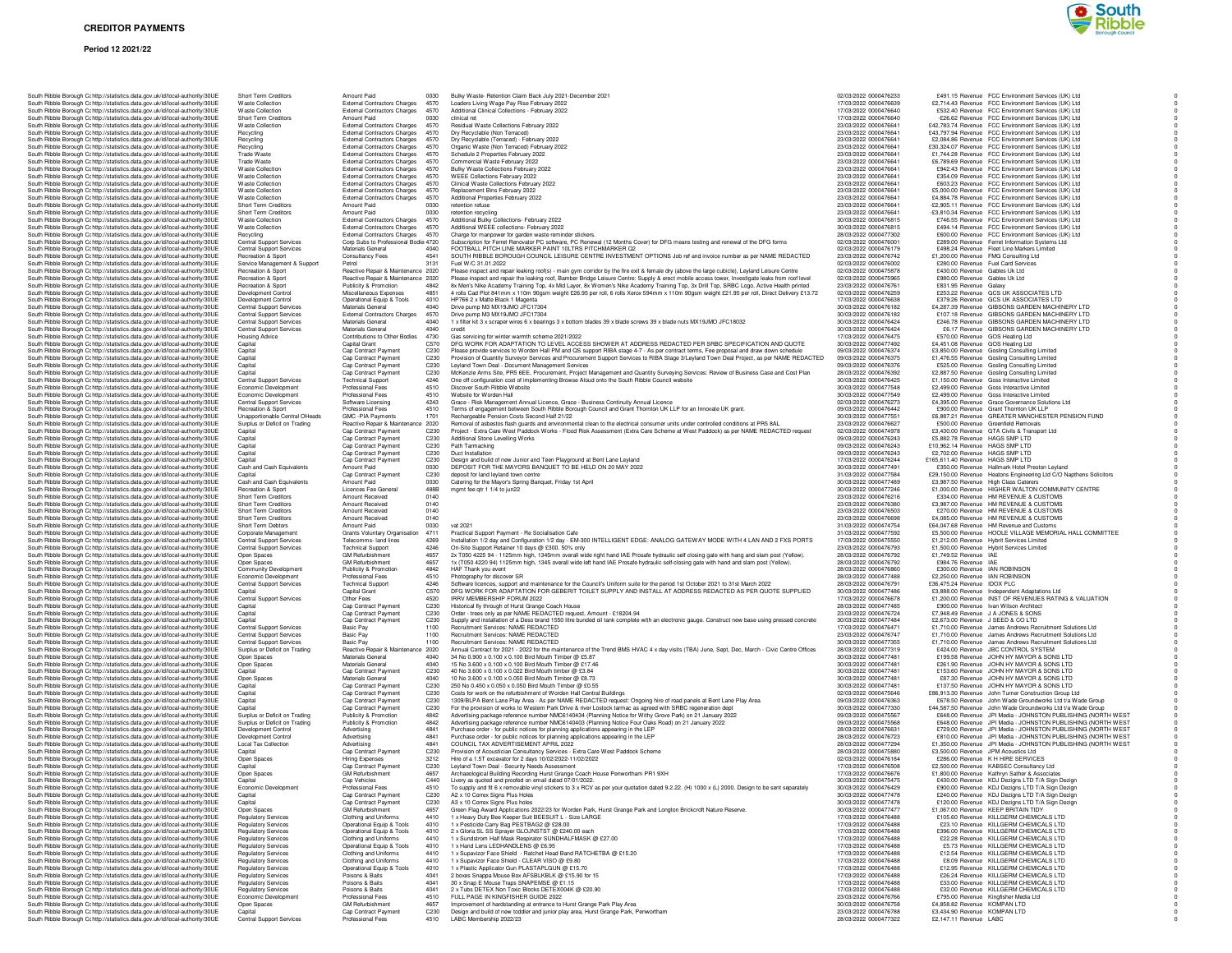#### **Period 12 2021/22**



|                                                                               |                                          | Amount Paid                          | 0030             |                                                                                                                                                 | 02/03/2022 0000476233 | £491.15 Bevenue ECC Environment Services (UK) Ltd.                 |
|-------------------------------------------------------------------------------|------------------------------------------|--------------------------------------|------------------|-------------------------------------------------------------------------------------------------------------------------------------------------|-----------------------|--------------------------------------------------------------------|
| South Ribble Borough Cc http://statistics.data.gov.uk/id/local-authority/30UE | Short Term Creditors<br>Waste Collection | External Contractors Charges         |                  | Bulky Waste- Retention Claim Back July 2021-December 2021                                                                                       | 17/03/2022 0000476639 |                                                                    |
| South Ribble Borough Cc http://statistics.data.gov.uk/id/local-authority/30UE |                                          |                                      | 4570             | Loaders Living Wage Pay Rise February 2022                                                                                                      |                       | £2,714.43 Revenue FCC Environment Services (UK) Ltd                |
| South Ribble Borough Cc http://statistics.data.gov.uk/id/local-authority/30UE | <b>Waste Collection</b>                  | External Contractors Charges         | 4570             | Additional Clinical Collections - February 2022                                                                                                 | 17/03/2022 0000476640 | £532.40 Revenue FCC Environment Services (UK) Ltd                  |
| South Ribble Borough Cc http://statistics.data.gov.uk/id/local-authority/30UE | Short Term Creditors                     | Amount Paid                          | 0030             | clinical ret                                                                                                                                    | 17/03/2022 0000476640 | -£26.62 Revenue FCC Environment Services (UK) Ltd                  |
| South Ribble Borough Cr http://statistics.data.gov.uk/id/local-authority/30UE | <b>Waste Collection</b>                  | <b>External Contractors Charges</b>  | 4570             | Residual Waste Collections February 2022                                                                                                        | 23/03/2022 0000476641 | £42,783.74 Revenue FCC Environment Services (UK) Ltd               |
| South Ribble Borough Ct http://statistics.data.gov.uk/id/local-authority/30UE | Recycling                                | External Contractors Charges         | 4570             | Dry Recyclable (Non Terraced)                                                                                                                   | 23/03/2022 0000476641 | £43,797.94 Revenue FCC Environment Services (UK) Ltd               |
| South Ribble Borough Cc http://statistics.data.gov.uk/id/local-authority/30UE | Recycling                                | <b>External Contractors Charges</b>  | 4570             | Dry Recyclable (Terraced) - February 2022                                                                                                       | 23/03/2022 0000476641 | £2,084.86 Revenue FCC Environment Services (UK) Ltd                |
| South Ribble Borough Cc http://statistics.data.gov.uk/id/local-authority/30UE | Recycling                                | External Contractors Charges         | 4570             | Organic Waste (Non Terraced) February 2022                                                                                                      | 23/03/2022 0000476641 | £30,324.07 Revenue FCC Environment Services (UK) Ltd               |
| South Ribble Borough Cc http://statistics.data.gov.uk/id/local-authority/30UE | Trade Waste                              | <b>External Contractors Charges</b>  | 4570             | Schedule 2 Properties February 2022                                                                                                             | 23/03/2022 0000476641 | £1,744.28 Revenue FCC Environment Services (UK) Ltd                |
| South Ribble Borough Cc http://statistics.data.gov.uk/id/local-authority/30UE | Trade Waste                              | External Contractors Charges 4570    |                  | Commercial Waste February 2022                                                                                                                  | 23/03/2022 0000476641 | £6,789.69 Revenue FCC Environment Services (UK) Ltd                |
| South Ribble Borough Cc http://statistics.data.gov.uk/id/local-authority/30UE | <b>Waste Collection</b>                  | External Contractors Charges         | 4570             | Bulky Waste Collections February 2022                                                                                                           | 23/03/2022 0000476641 | £942.43 Revenue FCC Environment Services (UK) Ltd                  |
|                                                                               |                                          |                                      | 4570             |                                                                                                                                                 | 23/03/2022 0000476641 | £354.09 Revenue FCC Environment Services (UK) Ltd                  |
| South Ribble Borough Cc http://statistics.data.gov.uk/id/local-authority/30UE | <b>Waste Collection</b>                  | <b>External Contractors Charges</b>  |                  | WEEE Collections February 2022                                                                                                                  |                       |                                                                    |
| South Ribble Borough Cc http://statistics.data.gov.uk/id/local-authority/30UE | <b>Waste Collection</b>                  | External Contractors Charges         | 4570             | Clinical Waste Collections February 2022                                                                                                        | 23/03/2022 0000476641 | £603.23 Revenue FCC Environment Services (UK) Ltd                  |
| South Ribble Borough Cr http://statistics.data.gov.uk/id/local-authority/30UE | <b>Waste Collection</b>                  | External Contractors Charges         | 4570             | Replacement Bins February 2022                                                                                                                  | 23/03/2022 0000476641 | £5,000.00 Revenue FCC Environment Services (UK) Ltd                |
| South Ribble Borough Cr http://statistics.data.gov.uk/id/local-authority/30UE | <b>Waste Collection</b>                  | External Contractors Charges         | 4570             | Additional Properties February 2022                                                                                                             | 23/03/2022 0000476641 | £4,884.78 Revenue FCC Environment Services (UK) Ltd                |
| South Ribble Borough Cc http://statistics.data.gov.uk/id/local-authority/30UE | Short Term Creditors                     | Amount Paid                          | 0030             | retention refuse                                                                                                                                | 23/03/2022 0000476641 | -£2,905.11 Revenue FCC Environment Services (UK) Ltd               |
| South Ribble Borough Cc http://statistics.data.gov.uk/id/local-authority/30UE | Short Term Creditors                     | Amount Paid                          | 0030             | retention recycling                                                                                                                             | 23/03/2022 0000476641 | -£3,810.34 Revenue FCC Environment Services (UK) Ltd               |
| South Ribble Borough Cc http://statistics.data.gov.uk/id/local-authority/30UE | <b>Waste Collection</b>                  | External Contractors Charges         | 4570             | Additional Bulky Collections- February 2022                                                                                                     | 30/03/2022 0000476815 | £746.55 Revenue FCC Environment Services (UK) Ltd                  |
| South Ribble Borough Cc http://statistics.data.gov.uk/id/local-authority/30UE | Waste Collection                         | External Contractors Charges         | 4570             | Additional WEEE collections- February 2022                                                                                                      | 30/03/2022 0000476815 | £494.14 Revenue FCC Environment Services (UK) Ltd                  |
|                                                                               |                                          |                                      | 4570             |                                                                                                                                                 | 28/03/2022 0000477302 |                                                                    |
| South Ribble Borough Cc http://statistics.data.gov.uk/id/local-authority/30UE | Recycling                                | <b>External Contractors Charges</b>  |                  | Charge for manpower for garden waste reminder stickers.                                                                                         |                       | £600.00 Revenue FCC Environment Services (UK) Ltd                  |
| South Ribble Borough Cc http://statistics.data.gov.uk/id/local-authority/30UE | <b>Central Support Services</b>          | Corp Subs to Professional Bodie 4720 |                  | Subscription for Ferret Renovator PC software, PC Renewal (12 Months Cover) for DFG means testing and renewal of the DFG forms                  | 02/03/2022 0000476001 | £289.00 Revenue Ferret Information Systems Ltd                     |
| South Ribble Borough C: http://statistics.data.gov.uk/id/local-authority/30UE | <b>Central Support Services</b>          | Materials General                    | 4040             | FOOTBALL PITCH LINE MARKER PAINT 10LTRS PITCHMARKER Q2                                                                                          | 02/03/2022 0000476179 | £498.24 Revenue Fleet Line Markers Limited                         |
| South Ribble Borough Cc http://statistics.data.gov.uk/id/local-authority/30UE | Recreation & Sport                       | Consultancy Fees                     | 4541             | SOUTH RIBBLE BOROUGH COUNCIL LEISURE CENTRE INVESTMENT OPTIONS Job ref and invoice number as per NAME REDACTED                                  | 23/03/2022 0000476742 | £1,200.00 Revenue FMG Consulting Ltd                               |
| South Ribble Borough Cc http://statistics.data.gov.uk/id/local-authority/30UE | Service Management & Support             | Petrol                               | 3131             | Fuel W/C 31.01.2022                                                                                                                             | 02/03/2022 0000476002 | £280.00 Revenue Fuel Card Services                                 |
| South Ribble Borough Cc http://statistics.data.gov.uk/id/local-authority/30UE | Recreation & Sport                       | Reactive Repair & Maintenance 2020   |                  | Please inspect and repair leaking roof(s) - main gym corridor by the fire exit & female dry (above the large cubicle), Leyland Leisure Centre   | 02/03/2022 0000475878 | £430.00 Revenue Gables Uk Ltd                                      |
| South Ribble Borough Cc http://statistics.data.gov.uk/id/local-authority/30UE | Recreation & Sport                       | Reactive Repair & Maintenance 2020   |                  | Please inspect and repair the leaking roof, Bamber Bridge Leisure Centre: Supply & erect mobile access tower, Investigate leaks from roof level | 02/03/2022 0000475965 | £980.00 Revenue Gables Uk Ltd                                      |
| South Ribble Borough Cohttp://statistics.data.gov.uk/id/local-authority/30UE  | <b>Becreation &amp; Sport</b>            | Publicity & Promotion                | 4842             | 8x Men's Nike Academy Training Top, 4x Mid Layer, 8x Women's Nike Academy Training Top, 3x Drill Top, SRBC Logo, Active Health printed          | 23/03/2022 0000476761 | £831.95 Revenue Galaxy                                             |
| South Ribble Borough Cc http://statistics.data.gov.uk/id/local-authority/30UE |                                          |                                      | 4851             | 4 rolls Cad Plot 841mm x 110m 90gsm weight £26.95 per roll, 6 rolls Xerox 594mm x 110m 90gsm weight £21.95 per roll, Direct Delivery £13.72     | 02/03/2022 0000476259 | £253.22 Revenue GCS UK ASSOCIATES LTD                              |
|                                                                               | Development Control                      | Miscellaneous Expenses               | 4010             | HP766 2 x Matte Black 1 Magenta                                                                                                                 | 17/03/2022 0000476638 |                                                                    |
| South Ribble Borough Cc http://statistics.data.gov.uk/id/local-authority/30UE | <b>Development Control</b>               | Operational Equip & Tools            |                  |                                                                                                                                                 |                       | £379.26 Revenue GCS UK ASSOCIATES LTD                              |
| South Ribble Borough C: http://statistics.data.gov.uk/id/local-authority/30UE | Central Support Services                 | Materials General                    | 4040             | Drive pump M3 MX19JMO JFC17304                                                                                                                  | 30/03/2022 0000476182 | £4,287.39 Revenue GIBSONS GARDEN MACHINERY LTD                     |
| South Ribble Borough Ct http://statistics.data.gov.uk/id/local-authority/30UE | <b>Central Support Services</b>          | External Contractors Charges         | 4570             | Drive pump M3 MX19JMO JFC17304                                                                                                                  | 30/03/2022 0000476182 | £107.18 Revenue GIBSONS GARDEN MACHINERY LTD                       |
| South Ribble Borough Cc http://statistics.data.gov.uk/id/local-authority/30UE | <b>Central Support Services</b>          | Materials General                    | 4040             | 1 x filter kit 3 x scraper wires 6 x bearings 3 x bottom blades 39 x blade screws 39 x blade nuts MX19JMO JFC18032                              | 30/03/2022 0000476424 | £246.78 Revenue GIBSONS GARDEN MACHINERY LTD                       |
| South Ribble Borough Cc http://statistics.data.gov.uk/id/local-authority/30UE | <b>Central Support Services</b>          | Materials General                    | 4040             | credit                                                                                                                                          | 30/03/2022 0000476424 | £6.17 Revenue GIBSONS GARDEN MACHINERY LTD                         |
| South Ribble Borough Cc http://statistics.data.gov.uk/id/local-authority/30UE | <b>Housing Advice</b>                    | Contributions to Other Bodies        | 4730             | Gas servicing for winter warmth scheme 2021/2022                                                                                                | 17/03/2022 0000476475 | £570.00 Revenue GOS Heating Ltd                                    |
| South Ribble Borough Cc http://statistics.data.gov.uk/id/local-authority/30UE | Capital                                  | Capital Grant                        | C570             | DFG WORK FOR ADAPTATION TO LEVEL ACCESS SHOWER AT ADDRESS REDACTED PER SRBC SPECIFICATION AND QUOTE                                             | 30/03/2022 0000477492 | £4,451.08 Revenue GOS Heating Ltd                                  |
| South Ribble Borough Cc http://statistics.data.gov.uk/id/local-authority/30UE | Capital                                  | Cap Contract Payment                 | C <sub>230</sub> | Please provide services to Worden Hall PM and QS support RIBA stage 4-7 - As per contract terms, Fee proposal and draw down schedule            | 09/03/2022 0000476374 | £3,850.00 Revenue Gosling Consulting Limited                       |
|                                                                               |                                          |                                      |                  |                                                                                                                                                 |                       |                                                                    |
| South Ribble Borough Cc http://statistics.data.gov.uk/id/local-authority/30UE | Capital                                  | Cap Contract Payment                 | C <sub>230</sub> | Provision of Quantity Surveyor Services and Procurement Support Services to RIBA Stage 3/Leyland Town Deal Project, as per NAME REDACTED        | 09/03/2022 0000476375 | £1,476.55 Revenue Gosling Consulting Limited                       |
| South Ribble Borough Cc http://statistics.data.gov.uk/id/local-authority/30UE | Capital                                  | Cap Contract Payment                 | C230             | Leyland Town Deal - Document Management Services                                                                                                | 09/03/2022 0000476376 | £525.00 Revenue Gosling Consulting Limited                         |
| South Ribble Borough C: http://statistics.data.gov.uk/id/local-authority/30UE | Capital                                  | Cap Contract Payment                 | C230             | McKenzie Arms Site, PR5 6EE, Procurement, Project Management and Quantity Surveying Services: Review of Business Case and Cost Plan             | 28/03/2022 0000476392 | £2,887.50 Revenue Gosling Consulting Limited                       |
| South Ribble Borough Cr http://statistics.data.gov.uk/id/local-authority/30UE | <b>Central Support Services</b>          | <b>Technical Support</b>             | 4246             | One off configuration cost of implementing Browse Aloud onto the South Ribble Council website                                                   | 30/03/2022 0000476425 | £1,150.00 Revenue Goss Interactive Limited                         |
| South Ribble Borough Cc http://statistics.data.gov.uk/id/local-authority/30UE | Economic Development                     | Professional Fees                    | 4510             | Discover South Ribble Website                                                                                                                   | 30/03/2022 0000477548 | £2,499.00 Revenue Goss Interactive Limited                         |
| South Ribble Borough Cc http://statistics.data.gov.uk/id/local-authority/30UE | Economic Development                     | Professional Fees                    | 4510             | Website for Worden Hall                                                                                                                         | 30/03/2022 0000477549 | £2,499.00 Revenue Goss Interactive Limited                         |
| South Ribble Borough Cc http://statistics.data.gov.uk/id/local-authority/30UE | Central Support Services                 | Software Licensing                   | 4243             | Grace - Risk Management Annual Licence, Grace - Business Continuity Annual Licence                                                              | 02/03/2022 0000476273 | £4,395.00 Revenue Grace Governance Solutions Ltd                   |
| South Ribble Borough Cc http://statistics.data.gov.uk/id/local-authority/30UE | Recreation & Sport                       | Professional Fees                    | 4510             | Terms of engagement between South Ribble Borough Council and Grant Thornton UK LLP for an Innovate UK grant.                                    | 09/03/2022 0000476442 | £900.00 Revenue Grant Thornton UK LLP                              |
|                                                                               |                                          |                                      | 1701             |                                                                                                                                                 |                       |                                                                    |
| South Ribble Borough Cc http://statistics.data.gov.uk/id/local-authority/30UE | Unapportionable Central OHeads           | GMC -PIA Payments                    |                  | Rechargeable Pension Costs Second Half 21/22                                                                                                    | 30/03/2022 0000477551 | £6,887.21 Revenue GREATER MANCHESTER PENSION FUND                  |
| South Ribble Borough Cc http://statistics.data.gov.uk/id/local-authority/30UE | Surplus or Deficit on Trading            | Reactive Repair & Maintenance 2020   |                  | Removal of asbestos flash guards and environmental clean to the electrical consumer units under controlled conditions at PR5 8AL                | 23/03/2022 0000476627 | £500.00 Revenue Greenfield Removals                                |
| South Ribble Borough C: http://statistics.data.gov.uk/id/local-authority/30UE | Capital                                  | Cap Contract Payment                 | C230             | Project - Extra Care West Paddock Works - Flood Risk Assessment (Extra Care Scheme at West Paddock) as per NAME REDACTED request                | 02/03/2022 0000474978 | £3,430.00 Revenue GTA Civils & Transport Ltd                       |
| South Ribble Borough Cr http://statistics.data.gov.uk/id/local-authority/30UE | Capital                                  | Cap Contract Payment                 | C230             | Additional Stone Levelling Works                                                                                                                | 09/03/2022 0000476243 | £5,882.78 Revenue HAGS SMP LTD                                     |
| South Ribble Borough Cc http://statistics.data.gov.uk/id/local-authority/30UE | Capital                                  | Cap Contract Payment                 | C230             | Path Tarmacking                                                                                                                                 | 09/03/2022 0000476243 | £10,962.14 Revenue HAGS SMP LTD                                    |
| South Ribble Borough Cc http://statistics.data.gov.uk/id/local-authority/30UE | Capital                                  | Cap Contract Payment                 | C230             | Duct Installation                                                                                                                               | 09/03/2022 0000476243 | £2,702.00 Revenue HAGS SMP LTD                                     |
| South Ribble Borough Cc http://statistics.data.gov.uk/id/local-authority/30UE | Capital                                  | Cap Contract Payment                 | C230             | Design and build of new Junior and Teen Playground at Bent Lane Leyland                                                                         | 17/03/2022 0000476244 | £165,611.40 Bevenue HAGS SMP LTD                                   |
| South Ribble Borough Cc http://statistics.data.gov.uk/id/local-authority/30UE | Cash and Cash Equivalents                | Amount Paid                          | 0030             | DEPOSIT FOR THE MAYORS BANQUET TO BE HELD ON 20 MAY 2022                                                                                        | 30/03/2022 0000477491 | £350.00 Revenue Hallmark Hotel Preston Levland                     |
|                                                                               |                                          |                                      |                  |                                                                                                                                                 |                       |                                                                    |
| South Ribble Borough Cc http://statistics.data.gov.uk/id/local-authority/30UE | Capital                                  | Cap Contract Payment                 | C230             | deposit for land leyland town centre                                                                                                            | 31/03/2022 0000477584 | £29,150.00 Revenue Heatons Engineering Ltd C/O Napthens Solicitors |
| South Ribble Borough Cc http://statistics.data.gov.uk/id/local-authority/30UE | Cash and Cash Equivalents                | Amount Paid                          | 0030             | Catering for the Mayor's Spring Banquet, Friday 1st April                                                                                       | 30/03/2022 0000477489 | £3,987.50 Revenue High Class Caterers                              |
| South Ribble Borough C: http://statistics.data.gov.uk/id/local-authority/30UE | Recreation & Sport                       | Licences Fee General                 | 488B             | mgmt fee gtr 1 1/4 to jun22                                                                                                                     | 30/03/2022 0000477246 | £1,000.00 Revenue HIGHER WALTON COMMUNITY CENTRE                   |
| South Ribble Borough Cr http://statistics.data.gov.uk/id/local-authority/30UE | Short Term Creditors                     | Amount Received                      | 0140             |                                                                                                                                                 | 23/03/2022 0000476216 | £334.00 Revenue HM REVENUE & CUSTOMS                               |
| South Ribble Borough Cc http://statistics.data.gov.uk/id/local-authority/30UE | Short Term Creditors                     | Amount Received                      | 0140             |                                                                                                                                                 | 23/03/2022 0000476380 | £3,987.00 Revenue HM REVENUE & CUSTOMS                             |
| South Ribble Borough Cc http://statistics.data.gov.uk/id/local-authority/30UE | Short Term Creditors                     | Amount Received                      | 0140             |                                                                                                                                                 | 23/03/2022 0000476503 | £270.00 Revenue HM REVENUE & CUSTOMS                               |
| South Ribble Borough Cc http://statistics.data.gov.uk/id/local-authority/30UE | Short Term Creditors                     | Amount Received                      | 0140             |                                                                                                                                                 | 23/03/2022 0000476698 | £4,085.00 Revenue HM REVENUE & CUSTOMS                             |
| South Ribble Borough Cr http://statistics.data.gov.uk/id/local-authority/30UE | Short Term Debtors                       | Amount Paid                          | 0030             | vat 2021                                                                                                                                        | 31/03/2022 0000474754 | £64,047,68 Revenue HM Revenue and Customs                          |
| South Ribble Borough Cc http://statistics.data.gov.uk/id/local-authority/30UE | Corporate Management                     | Grants Voluntary Organisation        | 4711             | Practical Support Payment - Re Socialisation Cafe                                                                                               | 31/03/2022 0000477592 | £5,500.00 Revenue HOOLE VILLAGE MEMORIAL HALL COMMITTEE            |
|                                                                               |                                          |                                      | 4269             |                                                                                                                                                 |                       |                                                                    |
| South Ribble Borough Cc http://statistics.data.gov.uk/id/local-authority/30UE | <b>Central Support Services</b>          | Telecomms- land lines                |                  | Installation 1/2 day and Configuration 1/2 day - EM-300 INTELLIGENT EDGE: ANALOG GATEWAY MODE WITH 4 LAN AND 2 FXS PORTS                        | 17/03/2022 0000475550 | £1,212.00 Revenue Hybrit Services Limited                          |
| South Ribble Borough Cc http://statistics.data.gov.uk/id/local-authority/30UE | <b>Central Support Services</b>          | <b>Technical Support</b>             | 4246             | On-Site Support Retainer 10 days @ £300. 50% only                                                                                               | 23/03/2022 0000476793 | £1,500.00 Revenue Hybrit Services Limited                          |
| South Ribble Borough C: http://statistics.data.gov.uk/id/local-authority/30UE | Open Spaces                              | GM Refurbishment                     | 4657             | 2x T050 4225 94 - 1125mm high, 1345mm overall wide right hand IAE Prosafe hydraulic self closing gate with hang and slam post (Yellow).         | 28/03/2022 0000476792 | £1,749.52 Revenue IAE                                              |
| South Ribble Borough Cc http://statistics.data.gov.uk/id/local-authority/30UE | Open Spaces                              | GM Refurbishment                     | 4657             | 1x (T050 4220 94) 1125mm high, 1345 overall wide left hand IAE Prosafe hydraulic self-closing gate with hand and slam post (Yellow).            | 28/03/2022 0000476792 | £984.76 Revenue IAE                                                |
| South Ribble Borough Cc http://statistics.data.gov.uk/id/local-authority/30UE | Community Development                    | Publicity & Promotion                | 4842             | HAF Thank you event                                                                                                                             | 28/03/2022 0000476860 | £300.00 Revenue IAN ROBINSON                                       |
| South Ribble Borough Cc http://statistics.data.gov.uk/id/local-authority/30UE | Economic Development                     | Professional Fees                    | 4510             | Photography for discover SR                                                                                                                     | 28/03/2022 0000477488 | £2,250.00 Revenue IAN ROBINSON                                     |
| South Ribble Borough Cc http://statistics.data.gov.uk/id/local-authority/30UE | <b>Central Support Services</b>          | <b>Technical Support</b>             | 4246             | Software licences, support and maintenance for the Council's Uniform suite for the period 1st October 2021 to 31st March 2022                   | 28/03/2022 0000476791 | £36,475.24 Revenue IDOX PLC                                        |
| South Ribble Borough Cc http://statistics.data.gov.uk/id/local-authority/30UE | Capital                                  | Capital Grant                        | C570             | DFG WORK FOR ADAPTATION FOR GEBERIT TOILET SUPPLY AND INSTALL AT ADDRESS REDACTED AS PER QUOTE SUPPLIED                                         | 30/03/2022 0000477486 | £3,888.00 Revenue Independent Adaptations Ltd                      |
|                                                                               | Central Support Services                 | Other Fees                           | 4520             | IRRV MEMBERSHIP FORUM 2022                                                                                                                      | 17/03/2022 0000476678 | £1,200,00 Revenue INST OF REVENUES RATING & VALUATION              |
| South Ribble Borough Cc http://statistics.data.gov.uk/id/local-authority/30UE |                                          |                                      | C230             |                                                                                                                                                 | 28/03/2022 0000477485 | £900.00 Revenue Ivan Wilson Architect                              |
| South Ribble Borough Cc http://statistics.data.gov.uk/id/local-authority/30UE | Capital                                  | Cap Contract Payment                 |                  | Historical fly through of Hurst Grange Coach House                                                                                              |                       |                                                                    |
| South Ribble Borough C: http://statistics.data.gov.uk/id/local-authority/30UE | Capital                                  | Cap Contract Payment                 | C230             | Order - trees only as per NAME REDACTED request, Amount - £18204.94                                                                             | 23/03/2022 0000476724 | £7,948.49 Revenue J A JONES & SONS                                 |
| South Ribble Borough Cc http://statistics.data.gov.uk/id/local-authority/30UE | Capital                                  | Cap Contract Payment                 | C230             | Supply and installation of a Deso brand 1550 litre bunded oil tank complete with an electronic gauge. Construct new base using pressed concrete | 30/03/2022 0000477484 | £2,673.00 Revenue J SEED & CO LTD                                  |
| South Ribble Borough Cc http://statistics.data.gov.uk/id/local-authority/30UE | <b>Central Support Services</b>          | <b>Basic Pay</b>                     | 1100             | Recruitment Services: NAME REDACTED                                                                                                             | 17/03/2022 0000476471 | £1,710.00 Revenue James Andrews Recruitment Solutions Ltd          |
| South Ribble Borough Cc http://statistics.data.gov.uk/id/local-authority/30UE | <b>Central Support Services</b>          | <b>Basic Pay</b>                     | 1100             | Recruitment Services: NAME REDACTED                                                                                                             | 23/03/2022 0000476747 | £1,710.00 Revenue James Andrews Recruitment Solutions Ltd          |
| South Ribble Borough Cc http://statistics.data.gov.uk/id/local-authority/30UE | <b>Central Support Services</b>          | <b>Basic Pay</b>                     | 1100             | Recruitment Services: NAME REDACTED                                                                                                             | 30/03/2022 0000477355 | £1,710.00 Revenue James Andrews Recruitment Solutions Ltd          |
| South Ribble Borough Cc http://statistics.data.gov.uk/id/local-authority/30UE | Surplus or Deficit on Trading            | Reactive Repair & Maintenance 2020   |                  | Annual Contract for 2021 - 2022 for the maintenance of the Trend BMS HVAC 4 x day visits (TBA) June, Sept, Dec, March - Civic Centre Offices    | 28/03/2022 0000477319 | £424.00 Revenue JBC CONTROL SYSTEM                                 |
| South Ribble Borough Cc http://statistics.data.gov.uk/id/local-authority/30UE | Open Spaces                              | Materials General                    | 4040             | 34 No 0.900 x 0.100 x 0.100 Bird Mouth Timber @ £5.87                                                                                           | 30/03/2022 0000477481 | £199.58 Revenue JOHN HY MAYOR & SONS LTD                           |
| South Ribble Borough Cc http://statistics.data.gov.uk/id/local-authority/30UE | Open Spaces                              | Materials General                    | 4040             | 15 No 3.600 x 0.100 x 0.100 Bird Mouth Timber @ £17.46                                                                                          | 30/03/2022 0000477481 | £261.90 Revenue JOHN HY MAYOR & SONS LTD                           |
| South Ribble Borough Cc http://statistics.data.gov.uk/id/local-authority/30UE | Capital                                  | Cap Contract Payment                 | C230             | 40 No 3.600 x 0.100 x 0.022 Bird Mouth timber @ £3.84                                                                                           | 30/03/2022 0000477481 | £153.60 Revenue JOHN HY MAYOR & SONS LTD                           |
|                                                                               |                                          |                                      | 4040             |                                                                                                                                                 |                       |                                                                    |
| South Ribble Borough Cr http://statistics.data.gov.uk/id/local-authority/30UE | Open Spaces                              | Materials General                    |                  | 10 No 3.600 x 0.100 x 0.050 Bird Mouth Timber @ £8.73                                                                                           | 30/03/2022 0000477481 | £87.30 Revenue JOHN HY MAYOR & SONS LTD                            |
| South Ribble Borough Cc http://statistics.data.gov.uk/id/local-authority/30UE | Capital                                  | Cap Contract Payment                 | C230             | 250 No 0.450 x 0.050 x 0.050 Bird Mouth Timber @ £0.55                                                                                          | 30/03/2022 0000477481 | £137.50 Revenue JOHN HY MAYOR & SONS LTD                           |
| South Ribble Borough Cc http://statistics.data.gov.uk/id/local-authority/30UE | Capital                                  | Cap Contract Payment                 | C230             | Costs for work on the refurbishment of Worden Hall Central Buildings                                                                            | 02/03/2022 0000475646 | £86,913.30 Revenue John Turner Construction Group Ltd              |
| South Ribble Borough Cc http://statistics.data.gov.uk/id/local-authority/30UE | Capital                                  | Cap Contract Payment                 | C230             | 1309/BLPA Bent Lane Play Area - As per NAME REDACTED request: Ongoing hire of road panels at Bent Lane Play Area                                | 09/03/2022 0000476363 | £678.50 Revenue John Wade Groundworks Ltd t/a Wade Group           |
| South Ribble Borough Cc http://statistics.data.gov.uk/id/local-authority/30UE | Capital                                  | Cap Contract Payment                 | C <sub>230</sub> | For the provision of works to Western Park Drive & river Lostock tarmac as agreed with SRBC regeneration dept                                   | 30/03/2022 0000477330 | £44,587.50 Revenue John Wade Groundworks Ltd t/a Wade Group        |
| South Ribble Borough Cohttp://statistics.data.gov.uk/id/local-authority/30UE  | Surplus or Deficit on Trading            | Publicity & Promotion                | 4842             | Advertising package reference number NMC6140434 (Planning Notice for Withy Grove Park) on 21 January 2022                                       | 09/03/2022 0000475567 | £648.00 Revenue JPI Media - JOHNSTON PUBLISHING (NORTH WEST        |
| South Ribble Borough Cc http://statistics.data.gov.uk/id/local-authority/30UE | Surplus or Deficit on Trading            | Publicity & Promotion                | 4842             | Advertising package reference number NMC6140403 (Planning Notice Four Oaks Road) on 21 January 2022                                             | 09/03/2022 0000475568 | £648.00 Revenue JPI Media - JOHNSTON PUBLISHING (NORTH WEST        |
| South Ribble Borough Cc http://statistics.data.gov.uk/id/local-authority/30UE | Development Control                      | Advertising                          | 4841             | Purchase order - for public notices for planning applications appearing in the LEP                                                              | 28/03/2022 0000476631 | £729.00 Revenue JPI Media - JOHNSTON PUBLISHING (NORTH WEST        |
| South Ribble Borough Cc http://statistics.data.gov.uk/id/local-authority/30UE | Development Control                      |                                      | 4841             |                                                                                                                                                 |                       | £810.00 Revenue JPI Media - JOHNSTON PUBLISHING (NORTH WEST        |
|                                                                               |                                          | Advertising                          |                  | Purchase order - for public notices for planning applications appearing in the LEP                                                              | 28/03/2022 0000476723 |                                                                    |
| South Ribble Borough Cc http://statistics.data.gov.uk/id/local-authority/30UE | <b>Local Tax Collection</b>              | Advertising                          | 4841             | COUNCIL TAX ADVERTISEMENT APRIL 2022                                                                                                            | 28/03/2022 0000477294 | £1,350.00 Revenue JPI Media - JOHNSTON PUBLISHING (NORTH WEST      |
| South Ribble Borough Cc http://statistics.data.gov.uk/id/local-authority/30UE | Capital                                  | Cap Contract Payment                 | C230             | Provision of Acoustician Consultancy Services - Extra Care West Paddock Scheme                                                                  | 28/03/2022 0000475880 | £3,500.00 Revenue JPM Acoustics Ltd                                |
| South Ribble Borough Cc http://statistics.data.gov.uk/id/local-authority/30UE | Open Spaces                              | <b>Hiring Expenses</b>               | 3212             | Hire of a 1.5T excavator for 2 days 10/02/2022-11/02/2022                                                                                       | 02/03/2022 0000476184 | £286.00 Revenue K H HIRE SERVICES                                  |
| South Ribble Borough Cohttp://statistics.data.gov.uk/id/local-authority/30UE  | Capital                                  | <b>Can Contract Payment</b>          | C230             | Levland Town Deal - Security Needs Assessment                                                                                                   | 17/03/2022 0000476508 | £2,500.00 Revenue KABSEC Consultancy Ltd                           |
| South Ribble Borough Cc http://statistics.data.gov.uk/id/local-authority/30UE | Open Spaces                              | <b>GM Refurbishment</b>              | 4657             | Archaeological Building Recording Hurst Grange Coach House Penwortham PR1 9XH                                                                   | 17/03/2022 0000476676 | £1,800.00 Revenue Kathryn Sather & Associates                      |
| South Ribble Borough Cc http://statistics.data.gov.uk/id/local-authority/30UE | Capital                                  | Cap Vehicles                         | C440             | Livery as quoted and proofed on email dated 07/01/2022.                                                                                         | 30/03/2022 0000475475 | £430.00 Revenue KDJ Dezigns LTD T/A Sign Dezign                    |
|                                                                               | conomic                                  |                                      | 4510             | ible vinyl stickers to 3 x RCV as per your quotation dated 9.2.22. (H) 1000 x (L) 2000. Design to be sent separately                            | 10/03/2022 0000476429 |                                                                    |
|                                                                               |                                          |                                      |                  | A2 x 10 Correx Signs Plus Holes                                                                                                                 | 30/03/2022 0000477478 |                                                                    |
| South Ribble Borough Cr http://statistics.data.gov.uk/id/local-authority/30UE | Capital                                  | Cap Contract Payment                 | C230             |                                                                                                                                                 |                       | £240.00 Revenue KDJ Dezigns LTD T/A Sign Dezign                    |
| South Ribble Borough Cc http://statistics.data.gov.uk/id/local-authority/30UE | Capital                                  | Cap Contract Payment                 | C230             | A3 x 10 Correx Signs Plus holes                                                                                                                 | 30/03/2022 0000477478 | £120.00 Revenue KDJ Dezigns LTD T/A Sign Dezign                    |
| South Ribble Borough Cc http://statistics.data.gov.uk/id/local-authority/30UE | Open Spaces                              | <b>GM Refurbishment</b>              | 4657             | Green Flag Award Applications 2022/23 for Worden Park, Hurst Grange Park and Longton Brickcroft Nature Reserve.                                 | 30/03/2022 0000477477 | £1,067.00 Revenue KEEP BRITAIN TIDY                                |
| South Ribble Borough Cc http://statistics.data.gov.uk/id/local-authority/30UE | <b>Regulatory Services</b>               | Clothing and Uniforms                | 4410             | 1 x Heavy Duty Bee Keeper Suit BEESUIT L - Size LARGE                                                                                           | 17/03/2022 0000476488 | £105.60 Revenue KILLGERM CHEMICALS LTD                             |
| South Ribble Borough Cohttp://statistics.data.gov.uk/id/local-authority/30UE  | <b>Regulatory Services</b>               | Operational Equip & Tools            | 4010             | 1 x Pesticide Carry Bag PESTBAG2 @ £28.00                                                                                                       | 17/03/2022 0000476488 | £23.10 Revenue KILLGERM CHEMICALS LTD                              |
| South Ribble Borough Cc http://statistics.data.gov.uk/id/local-authority/30UE | <b>Regulatory Services</b>               | Operational Equip & Tools            | 4010             | 2 x Gloria SL SS Sprayer GLOJNSTST @ £240.00 each                                                                                               | 17/03/2022 0000476488 | £396.00 Revenue KILLGERM CHEMICALS LTD                             |
| South Ribble Borough Cc http://statistics.data.gov.uk/id/local-authority/30UE | <b>Regulatory Services</b>               | Clothing and Uniforms                | 4410             | 1 x Sundstrom Half Mask Respirator SUNDHALFMASK @ £27.00                                                                                        | 17/03/2022 0000476488 | £22.28 Revenue KILLGERM CHEMICALS LTD                              |
| South Ribble Borough Cc http://statistics.data.gov.uk/id/local-authority/30UE | <b>Regulatory Services</b>               | Operational Equip & Tools            | 4010             | 1 x Hand Lens LEDHANDLENS @ £6.95                                                                                                               | 17/03/2022 0000476488 | £5.73 Revenue KILLGERM CHEMICALS LTD                               |
|                                                                               |                                          |                                      | 4410             | 1 x Supavizor Face Shield - Ratchet Head Band RATCHETBA @ £15.20                                                                                |                       |                                                                    |
| South Ribble Borough Cc http://statistics.data.gov.uk/id/local-authority/30UE | <b>Regulatory Services</b>               | Clothing and Uniforms                |                  |                                                                                                                                                 | 17/03/2022 0000476488 | £12.54 Revenue KILLGERM CHEMICALS LTD                              |
| South Ribble Borough Cc http://statistics.data.gov.uk/id/local-authority/30UE | <b>Regulatory Services</b>               | Clothing and Uniforms                | 4410             | 1 x Supavizor Face Shield - CLEAR VISO @ £9.80                                                                                                  | 17/03/2022 0000476488 | £8.09 Revenue KILLGERM CHEMICALS LTD                               |
| South Ribble Borough Cc http://statistics.data.gov.uk/id/local-authority/30UE | <b>Regulatory Services</b>               | Operational Equip & Tools            | 4010             | 1 x Plastic Applicator Gun PLASTAPLGUN @ £15.70                                                                                                 | 17/03/2022 0000476488 | £12.95 Revenue KILLGERM CHEMICALS LTD                              |
| South Ribble Borough Cc http://statistics.data.gov.uk/id/local-authority/30UE | <b>Regulatory Services</b>               | Poisons & Baits                      | 4041             | 2 boxes Snappa Mouse Box AFSBLKBLK @ £15.90 for 15                                                                                              | 17/03/2022 0000476488 | £26.24 Revenue KILLGERM CHEMICALS LTD                              |
| South Ribble Borough Cc http://statistics.data.gov.uk/id/local-authority/30UE | Regulatory Services                      | Poisons & Baits                      | 4041             | 30 x Snap E Mouse Traps SNAPEMSE @ £1.15                                                                                                        | 17/03/2022 0000476488 | £33.00 Revenue KILLGERM CHEMICALS LTD                              |
| South Ribble Borough Cc http://statistics.data.gov.uk/id/local-authority/30UE | <b>Regulatory Services</b>               | Poisons & Baits                      | 4041             | 2 x Tubs DETEX Non Toxic Blocks DETEX004K @ £20.90                                                                                              | 17/03/2022 0000476488 | £32.00 Revenue KILLGERM CHEMICALS LTD                              |
| South Ribble Borough Cc http://statistics.data.gov.uk/id/local-authority/30UE | Economic Development                     | Professional Fees                    | 4510             | FULL PAGE IN KINGFISHER GUIDE 2022                                                                                                              | 23/03/2022 0000476766 | £795.00 Revenue Kingfisher Media Ltd                               |
| South Ribble Borough Cc http://statistics.data.gov.uk/id/local-authority/30UE | Open Spaces                              | <b>GM Refurbishment</b>              | 4657             | Improvement of hardstanding at entrance to Hurst Grange Park Play Area                                                                          | 30/03/2022 0000476758 | £4,858.82 Revenue KOMPAN LTD                                       |
|                                                                               | Capital                                  | Cap Contract Payment                 | C230             | Design and build of new toddler and junior play area, Hurst Grange Park, Penwortham                                                             | 23/03/2022 0000476788 | £3,434.90 Revenue KOMPAN LTD                                       |
| South Ribble Borough Cc http://statistics.data.gov.uk/id/local-authority/30UE |                                          |                                      |                  |                                                                                                                                                 |                       |                                                                    |

| aim Back July 2021-December 2021                                                                                                                                                                                                  | 02/03/2022 0000476233                          |                                                        | £491.15 Revenue FCC Environment Services (UK) Ltd                                                         |                            |
|-----------------------------------------------------------------------------------------------------------------------------------------------------------------------------------------------------------------------------------|------------------------------------------------|--------------------------------------------------------|-----------------------------------------------------------------------------------------------------------|----------------------------|
| Rise February 2022                                                                                                                                                                                                                | 17/03/2022 0000476639                          |                                                        | £2,714.43 Revenue FCC Environment Services (UK) Ltd                                                       |                            |
| ons - February 2022                                                                                                                                                                                                               | 17/03/2022 0000476640<br>17/03/2022 0000476640 |                                                        | £532.40 Revenue FCC Environment Services (UK) Ltd                                                         | $^{\circ}$                 |
| s February 2022                                                                                                                                                                                                                   | 23/03/2022 0000476641                          |                                                        | -£26.62 Revenue FCC Environment Services (UK) Ltd<br>£42,783.74 Revenue FCC Environment Services (UK) Ltd |                            |
| ced)                                                                                                                                                                                                                              | 23/03/2022 0000476641                          |                                                        | £43,797.94 Revenue FCC Environment Services (UK) Ltd                                                      |                            |
| - February 2022                                                                                                                                                                                                                   | 23/03/2022 0000476641                          |                                                        | £2,084.86 Revenue FCC Environment Services (UK) Ltd                                                       | $^{\circ}$                 |
| ced) February 2022                                                                                                                                                                                                                | 23/03/2022 0000476641                          |                                                        | £30,324.07 Revenue FCC Environment Services (UK) Ltd                                                      | $^{\circ}$                 |
| ruary 2022                                                                                                                                                                                                                        | 23/03/2022 0000476641                          |                                                        | £1,744.28 Revenue FCC Environment Services (UK) Ltd                                                       | $^{\circ}$                 |
| iry 2022                                                                                                                                                                                                                          | 23/03/2022 0000476641                          |                                                        | £6,789,69 Revenue FCC Environment Services (UK) Ltd                                                       | $^{\circ}$                 |
| ebruary 2022                                                                                                                                                                                                                      | 23/03/2022 0000476641                          |                                                        | £942.43 Revenue FCC Environment Services (UK) Ltd                                                         | $^{\circ}$                 |
| ry 2022<br>February 2022                                                                                                                                                                                                          | 23/03/2022 0000476641<br>23/03/2022 0000476641 |                                                        | £354.09 Revenue FCC Environment Services (UK) Ltd<br>£603.23 Revenue FCC Environment Services (UK) Ltd    | $\circ$<br>$\circ$         |
| y 2022                                                                                                                                                                                                                            | 23/03/2022 0000476641                          |                                                        | £5,000.00 Revenue FCC Environment Services (UK) Ltd                                                       |                            |
| ary 2022                                                                                                                                                                                                                          | 23/03/2022 0000476641                          |                                                        | £4,884.78 Revenue FCC Environment Services (UK) Ltd                                                       |                            |
|                                                                                                                                                                                                                                   | 23/03/2022 0000476641                          |                                                        | -£2,905.11 Revenue FCC Environment Services (UK) Ltd                                                      | $^{\circ}$                 |
|                                                                                                                                                                                                                                   | 23/03/2022 0000476641                          |                                                        | -£3,810.34 Revenue FCC Environment Services (UK) Ltd                                                      | $^{\circ}$                 |
| s- February 2022                                                                                                                                                                                                                  | 30/03/2022 0000476815                          |                                                        | £746.55 Revenue FCC Environment Services (UK) Ltd                                                         | $^{\circ}$                 |
| ns- February 2022                                                                                                                                                                                                                 | 30/03/2022 0000476815                          |                                                        | £494.14 Revenue FCC Environment Services (UK) Ltd                                                         | $^{\circ}$                 |
| arden waste reminder stickers.                                                                                                                                                                                                    | 28/03/2022 0000477302                          |                                                        | £600.00 Revenue FCC Environment Services (UK) Ltd                                                         | $^{\circ}$                 |
| tovator PC software, PC Renewal (12 Months Cover) for DFG means testing and renewal of the DFG forms                                                                                                                              | 02/03/2022 0000476001                          |                                                        | £289.00 Revenue Ferret Information Systems Ltd<br>£498.24 Revenue Fleet Line Markers Limited              | $\circ$                    |
| <b>JARKER PAINT 10LTRS PITCHMARKER Q2</b><br>GH COUNCIL LEISURE CENTRE INVESTMENT OPTIONS Job ref and invoice number as per NAME REDACTED                                                                                         | 02/03/2022 0000476179<br>23/03/2022 0000476742 | £1,200.00 Revenue FMG Consulting Ltd                   |                                                                                                           |                            |
|                                                                                                                                                                                                                                   | 02/03/2022 0000476002                          |                                                        | £280.00 Revenue Fuel Card Services                                                                        | $^{\circ}$                 |
| eaking roof(s) - main gym corridor by the fire exit & female dry (above the large cubicle), Leyland Leisure Centre                                                                                                                | 02/03/2022 0000475878                          | £430.00 Revenue Gables Uk Ltd                          |                                                                                                           | $^{\circ}$                 |
|                                                                                                                                                                                                                                   | 02/03/2022 0000475965                          | £980.00 Revenue Gables Uk Ltd                          |                                                                                                           | $^{\circ}$                 |
| he leaking roof, Bamber Bridge Leisure Centre: Supply & erect mobile access tower, Investigate leaks from roof level<br>:aining Top, 4x Mid Layer, 8x Women's Nike Academy Training Top, 3x Drill Top, SRBC Logo, Active Health p | 23/03/2022 0000476761                          | £831.95 Revenue Galaxy                                 |                                                                                                           | $^{\circ}$                 |
| 110m 90gsm weight £26.95 per roll, 6 rolls Xerox 594mm x 110m 90gsm weight £21.95 per roll, Direct Delivery £13.72                                                                                                                | 02/03/2022 0000476259                          |                                                        | £253.22 Revenue GCS UK ASSOCIATES LTD                                                                     |                            |
| Aagenta                                                                                                                                                                                                                           | 17/03/2022 0000476638                          |                                                        | £379.26 Revenue GCS UK ASSOCIATES LTD                                                                     | $^{\circ}$                 |
| JFC17304                                                                                                                                                                                                                          | 30/03/2022 0000476182                          |                                                        | £4,287.39 Revenue GIBSONS GARDEN MACHINERY LTD<br>£107.18 Revenue GIBSONS GARDEN MACHINERY LTD            |                            |
| JFC17304<br>as 6 x bearings 3 x bottom blades 39 x blade screws 39 x blade nuts MX19JMO JFC18032                                                                                                                                  | 30/03/2022 0000476182<br>30/03/2022 0000476424 |                                                        | £246.78 Revenue GIBSONS GARDEN MACHINERY LTD                                                              |                            |
|                                                                                                                                                                                                                                   | 30/03/2022 0000476424                          |                                                        | £6.17 Revenue GIBSONS GARDEN MACHINERY LTD                                                                | $^{\circ}$                 |
| armth scheme 2021/2022                                                                                                                                                                                                            | 17/03/2022 0000476475                          | £570.00 Revenue GOS Heating Ltd                        |                                                                                                           |                            |
| ATION TO LEVEL ACCESS SHOWER AT ADDRESS REDACTED PER SRBC SPECIFICATION AND QUOTE                                                                                                                                                 | 30/03/2022 0000477492                          | £4,451.08 Revenue GOS Heating Ltd                      |                                                                                                           | $^{\circ}$                 |
| Worden Hall PM and QS support RIBA stage 4-7 - As per contract terms, Fee proposal and draw down schedule                                                                                                                         | 09/03/2022 0000476374                          |                                                        | £3,850.00 Revenue Gosling Consulting Limited                                                              | $^{\circ}$                 |
| yor Services and Procurement Support Services to RIBA Stage 3/Leyland Town Deal Project, as per NAME REDACTED                                                                                                                     | 09/03/2022 0000476375                          |                                                        | £1,476.55 Revenue Gosling Consulting Limited                                                              | $\circ$                    |
| ment Management Services                                                                                                                                                                                                          | 09/03/2022 0000476376                          |                                                        | £525.00 Revenue Gosling Consulting Limited                                                                | $^{\circ}$                 |
| 6EE, Procurement, Project Management and Quantity Surveying Services: Review of Business Case and Cost Plan                                                                                                                       | 28/03/2022 0000476392                          |                                                        | £2,887.50 Revenue Gosling Consulting Limited                                                              |                            |
| of implementing Browse Aloud onto the South Ribble Council website                                                                                                                                                                | 30/03/2022 0000476425                          |                                                        | £1,150.00 Revenue Goss Interactive Limited                                                                |                            |
| bsite                                                                                                                                                                                                                             | 30/03/2022 0000477548                          |                                                        | £2,499.00 Revenue Goss Interactive Limited                                                                |                            |
|                                                                                                                                                                                                                                   | 30/03/2022 0000477549<br>02/03/2022 0000476273 |                                                        | £2,499.00 Revenue Goss Interactive Limited                                                                |                            |
| Annual Licence, Grace - Business Continuity Annual Licence<br>veen South Ribble Borough Council and Grant Thornton UK LLP for an Innovate UK grant.                                                                               | 09/03/2022 0000476442                          |                                                        | £4,395.00 Revenue Grace Governance Solutions Ltd<br>£900.00 Revenue Grant Thornton UK LLP                 | $^{\circ}$                 |
| sts Second Half 21/22                                                                                                                                                                                                             | 30/03/2022 0000477551                          |                                                        | £6,887.21 Revenue GREATER MANCHESTER PENSION FUND                                                         | $\mathbf 0$                |
| guards and environmental clean to the electrical consumer units under controlled conditions at PR5 8AL                                                                                                                            | 23/03/2022 0000476627                          |                                                        | £500.00 Revenue Greenfield Removals                                                                       |                            |
| Paddock Works - Flood Risk Assessment (Extra Care Scheme at West Paddock) as per NAME REDACTED request                                                                                                                            | 02/03/2022 0000474978                          |                                                        | £3,430.00 Revenue GTA Civils & Transport Ltd                                                              |                            |
| Works                                                                                                                                                                                                                             | 09/03/2022 0000476243                          | £5,882.78 Revenue HAGS SMP LTD                         |                                                                                                           |                            |
|                                                                                                                                                                                                                                   | 09/03/2022 0000476243                          | £10,962.14 Revenue HAGS SMP LTD                        |                                                                                                           |                            |
|                                                                                                                                                                                                                                   | 09/03/2022 0000476243                          | £2,702.00 Revenue HAGS SMP LTD                         |                                                                                                           |                            |
| unior and Teen Playground at Bent Lane Leyland<br>ORS BANQUET TO BE HELD ON 20 MAY 2022                                                                                                                                           | 17/03/2022 0000476244                          | £165,611.40 Revenue HAGS SMP LTD                       |                                                                                                           |                            |
|                                                                                                                                                                                                                                   | 30/03/2022 0000477491                          |                                                        | £350.00 Revenue Hallmark Hotel Preston Leyland                                                            |                            |
| <sub>in centre</sub>                                                                                                                                                                                                              | 31/03/2022 0000477584                          |                                                        | £29,150.00 Revenue Heatons Engineering Ltd C/O Napthens Solicitors                                        |                            |
| tring Banquet, Friday 1st April                                                                                                                                                                                                   | 30/03/2022 0000477489                          | £3,987.50 Revenue High Class Caterers                  |                                                                                                           |                            |
|                                                                                                                                                                                                                                   | 30/03/2022 0000477246                          |                                                        | £1,000.00 Revenue HIGHER WALTON COMMUNITY CENTRE                                                          |                            |
|                                                                                                                                                                                                                                   | 23/03/2022 0000476216                          |                                                        | £334.00 Revenue HM REVENUE & CUSTOMS                                                                      |                            |
|                                                                                                                                                                                                                                   | 23/03/2022 0000476380<br>23/03/2022 0000476503 |                                                        | £3,987.00 Revenue HM REVENUE & CUSTOMS<br>£270.00 Revenue HM REVENUE & CUSTOMS                            |                            |
|                                                                                                                                                                                                                                   | 23/03/2022 0000476698                          |                                                        | £4,085.00 Revenue HM REVENUE & CUSTOMS                                                                    |                            |
|                                                                                                                                                                                                                                   | 31/03/2022 0000474754                          |                                                        | £64.047.68 Revenue HM Revenue and Customs                                                                 |                            |
| - Re Socialisation Cafe                                                                                                                                                                                                           | 31/03/2022 0000477592                          |                                                        | £5,500.00 Revenue HOOLE VILLAGE MEMORIAL HALL COMMITTEE                                                   |                            |
| nfiguration 1/2 day - EM-300 INTELLIGENT EDGE: ANALOG GATEWAY MODE WITH 4 LAN AND 2 FXS PORTS                                                                                                                                     | 17/03/2022 0000475550                          |                                                        | £1,212.00 Revenue Hybrit Services Limited                                                                 |                            |
| 0 days @ £300. 50% only                                                                                                                                                                                                           | 23/03/2022 0000476793                          |                                                        | £1,500.00 Revenue Hybrit Services Limited                                                                 |                            |
| n high, 1345mm overall wide right hand IAE Prosafe hydraulic self closing gate with hang and slam post (Yellow).                                                                                                                  | 28/03/2022 0000476792                          | £1,749.52 Revenue IAE                                  |                                                                                                           |                            |
| m high, 1345 overall wide left hand IAE Prosafe hydraulic self-closing gate with hand and slam post (Yellow).                                                                                                                     | 28/03/2022 0000476792                          | £984.76 Revenue IAE                                    |                                                                                                           |                            |
|                                                                                                                                                                                                                                   | 28/03/2022 0000476860                          | £300.00 Revenue IAN ROBINSON                           |                                                                                                           |                            |
| R.                                                                                                                                                                                                                                | 28/03/2022 0000477488                          | £2,250.00 Revenue IAN ROBINSON                         |                                                                                                           |                            |
| and maintenance for the Council's Uniform suite for the period 1st October 2021 to 31st March 2022                                                                                                                                | 28/03/2022 0000476791                          | £36,475.24 Revenue IDOX PLC                            |                                                                                                           |                            |
| ATION FOR GEBERIT TOILET SUPPLY AND INSTALL AT ADDRESS REDACTED AS PER QUOTE SUPPLIED<br><b>IUM 2022</b>                                                                                                                          | 30/03/2022 0000477486<br>17/03/2022 0000476678 |                                                        | £3,888.00 Revenue Independent Adaptations Ltd<br>£1,200.00 Revenue INST OF REVENUES RATING & VALUATION    |                            |
| rst Grange Coach House                                                                                                                                                                                                            | 28/03/2022 0000477485                          |                                                        | £900.00 Revenue Ivan Wilson Architect                                                                     |                            |
| AME REDACTED request, Amount - £18204.94                                                                                                                                                                                          | 23/03/2022 0000476724                          |                                                        | £7,948.49 Revenue J A JONES & SONS                                                                        |                            |
| Deso brand 1550 litre bunded oil tank complete with an electronic gauge. Construct new base using pressed concrete                                                                                                                | 30/03/2022 0000477484                          |                                                        |                                                                                                           |                            |
|                                                                                                                                                                                                                                   |                                                |                                                        |                                                                                                           |                            |
| <b>ME REDACTED</b>                                                                                                                                                                                                                | 17/03/2022 0000476471                          | £2,673.00 Revenue J SEED & CO LTD                      | £1,710.00 Revenue James Andrews Recruitment Solutions Ltd                                                 |                            |
| <b>ME REDACTED</b>                                                                                                                                                                                                                | 23/03/2022 0000476747                          |                                                        | £1,710.00 Revenue James Andrews Recruitment Solutions Ltd                                                 |                            |
| <b>ME REDACTED</b>                                                                                                                                                                                                                | 30/03/2022 0000477355                          |                                                        | £1,710.00 Revenue James Andrews Recruitment Solutions Ltd                                                 | $^{\circ}$                 |
| 2022 for the maintenance of the Trend BMS HVAC 4 x day visits (TBA) June, Sept, Dec, March - Civic Centre Offices                                                                                                                 | 28/03/2022 0000477319                          |                                                        | £424.00 Revenue JBC CONTROL SYSTEM                                                                        | $^{\circ}$                 |
| 00 Bird Mouth Timber @ £5.87                                                                                                                                                                                                      | 30/03/2022 0000477481                          |                                                        | £199.58 Revenue JOHN HY MAYOR & SONS LTD                                                                  | $\circ$                    |
| 00 Bird Mouth Timber @ £17.46                                                                                                                                                                                                     | 30/03/2022 0000477481                          |                                                        | £261.90 Revenue JOHN HY MAYOR & SONS LTD                                                                  | $\mathbf 0$                |
| 22 Bird Mouth timber @ £3.84                                                                                                                                                                                                      | 30/03/2022 0000477481                          |                                                        | £153.60 Revenue JOHN HY MAYOR & SONS LTD                                                                  |                            |
| 50 Bird Mouth Timber @ £8.73                                                                                                                                                                                                      | 30/03/2022 0000477481                          |                                                        | £87.30 Revenue JOHN HY MAYOR & SONS LTD                                                                   |                            |
| 050 Bird Mouth Timber @ £0.55<br>bishment of Worden Hall Central Buildings                                                                                                                                                        | 30/03/2022 0000477481<br>02/03/2022 0000475646 |                                                        | £137.50 Revenue JOHN HY MAYOR & SONS LTD<br>£86,913.30 Revenue John Turner Construction Group Ltd         |                            |
| y Area - As per NAME REDACTED request: Ongoing hire of road panels at Bent Lane Play Area                                                                                                                                         | 09/03/2022 0000476363                          |                                                        | £678.50 Revenue John Wade Groundworks Ltd t/a Wade Group                                                  |                            |
| to Western Park Drive & river Lostock tarmac as agreed with SRBC regeneration dept                                                                                                                                                | 30/03/2022 0000477330                          |                                                        | £44,587.50 Revenue John Wade Groundworks Ltd t/a Wade Group                                               |                            |
| nce number NMC6140434 (Planning Notice for Withy Grove Park) on 21 January 2022                                                                                                                                                   | 09/03/2022 0000475567                          |                                                        | £648.00 Revenue JPI Media - JOHNSTON PUBLISHING (NORTH WEST                                               |                            |
| nce number NMC6140403 (Planning Notice Four Oaks Road) on 21 January 2022                                                                                                                                                         | 09/03/2022 0000475568                          |                                                        | £648.00 Revenue JPI Media - JOHNSTON PUBLISHING (NORTH WEST                                               |                            |
| notices for planning applications appearing in the LEP                                                                                                                                                                            | 28/03/2022 0000476631                          |                                                        | £729.00 Revenue JPI Media - JOHNSTON PUBLISHING (NORTH WEST                                               | $\bf{0}$                   |
| notices for planning applications appearing in the LEP                                                                                                                                                                            | 28/03/2022 0000476723                          |                                                        | £810.00 Revenue JPI Media - JOHNSTON PUBLISHING (NORTH WEST                                               |                            |
| SEMENT APRIL 2022                                                                                                                                                                                                                 | 28/03/2022 0000477294                          |                                                        | £1,350.00 Revenue JPI Media - JOHNSTON PUBLISHING (NORTH WEST                                             | $\pmb{0}$                  |
| onsultancy Services - Extra Care West Paddock Scheme<br>2 days 10/02/2022-11/02/2022                                                                                                                                              | 28/03/2022 0000475880<br>02/03/2022 0000476184 | £3,500.00 Revenue JPM Acoustics Ltd                    | £286.00 Revenue K H HIRE SERVICES                                                                         | $\circ$                    |
| rity Needs Assessment                                                                                                                                                                                                             | 17/03/2022 0000476508                          |                                                        | £2.500.00 Revenue KABSEC Consultancy Ltd                                                                  | $^{\circ}$                 |
| cording Hurst Grange Coach House Penwortham PR1 9XH                                                                                                                                                                               | 17/03/2022 0000476676                          |                                                        | £1.800.00 Revenue Kathryn Sather & Associates                                                             | $\circ$                    |
| ed on email dated 07/01/2022.                                                                                                                                                                                                     | 30/03/2022 0000475475                          |                                                        | £430.00 Revenue KDJ Dezigns LTD T/A Sign Dezign                                                           | $\mathbf 0$                |
| rable vinyl stickers to 3 x RCV as per your quotation dated 9.2.22. (H) 1000 x (L) 2000. Design to be sent separately                                                                                                             | 30/03/2022 0000476429                          |                                                        | £900.00 Revenue KDJ Dezigns LTD T/A Sign Dezign                                                           | $\circ$                    |
| Holes                                                                                                                                                                                                                             | 30/03/2022 0000477478                          |                                                        | £240.00 Revenue KDJ Dezigns LTD T/A Sign Dezign                                                           |                            |
| holes                                                                                                                                                                                                                             | 30/03/2022 0000477478                          |                                                        | £120.00 Revenue KDJ Dezigns LTD T/A Sign Dezign                                                           |                            |
| tions 2022/23 for Worden Park, Hurst Grange Park and Longton Brickcroft Nature Reserve.                                                                                                                                           | 30/03/2022 0000477477                          |                                                        | £1,067.00 Revenue KEEP BRITAIN TIDY                                                                       | $\mathbf 0$                |
| r Suit BEESUIT L - Size LARGE<br>STBAG2 @ £28.00                                                                                                                                                                                  | 17/03/2022 0000476488<br>17/03/2022 0000476488 |                                                        | £105.60 Revenue KILLGERM CHEMICALS LTD<br>£23.10 Revenue KILLGERM CHEMICALS LTD                           | $\mathbf 0$<br>$\mathbf 0$ |
|                                                                                                                                                                                                                                   | 17/03/2022 0000476488                          |                                                        | £396.00 Bevenue KILLGERM CHEMICALS LTD                                                                    | $^{\circ}$                 |
|                                                                                                                                                                                                                                   | 17/03/2022 0000476488                          |                                                        | £22.28 Revenue KILLGERM CHEMICALS LTD                                                                     | $^{\circ}$                 |
|                                                                                                                                                                                                                                   | 17/03/2022 0000476488                          |                                                        | £5.73 Revenue KILLGERM CHEMICALS LTD                                                                      | $\mathbf 0$                |
|                                                                                                                                                                                                                                   | 17/03/2022 0000476488                          |                                                        | £12.54 Revenue KILLGERM CHEMICALS LTD                                                                     |                            |
| SLOJNSTST @ £240.00 each<br>Respirator SUNDHALFMASK @ £27.00<br>ENS @ £6.95<br>- Ratchet Head Band RATCHETBA @ £15.20<br>- CLEAR VISO @ £9.80                                                                                     | 17/03/2022 0000476488                          |                                                        | £8.09 Revenue KILLGERM CHEMICALS LTD                                                                      | $\mathbf 0$                |
| PLASTAPLGUN @ £15.70                                                                                                                                                                                                              | 17/03/2022 0000476488                          |                                                        | £12.95 Revenue KILLGERM CHEMICALS LTD                                                                     | $\mathbf 0$                |
| x AFSBLKBLK @ £15.90 for 15                                                                                                                                                                                                       | 17/03/2022 0000476488                          |                                                        | £26.24 Revenue KILLGERM CHEMICALS LTD                                                                     | $\mathbf 0$                |
| SNAPEMSE @ £1.15                                                                                                                                                                                                                  | 17/03/2022 0000476488                          |                                                        | £33.00 Revenue KILLGERM CHEMICALS LTD                                                                     | $\mathbf 0$                |
| c Blocks DETEX004K @ £20.90                                                                                                                                                                                                       | 17/03/2022 0000476488                          |                                                        | £32.00 Revenue KILLGERM CHEMICALS LTD                                                                     | $^{\circ}$                 |
| <b>IER GUIDE 2022</b>                                                                                                                                                                                                             | 23/03/2022 0000476766                          |                                                        | £795.00 Revenue Kingfisher Media Ltd                                                                      | $^{\circ}$                 |
| ing at entrance to Hurst Grange Park Play Area                                                                                                                                                                                    | 30/03/2022 0000476758                          | £4,858.82 Revenue KOMPAN LTD                           |                                                                                                           | $^{\circ}$                 |
| ddler and junior play area, Hurst Grange Park, Penwortham                                                                                                                                                                         | 23/03/2022 0000476788<br>28/03/2022 0000477322 | £3,434.90 Revenue KOMPAN LTD<br>£2,147.11 Revenue LABC |                                                                                                           | $\mathbf 0$<br>$\mathbf 0$ |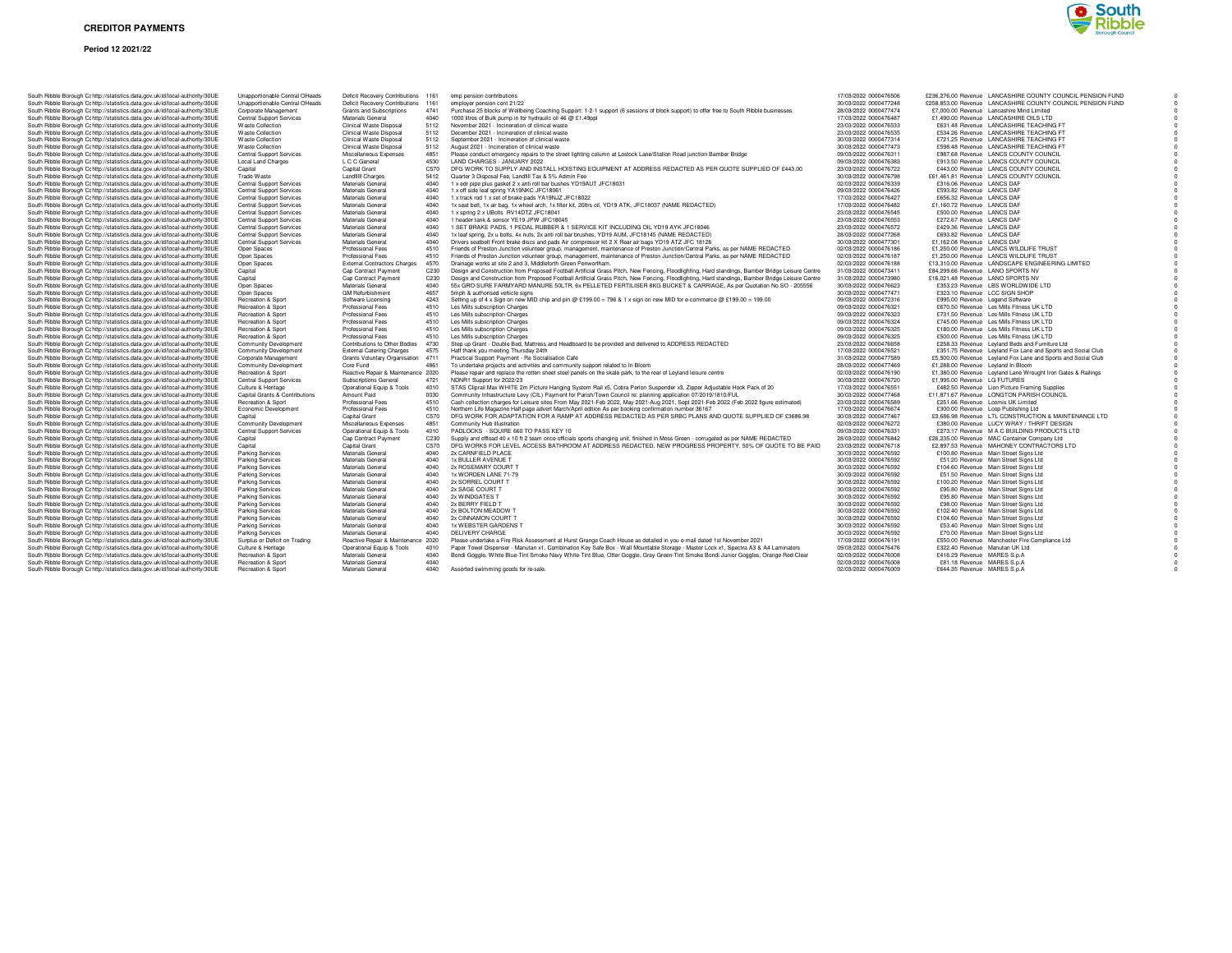

|  | South Ribble Borough Cc http://statistics.data.gov.uk/id/local-authority/30UE                                                                                  |
|--|----------------------------------------------------------------------------------------------------------------------------------------------------------------|
|  | South Ribble Borough Cc http://statistics.data.gov.uk/id/local-authority/30UE                                                                                  |
|  | South Ribble Borough Cc http://statistics.data.gov.uk/id/local-authority/30UE                                                                                  |
|  | South Ribble Borough Cc http://statistics.data.gov.uk/id/local-authority/30UE                                                                                  |
|  | South Ribble Borough Cc http://statistics.data.gov.uk/id/local-authority/30UE<br>South Ribble Borough Cc http://statistics.data.gov.uk/id/local-authority/30UE |
|  | South Ribble Borough Cc http://statistics.data.gov.uk/id/local-authority/30UE                                                                                  |
|  | South Ribble Borough Cc http://statistics.data.gov.uk/id/local-authority/30UE                                                                                  |
|  | South Ribble Borough Cc http://statistics.data.gov.uk/id/local-authority/30UE                                                                                  |
|  | South Ribble Borough Cc http://statistics.data.gov.uk/id/local-authority/30UE                                                                                  |
|  | South Ribble Borough Cc http://statistics.data.gov.uk/id/local-authority/30UE                                                                                  |
|  | South Ribble Borough Cc http://statistics.data.gov.uk/id/local-authority/30UE                                                                                  |
|  | South Ribble Borough Cc http://statistics.data.gov.uk/id/local-authority/30UE                                                                                  |
|  | South Ribble Borough Cc http://statistics.data.gov.uk/id/local-authority/30UE                                                                                  |
|  | South Ribble Borough Cc http://statistics.data.gov.uk/id/local-authority/30UE                                                                                  |
|  | South Ribble Borough Cc http://statistics.data.gov.uk/id/local-authority/30UE<br>South Ribble Borough Cc http://statistics.data.gov.uk/id/local-authority/30UE |
|  | South Ribble Borough Cc http://statistics.data.gov.uk/id/local-authority/30UE                                                                                  |
|  | South Ribble Borough Cc http://statistics.data.gov.uk/id/local-authority/30UE                                                                                  |
|  | South Ribble Borough Cc http://statistics.data.gov.uk/id/local-authority/30UE                                                                                  |
|  | South Ribble Borough Cc http://statistics.data.gov.uk/id/local-authority/30UE                                                                                  |
|  | South Ribble Borough Cc http://statistics.data.gov.uk/id/local-authority/30UE                                                                                  |
|  | South Ribble Borough Cc http://statistics.data.gov.uk/id/local-authority/30UE                                                                                  |
|  | South Ribble Borough Cc http://statistics.data.gov.uk/id/local-authority/30UE                                                                                  |
|  | South Ribble Borough Cc http://statistics.data.gov.uk/id/local-authority/30UE                                                                                  |
|  | South Ribble Borough Cc http://statistics.data.gov.uk/id/local-authority/30UE<br>South Ribble Borough Cc http://statistics.data.gov.uk/id/local-authority/30UE |
|  | South Ribble Borough Cc http://statistics.data.gov.uk/id/local-authority/30UE                                                                                  |
|  | South Ribble Borough Cc http://statistics.data.gov.uk/id/local-authority/30UE                                                                                  |
|  | South Ribble Borough Cc http://statistics.data.gov.uk/id/local-authority/30UE                                                                                  |
|  | South Ribble Borough Cc http://statistics.data.gov.uk/id/local-authority/30UE                                                                                  |
|  | South Ribble Borough Cc http://statistics.data.gov.uk/id/local-authority/30UE                                                                                  |
|  | South Ribble Borough Cc http://statistics.data.gov.uk/id/local-authority/30UE                                                                                  |
|  | South Ribble Borough Cc http://statistics.data.gov.uk/id/local-authority/30UE                                                                                  |
|  | South Ribble Borough Cc http://statistics.data.gov.uk/id/local-authority/30UE                                                                                  |
|  | South Ribble Borough Cc http://statistics.data.gov.uk/id/local-authority/30UE                                                                                  |
|  | South Ribble Borough Cc http://statistics.data.gov.uk/id/local-authority/30UE<br>South Ribble Borough Cc http://statistics.data.gov.uk/id/local-authority/30UE |
|  | South Ribble Borough Cc http://statistics.data.gov.uk/id/local-authority/30UE                                                                                  |
|  | South Ribble Borough Cc http://statistics.data.gov.uk/id/local-authority/30UE                                                                                  |
|  | South Ribble Borough Cc http://statistics.data.gov.uk/id/local-authority/30UE                                                                                  |
|  | South Ribble Borough Cc http://statistics.data.gov.uk/id/local-authority/30UE                                                                                  |
|  | South Ribble Borough Cc http://statistics.data.gov.uk/id/local-authority/30UE                                                                                  |
|  | South Ribble Borough Cc http://statistics.data.gov.uk/id/local-authority/30UE                                                                                  |
|  | South Ribble Borough Cc http://statistics.data.gov.uk/id/local-authority/30UE                                                                                  |
|  | South Ribble Borough Cc http://statistics.data.gov.uk/id/local-authority/30UE                                                                                  |
|  | South Ribble Borough Cc http://statistics.data.gov.uk/id/local-authority/30UE<br>South Ribble Borough Cc http://statistics.data.gov.uk/id/local-authority/30UE |
|  | South Ribble Borough Cc http://statistics.data.gov.uk/id/local-authority/30UE                                                                                  |
|  | South Ribble Borough Cc http://statistics.data.gov.uk/id/local-authority/30UE                                                                                  |
|  | South Ribble Borough Cc http://statistics.data.gov.uk/id/local-authority/30UE                                                                                  |
|  | South Ribble Borough Cc http://statistics.data.gov.uk/id/local-authority/30UE                                                                                  |
|  | South Ribble Borough Cc http://statistics.data.gov.uk/id/local-authority/30UE                                                                                  |
|  | South Ribble Borough Cc http://statistics.data.gov.uk/id/local-authority/30UE                                                                                  |
|  | South Ribble Borough Cc http://statistics.data.gov.uk/id/local-authority/30UE                                                                                  |
|  | South Ribble Borough Cc http://statistics.data.gov.uk/id/local-authority/30UE                                                                                  |
|  | South Ribble Borough Cc http://statistics.data.gov.uk/id/local-authority/30UE                                                                                  |
|  | South Ribble Borough Cc http://statistics.data.gov.uk/id/local-authority/30UE<br>South Ribble Borough Cc http://statistics.data.gov.uk/id/local-authority/30UE |
|  | South Ribble Borough Cc http://statistics.data.gov.uk/id/local-authority/30UE                                                                                  |
|  | South Ribble Borough Cc http://statistics.data.gov.uk/id/local-authority/30UE                                                                                  |
|  | South Ribble Borough Cc http://statistics.data.gov.uk/id/local-authority/30UE                                                                                  |
|  | South Ribble Borough Cc http://statistics.data.gov.uk/id/local-authority/30UE                                                                                  |
|  | South Ribble Borough Cc http://statistics.data.gov.uk/id/local-authority/30UE                                                                                  |
|  | South Ribble Borough Cc http://statistics.data.gov.uk/id/local-authority/30UE                                                                                  |
|  | South Ribble Borough Cc http://statistics.data.gov.uk/id/local-authority/30UE                                                                                  |

| http://statistics.data.gov.uk/id/local-authority/30UE                                                          | Unapportionable Central OHeads                       | Deficit Recovery Contributions 1161                         |      | emp pension contributions                                                                                                                                                                                                                | 17/03/2022 0000476506                          |                                           | £236,276.00 Revenue LANCASHIRE COUNTY COUNCIL PENSION FUND                                 |  |
|----------------------------------------------------------------------------------------------------------------|------------------------------------------------------|-------------------------------------------------------------|------|------------------------------------------------------------------------------------------------------------------------------------------------------------------------------------------------------------------------------------------|------------------------------------------------|-------------------------------------------|--------------------------------------------------------------------------------------------|--|
| http://statistics.data.gov.uk/id/local-authority/30UE                                                          | Unapportionable Central OHeads                       | Deficit Recovery Contributions 1161                         |      | employer pension cont 21/22                                                                                                                                                                                                              | 30/03/2022 0000477248                          |                                           | £258,853.00 Revenue LANCASHIRE COUNTY COUNCIL PENSION FUND                                 |  |
| http://statistics.data.gov.uk/id/local-authority/30UE                                                          | Corporate Management                                 | Grants and Subscriptions                                    | 4741 | Purchase 25 blocks of Wellbeing Coaching Support: 1-2-1 support (6 sessions of block support) to offer free to South Ribble businesses                                                                                                   | 28/03/2022 0000477474                          | £7,000.00 Revenue Lancashire Mind Limited |                                                                                            |  |
| http://statistics.data.gov.uk/id/local-authority/30UE                                                          | <b>Central Support Services</b>                      | Materials General                                           | 4040 | 1000 litres of Bulk pump in for hydraulic oil 46 @ £1.49ppl                                                                                                                                                                              | 17/03/2022 0000476487                          | £1,490.00 Revenue LANCASHIRE OILS LTD     |                                                                                            |  |
| http://statistics.data.gov.uk/id/local-authority/30UE                                                          | <b>Waste Collection</b>                              | Clinical Waste Disposal                                     | 5112 | November 2021 - Incineration of clinical waste                                                                                                                                                                                           | 23/03/2022 0000476533                          |                                           | £631.48 Revenue LANCASHIRE TEACHING FT                                                     |  |
| http://statistics.data.gov.uk/id/local-authority/30UE                                                          | <b>Waste Collection</b>                              | Clinical Waste Disposal                                     | 5112 | December 2021 - Incineration of clinical waste                                                                                                                                                                                           | 23/03/2022 0000476535                          |                                           | £534.26 Revenue LANCASHIRE TEACHING FT                                                     |  |
| http://statistics.data.gov.uk/id/local-authority/30UE                                                          | <b>Waste Collection</b>                              | Clinical Waste Disposal                                     | 5112 | September 2021 - Incineration of clinical waste                                                                                                                                                                                          | 30/03/2022 0000477314                          |                                           | £721.25 Revenue LANCASHIRE TEACHING FT                                                     |  |
| http://statistics.data.gov.uk/id/local-authority/30UE                                                          | <b>Waste Collection</b>                              | Clinical Waste Disposal                                     | 5112 | August 2021 - Incineration of clinical waste                                                                                                                                                                                             | 30/03/2022 0000477473                          |                                           | £598.48 Revenue LANCASHIRE TEACHING FT                                                     |  |
| http://statistics.data.gov.uk/id/local-authority/30UE                                                          | <b>Central Support Services</b>                      | Miscellaneous Expenses                                      | 4851 | Please conduct emergency repairs to the street lighting column at Lostock Lane/Station Road junction Bamber Bridge                                                                                                                       | 09/03/2022 0000476311                          |                                           | £987.68 Revenue LANCS COUNTY COUNCIL                                                       |  |
| http://statistics.data.gov.uk/id/local-authority/30UE                                                          | <b>Local Land Charges</b>                            | L C C General                                               | 4530 | LAND CHARGES - JANUARY 2022                                                                                                                                                                                                              | 09/03/2022 0000476383                          |                                           | £913.50 Revenue LANCS COUNTY COUNCIL                                                       |  |
| http://statistics.data.gov.uk/id/local-authority/30UE                                                          | Capital                                              | Capital Grant                                               | C570 | DFG WORK TO SUPPLY AND INSTALL HOISTING EQUIPMENT AT ADDRESS REDACTED AS PER QUOTE SUPPLIED OF £443.00                                                                                                                                   | 23/03/2022 0000476722                          |                                           | £443.00 Revenue LANCS COUNTY COUNCIL                                                       |  |
| http://statistics.data.gov.uk/id/local-authority/30UE                                                          | Trade Waste                                          | Landfill Charges                                            | 5412 | Quarter 3 Disposal Fee, Landfill Tax & 5% Admin Fee                                                                                                                                                                                      | 30/03/2022 0000476798                          |                                           | £61,461.81 Revenue LANCS COUNTY COUNCIL                                                    |  |
| http://statistics.data.gov.uk/id/local-authority/30UE                                                          | <b>Central Support Services</b>                      | Materials General                                           | 4040 | 1 x edr pipe plus gasket 2 x anti roll bar bushes YD19AUT JFC18031                                                                                                                                                                       | 02/03/2022 0000476339                          | £316.06 Revenue LANCS DAF                 |                                                                                            |  |
| http://statistics.data.gov.uk/id/local-authority/30UE                                                          | Central Support Services                             | Materials General                                           | 4040 | 1 x off side leaf spring YA19NKC JFC18061                                                                                                                                                                                                | 09/03/2022 0000476426                          | £593.82 Revenue LANCS DAF                 |                                                                                            |  |
| http://statistics.data.gov.uk/id/local-authority/30UE                                                          | <b>Central Support Services</b>                      | Materials General                                           | 4040 | 1 x track rod 1 x set of brake pads YA19NJZ JFC18022                                                                                                                                                                                     | 17/03/2022 0000476427                          | £656.32 Revenue LANCS DAF                 |                                                                                            |  |
| http://statistics.data.gov.uk/id/local-authority/30UE                                                          | <b>Central Support Services</b>                      | Materials General                                           | 4040 | 1x seat belt, 1x air bag, 1x wheel arch, 1x filter kit, 20ltrs oil, YD19 ATK, JFC18037 (NAME REDACTED)                                                                                                                                   | 17/03/2022 0000476482                          | £1.160.72 Revenue LANCS DAF               |                                                                                            |  |
| http://statistics.data.gov.uk/id/local-authority/30UE                                                          | <b>Central Support Services</b>                      | Materials General                                           | 4040 | 1 x spring 2 x UBolts RV14DTZ JFC18041                                                                                                                                                                                                   | 23/03/2022 0000476545                          | £500.00 Revenue LANCS DAF                 |                                                                                            |  |
| http://statistics.data.gov.uk/id/local-authority/30UE                                                          | Central Support Services                             | Materials General                                           | 4040 | 1 header tank & sensor YE19 JPW JFC18045                                                                                                                                                                                                 | 23/03/2022 0000476553                          | £272.67 Revenue LANCS DAF                 |                                                                                            |  |
| http://statistics.data.gov.uk/id/local-authority/30UE                                                          | <b>Central Support Services</b>                      | Materials General                                           | 4040 | 1 SET BRAKE PADS, 1 PEDAL RUBBER & 1 SERVICE KIT INCLUDING OIL YD19 AYK JFC18046                                                                                                                                                         | 23/03/2022 0000476572                          | £429.36 Revenue LANCS DAF                 |                                                                                            |  |
| http://statistics.data.gov.uk/id/local-authority/30UE                                                          | <b>Central Support Services</b>                      | Materials General                                           | 4040 | 1x leaf spring, 2x u bolts, 4x nuts, 2x anti roll bar brushes, YD19 AUM, JFC18145 (NAME REDACTED)                                                                                                                                        | 28/03/2022 0000477268                          | £693.82 Revenue LANCS DAF                 |                                                                                            |  |
| http://statistics.data.gov.uk/id/local-authority/30UE                                                          | <b>Central Support Services</b>                      | Materials General                                           | 4040 | Drivers seatbelt Front brake discs and pads Air compressor kit 2 X Rear air bags YD19 ATZ JFC 18126                                                                                                                                      | 30/03/2022 0000477301                          | £1,162.08 Revenue LANCS DAF               |                                                                                            |  |
| http://statistics.data.gov.uk/id/local-authority/30UE                                                          | Open Spaces                                          | Professional Fees                                           | 4510 | Friends of Preston Junction volunteer group, management, maintenance of Preston Junction/Central Parks, as per NAME REDACTED                                                                                                             | 02/03/2022 0000476186                          | £1,250.00 Revenue LANCS WILDLIFE TRUST    |                                                                                            |  |
| http://statistics.data.gov.uk/id/local-authority/30UE                                                          | Open Spaces                                          | Professional Fees                                           | 4510 | Friends of Preston Junction volunteer group, management, maintenance of Preston Junction/Central Parks, as per NAME REDACTED                                                                                                             | 02/03/2022 0000476187                          |                                           | £1,250.00 Revenue LANCS WILDLIFE TRUST                                                     |  |
| http://statistics.data.gov.uk/id/local-authority/30UE                                                          | Open Spaces                                          | <b>External Contractors Charges</b>                         | 4570 | Drainage works at site 2 and 3, Middleforth Green Penwortham.                                                                                                                                                                            | 02/03/2022 0000476188                          |                                           | £13,310.00 Revenue LANDSCAPE ENGINEERING LIMITED                                           |  |
| http://statistics.data.gov.uk/id/local-authority/30UE                                                          | Capital                                              | Cap Contract Payment                                        | C230 | Design and Construction from Proposed Football Artificial Grass Pitch, New Fencing, Floodlighting, Hard standings, Bamber Bridge Leisure Centre                                                                                          | 31/03/2022 0000473411                          | £84,299.66 Revenue LANO SPORTS NV         |                                                                                            |  |
| http://statistics.data.gov.uk/id/local-authority/30UE                                                          | Capital                                              | Cap Contract Payment                                        | C230 | Design and Construction from Proposed Football Artificial Grass Pitch, New Fencing, Floodlighting, Hard standings, Bamber Bridge Leisure Centre                                                                                          | 31/03/2022 0000473980                          | £16,021.48 Revenue LANO SPORTS NV         |                                                                                            |  |
| http://statistics.data.gov.uk/id/local-authority/30UE                                                          | Open Spaces                                          | Materials General                                           | 4040 | 55x GRO-SURE FARMYARD MANURE 50LTR, 6x PELLETED FERTILISER 8KG BUCKET & CARRIAGE, As per Quotation No SO - 205556                                                                                                                        | 30/03/2022 0000476623                          | £353.23 Revenue LBS WORLDWIDE LTD         |                                                                                            |  |
| http://statistics.data.gov.uk/id/local-authority/30UE                                                          | Open Spaces                                          | <b>GM Refurbishment</b>                                     | 4657 | 5mph & authorised vehicle signs                                                                                                                                                                                                          | 30/03/2022 0000477471                          | £323.10 Revenue LCC SIGN SHOP             |                                                                                            |  |
| http://statistics.data.gov.uk/id/local-authority/30UE                                                          | Recreation & Sport                                   | Software Licensing                                          | 4243 | Setting up of 4 x Sign on new MID chip and pin @ £199.00 = 796 & 1 x sign on new MID for e-commerce @ £199.00 = 199.00                                                                                                                   | 09/03/2022 0000472316                          | £995.00 Revenue Legend Software           |                                                                                            |  |
| http://statistics.data.gov.uk/id/local-authority/30UE                                                          | Recreation & Sport                                   | Professional Fees                                           | 4510 | Les Mills subscription Charges                                                                                                                                                                                                           | 09/03/2022 0000476321                          |                                           | £670.50 Revenue Les Mills Fitness UK LTD                                                   |  |
| http://statistics.data.gov.uk/id/local-authority/30UE                                                          | Recreation & Sport                                   | Professional Fees                                           | 4510 | Les Mills subscription Charges                                                                                                                                                                                                           | 09/03/2022 0000476323                          |                                           | £731.50 Revenue Les Mills Fitness UK LTD                                                   |  |
| http://statistics.data.gov.uk/id/local-authority/30UE                                                          | Recreation & Sport                                   | Professional Fees                                           | 4510 | Les Mills subscription Charges                                                                                                                                                                                                           | 09/03/2022 0000476324                          |                                           | £745.00 Revenue Les Mills Fitness UK LTD                                                   |  |
| http://statistics.data.gov.uk/id/local-authority/30UE                                                          | Recreation & Sport                                   | Professional Fees                                           | 4510 | Les Mills subscription Charges                                                                                                                                                                                                           | 09/03/2022 0000476325                          | £180.00 Revenue Les Mills Fitness UK LTD  |                                                                                            |  |
| http://statistics.data.gov.uk/id/local-authority/30UE                                                          | Recreation & Sport                                   | Professional Fees                                           | 4510 | Les Mills subscription Charges                                                                                                                                                                                                           | 09/03/2022 0000476325                          |                                           | £500.00 Revenue Les Mills Fitness UK LTD                                                   |  |
| http://statistics.data.gov.uk/id/local-authority/30UE                                                          | Community Development                                | Contributions to Other Bodies                               | 4730 | Step up Grant - Double Bed, Mattress and Headboard to be provided and delivered to ADDRESS REDACTED                                                                                                                                      | 23/03/2022 0000476658                          |                                           | £258.33 Revenue Leyland Beds and Furniture Ltd                                             |  |
| http://statistics.data.gov.uk/id/local-authority/30UE                                                          | Community Development                                | <b>External Catering Charges</b>                            | 4575 | Haff thank you meeting Thursday 24th                                                                                                                                                                                                     | 17/03/2022 0000476521                          |                                           | £351.75 Revenue Leyland Fox Lane and Sports and Social Club                                |  |
| http://statistics.data.gov.uk/id/local-authority/30UE                                                          | Corporate Management                                 | Grants Voluntary Organisation 4711                          |      | Practical Support Payment - Re Socialisation Cafe                                                                                                                                                                                        | 31/03/2022 0000477589                          |                                           | £5,500.00 Revenue Levland Fox Lane and Sports and Social Club                              |  |
| http://statistics.data.gov.uk/id/local-authority/30UE                                                          | Community Development<br>Recreation & Sport          | Core Fund                                                   | 4861 | To undertake projects and activities and community support related to In Bloom                                                                                                                                                           | 28/03/2022 0000477469                          | £1,288.00 Revenue Leyland In Bloom        |                                                                                            |  |
| http://statistics.data.gov.uk/id/local-authority/30UE<br>http://statistics.data.gov.uk/id/local-authority/30UE | <b>Central Support Services</b>                      | Reactive Repair & Maintenance 2020<br>Subscriptions General | 4721 | Please repair and replace the rotten sheet steel panels on the skate park, to the rear of Leyland leisure centre<br>NDNR1 Support for 2022/23                                                                                            | 02/03/2022 0000476190<br>30/03/2022 0000476720 | £1,995.00 Revenue LG FUTURES              | £1,380.00 Revenue Leyland Lane Wrought Iron Gates & Railings                               |  |
|                                                                                                                |                                                      |                                                             | 4010 |                                                                                                                                                                                                                                          | 17/03/2022 0000476551                          |                                           |                                                                                            |  |
| http://statistics.data.gov.uk/id/local-authority/30UE<br>http://statistics.data.gov.uk/id/local-authority/30UE | Culture & Heritage<br>Capital Grants & Contributions | Operational Equip & Tools<br>Amount Paid                    | 0030 | STAS Cliprail Max WHITE 2m Picture Hanging System Rail x5, Cobra Perlon Suspender x3, Zipper Adjustable Hook Pack of 20<br>Community Infrastructure Levy (CIL) Payment for Parish/Town Council re: planning application 07/2019/1810/FUL | 30/03/2022 0000477468                          |                                           | £482.50 Revenue Lion Picture Framing Supplies<br>£11,871.67 Revenue LONGTON PARISH COUNCIL |  |
| http://statistics.data.gov.uk/id/local-authority/30UE                                                          | Recreation & Sport                                   | Professional Fees                                           | 4510 | Cash collection charges for Leisure sites From May 2021-Feb 2022, May 2021-Aug 2021, Sept 2021-Feb 2022 (Feb 2022 figure estimated)                                                                                                      | 23/03/2022 0000476589                          | £251.66 Revenue Loomis UK Limited         |                                                                                            |  |
| http://statistics.data.gov.uk/id/local-authority/30UE                                                          | Economic Development                                 | Professional Fees                                           | 4510 | Northern Life Magazine Half page advert March/April edition As per booking confirmation number 36167                                                                                                                                     | 17/03/2022 0000476674                          | £300.00 Revenue Loop Publishing Ltd       |                                                                                            |  |
| http://statistics.data.gov.uk/id/local-authority/30UE                                                          | Capital                                              | Capital Grant                                               | C570 | DFG WORK FOR ADAPTATION FOR A RAMP AT ADDRESS REDACTED AS PER SRBC PLANS AND QUOTE SUPPLIED OF £3686.98                                                                                                                                  | 30/03/2022 0000477467                          |                                           | £3,686.98 Revenue LTL CONSTRUCTION & MAINTENANCE LTD                                       |  |
| http://statistics.data.gov.uk/id/local-authority/30UE                                                          | Community Development                                | Miscellaneous Expenses                                      | 4851 | Community Hub illustration                                                                                                                                                                                                               | 02/03/2022 0000476272                          |                                           | £380.00 Revenue LUCY WRAY / THRIFT DESIGN                                                  |  |
| http://statistics.data.gov.uk/id/local-authority/30UE                                                          | <b>Central Support Services</b>                      | Operational Equip & Tools                                   | 4010 | PADLOCKS - SQUIRE 660 TO PASS KEY 10                                                                                                                                                                                                     | 09/03/2022 0000476331                          |                                           | £273.17 Revenue M A C BUILDING PRODUCTS LTD                                                |  |
| http://statistics.data.gov.uk/id/local-authority/30UE                                                          | Capital                                              | Cap Contract Payment                                        | C230 | Supply and offload 40 x 10 ft 2 team once officials sports changing unit, finished in Moss Green - corrugated as per NAME REDACTED                                                                                                       | 28/03/2022 0000476842                          |                                           | £26,235.00 Revenue MAC Container Company Ltd                                               |  |
| http://statistics.data.gov.uk/id/local-authority/30UE                                                          | Capital                                              | Capital Grant                                               | C570 | DFG WORKS FOR LEVEL ACCESS BATHROOM AT ADDRESS REDACTED. NEW PROGRESS PROPERTY, 50% OF QUOTE TO BE PAID                                                                                                                                  | 23/03/2022 0000476718                          |                                           | £2,897.53 Revenue MAHONEY CONTRACTORS LTD                                                  |  |
| http://statistics.data.gov.uk/id/local-authority/30UE                                                          | Parking Services                                     | Materials General                                           | 4040 | 2x CARNFIELD PLACE                                                                                                                                                                                                                       | 30/03/2022 0000476592                          | £100.80 Revenue Main Street Signs Ltd     |                                                                                            |  |
| http://statistics.data.gov.uk/id/local-authority/30UE                                                          | <b>Parking Services</b>                              | Materials General                                           | 4040 | 1x BULLER AVENUE T                                                                                                                                                                                                                       | 30/03/2022 0000476592                          | £51.20 Revenue Main Street Signs Ltd      |                                                                                            |  |
| http://statistics.data.gov.uk/id/local-authority/30UE                                                          | Parking Services                                     | Materials General                                           | 4040 | 2x ROSEMARY COURT T                                                                                                                                                                                                                      | 30/03/2022 0000476592                          | £104.60 Revenue Main Street Signs Ltd     |                                                                                            |  |
| http://statistics.data.gov.uk/id/local-authority/30UE                                                          | <b>Parking Services</b>                              | Materials General                                           | 4040 | 1x WORDEN LANE 71-79                                                                                                                                                                                                                     | 30/03/2022 0000476592                          | £51.50 Revenue Main Street Signs Ltd      |                                                                                            |  |
| http://statistics.data.gov.uk/id/local-authority/30UE                                                          | <b>Parking Services</b>                              | Materials General                                           | 4040 | 2x SORREL COURT T                                                                                                                                                                                                                        | 30/03/2022 0000476592                          | £100.20 Revenue Main Street Signs Ltd     |                                                                                            |  |
| http://statistics.data.gov.uk/id/local-authority/30UE                                                          | <b>Parking Services</b>                              | Materials General                                           | 4040 | 2x SAGE COURT T                                                                                                                                                                                                                          | 30/03/2022 0000476592                          | £95.80 Revenue Main Street Signs Ltd      |                                                                                            |  |
| http://statistics.data.gov.uk/id/local-authority/30UE                                                          | <b>Parking Services</b>                              | Materials General                                           | 4040 | 2x WINDGATES T                                                                                                                                                                                                                           | 30/03/2022 0000476592                          | £95.80 Revenue Main Street Signs Ltd      |                                                                                            |  |
| http://statistics.data.gov.uk/id/local-authority/30UE                                                          | <b>Parking Services</b>                              | Materials General                                           | 4040 | 2x BERRY FIELD T                                                                                                                                                                                                                         | 30/03/2022 0000476592                          | £98.00 Revenue Main Street Signs Ltd      |                                                                                            |  |
| http://statistics.data.gov.uk/id/local-authority/30UE                                                          | <b>Parking Services</b>                              | Materials General                                           | 4040 | 2x BOLTON MEADOW T                                                                                                                                                                                                                       | 30/03/2022 0000476592                          | £102.40 Revenue Main Street Signs Ltd     |                                                                                            |  |
| http://statistics.data.gov.uk/id/local-authority/30UE                                                          | <b>Parking Services</b>                              | Materials General                                           | 4040 | 2x CINNAMON COURT T                                                                                                                                                                                                                      | 30/03/2022 0000476592                          | £104.60 Revenue Main Street Signs Ltd     |                                                                                            |  |
| http://statistics.data.gov.uk/id/local-authority/30UE                                                          | <b>Parking Services</b>                              | Materials General                                           | 4040 | 1x WEBSTER GARDENS T                                                                                                                                                                                                                     | 30/03/2022 0000476592                          | £53.40 Revenue Main Street Signs Ltd      |                                                                                            |  |
| http://statistics.data.gov.uk/id/local-authority/30UE                                                          | <b>Parking Services</b>                              | Materials General                                           | 4040 | DELIVERY CHARGE                                                                                                                                                                                                                          | 30/03/2022 0000476592                          | £70.00 Revenue Main Street Signs Ltd      |                                                                                            |  |
| http://statistics.data.gov.uk/id/local-authority/30UE                                                          | Surplus or Deficit on Trading                        | Reactive Repair & Maintenance 2020                          |      | Please undertake a Fire Risk Assessment at Hurst Grange Coach House as detailed in you e-mail dated 1st November 2021                                                                                                                    | 17/03/2022 0000476191                          |                                           | £550.00 Revenue Manchester Fire Compliance Ltd                                             |  |
| http://statistics.data.gov.uk/id/local-authority/30UE                                                          | Culture & Heritage                                   | Operational Equip & Tools                                   | 4010 | Paper Towel Dispenser - Manutan x1, Combination Key Safe Box - Wall Mountable Storage - Master Lock x1, Spectra A3 & A4 Laminators                                                                                                       | 09/03/2022 0000476476                          | £322.40 Revenue Manutan UK Ltd            |                                                                                            |  |
| http://statistics.data.gov.uk/id/local-authority/30UE                                                          | Recreation & Sport                                   | Materials General                                           | 4040 | Bondi Goggle, White Blue-Tint Smoke Navy White-Tint Blue, Otter Goggle, Grey Green-Tint Smoke Bondi Junior Goggles, Orange Red-Clear                                                                                                     | 02/03/2022 0000476008                          | £416.29 Revenue MARES S.p.A               |                                                                                            |  |
| http://statistics.data.gov.uk/id/local-authority/30UE                                                          | Recreation & Sport                                   | Materials General                                           | 4040 |                                                                                                                                                                                                                                          | 02/03/2022 0000476008                          | £81.18 Revenue MARES S.p.A                |                                                                                            |  |
| http://statistics.data.gov.uk/id/local-authority/30UE                                                          | Recreation & Sport                                   | Materials General                                           | 4040 | Assorted swimming goods for re-sale                                                                                                                                                                                                      | 02/03/2022 0000476009                          | £644.35 Revenue MARES S.p.A               |                                                                                            |  |
|                                                                                                                |                                                      |                                                             |      |                                                                                                                                                                                                                                          |                                                |                                           |                                                                                            |  |

|                       |                                                                                                                                                                                                                                                                                                                                                                                                                                                                                                                                                                                                                                                                                                                                                                                                                                                                                                                                                                                                                                                                                                                                                                                                                                                                                                                                                                           | $\mathbf 0$                                                                                                                                                                                                                                                                                                                                                                                                                                                                                                                                                                                                                                                                                                                                                                                                                                                                                                                                                                                                                                                                                                                                                                                                                                                                                                                                                                                                                                                                                                                                                                                                                                                                                                                                                                                                                                                                                                                                                                                                                                                                                                                                                                                                                                                                                                                                                                                                                                                                                                                                                                                                                                                                                                                                                                                        |
|-----------------------|---------------------------------------------------------------------------------------------------------------------------------------------------------------------------------------------------------------------------------------------------------------------------------------------------------------------------------------------------------------------------------------------------------------------------------------------------------------------------------------------------------------------------------------------------------------------------------------------------------------------------------------------------------------------------------------------------------------------------------------------------------------------------------------------------------------------------------------------------------------------------------------------------------------------------------------------------------------------------------------------------------------------------------------------------------------------------------------------------------------------------------------------------------------------------------------------------------------------------------------------------------------------------------------------------------------------------------------------------------------------------|----------------------------------------------------------------------------------------------------------------------------------------------------------------------------------------------------------------------------------------------------------------------------------------------------------------------------------------------------------------------------------------------------------------------------------------------------------------------------------------------------------------------------------------------------------------------------------------------------------------------------------------------------------------------------------------------------------------------------------------------------------------------------------------------------------------------------------------------------------------------------------------------------------------------------------------------------------------------------------------------------------------------------------------------------------------------------------------------------------------------------------------------------------------------------------------------------------------------------------------------------------------------------------------------------------------------------------------------------------------------------------------------------------------------------------------------------------------------------------------------------------------------------------------------------------------------------------------------------------------------------------------------------------------------------------------------------------------------------------------------------------------------------------------------------------------------------------------------------------------------------------------------------------------------------------------------------------------------------------------------------------------------------------------------------------------------------------------------------------------------------------------------------------------------------------------------------------------------------------------------------------------------------------------------------------------------------------------------------------------------------------------------------------------------------------------------------------------------------------------------------------------------------------------------------------------------------------------------------------------------------------------------------------------------------------------------------------------------------------------------------------------------------------------------------|
|                       |                                                                                                                                                                                                                                                                                                                                                                                                                                                                                                                                                                                                                                                                                                                                                                                                                                                                                                                                                                                                                                                                                                                                                                                                                                                                                                                                                                           | $\sqrt{2}$                                                                                                                                                                                                                                                                                                                                                                                                                                                                                                                                                                                                                                                                                                                                                                                                                                                                                                                                                                                                                                                                                                                                                                                                                                                                                                                                                                                                                                                                                                                                                                                                                                                                                                                                                                                                                                                                                                                                                                                                                                                                                                                                                                                                                                                                                                                                                                                                                                                                                                                                                                                                                                                                                                                                                                                         |
|                       |                                                                                                                                                                                                                                                                                                                                                                                                                                                                                                                                                                                                                                                                                                                                                                                                                                                                                                                                                                                                                                                                                                                                                                                                                                                                                                                                                                           | $^{\circ}$                                                                                                                                                                                                                                                                                                                                                                                                                                                                                                                                                                                                                                                                                                                                                                                                                                                                                                                                                                                                                                                                                                                                                                                                                                                                                                                                                                                                                                                                                                                                                                                                                                                                                                                                                                                                                                                                                                                                                                                                                                                                                                                                                                                                                                                                                                                                                                                                                                                                                                                                                                                                                                                                                                                                                                                         |
|                       |                                                                                                                                                                                                                                                                                                                                                                                                                                                                                                                                                                                                                                                                                                                                                                                                                                                                                                                                                                                                                                                                                                                                                                                                                                                                                                                                                                           | $\Omega$                                                                                                                                                                                                                                                                                                                                                                                                                                                                                                                                                                                                                                                                                                                                                                                                                                                                                                                                                                                                                                                                                                                                                                                                                                                                                                                                                                                                                                                                                                                                                                                                                                                                                                                                                                                                                                                                                                                                                                                                                                                                                                                                                                                                                                                                                                                                                                                                                                                                                                                                                                                                                                                                                                                                                                                           |
|                       |                                                                                                                                                                                                                                                                                                                                                                                                                                                                                                                                                                                                                                                                                                                                                                                                                                                                                                                                                                                                                                                                                                                                                                                                                                                                                                                                                                           | $\mathbf 0$                                                                                                                                                                                                                                                                                                                                                                                                                                                                                                                                                                                                                                                                                                                                                                                                                                                                                                                                                                                                                                                                                                                                                                                                                                                                                                                                                                                                                                                                                                                                                                                                                                                                                                                                                                                                                                                                                                                                                                                                                                                                                                                                                                                                                                                                                                                                                                                                                                                                                                                                                                                                                                                                                                                                                                                        |
|                       |                                                                                                                                                                                                                                                                                                                                                                                                                                                                                                                                                                                                                                                                                                                                                                                                                                                                                                                                                                                                                                                                                                                                                                                                                                                                                                                                                                           | $\Omega$                                                                                                                                                                                                                                                                                                                                                                                                                                                                                                                                                                                                                                                                                                                                                                                                                                                                                                                                                                                                                                                                                                                                                                                                                                                                                                                                                                                                                                                                                                                                                                                                                                                                                                                                                                                                                                                                                                                                                                                                                                                                                                                                                                                                                                                                                                                                                                                                                                                                                                                                                                                                                                                                                                                                                                                           |
|                       |                                                                                                                                                                                                                                                                                                                                                                                                                                                                                                                                                                                                                                                                                                                                                                                                                                                                                                                                                                                                                                                                                                                                                                                                                                                                                                                                                                           | $\mathbf 0$                                                                                                                                                                                                                                                                                                                                                                                                                                                                                                                                                                                                                                                                                                                                                                                                                                                                                                                                                                                                                                                                                                                                                                                                                                                                                                                                                                                                                                                                                                                                                                                                                                                                                                                                                                                                                                                                                                                                                                                                                                                                                                                                                                                                                                                                                                                                                                                                                                                                                                                                                                                                                                                                                                                                                                                        |
|                       |                                                                                                                                                                                                                                                                                                                                                                                                                                                                                                                                                                                                                                                                                                                                                                                                                                                                                                                                                                                                                                                                                                                                                                                                                                                                                                                                                                           | $\Omega$                                                                                                                                                                                                                                                                                                                                                                                                                                                                                                                                                                                                                                                                                                                                                                                                                                                                                                                                                                                                                                                                                                                                                                                                                                                                                                                                                                                                                                                                                                                                                                                                                                                                                                                                                                                                                                                                                                                                                                                                                                                                                                                                                                                                                                                                                                                                                                                                                                                                                                                                                                                                                                                                                                                                                                                           |
|                       |                                                                                                                                                                                                                                                                                                                                                                                                                                                                                                                                                                                                                                                                                                                                                                                                                                                                                                                                                                                                                                                                                                                                                                                                                                                                                                                                                                           | $\Omega$                                                                                                                                                                                                                                                                                                                                                                                                                                                                                                                                                                                                                                                                                                                                                                                                                                                                                                                                                                                                                                                                                                                                                                                                                                                                                                                                                                                                                                                                                                                                                                                                                                                                                                                                                                                                                                                                                                                                                                                                                                                                                                                                                                                                                                                                                                                                                                                                                                                                                                                                                                                                                                                                                                                                                                                           |
|                       |                                                                                                                                                                                                                                                                                                                                                                                                                                                                                                                                                                                                                                                                                                                                                                                                                                                                                                                                                                                                                                                                                                                                                                                                                                                                                                                                                                           | $\sqrt{2}$                                                                                                                                                                                                                                                                                                                                                                                                                                                                                                                                                                                                                                                                                                                                                                                                                                                                                                                                                                                                                                                                                                                                                                                                                                                                                                                                                                                                                                                                                                                                                                                                                                                                                                                                                                                                                                                                                                                                                                                                                                                                                                                                                                                                                                                                                                                                                                                                                                                                                                                                                                                                                                                                                                                                                                                         |
|                       |                                                                                                                                                                                                                                                                                                                                                                                                                                                                                                                                                                                                                                                                                                                                                                                                                                                                                                                                                                                                                                                                                                                                                                                                                                                                                                                                                                           | $\mathbf 0$                                                                                                                                                                                                                                                                                                                                                                                                                                                                                                                                                                                                                                                                                                                                                                                                                                                                                                                                                                                                                                                                                                                                                                                                                                                                                                                                                                                                                                                                                                                                                                                                                                                                                                                                                                                                                                                                                                                                                                                                                                                                                                                                                                                                                                                                                                                                                                                                                                                                                                                                                                                                                                                                                                                                                                                        |
|                       |                                                                                                                                                                                                                                                                                                                                                                                                                                                                                                                                                                                                                                                                                                                                                                                                                                                                                                                                                                                                                                                                                                                                                                                                                                                                                                                                                                           | $\Omega$                                                                                                                                                                                                                                                                                                                                                                                                                                                                                                                                                                                                                                                                                                                                                                                                                                                                                                                                                                                                                                                                                                                                                                                                                                                                                                                                                                                                                                                                                                                                                                                                                                                                                                                                                                                                                                                                                                                                                                                                                                                                                                                                                                                                                                                                                                                                                                                                                                                                                                                                                                                                                                                                                                                                                                                           |
| 09/03/2022 0000476426 |                                                                                                                                                                                                                                                                                                                                                                                                                                                                                                                                                                                                                                                                                                                                                                                                                                                                                                                                                                                                                                                                                                                                                                                                                                                                                                                                                                           | $\Omega$                                                                                                                                                                                                                                                                                                                                                                                                                                                                                                                                                                                                                                                                                                                                                                                                                                                                                                                                                                                                                                                                                                                                                                                                                                                                                                                                                                                                                                                                                                                                                                                                                                                                                                                                                                                                                                                                                                                                                                                                                                                                                                                                                                                                                                                                                                                                                                                                                                                                                                                                                                                                                                                                                                                                                                                           |
| 17/03/2022 0000476427 |                                                                                                                                                                                                                                                                                                                                                                                                                                                                                                                                                                                                                                                                                                                                                                                                                                                                                                                                                                                                                                                                                                                                                                                                                                                                                                                                                                           | $\sqrt{2}$                                                                                                                                                                                                                                                                                                                                                                                                                                                                                                                                                                                                                                                                                                                                                                                                                                                                                                                                                                                                                                                                                                                                                                                                                                                                                                                                                                                                                                                                                                                                                                                                                                                                                                                                                                                                                                                                                                                                                                                                                                                                                                                                                                                                                                                                                                                                                                                                                                                                                                                                                                                                                                                                                                                                                                                         |
|                       |                                                                                                                                                                                                                                                                                                                                                                                                                                                                                                                                                                                                                                                                                                                                                                                                                                                                                                                                                                                                                                                                                                                                                                                                                                                                                                                                                                           | $\sqrt{2}$                                                                                                                                                                                                                                                                                                                                                                                                                                                                                                                                                                                                                                                                                                                                                                                                                                                                                                                                                                                                                                                                                                                                                                                                                                                                                                                                                                                                                                                                                                                                                                                                                                                                                                                                                                                                                                                                                                                                                                                                                                                                                                                                                                                                                                                                                                                                                                                                                                                                                                                                                                                                                                                                                                                                                                                         |
| 23/03/2022 0000476545 |                                                                                                                                                                                                                                                                                                                                                                                                                                                                                                                                                                                                                                                                                                                                                                                                                                                                                                                                                                                                                                                                                                                                                                                                                                                                                                                                                                           | $\Omega$                                                                                                                                                                                                                                                                                                                                                                                                                                                                                                                                                                                                                                                                                                                                                                                                                                                                                                                                                                                                                                                                                                                                                                                                                                                                                                                                                                                                                                                                                                                                                                                                                                                                                                                                                                                                                                                                                                                                                                                                                                                                                                                                                                                                                                                                                                                                                                                                                                                                                                                                                                                                                                                                                                                                                                                           |
| 23/03/2022 0000476553 |                                                                                                                                                                                                                                                                                                                                                                                                                                                                                                                                                                                                                                                                                                                                                                                                                                                                                                                                                                                                                                                                                                                                                                                                                                                                                                                                                                           | $\mathbf 0$                                                                                                                                                                                                                                                                                                                                                                                                                                                                                                                                                                                                                                                                                                                                                                                                                                                                                                                                                                                                                                                                                                                                                                                                                                                                                                                                                                                                                                                                                                                                                                                                                                                                                                                                                                                                                                                                                                                                                                                                                                                                                                                                                                                                                                                                                                                                                                                                                                                                                                                                                                                                                                                                                                                                                                                        |
| 23/03/2022 0000476572 |                                                                                                                                                                                                                                                                                                                                                                                                                                                                                                                                                                                                                                                                                                                                                                                                                                                                                                                                                                                                                                                                                                                                                                                                                                                                                                                                                                           | $\mathbf 0$                                                                                                                                                                                                                                                                                                                                                                                                                                                                                                                                                                                                                                                                                                                                                                                                                                                                                                                                                                                                                                                                                                                                                                                                                                                                                                                                                                                                                                                                                                                                                                                                                                                                                                                                                                                                                                                                                                                                                                                                                                                                                                                                                                                                                                                                                                                                                                                                                                                                                                                                                                                                                                                                                                                                                                                        |
| 28/03/2022 0000477268 |                                                                                                                                                                                                                                                                                                                                                                                                                                                                                                                                                                                                                                                                                                                                                                                                                                                                                                                                                                                                                                                                                                                                                                                                                                                                                                                                                                           | $\mathbf 0$                                                                                                                                                                                                                                                                                                                                                                                                                                                                                                                                                                                                                                                                                                                                                                                                                                                                                                                                                                                                                                                                                                                                                                                                                                                                                                                                                                                                                                                                                                                                                                                                                                                                                                                                                                                                                                                                                                                                                                                                                                                                                                                                                                                                                                                                                                                                                                                                                                                                                                                                                                                                                                                                                                                                                                                        |
| 30/03/2022 0000477301 |                                                                                                                                                                                                                                                                                                                                                                                                                                                                                                                                                                                                                                                                                                                                                                                                                                                                                                                                                                                                                                                                                                                                                                                                                                                                                                                                                                           | $\mathbf 0$                                                                                                                                                                                                                                                                                                                                                                                                                                                                                                                                                                                                                                                                                                                                                                                                                                                                                                                                                                                                                                                                                                                                                                                                                                                                                                                                                                                                                                                                                                                                                                                                                                                                                                                                                                                                                                                                                                                                                                                                                                                                                                                                                                                                                                                                                                                                                                                                                                                                                                                                                                                                                                                                                                                                                                                        |
| 02/03/2022 0000476186 |                                                                                                                                                                                                                                                                                                                                                                                                                                                                                                                                                                                                                                                                                                                                                                                                                                                                                                                                                                                                                                                                                                                                                                                                                                                                                                                                                                           | $\sqrt{2}$                                                                                                                                                                                                                                                                                                                                                                                                                                                                                                                                                                                                                                                                                                                                                                                                                                                                                                                                                                                                                                                                                                                                                                                                                                                                                                                                                                                                                                                                                                                                                                                                                                                                                                                                                                                                                                                                                                                                                                                                                                                                                                                                                                                                                                                                                                                                                                                                                                                                                                                                                                                                                                                                                                                                                                                         |
| 02/03/2022 0000476187 |                                                                                                                                                                                                                                                                                                                                                                                                                                                                                                                                                                                                                                                                                                                                                                                                                                                                                                                                                                                                                                                                                                                                                                                                                                                                                                                                                                           | $\Omega$                                                                                                                                                                                                                                                                                                                                                                                                                                                                                                                                                                                                                                                                                                                                                                                                                                                                                                                                                                                                                                                                                                                                                                                                                                                                                                                                                                                                                                                                                                                                                                                                                                                                                                                                                                                                                                                                                                                                                                                                                                                                                                                                                                                                                                                                                                                                                                                                                                                                                                                                                                                                                                                                                                                                                                                           |
|                       |                                                                                                                                                                                                                                                                                                                                                                                                                                                                                                                                                                                                                                                                                                                                                                                                                                                                                                                                                                                                                                                                                                                                                                                                                                                                                                                                                                           | $\mathbf 0$                                                                                                                                                                                                                                                                                                                                                                                                                                                                                                                                                                                                                                                                                                                                                                                                                                                                                                                                                                                                                                                                                                                                                                                                                                                                                                                                                                                                                                                                                                                                                                                                                                                                                                                                                                                                                                                                                                                                                                                                                                                                                                                                                                                                                                                                                                                                                                                                                                                                                                                                                                                                                                                                                                                                                                                        |
| 31/03/2022 0000473411 |                                                                                                                                                                                                                                                                                                                                                                                                                                                                                                                                                                                                                                                                                                                                                                                                                                                                                                                                                                                                                                                                                                                                                                                                                                                                                                                                                                           | $\mathbf 0$                                                                                                                                                                                                                                                                                                                                                                                                                                                                                                                                                                                                                                                                                                                                                                                                                                                                                                                                                                                                                                                                                                                                                                                                                                                                                                                                                                                                                                                                                                                                                                                                                                                                                                                                                                                                                                                                                                                                                                                                                                                                                                                                                                                                                                                                                                                                                                                                                                                                                                                                                                                                                                                                                                                                                                                        |
|                       |                                                                                                                                                                                                                                                                                                                                                                                                                                                                                                                                                                                                                                                                                                                                                                                                                                                                                                                                                                                                                                                                                                                                                                                                                                                                                                                                                                           | O                                                                                                                                                                                                                                                                                                                                                                                                                                                                                                                                                                                                                                                                                                                                                                                                                                                                                                                                                                                                                                                                                                                                                                                                                                                                                                                                                                                                                                                                                                                                                                                                                                                                                                                                                                                                                                                                                                                                                                                                                                                                                                                                                                                                                                                                                                                                                                                                                                                                                                                                                                                                                                                                                                                                                                                                  |
|                       |                                                                                                                                                                                                                                                                                                                                                                                                                                                                                                                                                                                                                                                                                                                                                                                                                                                                                                                                                                                                                                                                                                                                                                                                                                                                                                                                                                           | $\Omega$                                                                                                                                                                                                                                                                                                                                                                                                                                                                                                                                                                                                                                                                                                                                                                                                                                                                                                                                                                                                                                                                                                                                                                                                                                                                                                                                                                                                                                                                                                                                                                                                                                                                                                                                                                                                                                                                                                                                                                                                                                                                                                                                                                                                                                                                                                                                                                                                                                                                                                                                                                                                                                                                                                                                                                                           |
|                       |                                                                                                                                                                                                                                                                                                                                                                                                                                                                                                                                                                                                                                                                                                                                                                                                                                                                                                                                                                                                                                                                                                                                                                                                                                                                                                                                                                           | $\mathbf 0$                                                                                                                                                                                                                                                                                                                                                                                                                                                                                                                                                                                                                                                                                                                                                                                                                                                                                                                                                                                                                                                                                                                                                                                                                                                                                                                                                                                                                                                                                                                                                                                                                                                                                                                                                                                                                                                                                                                                                                                                                                                                                                                                                                                                                                                                                                                                                                                                                                                                                                                                                                                                                                                                                                                                                                                        |
|                       |                                                                                                                                                                                                                                                                                                                                                                                                                                                                                                                                                                                                                                                                                                                                                                                                                                                                                                                                                                                                                                                                                                                                                                                                                                                                                                                                                                           | $\Omega$                                                                                                                                                                                                                                                                                                                                                                                                                                                                                                                                                                                                                                                                                                                                                                                                                                                                                                                                                                                                                                                                                                                                                                                                                                                                                                                                                                                                                                                                                                                                                                                                                                                                                                                                                                                                                                                                                                                                                                                                                                                                                                                                                                                                                                                                                                                                                                                                                                                                                                                                                                                                                                                                                                                                                                                           |
|                       |                                                                                                                                                                                                                                                                                                                                                                                                                                                                                                                                                                                                                                                                                                                                                                                                                                                                                                                                                                                                                                                                                                                                                                                                                                                                                                                                                                           | $\Omega$                                                                                                                                                                                                                                                                                                                                                                                                                                                                                                                                                                                                                                                                                                                                                                                                                                                                                                                                                                                                                                                                                                                                                                                                                                                                                                                                                                                                                                                                                                                                                                                                                                                                                                                                                                                                                                                                                                                                                                                                                                                                                                                                                                                                                                                                                                                                                                                                                                                                                                                                                                                                                                                                                                                                                                                           |
|                       |                                                                                                                                                                                                                                                                                                                                                                                                                                                                                                                                                                                                                                                                                                                                                                                                                                                                                                                                                                                                                                                                                                                                                                                                                                                                                                                                                                           | $\mathbf 0$                                                                                                                                                                                                                                                                                                                                                                                                                                                                                                                                                                                                                                                                                                                                                                                                                                                                                                                                                                                                                                                                                                                                                                                                                                                                                                                                                                                                                                                                                                                                                                                                                                                                                                                                                                                                                                                                                                                                                                                                                                                                                                                                                                                                                                                                                                                                                                                                                                                                                                                                                                                                                                                                                                                                                                                        |
|                       |                                                                                                                                                                                                                                                                                                                                                                                                                                                                                                                                                                                                                                                                                                                                                                                                                                                                                                                                                                                                                                                                                                                                                                                                                                                                                                                                                                           | $\mathbf 0$                                                                                                                                                                                                                                                                                                                                                                                                                                                                                                                                                                                                                                                                                                                                                                                                                                                                                                                                                                                                                                                                                                                                                                                                                                                                                                                                                                                                                                                                                                                                                                                                                                                                                                                                                                                                                                                                                                                                                                                                                                                                                                                                                                                                                                                                                                                                                                                                                                                                                                                                                                                                                                                                                                                                                                                        |
|                       |                                                                                                                                                                                                                                                                                                                                                                                                                                                                                                                                                                                                                                                                                                                                                                                                                                                                                                                                                                                                                                                                                                                                                                                                                                                                                                                                                                           | $\Omega$                                                                                                                                                                                                                                                                                                                                                                                                                                                                                                                                                                                                                                                                                                                                                                                                                                                                                                                                                                                                                                                                                                                                                                                                                                                                                                                                                                                                                                                                                                                                                                                                                                                                                                                                                                                                                                                                                                                                                                                                                                                                                                                                                                                                                                                                                                                                                                                                                                                                                                                                                                                                                                                                                                                                                                                           |
|                       |                                                                                                                                                                                                                                                                                                                                                                                                                                                                                                                                                                                                                                                                                                                                                                                                                                                                                                                                                                                                                                                                                                                                                                                                                                                                                                                                                                           | $\mathbf 0$                                                                                                                                                                                                                                                                                                                                                                                                                                                                                                                                                                                                                                                                                                                                                                                                                                                                                                                                                                                                                                                                                                                                                                                                                                                                                                                                                                                                                                                                                                                                                                                                                                                                                                                                                                                                                                                                                                                                                                                                                                                                                                                                                                                                                                                                                                                                                                                                                                                                                                                                                                                                                                                                                                                                                                                        |
|                       |                                                                                                                                                                                                                                                                                                                                                                                                                                                                                                                                                                                                                                                                                                                                                                                                                                                                                                                                                                                                                                                                                                                                                                                                                                                                                                                                                                           | $\mathbf 0$                                                                                                                                                                                                                                                                                                                                                                                                                                                                                                                                                                                                                                                                                                                                                                                                                                                                                                                                                                                                                                                                                                                                                                                                                                                                                                                                                                                                                                                                                                                                                                                                                                                                                                                                                                                                                                                                                                                                                                                                                                                                                                                                                                                                                                                                                                                                                                                                                                                                                                                                                                                                                                                                                                                                                                                        |
|                       |                                                                                                                                                                                                                                                                                                                                                                                                                                                                                                                                                                                                                                                                                                                                                                                                                                                                                                                                                                                                                                                                                                                                                                                                                                                                                                                                                                           | $\Omega$                                                                                                                                                                                                                                                                                                                                                                                                                                                                                                                                                                                                                                                                                                                                                                                                                                                                                                                                                                                                                                                                                                                                                                                                                                                                                                                                                                                                                                                                                                                                                                                                                                                                                                                                                                                                                                                                                                                                                                                                                                                                                                                                                                                                                                                                                                                                                                                                                                                                                                                                                                                                                                                                                                                                                                                           |
|                       |                                                                                                                                                                                                                                                                                                                                                                                                                                                                                                                                                                                                                                                                                                                                                                                                                                                                                                                                                                                                                                                                                                                                                                                                                                                                                                                                                                           | $\Omega$                                                                                                                                                                                                                                                                                                                                                                                                                                                                                                                                                                                                                                                                                                                                                                                                                                                                                                                                                                                                                                                                                                                                                                                                                                                                                                                                                                                                                                                                                                                                                                                                                                                                                                                                                                                                                                                                                                                                                                                                                                                                                                                                                                                                                                                                                                                                                                                                                                                                                                                                                                                                                                                                                                                                                                                           |
|                       |                                                                                                                                                                                                                                                                                                                                                                                                                                                                                                                                                                                                                                                                                                                                                                                                                                                                                                                                                                                                                                                                                                                                                                                                                                                                                                                                                                           | $\mathbf 0$                                                                                                                                                                                                                                                                                                                                                                                                                                                                                                                                                                                                                                                                                                                                                                                                                                                                                                                                                                                                                                                                                                                                                                                                                                                                                                                                                                                                                                                                                                                                                                                                                                                                                                                                                                                                                                                                                                                                                                                                                                                                                                                                                                                                                                                                                                                                                                                                                                                                                                                                                                                                                                                                                                                                                                                        |
|                       |                                                                                                                                                                                                                                                                                                                                                                                                                                                                                                                                                                                                                                                                                                                                                                                                                                                                                                                                                                                                                                                                                                                                                                                                                                                                                                                                                                           | $\mathbf 0$                                                                                                                                                                                                                                                                                                                                                                                                                                                                                                                                                                                                                                                                                                                                                                                                                                                                                                                                                                                                                                                                                                                                                                                                                                                                                                                                                                                                                                                                                                                                                                                                                                                                                                                                                                                                                                                                                                                                                                                                                                                                                                                                                                                                                                                                                                                                                                                                                                                                                                                                                                                                                                                                                                                                                                                        |
|                       |                                                                                                                                                                                                                                                                                                                                                                                                                                                                                                                                                                                                                                                                                                                                                                                                                                                                                                                                                                                                                                                                                                                                                                                                                                                                                                                                                                           | $\mathbf 0$                                                                                                                                                                                                                                                                                                                                                                                                                                                                                                                                                                                                                                                                                                                                                                                                                                                                                                                                                                                                                                                                                                                                                                                                                                                                                                                                                                                                                                                                                                                                                                                                                                                                                                                                                                                                                                                                                                                                                                                                                                                                                                                                                                                                                                                                                                                                                                                                                                                                                                                                                                                                                                                                                                                                                                                        |
|                       |                                                                                                                                                                                                                                                                                                                                                                                                                                                                                                                                                                                                                                                                                                                                                                                                                                                                                                                                                                                                                                                                                                                                                                                                                                                                                                                                                                           | $\mathbf 0$                                                                                                                                                                                                                                                                                                                                                                                                                                                                                                                                                                                                                                                                                                                                                                                                                                                                                                                                                                                                                                                                                                                                                                                                                                                                                                                                                                                                                                                                                                                                                                                                                                                                                                                                                                                                                                                                                                                                                                                                                                                                                                                                                                                                                                                                                                                                                                                                                                                                                                                                                                                                                                                                                                                                                                                        |
|                       |                                                                                                                                                                                                                                                                                                                                                                                                                                                                                                                                                                                                                                                                                                                                                                                                                                                                                                                                                                                                                                                                                                                                                                                                                                                                                                                                                                           | $\Omega$                                                                                                                                                                                                                                                                                                                                                                                                                                                                                                                                                                                                                                                                                                                                                                                                                                                                                                                                                                                                                                                                                                                                                                                                                                                                                                                                                                                                                                                                                                                                                                                                                                                                                                                                                                                                                                                                                                                                                                                                                                                                                                                                                                                                                                                                                                                                                                                                                                                                                                                                                                                                                                                                                                                                                                                           |
|                       |                                                                                                                                                                                                                                                                                                                                                                                                                                                                                                                                                                                                                                                                                                                                                                                                                                                                                                                                                                                                                                                                                                                                                                                                                                                                                                                                                                           | $\Omega$                                                                                                                                                                                                                                                                                                                                                                                                                                                                                                                                                                                                                                                                                                                                                                                                                                                                                                                                                                                                                                                                                                                                                                                                                                                                                                                                                                                                                                                                                                                                                                                                                                                                                                                                                                                                                                                                                                                                                                                                                                                                                                                                                                                                                                                                                                                                                                                                                                                                                                                                                                                                                                                                                                                                                                                           |
|                       |                                                                                                                                                                                                                                                                                                                                                                                                                                                                                                                                                                                                                                                                                                                                                                                                                                                                                                                                                                                                                                                                                                                                                                                                                                                                                                                                                                           | $\sqrt{2}$                                                                                                                                                                                                                                                                                                                                                                                                                                                                                                                                                                                                                                                                                                                                                                                                                                                                                                                                                                                                                                                                                                                                                                                                                                                                                                                                                                                                                                                                                                                                                                                                                                                                                                                                                                                                                                                                                                                                                                                                                                                                                                                                                                                                                                                                                                                                                                                                                                                                                                                                                                                                                                                                                                                                                                                         |
|                       |                                                                                                                                                                                                                                                                                                                                                                                                                                                                                                                                                                                                                                                                                                                                                                                                                                                                                                                                                                                                                                                                                                                                                                                                                                                                                                                                                                           | $\mathbf 0$                                                                                                                                                                                                                                                                                                                                                                                                                                                                                                                                                                                                                                                                                                                                                                                                                                                                                                                                                                                                                                                                                                                                                                                                                                                                                                                                                                                                                                                                                                                                                                                                                                                                                                                                                                                                                                                                                                                                                                                                                                                                                                                                                                                                                                                                                                                                                                                                                                                                                                                                                                                                                                                                                                                                                                                        |
|                       |                                                                                                                                                                                                                                                                                                                                                                                                                                                                                                                                                                                                                                                                                                                                                                                                                                                                                                                                                                                                                                                                                                                                                                                                                                                                                                                                                                           | $\Omega$                                                                                                                                                                                                                                                                                                                                                                                                                                                                                                                                                                                                                                                                                                                                                                                                                                                                                                                                                                                                                                                                                                                                                                                                                                                                                                                                                                                                                                                                                                                                                                                                                                                                                                                                                                                                                                                                                                                                                                                                                                                                                                                                                                                                                                                                                                                                                                                                                                                                                                                                                                                                                                                                                                                                                                                           |
|                       |                                                                                                                                                                                                                                                                                                                                                                                                                                                                                                                                                                                                                                                                                                                                                                                                                                                                                                                                                                                                                                                                                                                                                                                                                                                                                                                                                                           | $\Omega$                                                                                                                                                                                                                                                                                                                                                                                                                                                                                                                                                                                                                                                                                                                                                                                                                                                                                                                                                                                                                                                                                                                                                                                                                                                                                                                                                                                                                                                                                                                                                                                                                                                                                                                                                                                                                                                                                                                                                                                                                                                                                                                                                                                                                                                                                                                                                                                                                                                                                                                                                                                                                                                                                                                                                                                           |
|                       |                                                                                                                                                                                                                                                                                                                                                                                                                                                                                                                                                                                                                                                                                                                                                                                                                                                                                                                                                                                                                                                                                                                                                                                                                                                                                                                                                                           | $\mathbf 0$                                                                                                                                                                                                                                                                                                                                                                                                                                                                                                                                                                                                                                                                                                                                                                                                                                                                                                                                                                                                                                                                                                                                                                                                                                                                                                                                                                                                                                                                                                                                                                                                                                                                                                                                                                                                                                                                                                                                                                                                                                                                                                                                                                                                                                                                                                                                                                                                                                                                                                                                                                                                                                                                                                                                                                                        |
|                       |                                                                                                                                                                                                                                                                                                                                                                                                                                                                                                                                                                                                                                                                                                                                                                                                                                                                                                                                                                                                                                                                                                                                                                                                                                                                                                                                                                           | $\mathbf 0$                                                                                                                                                                                                                                                                                                                                                                                                                                                                                                                                                                                                                                                                                                                                                                                                                                                                                                                                                                                                                                                                                                                                                                                                                                                                                                                                                                                                                                                                                                                                                                                                                                                                                                                                                                                                                                                                                                                                                                                                                                                                                                                                                                                                                                                                                                                                                                                                                                                                                                                                                                                                                                                                                                                                                                                        |
|                       |                                                                                                                                                                                                                                                                                                                                                                                                                                                                                                                                                                                                                                                                                                                                                                                                                                                                                                                                                                                                                                                                                                                                                                                                                                                                                                                                                                           | $\mathbf 0$                                                                                                                                                                                                                                                                                                                                                                                                                                                                                                                                                                                                                                                                                                                                                                                                                                                                                                                                                                                                                                                                                                                                                                                                                                                                                                                                                                                                                                                                                                                                                                                                                                                                                                                                                                                                                                                                                                                                                                                                                                                                                                                                                                                                                                                                                                                                                                                                                                                                                                                                                                                                                                                                                                                                                                                        |
|                       |                                                                                                                                                                                                                                                                                                                                                                                                                                                                                                                                                                                                                                                                                                                                                                                                                                                                                                                                                                                                                                                                                                                                                                                                                                                                                                                                                                           |                                                                                                                                                                                                                                                                                                                                                                                                                                                                                                                                                                                                                                                                                                                                                                                                                                                                                                                                                                                                                                                                                                                                                                                                                                                                                                                                                                                                                                                                                                                                                                                                                                                                                                                                                                                                                                                                                                                                                                                                                                                                                                                                                                                                                                                                                                                                                                                                                                                                                                                                                                                                                                                                                                                                                                                                    |
|                       |                                                                                                                                                                                                                                                                                                                                                                                                                                                                                                                                                                                                                                                                                                                                                                                                                                                                                                                                                                                                                                                                                                                                                                                                                                                                                                                                                                           | $\mathbf 0$<br>$\mathbf 0$                                                                                                                                                                                                                                                                                                                                                                                                                                                                                                                                                                                                                                                                                                                                                                                                                                                                                                                                                                                                                                                                                                                                                                                                                                                                                                                                                                                                                                                                                                                                                                                                                                                                                                                                                                                                                                                                                                                                                                                                                                                                                                                                                                                                                                                                                                                                                                                                                                                                                                                                                                                                                                                                                                                                                                         |
|                       |                                                                                                                                                                                                                                                                                                                                                                                                                                                                                                                                                                                                                                                                                                                                                                                                                                                                                                                                                                                                                                                                                                                                                                                                                                                                                                                                                                           |                                                                                                                                                                                                                                                                                                                                                                                                                                                                                                                                                                                                                                                                                                                                                                                                                                                                                                                                                                                                                                                                                                                                                                                                                                                                                                                                                                                                                                                                                                                                                                                                                                                                                                                                                                                                                                                                                                                                                                                                                                                                                                                                                                                                                                                                                                                                                                                                                                                                                                                                                                                                                                                                                                                                                                                                    |
|                       |                                                                                                                                                                                                                                                                                                                                                                                                                                                                                                                                                                                                                                                                                                                                                                                                                                                                                                                                                                                                                                                                                                                                                                                                                                                                                                                                                                           | $\mathbf 0$                                                                                                                                                                                                                                                                                                                                                                                                                                                                                                                                                                                                                                                                                                                                                                                                                                                                                                                                                                                                                                                                                                                                                                                                                                                                                                                                                                                                                                                                                                                                                                                                                                                                                                                                                                                                                                                                                                                                                                                                                                                                                                                                                                                                                                                                                                                                                                                                                                                                                                                                                                                                                                                                                                                                                                                        |
|                       |                                                                                                                                                                                                                                                                                                                                                                                                                                                                                                                                                                                                                                                                                                                                                                                                                                                                                                                                                                                                                                                                                                                                                                                                                                                                                                                                                                           | $\mathbf 0$                                                                                                                                                                                                                                                                                                                                                                                                                                                                                                                                                                                                                                                                                                                                                                                                                                                                                                                                                                                                                                                                                                                                                                                                                                                                                                                                                                                                                                                                                                                                                                                                                                                                                                                                                                                                                                                                                                                                                                                                                                                                                                                                                                                                                                                                                                                                                                                                                                                                                                                                                                                                                                                                                                                                                                                        |
|                       |                                                                                                                                                                                                                                                                                                                                                                                                                                                                                                                                                                                                                                                                                                                                                                                                                                                                                                                                                                                                                                                                                                                                                                                                                                                                                                                                                                           | $\mathbf 0$<br>$\Omega$                                                                                                                                                                                                                                                                                                                                                                                                                                                                                                                                                                                                                                                                                                                                                                                                                                                                                                                                                                                                                                                                                                                                                                                                                                                                                                                                                                                                                                                                                                                                                                                                                                                                                                                                                                                                                                                                                                                                                                                                                                                                                                                                                                                                                                                                                                                                                                                                                                                                                                                                                                                                                                                                                                                                                                            |
|                       |                                                                                                                                                                                                                                                                                                                                                                                                                                                                                                                                                                                                                                                                                                                                                                                                                                                                                                                                                                                                                                                                                                                                                                                                                                                                                                                                                                           |                                                                                                                                                                                                                                                                                                                                                                                                                                                                                                                                                                                                                                                                                                                                                                                                                                                                                                                                                                                                                                                                                                                                                                                                                                                                                                                                                                                                                                                                                                                                                                                                                                                                                                                                                                                                                                                                                                                                                                                                                                                                                                                                                                                                                                                                                                                                                                                                                                                                                                                                                                                                                                                                                                                                                                                                    |
|                       |                                                                                                                                                                                                                                                                                                                                                                                                                                                                                                                                                                                                                                                                                                                                                                                                                                                                                                                                                                                                                                                                                                                                                                                                                                                                                                                                                                           | $^{\circ}$                                                                                                                                                                                                                                                                                                                                                                                                                                                                                                                                                                                                                                                                                                                                                                                                                                                                                                                                                                                                                                                                                                                                                                                                                                                                                                                                                                                                                                                                                                                                                                                                                                                                                                                                                                                                                                                                                                                                                                                                                                                                                                                                                                                                                                                                                                                                                                                                                                                                                                                                                                                                                                                                                                                                                                                         |
|                       |                                                                                                                                                                                                                                                                                                                                                                                                                                                                                                                                                                                                                                                                                                                                                                                                                                                                                                                                                                                                                                                                                                                                                                                                                                                                                                                                                                           | $\sqrt{2}$                                                                                                                                                                                                                                                                                                                                                                                                                                                                                                                                                                                                                                                                                                                                                                                                                                                                                                                                                                                                                                                                                                                                                                                                                                                                                                                                                                                                                                                                                                                                                                                                                                                                                                                                                                                                                                                                                                                                                                                                                                                                                                                                                                                                                                                                                                                                                                                                                                                                                                                                                                                                                                                                                                                                                                                         |
|                       |                                                                                                                                                                                                                                                                                                                                                                                                                                                                                                                                                                                                                                                                                                                                                                                                                                                                                                                                                                                                                                                                                                                                                                                                                                                                                                                                                                           | $\Omega$                                                                                                                                                                                                                                                                                                                                                                                                                                                                                                                                                                                                                                                                                                                                                                                                                                                                                                                                                                                                                                                                                                                                                                                                                                                                                                                                                                                                                                                                                                                                                                                                                                                                                                                                                                                                                                                                                                                                                                                                                                                                                                                                                                                                                                                                                                                                                                                                                                                                                                                                                                                                                                                                                                                                                                                           |
|                       |                                                                                                                                                                                                                                                                                                                                                                                                                                                                                                                                                                                                                                                                                                                                                                                                                                                                                                                                                                                                                                                                                                                                                                                                                                                                                                                                                                           | $\Omega$                                                                                                                                                                                                                                                                                                                                                                                                                                                                                                                                                                                                                                                                                                                                                                                                                                                                                                                                                                                                                                                                                                                                                                                                                                                                                                                                                                                                                                                                                                                                                                                                                                                                                                                                                                                                                                                                                                                                                                                                                                                                                                                                                                                                                                                                                                                                                                                                                                                                                                                                                                                                                                                                                                                                                                                           |
|                       |                                                                                                                                                                                                                                                                                                                                                                                                                                                                                                                                                                                                                                                                                                                                                                                                                                                                                                                                                                                                                                                                                                                                                                                                                                                                                                                                                                           | $\mathbf 0$                                                                                                                                                                                                                                                                                                                                                                                                                                                                                                                                                                                                                                                                                                                                                                                                                                                                                                                                                                                                                                                                                                                                                                                                                                                                                                                                                                                                                                                                                                                                                                                                                                                                                                                                                                                                                                                                                                                                                                                                                                                                                                                                                                                                                                                                                                                                                                                                                                                                                                                                                                                                                                                                                                                                                                                        |
| 17/03/2022 0000476191 |                                                                                                                                                                                                                                                                                                                                                                                                                                                                                                                                                                                                                                                                                                                                                                                                                                                                                                                                                                                                                                                                                                                                                                                                                                                                                                                                                                           | $\Omega$                                                                                                                                                                                                                                                                                                                                                                                                                                                                                                                                                                                                                                                                                                                                                                                                                                                                                                                                                                                                                                                                                                                                                                                                                                                                                                                                                                                                                                                                                                                                                                                                                                                                                                                                                                                                                                                                                                                                                                                                                                                                                                                                                                                                                                                                                                                                                                                                                                                                                                                                                                                                                                                                                                                                                                                           |
|                       |                                                                                                                                                                                                                                                                                                                                                                                                                                                                                                                                                                                                                                                                                                                                                                                                                                                                                                                                                                                                                                                                                                                                                                                                                                                                                                                                                                           | $\mathbf 0$                                                                                                                                                                                                                                                                                                                                                                                                                                                                                                                                                                                                                                                                                                                                                                                                                                                                                                                                                                                                                                                                                                                                                                                                                                                                                                                                                                                                                                                                                                                                                                                                                                                                                                                                                                                                                                                                                                                                                                                                                                                                                                                                                                                                                                                                                                                                                                                                                                                                                                                                                                                                                                                                                                                                                                                        |
| 02/03/2022 0000476008 |                                                                                                                                                                                                                                                                                                                                                                                                                                                                                                                                                                                                                                                                                                                                                                                                                                                                                                                                                                                                                                                                                                                                                                                                                                                                                                                                                                           | $\mathbf 0$                                                                                                                                                                                                                                                                                                                                                                                                                                                                                                                                                                                                                                                                                                                                                                                                                                                                                                                                                                                                                                                                                                                                                                                                                                                                                                                                                                                                                                                                                                                                                                                                                                                                                                                                                                                                                                                                                                                                                                                                                                                                                                                                                                                                                                                                                                                                                                                                                                                                                                                                                                                                                                                                                                                                                                                        |
|                       |                                                                                                                                                                                                                                                                                                                                                                                                                                                                                                                                                                                                                                                                                                                                                                                                                                                                                                                                                                                                                                                                                                                                                                                                                                                                                                                                                                           | $\mathbf 0$                                                                                                                                                                                                                                                                                                                                                                                                                                                                                                                                                                                                                                                                                                                                                                                                                                                                                                                                                                                                                                                                                                                                                                                                                                                                                                                                                                                                                                                                                                                                                                                                                                                                                                                                                                                                                                                                                                                                                                                                                                                                                                                                                                                                                                                                                                                                                                                                                                                                                                                                                                                                                                                                                                                                                                                        |
| 02/03/2022 0000476009 | £644.35 Revenue MARES S.p.A                                                                                                                                                                                                                                                                                                                                                                                                                                                                                                                                                                                                                                                                                                                                                                                                                                                                                                                                                                                                                                                                                                                                                                                                                                                                                                                                               | $\Omega$                                                                                                                                                                                                                                                                                                                                                                                                                                                                                                                                                                                                                                                                                                                                                                                                                                                                                                                                                                                                                                                                                                                                                                                                                                                                                                                                                                                                                                                                                                                                                                                                                                                                                                                                                                                                                                                                                                                                                                                                                                                                                                                                                                                                                                                                                                                                                                                                                                                                                                                                                                                                                                                                                                                                                                                           |
|                       | 17/03/2022 0000476506<br>30/03/2022 0000477248<br>28/03/2022 0000477474<br>17/03/2022 0000476487<br>23/03/2022 0000476533<br>23/03/2022 0000476535<br>30/03/2022 0000477314<br>30/03/2022 0000477473<br>09/03/2022 0000476311<br>09/03/2022 0000476383<br>23/03/2022 0000476722<br>30/03/2022 0000476798<br>02/03/2022 0000476339<br>17/03/2022 0000476482<br>02/03/2022 0000476188<br>31/03/2022 0000473980<br>30/03/2022 0000476623<br>30/03/2022 0000477471<br>09/03/2022 0000472316<br>09/03/2022 0000476321<br>09/03/2022 0000476323<br>09/03/2022 0000476324<br>09/03/2022 0000476325<br>09/03/2022 0000476325<br>23/03/2022 0000476658<br>17/03/2022 0000476521<br>31/03/2022 0000477589<br>28/03/2022 0000477469<br>02/03/2022 0000476190<br>30/03/2022 0000476720<br>17/03/2022 0000476551<br>30/03/2022 0000477468<br>23/03/2022 0000476589<br>17/03/2022 0000476674<br>30/03/2022 0000477467<br>02/03/2022 0000476272<br>09/03/2022 0000476331<br>28/03/2022 0000476842<br>23/03/2022 0000476718<br>30/03/2022 0000476592<br>30/03/2022 0000476592<br>30/03/2022 0000476592<br>30/03/2022 0000476592<br>30/03/2022 0000476592<br>30/03/2022 0000476592<br>30/03/2022 0000476592<br>30/03/2022 0000476592<br>30/03/2022 0000476592<br>30/03/2022 0000476592<br>30/03/2022 0000476592<br>30/03/2022 0000476592<br>09/03/2022 0000476476<br>02/03/2022 0000476008 | £236,276.00 Revenue LANCASHIRE COUNTY COUNCIL PENSION FUND<br>£258,853.00 Revenue LANCASHIRE COUNTY COUNCIL PENSION FUND<br>£7,000.00 Revenue Lancashire Mind Limited<br>£1,490.00 Revenue LANCASHIRE OILS LTD<br>£631.48 Revenue LANCASHIRE TEACHING FT<br>£534.26 Revenue LANCASHIRE TEACHING FT<br>£721.25 Revenue LANCASHIRE TEACHING FT<br>£598.48 Revenue LANCASHIRE TEACHING FT<br>£987.68 Revenue LANCS COUNTY COUNCIL<br>£913.50 Revenue LANCS COUNTY COUNCIL<br>£443.00 Revenue LANCS COUNTY COUNCIL<br>£61.461.81 Revenue LANCS COUNTY COUNCIL<br>£316.06 Revenue LANCS DAF<br>£593.82 Revenue LANCS DAF<br>£656.32 Revenue LANCS DAF<br>£1,160.72 Revenue LANCS DAF<br>£500.00 Revenue LANCS DAF<br>£272.67 Revenue LANCS DAF<br>£429.36 Revenue LANCS DAF<br>£693.82 Revenue LANCS DAF<br>£1.162.08 Revenue LANCS DAF<br>£1,250.00 Revenue LANCS WILDLIFE TRUST<br>£1,250.00 Revenue LANCS WILDLIFE TRUST<br>£13,310.00 Revenue LANDSCAPE ENGINEERING LIMITED<br>£84,299.66 Revenue LANO SPORTS NV<br>£16,021,48 Revenue LANO SPORTS NV<br>£353.23 Revenue LBS WORLDWIDE LTD<br>£323.10 Revenue LCC SIGN SHOP<br>£995.00 Revenue Legend Software<br>£670.50 Revenue Les Mills Fitness UK LTD<br>£731.50 Revenue Les Mills Fitness UK LTD<br>£745.00 Revenue Les Mills Fitness UK LTD<br>£180.00 Revenue Les Mills Fitness UK LTD<br>£500.00 Revenue Les Mills Fitness UK LTD<br>£258.33 Revenue Leyland Beds and Furniture Ltd<br>£351.75 Revenue Leyland Fox Lane and Sports and Social Club<br>£5,500.00 Revenue Leyland Fox Lane and Sports and Social Club<br>£1,288.00 Revenue Leyland In Bloom<br>£1,380.00 Revenue Leyland Lane Wrought Iron Gates & Railings<br>£1,995.00 Revenue LG FUTURES<br>£482.50 Revenue Lion Picture Framing Supplies<br>£11,871.67 Revenue LONGTON PARISH COUNCIL<br>£251.66 Revenue Loomis UK Limited<br>£300.00 Revenue Loop Publishing Ltd<br>£3,686.98 Revenue LTL CONSTRUCTION & MAINTENANCE LTD<br>£380.00 Revenue LUCY WRAY / THRIFT DESIGN<br>£273.17 Revenue M A C BUILDING PRODUCTS LTD<br>£26,235.00 Revenue MAC Container Company Ltd<br>£2,897.53 Revenue MAHONEY CONTRACTORS LTD<br>£100.80 Revenue Main Street Signs Ltd<br>£51.20 Revenue Main Street Signs Ltd<br>£104.60 Revenue Main Street Signs Ltd<br>£51.50 Revenue Main Street Signs Ltd<br>£100.20 Revenue Main Street Signs Ltd<br>£95.80 Revenue Main Street Signs Ltd<br>£95.80 Revenue Main Street Signs Ltd<br>£98.00 Revenue Main Street Signs Ltd<br>£102.40 Revenue Main Street Signs Ltd<br>£104.60 Revenue Main Street Signs Ltd<br>£53.40 Revenue Main Street Signs Ltd<br>£70.00 Revenue Main Street Signs Ltd<br>£550.00 Revenue Manchester Fire Compliance Ltd<br>£322.40 Revenue Manutan UK Ltd<br>£416.29 Revenue MARES S.p.A<br>£81.18 Revenue MARES S.p.A |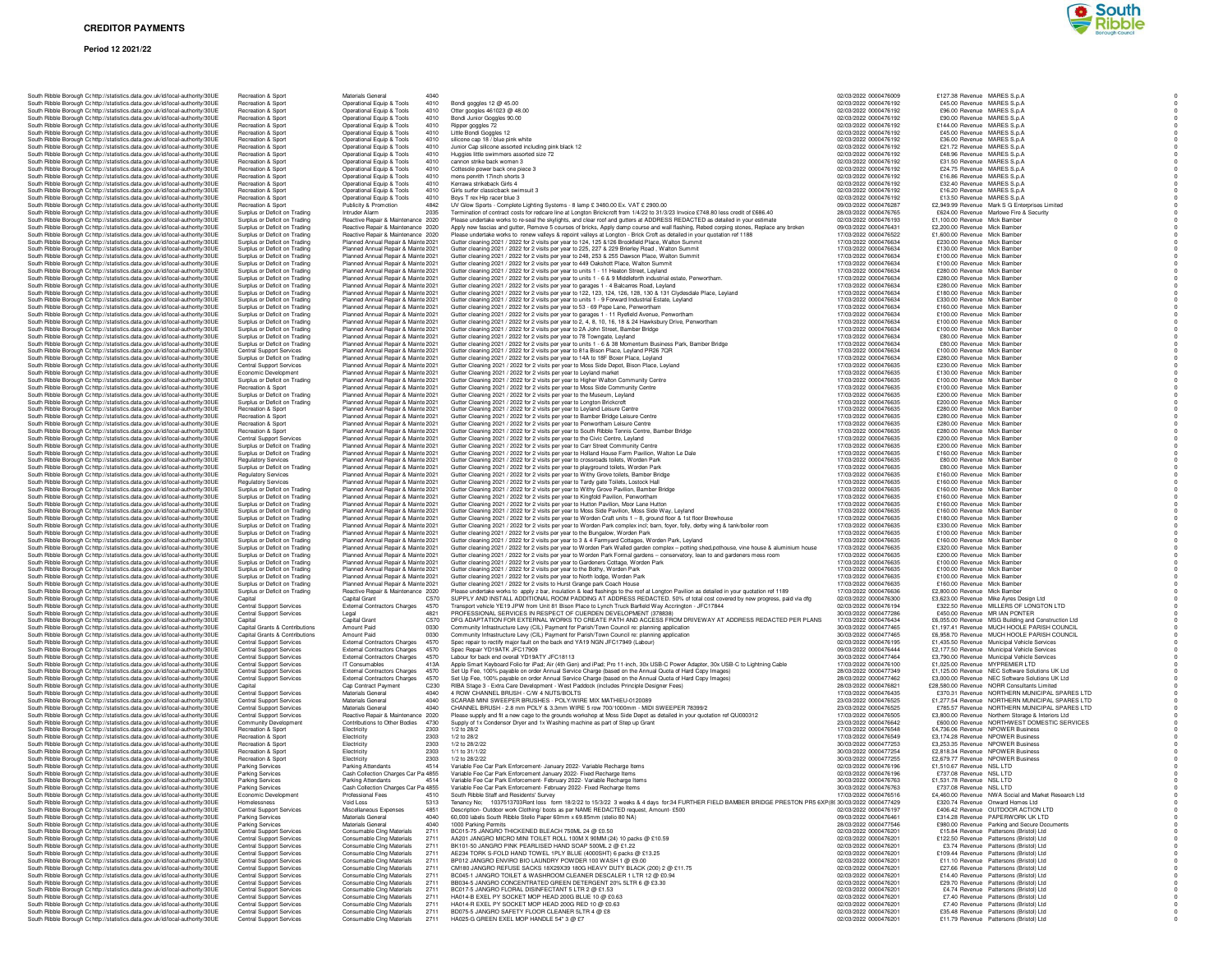### **Period 12 2021/22**



| South Ribble Borough Cc http://statistics.data.gov.uk/id/local-authority/30UE                                                                                  | Recreation & Sport                                                 | Materials General                                                          |                                                                                                                                                                              | 02/03/2022 0000476009                          | £127.38 Revenue MARES S.p.A                                                        |
|----------------------------------------------------------------------------------------------------------------------------------------------------------------|--------------------------------------------------------------------|----------------------------------------------------------------------------|------------------------------------------------------------------------------------------------------------------------------------------------------------------------------|------------------------------------------------|------------------------------------------------------------------------------------|
| South Ribble Borough Cc http://statistics.data.gov.uk/id/local-authority/30UE                                                                                  | Recreation & Sport                                                 | Operational Equip & Tools<br>4010                                          | Bondi goggles 12 @ 45.00                                                                                                                                                     | 02/03/2022 0000476192                          | £45.00 Revenue MARES S.p.A                                                         |
| South Ribble Borough Cc http://statistics.data.gov.uk/id/local-authority/30UE                                                                                  | Recreation & Sport                                                 | Operational Equip & Tools<br>4010                                          | Otter googles 461023 @ 48.00                                                                                                                                                 | 02/03/2022 0000476192                          | £96.00 Revenue MARES S.p.A                                                         |
| South Ribble Borough Cc http://statistics.data.gov.uk/id/local-authority/30UE                                                                                  | Recreation & Sport                                                 | Operational Equip & Tools<br>4010                                          | Bondi Junior Goggles 90.00                                                                                                                                                   | 02/03/2022 0000476192                          | £90.00 Revenue MARES S.p.A                                                         |
| South Ribble Borough Cc http://statistics.data.gov.uk/id/local-authority/30UE                                                                                  | Recreation & Sport                                                 | Operational Equip & Tools<br>4010                                          | Ripper goggles 72                                                                                                                                                            | 02/03/2022 0000476192                          | £144.00 Revenue MARES S.p.A                                                        |
| South Ribble Borough Cc http://statistics.data.gov.uk/id/local-authority/30UE                                                                                  | Recreation & Sport                                                 | Operational Equip & Tools<br>4010                                          | Little Bondi Goggles 12                                                                                                                                                      | 02/03/2022 0000476192                          | £45.00 Revenue MARES S.p.A                                                         |
| South Ribble Borough Cohttp://statistics.data.gov.uk/id/local-authority/30UE                                                                                   | Recreation & Sport                                                 | Operational Equip & Tools<br>4010                                          | silicone cap 18 / blue pink white                                                                                                                                            | 02/03/2022 0000476192                          | £36.00 Revenue MARES S.p.A                                                         |
| South Ribble Borough Cc http://statistics.data.gov.uk/id/local-authority/30UE                                                                                  | Recreation & Sport                                                 | Operational Equip & Tools<br>4010                                          | Junior Cap silicone assorted including pink black 12                                                                                                                         | 02/03/2022 0000476192                          | £21.72 Revenue MARES S.p.A                                                         |
| South Ribble Borough Cc http://statistics.data.gov.uk/id/local-authority/30UE                                                                                  | Recreation & Sport                                                 | Operational Equip & Tools<br>4010                                          | Huggies little swimmers assorted size 72                                                                                                                                     | 02/03/2022 0000476192                          | £48.96 Revenue MARES S.p.A                                                         |
| South Ribble Borough Cc http://statistics.data.gov.uk/id/local-authority/30UE                                                                                  | Recreation & Sport                                                 | Operational Equip & Tools<br>4010                                          | cannon strike back women 3                                                                                                                                                   | 02/03/2022 0000476192                          | £31.50 Revenue MARES S.p.A                                                         |
| South Ribble Borough Cc http://statistics.data.gov.uk/id/local-authority/30UE                                                                                  | Recreation & Sport                                                 | Operational Equip & Tools<br>4010                                          | Cottesole power back one piece 3                                                                                                                                             | 02/03/2022 0000476192                          | £24.75 Revenue MARES S.p.A                                                         |
| South Ribble Borough Cc http://statistics.data.gov.uk/id/local-authority/30UE                                                                                  | <b>Recreation &amp; Sport</b>                                      | Operational Equip & Tools<br>4010                                          | mens penrith 17inch shorts 3                                                                                                                                                 | 02/03/2022 0000476192                          | £16.86 Revenue MARES S.p.A                                                         |
| South Ribble Borough Cc http://statistics.data.gov.uk/id/local-authority/30UE                                                                                  | Recreation & Sport                                                 | Operational Equip & Tools<br>4010                                          | Kerrawa strikeback Girls 4                                                                                                                                                   | 02/03/2022 0000476192                          | £32.40 Revenue MARES S.p.A                                                         |
| South Ribble Borough Cc http://statistics.data.gov.uk/id/local-authority/30UE                                                                                  | Recreation & Sport                                                 | Operational Equip & Tools<br>4010                                          | Girls surfer classicback swimsuit 3                                                                                                                                          | 02/03/2022 0000476192                          | £16.20 Revenue MARES S.p.A                                                         |
| South Ribble Borough Cc http://statistics.data.gov.uk/id/local-authority/30UE                                                                                  | Recreation & Sport                                                 | Operational Equip & Tools<br>4010                                          | Boys T rex Hip racer blue 3                                                                                                                                                  | 02/03/2022 0000476192                          | £13.50 Revenue MARES S.p.A                                                         |
| South Ribble Borough Cc http://statistics.data.gov.uk/id/local-authority/30UE                                                                                  | Recreation & Sport                                                 | Publicity & Promotion<br>4842                                              | UV Glow Sports - Complete Lighting Systems - 8 lamp £ 3480.00 Ex. VAT £ 2900.00                                                                                              | 09/03/2022 0000476287                          | £2,949.99 Revenue Mark S G Enterprises Limited                                     |
| South Ribble Borough Cc http://statistics.data.gov.uk/id/local-authority/30UE                                                                                  | Surplus or Deficit on Trading                                      | Intruder Alarm<br>2035                                                     | Termination of contract costs for redcare line at Longton Brickcroft from 1/4/22 to 31/3/23 Invoice £748.80 less credit of £686.40                                           | 28/03/2022 0000476765                          | £624.00 Revenue Marlowe Fire & Security                                            |
| South Ribble Borough Cc http://statistics.data.gov.uk/id/local-authority/30UE                                                                                  | Surplus or Deficit on Trading                                      | Reactive Repair & Maintenance 2020                                         | Please undertake works to re-seal the skylights, and clear roof and gutters at ADDRESS REDACTED as detailed in your estimate                                                 | 02/03/2022 0000476193                          | £1,100.00 Revenue Mick Bamber                                                      |
| South Ribble Borough Cc http://statistics.data.gov.uk/id/local-authority/30UE                                                                                  | Surplus or Deficit on Trading                                      | Reactive Repair & Maintenance 2020                                         | Apply new fascias and gutter, Remove 5 courses of bricks, Apply damp course and wall flashing, Rebed corping stones, Replace any broken                                      | 09/03/2022 0000476431                          | £2,200.00 Revenue Mick Bamber                                                      |
| South Ribble Borough Cc http://statistics.data.gov.uk/id/local-authority/30UE                                                                                  | Surplus or Deficit on Trading                                      | Reactive Repair & Maintenance 2020                                         | Please undertake works to renew valleys & repoint valleys at Longton - Brick Croft as detailed in your quotation ref 1188                                                    | 17/03/2022 0000476522                          | £1,600.00 Revenue Mick Bamber                                                      |
| South Ribble Borough Cc http://statistics.data.gov.uk/id/local-authority/30UE                                                                                  | Surplus or Deficit on Trading                                      | Planned Annual Repair & Mainte 2021                                        | Gutter cleaning 2021 / 2022 for 2 visits per year to 124, 125 & 126 Brookfield Place, Walton Summit                                                                          | 17/03/2022 0000476634                          | £230.00 Revenue Mick Bamber                                                        |
|                                                                                                                                                                | Surplus or Deficit on Trading                                      | Planned Annual Repair & Mainte 2021                                        | Gutter cleaning 2021 / 2022 for 2 visits per year to 225, 227 & 229 Brierley Road, Walton Summit                                                                             | 17/03/2022 0000476634                          | £130.00 Revenue Mick Bamber                                                        |
| South Ribble Borough Cc http://statistics.data.gov.uk/id/local-authority/30UE<br>South Ribble Borough Cc http://statistics.data.gov.uk/id/local-authority/30UE | Surplus or Deficit on Trading                                      |                                                                            | Gutter cleaning 2021 / 2022 for 2 visits per year to 248, 253 & 255 Dawson Place, Walton Summit                                                                              | 17/03/2022 0000476634                          | £100.00 Revenue Mick Bamber                                                        |
|                                                                                                                                                                | Surplus or Deficit on Trading                                      | Planned Annual Repair & Mainte 2021                                        |                                                                                                                                                                              | 17/03/2022 0000476634                          | £100.00 Revenue Mick Bamber                                                        |
| South Ribble Borough C: http://statistics.data.gov.uk/id/local-authority/30UE                                                                                  | Surplus or Deficit on Trading                                      | Planned Annual Repair & Mainte 2021<br>Planned Annual Repair & Mainte 2021 | Gutter cleaning 2021 / 2022 for 2 visits per year to 449 Oakshott Place, Walton Summit                                                                                       | 17/03/2022 0000476634                          | £280.00 Revenue Mick Bamber                                                        |
| South Ribble Borough Cc http://statistics.data.gov.uk/id/local-authority/30UE                                                                                  |                                                                    |                                                                            | Gutter cleaning 2021 / 2022 for 2 visits per year to units 1 - 11 Heaton Street, Leyland                                                                                     |                                                |                                                                                    |
| South Ribble Borough Cc http://statistics.data.gov.uk/id/local-authority/30UE<br>South Ribble Borough Cc http://statistics.data.gov.uk/id/local-authority/30UE | Surplus or Deficit on Trading                                      | Planned Annual Repair & Mainte 2021                                        | Gutter cleaning 2021 / 2022 for 2 visits per year to units 1 - 6 & 9 Middleforth industrial estate, Penwortham.                                                              | 17/03/2022 0000476634                          | £280.00 Revenue Mick Bamber                                                        |
|                                                                                                                                                                | Surplus or Deficit on Trading                                      | Planned Annual Repair & Mainte 2021                                        | Gutter cleaning 2021 / 2022 for 2 visits per year to garages 1 - 4 Balcarres Road, Leyland                                                                                   | 17/03/2022 0000476634<br>17/03/2022 0000476634 | £280.00 Revenue Mick Bamber                                                        |
| South Ribble Borough Cc http://statistics.data.gov.uk/id/local-authority/30UE                                                                                  | Surplus or Deficit on Trading                                      | Planned Annual Repair & Mainte 2021                                        | Gutter cleaning 2021 / 2022 for 2 visits per year to 122, 123, 124, 126, 128, 130 & 131 Clydesdale Place, Leyland                                                            |                                                | £180.00 Revenue Mick Bamber                                                        |
| South Ribble Borough Ct http://statistics.data.gov.uk/id/local-authority/30UE                                                                                  | Surplus or Deficit on Trading                                      | Planned Annual Repair & Mainte 2021                                        | Gutter cleaning 2021 / 2022 for 2 visits per year to units 1 - 9 Forward Industrial Estate, Leyland                                                                          | 17/03/2022 0000476634                          | £330.00 Revenue Mick Bamber                                                        |
| South Ribble Borough Cc http://statistics.data.gov.uk/id/local-authority/30UE                                                                                  | Surplus or Deficit on Trading                                      | Planned Annual Repair & Mainte 2021                                        | Gutter cleaning 2021 / 2022 for 2 visits per year to 53 - 69 Pope Lane, Penwortham                                                                                           | 17/03/2022 0000476634                          | £160.00 Revenue Mick Bamber                                                        |
| South Ribble Borough Cc http://statistics.data.gov.uk/id/local-authority/30UE                                                                                  | Surplus or Deficit on Trading                                      | Planned Annual Repair & Mainte 2021                                        | Gutter cleaning 2021 / 2022 for 2 visits per year to garages 1 - 11 Ryefield Avenue, Penwortham                                                                              | 17/03/2022 0000476634                          | £100.00 Revenue Mick Bamber                                                        |
| South Ribble Borough Cc http://statistics.data.gov.uk/id/local-authority/30UE                                                                                  | Surplus or Deficit on Trading                                      | Planned Annual Repair & Mainte 2021                                        | Gutter cleaning 2021 / 2022 for 2 visits per year to 2, 4, 8, 10, 16, 18 & 24 Hawksbury Drive, Penwortham                                                                    | 17/03/2022 0000476634                          | £100.00 Revenue Mick Bamber                                                        |
| South Ribble Borough Cc http://statistics.data.gov.uk/id/local-authority/30UE                                                                                  | Surplus or Deficit on Trading                                      | Planned Annual Repair & Mainte 2021                                        | Gutter cleaning 2021 / 2022 for 2 visits per year to 2A John Street, Bamber Bridge                                                                                           | 17/03/2022 0000476634                          | £100.00 Revenue Mick Bamber                                                        |
| South Ribble Borough Cc http://statistics.data.gov.uk/id/local-authority/30UE                                                                                  | Surplus or Deficit on Trading                                      | Planned Annual Repair & Mainte 2021                                        | Gutter cleaning 2021 / 2022 for 2 visits per year to 78 Towngate, Leyland                                                                                                    | 17/03/2022 0000476634                          | £80.00 Revenue Mick Bamber                                                         |
| South Ribble Borough Cc http://statistics.data.gov.uk/id/local-authority/30UE                                                                                  | Surplus or Deficit on Trading                                      | Planned Annual Repair & Mainte 2021                                        | Gutter cleaning 2021 / 2022 for 2 visits per year to units 1 - 6 & 38 Momentum Business Park, Bamber Bridge                                                                  | 17/03/2022 0000476634                          | £80.00 Revenue Mick Bamber                                                         |
| South Ribble Borough Cc http://statistics.data.gov.uk/id/local-authority/30UE                                                                                  | Central Support Services                                           | Planned Annual Repair & Mainte 2021                                        | Gutter cleaning 2021 / 2022 for 2 visits per year to 81a Bison Place, Leyland PR26 7QR                                                                                       | 17/03/2022 0000476634                          | £100.00 Revenue Mick Bamber                                                        |
| South Ribble Borough Cc http://statistics.data.gov.uk/id/local-authority/30UE                                                                                  | Surplus or Deficit on Trading                                      | Planned Annual Repair & Mainte 2021                                        | Gutter cleaning 2021 / 2022 for 2 visits per year to 14A to 18F Boxer Place, Leyland                                                                                         | 17/03/2022 0000476634                          | £280.00 Revenue Mick Bamber                                                        |
| South Ribble Borough Ct http://statistics.data.gov.uk/id/local-authority/30UE                                                                                  | Central Support Services                                           | Planned Annual Repair & Mainte 2021                                        | Gutter Cleaning 2021 / 2022 for 2 visits per year to Moss Side Depot, Bison Place, Leyland                                                                                   | 17/03/2022 0000476635                          | £230.00 Revenue Mick Bamber                                                        |
| South Ribble Borough Cc http://statistics.data.gov.uk/id/local-authority/30UE                                                                                  | Economic Development                                               | Planned Annual Repair & Mainte 2021                                        | Gutter Cleaning 2021 / 2022 for 2 visits per year to Leyland market                                                                                                          | 17/03/2022 0000476635                          | £130.00 Revenue Mick Bamber                                                        |
| South Ribble Borough Cc http://statistics.data.gov.uk/id/local-authority/30UE                                                                                  | Surplus or Deficit on Trading                                      | Planned Annual Repair & Mainte 2021                                        | Gutter Cleaning 2021 / 2022 for 2 visits per year to Higher Walton Community Centre                                                                                          | 17/03/2022 0000476635                          | £100.00 Revenue Mick Bamber                                                        |
| South Ribble Borough Cc http://statistics.data.gov.uk/id/local-authority/30UE                                                                                  | Recreation & Sport                                                 | Planned Annual Repair & Mainte 2021                                        | Gutter Cleaning 2021 / 2022 for 2 visits per year to Moss Side Community Centre                                                                                              | 17/03/2022 0000476635                          | £100.00 Revenue Mick Bamber                                                        |
| South Ribble Borough Cc http://statistics.data.gov.uk/id/local-authority/30UE                                                                                  | Surplus or Deficit on Trading                                      | Planned Annual Repair & Mainte 2021                                        | Gutter Cleaning 2021 / 2022 for 2 visits per year to the Museum, Leyland                                                                                                     | 17/03/2022 0000476635                          | £200.00 Revenue Mick Bamber                                                        |
| South Ribble Borough Cc http://statistics.data.gov.uk/id/local-authority/30UE                                                                                  | Surplus or Deficit on Trading                                      | Planned Annual Repair & Mainte 2021                                        | Gutter Cleaning 2021 / 2022 for 2 visits per year to Longton Brickcroft                                                                                                      | 17/03/2022 0000476635                          | £200.00 Revenue Mick Bamber                                                        |
| South Ribble Borough Cc http://statistics.data.gov.uk/id/local-authority/30UE                                                                                  | Recreation & Sport                                                 | Planned Annual Repair & Mainte 2021                                        | Gutter Cleaning 2021 / 2022 for 2 visits per year to Leyland Leisure Centre                                                                                                  | 17/03/2022 0000476635                          | £280.00 Revenue Mick Bamber                                                        |
| South Ribble Borough Cc http://statistics.data.gov.uk/id/local-authority/30UE                                                                                  | Recreation & Sport                                                 | Planned Annual Repair & Mainte 2021                                        | Gutter Cleaning 2021 / 2022 for 2 visits per year to Bamber Bridge Leisure Centre                                                                                            | 17/03/2022 0000476635                          | £280.00 Revenue Mick Bamber                                                        |
| South Ribble Borough Cc http://statistics.data.gov.uk/id/local-authority/30UE                                                                                  | <b>Becreation &amp; Sport</b>                                      | Planned Annual Repair & Mainte 2021                                        | Gutter Cleaning 2021 / 2022 for 2 visits per year to Penwortham Leisure Centre                                                                                               | 17/03/2022 0000476635                          | £280.00 Revenue Mick Bamber                                                        |
| South Ribble Borough Cc http://statistics.data.gov.uk/id/local-authority/30UE                                                                                  | Recreation & Sport                                                 | Planned Annual Repair & Mainte 2021                                        | Gutter Cleaning 2021 / 2022 for 2 visits per year to South Ribble Tennis Centre, Bamber Bridge                                                                               | 17/03/2022 0000476635                          | £280.00 Revenue Mick Bamber                                                        |
| South Ribble Borough Cc http://statistics.data.gov.uk/id/local-authority/30UE                                                                                  | <b>Central Support Services</b>                                    | Planned Annual Repair & Mainte 2021                                        | Gutter Cleaning 2021 / 2022 for 2 visits per year to the Civic Centre, Leyland                                                                                               | 17/03/2022 0000476635                          | £200.00 Revenue Mick Bamber                                                        |
| South Ribble Borough Cr http://statistics.data.gov.uk/id/local-authority/30UE                                                                                  | Surplus or Deficit on Trading                                      | Planned Annual Repair & Mainte 2021                                        | Gutter Cleaning 2021 / 2022 for 2 visits per year to Carr Street Community Centre                                                                                            | 17/03/2022 0000476635                          | £200.00 Revenue Mick Bamber                                                        |
|                                                                                                                                                                | Surplus or Deficit on Trading                                      | Planned Annual Repair & Mainte 2021                                        | Gutter Cleaning 2021 / 2022 for 2 visits per year to Holland House Farm Pavilion, Walton Le Dale                                                                             | 17/03/2022 0000476635                          | £160.00 Revenue Mick Bamber                                                        |
| South Ribble Borough Cc http://statistics.data.gov.uk/id/local-authority/30UE                                                                                  |                                                                    |                                                                            |                                                                                                                                                                              |                                                |                                                                                    |
| South Ribble Borough Cc http://statistics.data.gov.uk/id/local-authority/30UE<br>South Ribble Borough Cohttp://statistics.data.gov.uk/id/local-authority/30UE  | <b>Regulatory Services</b>                                         | Planned Annual Repair & Mainte 2021                                        | Gutter Cleaning 2021 / 2022 for 2 visits per year to crossroads toilets, Worden Park<br>Gutter Cleaning 2021 / 2022 for 2 visits per year to playground toilets. Worden Park | 17/03/2022 0000476635<br>17/03/2022 0000476635 | £80.00 Revenue Mick Bamber                                                         |
|                                                                                                                                                                | Surplus or Deficit on Trading                                      | Planned Annual Repair & Mainte 2021                                        |                                                                                                                                                                              |                                                | £80.00 Revenue Mick Bamber                                                         |
| South Ribble Borough Cc http://statistics.data.gov.uk/id/local-authority/30UE                                                                                  | <b>Regulatory Services</b>                                         | Planned Annual Repair & Mainte 2021                                        | Gutter Cleaning 2021 / 2022 for 2 visits per year to Withy Grove toilets, Bamber Bridge                                                                                      | 17/03/2022 0000476635                          | £160.00 Revenue Mick Bamber                                                        |
| South Ribble Borough Cc http://statistics.data.gov.uk/id/local-authority/30UE                                                                                  | <b>Regulatory Services</b>                                         | Planned Annual Repair & Mainte 2021                                        | Gutter Cleaning 2021 / 2022 for 2 visits per year to Tardy gate Toilets, Lostock Hall                                                                                        | 17/03/2022 0000476635                          | £160.00 Revenue Mick Bamber                                                        |
| South Ribble Borough Cc http://statistics.data.gov.uk/id/local-authority/30UE                                                                                  | Surplus or Deficit on Trading                                      | Planned Annual Repair & Mainte 2021                                        | Gutter Cleaning 2021 / 2022 for 2 visits per year to Withy Grove Pavilion, Bamber Bridge                                                                                     | 17/03/2022 0000476635                          | £160.00 Revenue Mick Bamber                                                        |
| South Ribble Borough Cc http://statistics.data.gov.uk/id/local-authority/30UE                                                                                  | Surplus or Deficit on Trading                                      | Planned Annual Repair & Mainte 2021                                        | Gutter Cleaning 2021 / 2022 for 2 visits per year to Kingfold Pavilion, Penwortham                                                                                           | 17/03/2022 0000476635                          | £160.00 Revenue Mick Bamber                                                        |
| South Ribble Borough Cc http://statistics.data.gov.uk/id/local-authority/30UE                                                                                  | Surplus or Deficit on Trading                                      | Planned Annual Repair & Mainte 2021                                        | Gutter Cleaning 2021 / 2022 for 2 visits per year to Hutton Pavilion, Moor Lane Hutton                                                                                       | 17/03/2022 0000476635                          | £160.00 Revenue Mick Bamber                                                        |
| South Ribble Borough Cc http://statistics.data.gov.uk/id/local-authority/30UE                                                                                  | Surplus or Deficit on Trading                                      | Planned Annual Repair & Mainte 2021                                        | Gutter Cleaning 2021 / 2022 for 2 visits per year to Moss Side Pavilion, Moss Side Way, Leyland                                                                              | 17/03/2022 0000476635                          | £160.00 Revenue Mick Bamber                                                        |
| South Ribble Borough Cc http://statistics.data.gov.uk/id/local-authority/30UE                                                                                  | Surplus or Deficit on Trading                                      | Planned Annual Repair & Mainte 2021                                        | Gutter Cleaning 2021 / 2022 for 2 visits per year to Worden Craft units 1 - 8, ground floor & 1st floor Brewhouse                                                            | 17/03/2022 0000476635                          | £180.00 Revenue Mick Bamber                                                        |
| South Ribble Borough Cc http://statistics.data.gov.uk/id/local-authority/30UE                                                                                  | Surplus or Deficit on Trading                                      | Planned Annual Repair & Mainte 2021                                        | Gutter Cleaning 2021 / 2022 for 2 visits per year to Worden Park complex incl; barn, foyer, folly, derby wing & tank/boiler room                                             | 17/03/2022 0000476635                          | £330.00 Revenue Mick Bamber                                                        |
| South Ribble Borough Cohttp://statistics.data.gov.uk/id/local-authority/30UE                                                                                   | Surplus or Deficit on Trading                                      | Planned Annual Repair & Mainte 2021                                        | Gutter cleaning 2021 / 2022 for 2 visits per year to the Bungalow, Worden Park                                                                                               | 17/03/2022 0000476635                          | £100.00 Revenue Mick Bamber                                                        |
| South Ribble Borough Cc http://statistics.data.gov.uk/id/local-authority/30UE                                                                                  | Surplus or Deficit on Trading                                      | Planned Annual Repair & Mainte 2021                                        | Gutter cleaning 2021 / 2022 for 2 visits per year to 3 & 4 Farmyard Cottages, Worden Park, Leyland                                                                           | 17/03/2022 0000476635                          | £160.00 Revenue Mick Bamber                                                        |
| South Ribble Borough Ct http://statistics.data.gov.uk/id/local-authority/30UE                                                                                  | Surplus or Deficit on Trading                                      | Planned Annual Repair & Mainte 2021                                        | Gutter cleaning 2021 / 2022 for 2 visits per year to Worden Park Walled garden complex - potting shed, pothouse, vine house & aluminium house                                | 17/03/2022 0000476635                          | £320.00 Revenue Mick Bamber                                                        |
| South Ribble Borough Cc http://statistics.data.gov.uk/id/local-authority/30UE                                                                                  | Surplus or Deficit on Trading                                      | Planned Annual Repair & Mainte 2021                                        | Gutter cleaning 2021 / 2022 for 2 visits per year to Worden Park Formal gardens - conservatory, lean to and gardeners mess room                                              | 17/03/2022 0000476635                          | £200.00 Revenue Mick Bamber                                                        |
| South Ribble Borough Cc http://statistics.data.gov.uk/id/local-authority/30UE                                                                                  | Surplus or Deficit on Trading                                      | Planned Annual Repair & Mainte 2021                                        | Gutter cleaning 2021 / 2022 for 2 visits per year to Gardeners Cottage, Worden Park                                                                                          | 17/03/2022 0000476635                          | £100.00 Revenue Mick Bamber                                                        |
| South Ribble Borough Cc http://statistics.data.gov.uk/id/local-authority/30UE                                                                                  | Surplus or Deficit on Trading                                      | Planned Annual Repair & Mainte 2021                                        | Gutter cleaning 2021 / 2022 for 2 visits per year to the Bothy, Worden Park                                                                                                  | 17/03/2022 0000476635                          | £100.00 Revenue Mick Bamber                                                        |
| South Ribble Borough Cc http://statistics.data.gov.uk/id/local-authority/30UE                                                                                  | Surplus or Deficit on Trading                                      | Planned Annual Repair & Mainte 2021                                        | Gutter cleaning 2021 / 2022 for 2 visits per year to North lodge, Worden Park                                                                                                | 17/03/2022 0000476635                          | £100.00 Revenue Mick Bamber                                                        |
| South Ribble Borough Cc http://statistics.data.gov.uk/id/local-authority/30UE                                                                                  | Surplus or Deficit on Trading                                      | Planned Annual Repair & Mainte 2021                                        | Gutter cleaning 2021 / 2022 for 2 visits to Hurst Grange park Coach House                                                                                                    | 17/03/2022 0000476635                          | £160.00 Revenue Mick Bamber                                                        |
| South Ribble Borough Cc http://statistics.data.gov.uk/id/local-authority/30UE                                                                                  | Surplus or Deficit on Trading                                      | Reactive Repair & Maintenance 2020                                         | Please undertake works to apply z bar, insulation & lead flashings to the roof at Longton Pavilion as detailed in your quotation ref 1189                                    | 17/03/2022 0000476636                          | £2,800.00 Revenue Mick Bamber                                                      |
| South Ribble Borough Cc http://statistics.data.gov.uk/id/local-authority/30UE                                                                                  | Capital                                                            | Capital Grant<br>C <sub>570</sub>                                          | SUPPLY AND INSTALL ADDITIONAL ROOM PADDING AT ADDRESS REDACTED. 50% of total cost covered by new progress, paid via dfg                                                      | 02/03/2022 0000476300                          | £3,623,00 Revenue Mike Avres Design Ltd                                            |
| South Ribble Borough Ct http://statistics.data.gov.uk/id/local-authority/30UE                                                                                  | <b>Central Support Services</b>                                    | External Contractors Charges<br>4570                                       | Transport vehicle YE19 JPW from Unit 81 Bison Place to Lynch Truck Barfield Way Accrington - JFC17844                                                                        | 02/03/2022 0000476194                          | £322.50 Revenue MILLERS OF LONGTON LTD                                             |
| South Ribble Borough Cc http://statistics.data.gov.uk/id/local-authority/30UE                                                                                  | Central Support Services                                           | 4821<br>Legal                                                              | PROFESSIONAL SERVICES IN RESPECT OF CUERDEN DEVELOPMENT (378838)                                                                                                             | 30/03/2022 0000477286                          | £450.00 Revenue MR IAN PONTER                                                      |
| South Ribble Borough Cc http://statistics.data.gov.uk/id/local-authority/30UE                                                                                  | Capital                                                            | Capital Grant<br>C570                                                      | DFG ADAPTATION FOR EXTERNAL WORKS TO CREATE PATH AND ACCESS FROM DRIVEWAY AT ADDRESS REDACTED PER PLANS                                                                      | 17/03/2022 0000476434                          | £6,055.00 Revenue MSG Building and Construction Ltd                                |
| South Ribble Borough Cc http://statistics.data.gov.uk/id/local-authority/30UE                                                                                  | Capital Grants & Contributions                                     | Amount Paid<br>0030                                                        | Community Infrastructure Levy (CIL) Payment for Parish/Town Council re: planning application                                                                                 | 30/03/2022 0000477465                          | £1,197.41 Revenue MUCH HOOLE PARISH COUNCIL                                        |
| South Ribble Borough Cc http://statistics.data.gov.uk/id/local-authority/30UE                                                                                  | Capital Grants & Contributions                                     | Amount Paid<br>0030                                                        | Community Infrastructure Levy (CIL) Payment for Parish/Town Council re: planning application                                                                                 | 30/03/2022 0000477465                          | £6,958.70 Revenue MUCH HOOLE PARISH COUNCIL                                        |
| South Ribble Borough Cc http://statistics.data.gov.uk/id/local-authority/30UE                                                                                  | Central Support Services                                           | <b>External Contractors Charges</b><br>4570                                | Spec repair to rectify major fault on the back end YA19 NGN JFC17949 (Labour)                                                                                                | 02/03/2022 0000476195                          | £1,435.50 Revenue Municipal Vehicle Services                                       |
| South Ribble Borough Cc http://statistics.data.gov.uk/id/local-authority/30UE                                                                                  | <b>Central Support Services</b>                                    | 4570<br><b>External Contractors Charges</b>                                | Spec Repair YD19ATK JFC17909                                                                                                                                                 | 09/03/2022 0000476444                          | £2,177.50 Revenue Municipal Vehicle Services                                       |
| South Ribble Borough Cc http://statistics.data.gov.uk/id/local-authority/30UE                                                                                  | <b>Central Support Services</b>                                    | External Contractors Charges<br>4570                                       | Labour for back end overall YD19ATY JFC18113                                                                                                                                 | 30/03/2022 0000477464                          | £3,790.00 Revenue Municipal Vehicle Services                                       |
| South Ribble Borough Ct http://statistics.data.gov.uk/id/local-authority/30UE                                                                                  | Central Support Services                                           | 413A<br>IT Consumables                                                     | Apple Smart Keyboard Folio for iPad; Air (4th Gen) and iPad; Pro 11-inch, 30x USB-C Power Adapter, 30x USB-C to Lightning Cable                                              | 17/03/2022 0000476100                          | £1.025.00 Revenue MYPREMIER LTD                                                    |
| South Ribble Borough Cc http://statistics.data.gov.uk/id/local-authority/30UE                                                                                  | Central Support Services                                           | External Contractors Charges<br>4570                                       | Set Up Fee, 100% payable on order Annual Service Charge (based on the Annual Quota of Hard Copy Images)                                                                      | 28/03/2022 0000477349                          | £1,125.00 Revenue NEC Software Solutions UK Ltd                                    |
| South Ribble Borough Cc http://statistics.data.gov.uk/id/local-authority/30UE                                                                                  | Central Support Services                                           | External Contractors Charges<br>4570                                       | Set Up Fee, 100% payable on order Annual Service Charge (based on the Annual Quota of Hard Copy Images)                                                                      | 28/03/2022 0000477462                          | £3,000.00 Revenue NEC Software Solutions UK Ltd                                    |
| South Ribble Borough Cc http://statistics.data.gov.uk/id/local-authority/30UE                                                                                  | Capital                                                            | Cap Contract Payment<br>C <sub>230</sub>                                   | RIBA Stage 3 - Extra Care Development - West Paddock (includes Principle Designer Fees)                                                                                      | 28/03/2022 0000476821                          | £28,580.00 Revenue NORR Consultants Limited                                        |
| South Ribble Borough Cc http://statistics.data.gov.uk/id/local-authority/30UE                                                                                  | <b>Central Support Services</b>                                    | Materials General<br>4040                                                  | 4 ROW CHANNEL BRUSH - C/W 4 NUTS/BOLTS                                                                                                                                       | 17/03/2022 0000476435                          | £370.31 Revenue NORTHERN MUNICIPAL SPARES LTD                                      |
| South Ribble Borough Cc http://statistics.data.gov.uk/id/local-authority/30UE                                                                                  | <b>Central Support Services</b>                                    | 4040<br>Materials General                                                  | SCARAB MINI SWEEPER BRUSHES - POLY/WIRE MIX MATHIEU-0120089                                                                                                                  | 23/03/2022 0000476525                          | £1,277.54 Revenue NORTHERN MUNICIPAL SPARES LTD                                    |
| South Ribble Borough Cc http://statistics.data.gov.uk/id/local-authority/30UE                                                                                  | <b>Central Support Services</b>                                    | 4040<br>Materials General                                                  | CHANNEL BRUSH - 2.8 mm POLY & 3.3mm WIRE 5 row 700/1000mm - MIDI SWEEPER 78399/2                                                                                             | 23/03/2022 0000476525                          | £785.57 Revenue NORTHERN MUNICIPAL SPARES LTD                                      |
| South Ribble Borough Cc http://statistics.data.gov.uk/id/local-authority/30UE                                                                                  | <b>Central Support Services</b>                                    | Reactive Repair & Maintenance 2020                                         | Please supply and fit a new cage to the grounds workshop at Moss Side Depot as detailed in your quotation ref QU000312                                                       | 17/03/2022 0000476505                          | £3,800.00 Revenue Northern Storage & Interiors Ltd                                 |
| South Ribble Borough Cc http://statistics.data.gov.uk/id/local-authority/30UE                                                                                  | Community Development                                              | Contributions to Other Bodies 4730                                         | Supply of 1x Condensor Dryer and 1x Washing machine as part of Step up Grant                                                                                                 | 23/03/2022 0000476642                          | £600.00 Revenue NORTHWEST DOMESTIC SERVICES                                        |
| South Ribble Borough Ct http://statistics.data.gov.uk/id/local-authority/30UE                                                                                  | Recreation & Sport                                                 | 2303<br>Electricity                                                        | 1/2 to 28/2                                                                                                                                                                  | 17/03/2022 0000476548                          | £4,736.06 Revenue NPOWER Business                                                  |
| South Ribble Borough Cc http://statistics.data.gov.uk/id/local-authority/30UE                                                                                  | Recreation & Sport                                                 | Electricity<br>2303                                                        | 1/2 to 28/2                                                                                                                                                                  | 17/03/2022 0000476549                          | £3,174.28 Revenue NPOWER Business                                                  |
| South Ribble Borough Cc http://statistics.data.gov.uk/id/local-authority/30UE                                                                                  | Recreation & Sport                                                 | Electricity<br>2303                                                        | 1/2 to 28/2/22                                                                                                                                                               | 30/03/2022 0000477253                          | £3,253.35 Revenue NPOWER Business                                                  |
| South Ribble Borough Cc http://statistics.data.gov.uk/id/local-authority/30UE                                                                                  | Recreation & Sport                                                 | Electricity<br>2303                                                        | 1/1 to 31/1/22                                                                                                                                                               | 30/03/2022 0000477254                          | £2,818.34 Revenue NPOWER Business                                                  |
| South Ribble Borough Cc http://statistics.data.gov.uk/id/local-authority/30UE                                                                                  | Recreation & Sport                                                 | Electricity<br>2303                                                        | 1/2 to 28/2/22                                                                                                                                                               | 30/03/2022 0000477255                          | £2,679.77 Revenue NPOWER Business                                                  |
| South Ribble Borough Cc http://statistics.data.gov.uk/id/local-authority/30UE                                                                                  | Parking Services                                                   | Parking Attendants<br>4514                                                 | Variable Fee Car Park Enforcement- January 2022- Variable Recharge Items                                                                                                     | 02/03/2022 0000476196                          | £1,510.67 Revenue NSL LTD                                                          |
| South Ribble Borough Cc http://statistics.data.gov.uk/id/local-authority/30UE                                                                                  | Parking Services                                                   | Cash Collection Charges Car Pa 4855                                        | Variable Fee Car Park Enforcement January 2022- Fixed Recharge Items                                                                                                         | 02/03/2022 0000476196                          | £737.08 Revenue NSL LTD                                                            |
|                                                                                                                                                                | <b>Parking Services</b>                                            | Parking Attendants<br>4514                                                 |                                                                                                                                                                              | 30/03/2022 0000476763                          | £1,531.78 Revenue NSL LTD                                                          |
| South Ribble Borough Ct http://statistics.data.gov.uk/id/local-authority/30UE<br>South Ribble Borough Cc http://statistics.data.gov.uk/id/local-authority/30UE | <b>Parking Services</b>                                            |                                                                            | Variable Fee Car Park Enforcement- February 2022- Variable Recharge Items<br>Variable Fee Car Park Enforcement- February 2022- Fixed Recharge Items                          | 30/03/2022 0000476763                          | £737.08 Revenue NSL LTD                                                            |
|                                                                                                                                                                |                                                                    | Cash Collection Charges Car Pa 4855<br>Professional Fees<br>4510           | South Ribble Staff and Residents' Survey                                                                                                                                     | 17/03/2022 0000476516                          | £4,460.00 Revenue NWA Social and Market Research Ltd                               |
| South Ribble Borough Cc http://statistics.data.gov.uk/id/local-authority/30UE                                                                                  | Economic Development<br>Homelessness                               | Void Loss<br>5313                                                          | Tenancy No; 1037513703Rent loss form 18/2/22 to 15/3/22 3 weeks & 4 days for:34 FURTHER FIELD BAMBER BRIDGE PRESTON PR5 6XP(85 30/03/2022 0000477429                         |                                                | £320.74 Revenue Onward Homes Ltd                                                   |
| South Ribble Borough Cc http://statistics.data.gov.uk/id/local-authority/30UE<br>South Ribble Borough Cc http://statistics.data.gov.uk/id/local-authority/30UE |                                                                    | 4851                                                                       |                                                                                                                                                                              | 02/03/2022 0000476197                          |                                                                                    |
|                                                                                                                                                                | <b>Central Support Services</b>                                    | Miscellaneous Expenses<br>4040                                             | Description- Outdoor work Clothing/ boots as per NAME REDACTED request, Amount- £500                                                                                         | 09/03/2022 0000476461                          | £406.42 Revenue OUTDOOR ACTION LTD                                                 |
| South Ribble Borough Cc http://statistics.data.gov.uk/id/local-authority/30UE                                                                                  | <b>Parking Services</b>                                            | Materials General                                                          | 60,000 labels South Ribble Stelio Paper 60mm x 69.85mm (stelio 80 NA)                                                                                                        |                                                | £314.28 Revenue PAPERWORK UK LTD                                                   |
| South Ribble Borough Cc http://statistics.data.gov.uk/id/local-authority/30UE                                                                                  | Parking Services                                                   | Materials General<br>4040                                                  | 1000 Parking Permits                                                                                                                                                         | 28/03/2022 0000477546                          | £980.00 Revenue Parking and Secure Documents                                       |
| South Ribble Borough Cc http://statistics.data.gov.uk/id/local-authority/30UE                                                                                  | <b>Central Support Services</b>                                    | Consumable Cing Materials<br>2711                                          | BC015-75 JANGRO THICKENED BLEACH 750ML 24 @ £0.50                                                                                                                            | 02/03/2022 0000476201                          | £15.84 Revenue Pattersons (Bristol) Ltd                                            |
| South Ribble Borough Cc http://statistics.data.gov.uk/id/local-authority/30UE                                                                                  | <b>Central Support Services</b>                                    | Consumable Cing Materials<br>2711                                          | AA201 JANGRO MICRO MINI TOILET ROLL 100M X 90MM (24) 10 packs @ £10.59                                                                                                       | 02/03/2022 0000476201<br>02/03/2022 0000476201 | £122.50 Revenue Pattersons (Bristol) Ltd                                           |
| South Ribble Borough Cc http://statistics.data.gov.uk/id/local-authority/30UE                                                                                  | Central Support Services                                           | Consumable Cing Materials<br>2711                                          | BK101-50 JANGRO PINK PEARLISED HAND SOAP 500ML 2 @ £1.22                                                                                                                     |                                                | £3.74 Revenue Pattersons (Bristol) Ltd                                             |
| South Ribble Borough Cc http://statistics.data.gov.uk/id/local-authority/30UE                                                                                  | <b>Central Support Services</b>                                    | Consumable Cing Materials<br>2711                                          | AE234 TORK S-FOLD HAND TOWEL 1PLY BLUE (4000SHT) 6 packs @ £13.25                                                                                                            | 02/03/2022 0000476201                          | £109.44 Revenue Pattersons (Bristol) Ltd                                           |
| South Ribble Borough Cc http://statistics.data.gov.uk/id/local-authority/30UE                                                                                  | <b>Central Support Services</b>                                    | Consumable Cing Materials<br>2711                                          | BP012 JANGRO ENVIRO BIO LAUNDRY POWDER 100 WASH 1 @ £9.00                                                                                                                    | 02/03/2022 0000476201                          | £11.10 Revenue Pattersons (Bristol) Ltd                                            |
| South Ribble Borough Cc http://statistics.data.gov.uk/id/local-authority/30UE                                                                                  | <b>Central Support Services</b>                                    | Consumable Cing Materials<br>2711                                          | CM180 JANGRO REFUSE SACKS 18X29X39 180G HEAVY DUTY BLACK (200) 2 @ £11.75                                                                                                    | 02/03/2022 0000476201                          | £27.66 Revenue Pattersons (Bristol) Ltd                                            |
| South Ribble Borough Cc http://statistics.data.gov.uk/id/local-authority/30UE                                                                                  | Central Support Services                                           | Consumable Cing Materials<br>2711                                          | BC045-1 JANGRO TOILET & WASHROOM CLEANER DESCALER 1 LTR 12 @ £0.94                                                                                                           | 02/03/2022 0000476201                          | £14.40 Revenue Pattersons (Bristol) Ltd                                            |
| South Ribble Borough Cc http://statistics.data.gov.uk/id/local-authority/30UE                                                                                  | Central Support Services                                           | Consumable Cing Materials<br>2711                                          | BB034-5 JANGRO CONCENTRATED GREEN DETERGENT 20% 5LTR 6 @ £3.30                                                                                                               | 02/03/2022 0000476201                          | £29.70 Revenue Pattersons (Bristol) Ltd                                            |
| South Ribble Borough Cc http://statistics.data.gov.uk/id/local-authority/30UE                                                                                  | <b>Central Support Services</b>                                    | Consumable Cing Materials<br>2711                                          | BC017-5 JANGRO FLORAL DISINFECTANT 5 LTR 2 @ £1.53                                                                                                                           | 02/03/2022 0000476201                          | £4.74 Revenue Pattersons (Bristol) Ltd                                             |
| South Ribble Borough Cc http://statistics.data.gov.uk/id/local-authority/30UE                                                                                  | <b>Central Support Services</b>                                    | Consumable Cing Materials<br>2711                                          | HA014-B EXEL PY SOCKET MOP HEAD 200G BLUE 10 @ £0.63                                                                                                                         | 02/03/2022 0000476201                          | £7.40 Revenue Pattersons (Bristol) Ltd                                             |
| South Ribble Borough Cc http://statistics.data.gov.uk/id/local-authority/30UE                                                                                  | <b>Central Support Services</b>                                    | Consumable Cing Materials<br>2711                                          | HA014-R EXEL PY SOCKET MOP HEAD 200G RED 10 @ £0.63                                                                                                                          | 02/03/2022 0000476201                          | £7.40 Revenue Pattersons (Bristol) Ltd                                             |
|                                                                                                                                                                |                                                                    |                                                                            |                                                                                                                                                                              |                                                |                                                                                    |
| South Ribble Borough Cohttp://statistics.data.gov.uk/id/local-authority/30UE<br>South Ribble Borough Cc http://statistics.data.gov.uk/id/local-authority/30UE  | <b>Central Support Services</b><br><b>Central Support Services</b> | Consumable Cing Materials<br>2711<br>Consumable Cing Materials<br>2711     | BD075-5 JANGRO SAFETY FLOOR CLEANER 5LTR 4 @ £8<br>HA025-G GREEN EXEL MOP HANDLE 54" 3 @ £7                                                                                  | 02/03/2022 0000476201<br>02/03/2022 0000476201 | £35.48 Revenue Pattersons (Bristol) Ltd<br>£11.79 Revenue Pattersons (Bristol) Ltd |

|                                                                                                                                                                                   | 02/03/2022 0000476009                          | £127.38 Revenue MARES S.p.A                                            |                                                                                                                  |                            |
|-----------------------------------------------------------------------------------------------------------------------------------------------------------------------------------|------------------------------------------------|------------------------------------------------------------------------|------------------------------------------------------------------------------------------------------------------|----------------------------|
|                                                                                                                                                                                   | 02/03/2022 0000476192<br>02/03/2022 0000476192 | £45.00 Revenue MARES S.p.A<br>£96.00 Revenue MARES S.p.A               | $\circ$                                                                                                          | $\mathbf 0$                |
|                                                                                                                                                                                   | 02/03/2022 0000476192                          | £90.00 Revenue MARES S.p.A                                             |                                                                                                                  | $\mathbf 0$                |
|                                                                                                                                                                                   | 02/03/2022 0000476192                          | £144.00 Revenue MARES S.p.A                                            |                                                                                                                  | $\pmb{0}$                  |
|                                                                                                                                                                                   | 02/03/2022 0000476192<br>02/03/2022 0000476192 | £45.00 Revenue MARES S.p.A<br>£36.00 Bevenue MARES S.p.A.              | $\pmb{0}$<br>$^{\circ}$                                                                                          |                            |
| $\langle 12$                                                                                                                                                                      | 02/03/2022 0000476192                          | £21.72 Revenue MARES S.p.A                                             | $^{\circ}$                                                                                                       |                            |
|                                                                                                                                                                                   | 02/03/2022 0000476192                          | £48.96 Revenue MARES S.p.A                                             |                                                                                                                  | $^{\circ}$                 |
|                                                                                                                                                                                   | 02/03/2022 0000476192<br>02/03/2022 0000476192 | £31.50 Revenue MARES S.p.A<br>£24.75 Revenue MARES S.p.A               | $\circ$<br>$\circ$                                                                                               |                            |
|                                                                                                                                                                                   | 02/03/2022 0000476192                          | £16.86 Revenue MARES S.p.A                                             |                                                                                                                  | $\mathbf 0$                |
|                                                                                                                                                                                   | 02/03/2022 0000476192                          | £32.40 Revenue MARES S.p.A                                             |                                                                                                                  | $\mathbf 0$                |
|                                                                                                                                                                                   | 02/03/2022 0000476192                          | £16.20 Revenue MARES S.p.A                                             |                                                                                                                  | $\mathbf 0$                |
| 8 lamp £ 3480.00 Ex. VAT £ 2900.00                                                                                                                                                | 02/03/2022 0000476192<br>09/03/2022 0000476287 | £13.50 Revenue MARES S.p.A                                             | $\circ$<br>£2,949.99 Revenue Mark S G Enterprises Limited<br>$^{\circ}$                                          |                            |
| Longton Brickcroft from 1/4/22 to 31/3/23 Invoice £748.80 less credit of £686.40                                                                                                  | 28/03/2022 0000476765                          |                                                                        | £624.00 Revenue Marlowe Fire & Security<br>$^{\circ}$                                                            |                            |
| and clear roof and gutters at ADDRESS REDACTED as detailed in your estimate                                                                                                       | 02/03/2022 0000476193                          | £1,100.00 Revenue Mick Bamber                                          |                                                                                                                  | $\mathbf 0$                |
| s of bricks, Apply damp course and wall flashing, Rebed corping stones, Replace any broken                                                                                        | 09/03/2022 0000476431                          | £2,200.00 Revenue Mick Bamber                                          | $\circ$                                                                                                          |                            |
| vint valleys at Longton - Brick Croft as detailed in your quotation ref 1188<br>to 124, 125 &126 Brookfield Place, Walton Summit                                                  | 17/03/2022 0000476522<br>17/03/2022 0000476634 | £1,600.00 Revenue Mick Bamber<br>£230.00 Revenue Mick Bamber           |                                                                                                                  | $\mathbf 0$<br>$\mathbf 0$ |
| to 225, 227 & 229 Brierley Road, Walton Summit                                                                                                                                    | 17/03/2022 0000476634                          | £130.00 Revenue Mick Bamber                                            |                                                                                                                  | $\mathbf 0$                |
| to 248, 253 & 255 Dawson Place, Walton Summit                                                                                                                                     | 17/03/2022 0000476634                          | £100.00 Revenue Mick Bamber                                            |                                                                                                                  | $\mathbf 0$                |
| to 449 Oakshott Place, Walton Summit<br>to units 1 - 11 Heaton Street, Levland                                                                                                    | 17/03/2022 0000476634<br>17/03/2022 0000476634 | £100.00 Bevenue Mick Bamber<br>£280.00 Bevenue Mick Bamber             | $^{\circ}$                                                                                                       | $^{\circ}$                 |
| to units 1 - 6 & 9 Middleforth industrial estate, Penwortham.                                                                                                                     | 17/03/2022 0000476634                          | £280.00 Revenue Mick Bamber                                            | $\circ$                                                                                                          |                            |
| to garages 1 - 4 Balcarres Road, Leyland                                                                                                                                          | 17/03/2022 0000476634                          | £280.00 Revenue Mick Bamber                                            |                                                                                                                  | $\mathbf 0$                |
| to 122, 123, 124, 126, 128, 130 & 131 Clydesdale Place, Leyland                                                                                                                   | 17/03/2022 0000476634<br>17/03/2022 0000476634 | £180.00 Revenue Mick Bamber                                            |                                                                                                                  | $\mathbf 0$                |
| to units 1 - 9 Forward Industrial Estate, Leyland<br>to 53 - 69 Pope Lane, Penwortham                                                                                             | 17/03/2022 0000476634                          | £330.00 Revenue Mick Bamber<br>£160.00 Revenue Mick Bamber             |                                                                                                                  | $\mathbf 0$<br>$\mathbf 0$ |
| to garages 1 - 11 Ryefield Avenue, Penwortham                                                                                                                                     | 17/03/2022 0000476634                          | £100.00 Revenue Mick Bamber                                            |                                                                                                                  | $\mathbf 0$                |
| to 2, 4, 8, 10, 16, 18 & 24 Hawksbury Drive, Penwortham                                                                                                                           | 17/03/2022 0000476634                          | £100.00 Revenue Mick Bamber                                            |                                                                                                                  | $^{\circ}$                 |
| to 2A John Street, Bamber Bridge<br>to 78 Towngate, Leyland                                                                                                                       | 17/03/2022 0000476634<br>17/03/2022 0000476634 | £100.00 Revenue Mick Bamber<br>£80.00 Revenue Mick Bamber              | $^{\circ}$                                                                                                       | $^{\circ}$                 |
| to units 1 - 6 & 38 Momentum Business Park, Bamber Bridge                                                                                                                         | 17/03/2022 0000476634                          | £80.00 Revenue Mick Bamber                                             | $\circ$                                                                                                          |                            |
| to 81a Bison Place, Leyland PR26 7QR                                                                                                                                              | 17/03/2022 0000476634                          | £100.00 Revenue Mick Bamber                                            |                                                                                                                  | $\mathbf 0$                |
| to 14A to 18F Boxer Place, Leyland<br>to Moss Side Depot, Bison Place, Leyland                                                                                                    | 17/03/2022 0000476634                          | £280.00 Revenue Mick Bamber                                            |                                                                                                                  | $\mathbf 0$                |
| to Leyland market                                                                                                                                                                 | 17/03/2022 0000476635<br>17/03/2022 0000476635 | £230.00 Revenue Mick Bamber<br>£130.00 Revenue Mick Bamber             |                                                                                                                  | $\mathbf 0$<br>$\mathbf 0$ |
| to Higher Walton Community Centre                                                                                                                                                 | 17/03/2022 0000476635                          | £100.00 Revenue Mick Bamber                                            |                                                                                                                  | $\mathbf 0$                |
| to Moss Side Community Centre                                                                                                                                                     | 17/03/2022 0000476635                          | £100.00 Revenue Mick Bamber                                            |                                                                                                                  | $^{\circ}$                 |
| to the Museum, Leyland<br>to Longton Brickcroft                                                                                                                                   | 17/03/2022 0000476635<br>17/03/2022 0000476635 | £200.00 Bevenue Mick Bamber<br>£200.00 Revenue Mick Bamber             | $^{\circ}$                                                                                                       | $\mathbf 0$                |
| to Leyland Leisure Centre                                                                                                                                                         | 17/03/2022 0000476635                          | £280.00 Revenue Mick Bamber                                            | $\circ$                                                                                                          |                            |
| to Bamber Bridge Leisure Centre                                                                                                                                                   | 17/03/2022 0000476635                          | £280.00 Revenue Mick Bamber                                            |                                                                                                                  | $\mathbf 0$                |
| to Penwortham Leisure Centre                                                                                                                                                      | 17/03/2022 0000476635                          | £280.00 Revenue Mick Bamber                                            |                                                                                                                  | $\mathbf 0$                |
| to South Ribble Tennis Centre, Bamber Bridge<br>to the Civic Centre, Leyland                                                                                                      | 17/03/2022 0000476635<br>17/03/2022 0000476635 | £280.00 Revenue Mick Bamber<br>£200.00 Revenue Mick Bamber             | $^{\circ}$                                                                                                       | $\mathbf 0$                |
| to Carr Street Community Centre                                                                                                                                                   | 17/03/2022 0000476635                          | £200.00 Bevenue Mick Bamber                                            | $^{\circ}$                                                                                                       |                            |
| to Holland House Farm Pavilion, Walton Le Dale                                                                                                                                    | 17/03/2022 0000476635                          | £160.00 Bevenue Mick Bamber                                            |                                                                                                                  | $^{\circ}$                 |
| to crossroads toilets, Worden Park                                                                                                                                                | 17/03/2022 0000476635<br>17/03/2022 0000476635 | £80.00 Revenue Mick Bamber                                             | $\circ$                                                                                                          | $\mathbf 0$                |
| to playground toilets, Worden Park<br>to Withy Grove toilets, Bamber Bridge                                                                                                       | 17/03/2022 0000476635                          | £80.00 Revenue Mick Bamber<br>£160.00 Revenue Mick Bamber              |                                                                                                                  | $\mathbf 0$                |
| to Tardy gate Toilets, Lostock Hall                                                                                                                                               | 17/03/2022 0000476635                          | £160.00 Revenue Mick Bamber                                            |                                                                                                                  | $\mathbf 0$                |
| to Withy Grove Pavilion, Bamber Bridge                                                                                                                                            | 17/03/2022 0000476635                          | £160.00 Revenue Mick Bamber                                            |                                                                                                                  | $\mathbf 0$                |
| to Kingfold Pavilion, Penwortham<br>to Hutton Pavilion, Moor Lane Hutton                                                                                                          | 17/03/2022 0000476635<br>17/03/2022 0000476635 | £160.00 Revenue Mick Bamber<br>£160.00 Bevenue Mick Bamber             | $^{\circ}$<br>$^{\circ}$                                                                                         |                            |
| to Moss Side Pavilion, Moss Side Way, Leyland                                                                                                                                     | 17/03/2022 0000476635                          | £160.00 Bevenue Mick Bamber                                            | $^{\circ}$                                                                                                       |                            |
| to Worden Craft units 1 - 8, ground floor & 1st floor Brewhouse                                                                                                                   | 17/03/2022 0000476635                          | £180.00 Bevenue Mick Bamber                                            |                                                                                                                  | $^{\circ}$                 |
| to Worden Park complex incl; barn, foyer, folly, derby wing & tank/boiler room<br>to the Bungalow, Worden Park                                                                    | 17/03/2022 0000476635<br>17/03/2022 0000476635 | £330.00 Revenue Mick Bamber<br>£100.00 Revenue Mick Bamber             | $\circ$<br>$\circ$                                                                                               |                            |
| to 3 & 4 Farmyard Cottages, Worden Park, Leyland                                                                                                                                  | 17/03/2022 0000476635                          | £160.00 Revenue Mick Bamber                                            | $\circ$                                                                                                          |                            |
| to Worden Park Walled garden complex - potting shed, pothouse, vine house & aluminium house                                                                                       | 17/03/2022 0000476635                          | £320.00 Revenue Mick Bamber                                            |                                                                                                                  | $\mathbf 0$                |
| to Worden Park Formal gardens - conservatory, lean to and gardeners mess room<br>to Gardeners Cottage, Worden Park                                                                | 17/03/2022 0000476635<br>17/03/2022 0000476635 | £200.00 Revenue Mick Bamber<br>£100.00 Revenue Mick Bamber             | $^{\circ}$                                                                                                       | $\mathbf 0$                |
| to the Bothy, Worden Park                                                                                                                                                         | 17/03/2022 0000476635                          | £100.00 Revenue Mick Bamber                                            | $^{\circ}$                                                                                                       |                            |
| to North lodge, Worden Park                                                                                                                                                       | 17/03/2022 0000476635                          | £100.00 Revenue Mick Bamber                                            | $^{\circ}$                                                                                                       |                            |
| Grange park Coach House                                                                                                                                                           | 17/03/2022 0000476635                          | £160.00 Revenue Mick Bamber                                            |                                                                                                                  | $\mathbf 0$                |
| n & lead flashings to the roof at Longton Pavilion as detailed in your quotation ref 1189<br>PADDING AT ADDRESS REDACTED. 50% of total cost covered by new progress, paid via dfg | 17/03/2022 0000476636<br>02/03/2022 0000476300 | £2,800.00 Revenue Mick Bamber                                          | $\circ$<br>£3,623.00 Revenue Mike Ayres Design Ltd                                                               | $\mathbf 0$                |
| Place to Lynch Truck Barfield Way Accrington - JFC17844                                                                                                                           | 02/03/2022 0000476194                          |                                                                        | £322.50 Revenue MILLERS OF LONGTON LTD                                                                           | $\mathbf 0$                |
| CUERDEN DEVELOPMENT (378838)                                                                                                                                                      | 30/03/2022 0000477286                          | £450.00 Revenue MR IAN PONTER                                          | $\mathbf 0$                                                                                                      |                            |
| TO CREATE PATH AND ACCESS FROM DRIVEWAY AT ADDRESS REDACTED PER PLANS                                                                                                             | 17/03/2022 0000476434<br>30/03/2022 0000477465 |                                                                        | £6,055.00 Revenue MSG Building and Construction Ltd<br>£1.197.41 Revenue MUCH HOOLE PARISH COUNCIL<br>$^{\circ}$ | $\mathbf 0$                |
| or Parish/Town Council re: planning application<br>or Parish/Town Council re: planning application                                                                                | 30/03/2022 0000477465                          |                                                                        | £6,958.70 Revenue MUCH HOOLE PARISH COUNCIL<br>$^{\circ}$                                                        |                            |
| I YA19 NGN JFC17949 (Labour)                                                                                                                                                      | 02/03/2022 0000476195                          |                                                                        | £1,435.50 Revenue Municipal Vehicle Services<br>$\circ$                                                          |                            |
|                                                                                                                                                                                   | 09/03/2022 0000476444                          |                                                                        | £2,177.50 Revenue Municipal Vehicle Services                                                                     | $\mathbf 0$                |
| en) and iPad; Pro 11-inch, 30x USB-C Power Adapter, 30x USB-C to Lightning Cable                                                                                                  | 30/03/2022 0000477464<br>17/03/2022 0000476100 | £1,025.00 Revenue MYPREMIER LTD                                        | £3,790.00 Revenue Municipal Vehicle Services                                                                     | $\mathbf 0$<br>$\mathbf 0$ |
| vice Charge (based on the Annual Quota of Hard Copy Images)                                                                                                                       | 28/03/2022 0000477349                          |                                                                        | £1,125.00 Revenue NEC Software Solutions UK Ltd                                                                  | $\mathbf 0$                |
| vice Charge (based on the Annual Quota of Hard Copy Images)                                                                                                                       | 28/03/2022 0000477462                          |                                                                        | £3,000.00 Revenue NEC Software Solutions UK Ltd                                                                  | $\mathbf 0$                |
| Paddock (includes Principle Designer Fees)<br>.TS                                                                                                                                 | 28/03/2022 0000476821<br>17/03/2022 0000476435 |                                                                        | £28,580.00 Revenue NORR Consultants Limited<br>£370.31 Revenue NORTHERN MUNICIPAL SPARES LTD<br>$^{\circ}$       | $^{\circ}$                 |
| WIRE MIX MATHIEU-0120089                                                                                                                                                          | 23/03/2022 0000476525                          |                                                                        | £1,277.54 Revenue NORTHERN MUNICIPAL SPARES LTD                                                                  | $^{\circ}$                 |
| VIRE 5 row 700/1000mm - MIDI SWEEPER 78399/2                                                                                                                                      | 23/03/2022 0000476525                          |                                                                        | £785.57 Revenue NORTHERN MUNICIPAL SPARES LTD<br>$\circ$                                                         |                            |
| workshop at Moss Side Depot as detailed in your quotation ref QU000312                                                                                                            | 17/03/2022 0000476505<br>23/03/2022 0000476642 |                                                                        | £3,800.00 Revenue Northern Storage & Interiors Ltd                                                               | $\mathbf 0$                |
| machine as part of Step up Grant                                                                                                                                                  | 17/03/2022 0000476548                          | £4,736.06 Revenue NPOWER Business                                      | £600.00 Revenue NORTHWEST DOMESTIC SERVICES                                                                      | $\mathbf 0$<br>$\mathbf 0$ |
|                                                                                                                                                                                   | 17/03/2022 0000476549                          | £3,174.28 Revenue NPOWER Business                                      |                                                                                                                  | $\circ$                    |
|                                                                                                                                                                                   | 30/03/2022 0000477253                          | £3,253.35 Revenue NPOWER Business                                      |                                                                                                                  | $\circ$                    |
|                                                                                                                                                                                   | 30/03/2022 0000477254<br>30/03/2022 0000477255 | £2 818.34 Revenue NPOWER Business<br>£2,679,77 Revenue NPOWER Business | $^{\circ}$                                                                                                       | $^{\circ}$                 |
| 22- Variable Recharge Items                                                                                                                                                       | 02/03/2022 0000476196                          | £1,510.67 Revenue NSL LTD                                              |                                                                                                                  | $\circ$                    |
| 22- Fixed Recharge Items                                                                                                                                                          | 02/03/2022 0000476196                          | £737.08 Revenue NSL LTD                                                |                                                                                                                  | $^{\circ}$                 |
| 022- Variable Recharge Items                                                                                                                                                      | 30/03/2022 0000476763                          | £1,531.78 Revenue NSL LTD                                              |                                                                                                                  |                            |
| uzz- rixea necnarge items                                                                                                                                                         | 30/03/2022 00004/6/63<br>17/03/2022 0000476516 | ⊾/3/.∪8 Hevenue                                                        | <b>NSL LID</b><br>£4,460.00 Revenue NWA Social and Market Research Ltd                                           |                            |
| 2/22 to 15/3/22 3 weeks & 4 days for:34 FURTHER FIELD BAMBER BRIDGE PRESTON PR5 6XP(85 30/03/2022 0000477429                                                                      |                                                |                                                                        | £320.74 Revenue Onward Homes Ltd                                                                                 | $\circ$                    |
| r NAME REDACTED request, Amount- £500                                                                                                                                             | 02/03/2022 0000476197                          |                                                                        | £406.42 Revenue OUTDOOR ACTION LTD<br>$\mathbf 0$<br>£314.28 Revenue PAPERWORK UK LTD                            |                            |
| x 69.85mm (stelio 80 NA)                                                                                                                                                          | 09/03/2022 0000476461<br>28/03/2022 0000477546 |                                                                        | £980.00 Revenue Parking and Secure Documents<br>$\mathbf 0$                                                      | $^{\circ}$                 |
| ML 24 @ £0.50                                                                                                                                                                     | 02/03/2022 0000476201                          |                                                                        | £15.84 Revenue Pattersons (Bristol) Ltd                                                                          | $\circ$                    |
| 00M X 90MM (24) 10 packs @ £10.59                                                                                                                                                 | 02/03/2022 0000476201                          |                                                                        | £122.50 Revenue Pattersons (Bristol) Ltd                                                                         | $\circ$                    |
| SOAP 500ML 2 @ £1.22<br>LUE (4000SHT) 6 packs @ £13.25                                                                                                                            | 02/03/2022 0000476201                          |                                                                        | £3.74 Revenue Pattersons (Bristol) Ltd<br>£109.44 Revenue Pattersons (Bristol) Ltd                               | $\mathbf 0$<br>$\circ$     |
| VDER 100 WASH 1 @ £9.00                                                                                                                                                           | 02/03/2022 0000476201<br>02/03/2022 0000476201 |                                                                        | £11.10 Revenue Pattersons (Bristol) Ltd                                                                          | $\circ$                    |
| 180G HEAVY DUTY BLACK (200) 2 @ £11.75                                                                                                                                            | 02/03/2022 0000476201                          |                                                                        | £27.66 Revenue Pattersons (Bristol) Ltd                                                                          | $^{\circ}$                 |
| EANER DESCALER 1 LTR 12 @ £0.94                                                                                                                                                   | 02/03/2022 0000476201                          |                                                                        | £14.40 Revenue Pattersons (Bristol) Ltd                                                                          | $^{\circ}$                 |
| DETERGENT 20% 5LTR 6 @ £3.30<br>LTR 2 @ £1.53                                                                                                                                     | 02/03/2022 0000476201<br>02/03/2022 0000476201 |                                                                        | £29.70 Revenue Pattersons (Bristol) Ltd<br>£4.74 Revenue Pattersons (Bristol) Ltd<br>$\mathbf 0$                 | $^{\circ}$                 |
| 3 BLUE 10 @ £0.63                                                                                                                                                                 | 02/03/2022 0000476201                          |                                                                        | £7.40 Revenue Pattersons (Bristol) Ltd                                                                           | $\mathbf 0$                |
| 3 RED 10 @ £0.63                                                                                                                                                                  | 02/03/2022 0000476201                          |                                                                        | £7.40 Revenue Pattersons (Bristol) Ltd                                                                           | $\mathbf 0$                |
| 15LTR 4 @ £8                                                                                                                                                                      | 02/03/2022 0000476201                          |                                                                        | £35.48 Revenue Pattersons (Bristol) Ltd                                                                          | $\mathbf 0$                |
| @ £7                                                                                                                                                                              | 02/03/2022 0000476201                          |                                                                        | £11.79 Revenue Pattersons (Bristol) Ltd                                                                          | $\mathbf 0$                |

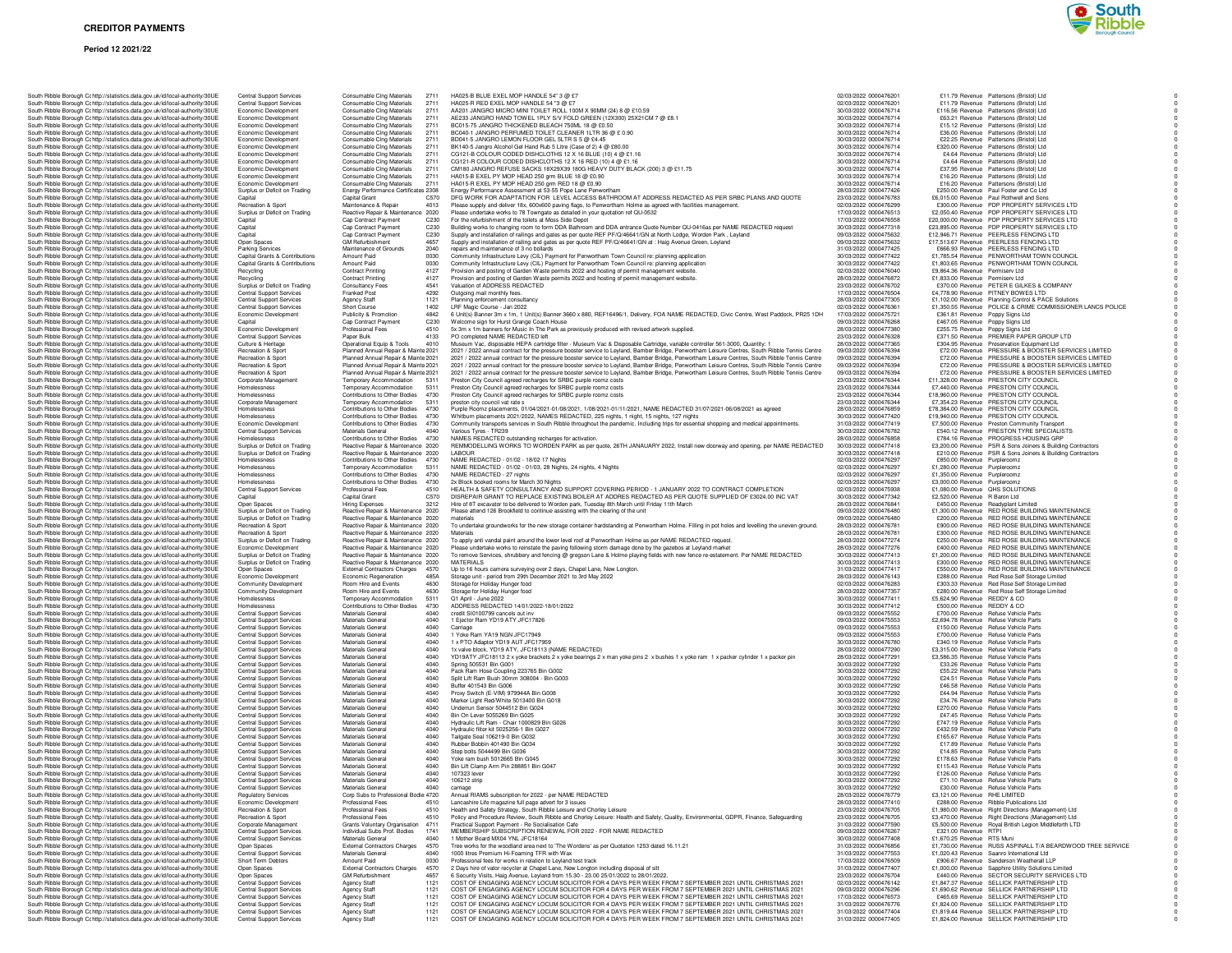

| South Ribble Borough Cc http://statistics.data.gov.uk/id/local-authority/30UE                                                                                  | <b>Central Support Services</b>                                    | Consumable Cing Materials<br>2711                                        | HA025-B BLUE EXEL MOP HANDLE 54" 3 @ £7                                                                                                                                                                          | 02/03/2022 0000476201                          | £11.79 Revenue Pattersons (Bristol) Ltd.                                                                                 |
|----------------------------------------------------------------------------------------------------------------------------------------------------------------|--------------------------------------------------------------------|--------------------------------------------------------------------------|------------------------------------------------------------------------------------------------------------------------------------------------------------------------------------------------------------------|------------------------------------------------|--------------------------------------------------------------------------------------------------------------------------|
| South Ribble Borough Cc http://statistics.data.gov.uk/id/local-authority/30UE                                                                                  | <b>Central Support Services</b>                                    | Consumable Cing Materials<br>2711                                        | HA025-R RED EXEL MOP HANDLE 54 "3 @ £7                                                                                                                                                                           | 02/03/2022 0000476201                          | £11.79 Bevenue Pattersons (Bristol) Ltd.                                                                                 |
| South Ribble Borough Cc http://statistics.data.gov.uk/id/local-authority/30UE                                                                                  | Economic Development                                               | Consumable Cing Materials<br>2711                                        | AA201 JANGRO MICRO MINI TOILET ROLL 100M X 90MM (24) 8 @ £10.59                                                                                                                                                  | 30/03/2022 0000476714                          | £116.56 Revenue Pattersons (Bristol) Ltd                                                                                 |
| South Ribble Borough Cc http://statistics.data.gov.uk/id/local-authority/30UE                                                                                  | Economic Development                                               | Consumable Cing Materials<br>2711                                        | AE233 JANGRO HAND TOWEL 1PLY S/V FOLD GREEN (12X300) 25X21CM 7 @ £8.1                                                                                                                                            | 30/03/2022 0000476714                          | £63.21 Revenue Pattersons (Bristol) Ltd                                                                                  |
| South Ribble Borough Cc http://statistics.data.gov.uk/id/local-authority/30UE                                                                                  | Economic Development                                               | Consumable Cing Materials<br>2711                                        | BC015-75 JANGRO THICKENED BLEACH 750ML 18 @ £0.50                                                                                                                                                                | 30/03/2022 0000476714                          | £15.12 Revenue Pattersons (Bristol) Ltd                                                                                  |
| South Ribble Borough Ct http://statistics.data.gov.uk/id/local-authority/30UE                                                                                  | Economic Development                                               | Consumable Cing Materials<br>2711                                        | BC040-1 JANGRO PERFUMED TOILET CLEANER 1LTR 36 @ £ 0.90                                                                                                                                                          | 30/03/2022 0000476714                          | £36.00 Revenue Pattersons (Bristol) Ltd                                                                                  |
| South Ribble Borough Cc http://statistics.data.gov.uk/id/local-authority/30UE                                                                                  | Economic Development                                               | Consumable Cing Materials<br>2711                                        | BD041-5 JANGRO LEMON FLOOR GEL 5LTR S 5 @ £4.45                                                                                                                                                                  | 30/03/2022 0000476714                          | £22.25 Revenue Pattersons (Bristol) Ltd                                                                                  |
| South Ribble Borough Cc http://statistics.data.gov.uk/id/local-authority/30UE                                                                                  | Economic Development                                               | Consumable Cing Materials<br>2711                                        | BK140-5 Jangro Alcohol Gel Hand Rub 5 Litre (Case of 2) 4 @ £80.00                                                                                                                                               | 30/03/2022 0000476714                          | £320.00 Revenue Pattersons (Bristol) Ltd                                                                                 |
| South Ribble Borough Cc http://statistics.data.gov.uk/id/local-authority/30UE                                                                                  | Economic Development                                               | Consumable Cing Materials<br>2711                                        | CG121-B COLOUR CODED DISHCLOTHS 12 X 16 BLUE (10) 4 @ £1.16                                                                                                                                                      | 30/03/2022 0000476714                          | £4.64 Revenue Pattersons (Bristol) Ltd                                                                                   |
| South Ribble Borough Cc http://statistics.data.gov.uk/id/local-authority/30UE<br>South Ribble Borough Cc http://statistics.data.gov.uk/id/local-authority/30UE | Economic Development<br>Economic Development                       | Consumable Clng Materials<br>2711<br>Consumable Cing Materials<br>2711   | CG121-R COLOUR CODED DISHCLOTHS 12 X 16 RED (10) 4 @ £1.16<br>CM180 JANGRO REFUSE SACKS 18X29X39 180G HEAVY DUTY BLACK (200) 3 @ £11.75                                                                          | 30/03/2022 0000476714<br>30/03/2022 0000476714 | £4.64 Revenue Pattersons (Bristol) Ltd<br>£37.95 Revenue Pattersons (Bristol) Ltd                                        |
|                                                                                                                                                                | Economic Development                                               | 2711                                                                     | HA015-B EXEL PY MOP HEAD 250 grm BLUE 18 @ £0.90                                                                                                                                                                 | 30/03/2022 0000476714                          | £16.20 Revenue Pattersons (Bristol) Ltd                                                                                  |
| South Ribble Borough Cc http://statistics.data.gov.uk/id/local-authority/30UE<br>South Ribble Borough Cc http://statistics.data.gov.uk/id/local-authority/30UE | Economic Development                                               | Consumable Cing Materials<br>Consumable Cing Materials<br>2711           | HA015-R EXEL PY MOP HEAD 250 grm RED 18 @ £0.90                                                                                                                                                                  | 30/03/2022 0000476714                          | £16.20 Revenue Pattersons (Bristol) Ltd                                                                                  |
| South Ribble Borough Cr http://statistics.data.gov.uk/id/local-authority/30UE                                                                                  | Surplus or Deficit on Trading                                      | Energy Performance Certificates 2308                                     | Energy Performance Assessment at 53-55 Pope Lane Penwortham                                                                                                                                                      | 28/03/2022 0000477426                          | £250.00 Revenue Paul Foster and Co Ltd                                                                                   |
| South Ribble Borough Cc http://statistics.data.gov.uk/id/local-authority/30UE                                                                                  | Capital                                                            | Capital Grant<br>C570                                                    | DFG WORK FOR ADAPTATION FOR LEVEL ACCESS BATHROOM AT ADDRESS REDACTED AS PER SRBC PLANS AND QUOTE                                                                                                                | 23/03/2022 0000476783                          | £6,015.00 Revenue Paul Rothwell and Sons                                                                                 |
| South Ribble Borough Cc http://statistics.data.gov.uk/id/local-authority/30UE                                                                                  | Recreation & Sport                                                 | Maintenance & Repair<br>4013                                             | Please supply and deliver 18x, 600x600 paving flags, to Penwortham Holme as agreed with facilities management.                                                                                                   | 02/03/2022 0000476299                          | £300.00 Revenue PDP PROPERTY SERVICES LTD                                                                                |
| South Ribble Borough Cc http://statistics.data.gov.uk/id/local-authority/30UE                                                                                  | Surplus or Deficit on Trading                                      | Reactive Repair & Maintenance 2020                                       | Please undertake works to 78 Towngate as detailed in your quotation ref QU-0532                                                                                                                                  | 17/03/2022 0000476513                          | £2,050.40 Revenue PDP PROPERTY SERVICES LTD                                                                              |
| South Ribble Borough Cc http://statistics.data.gov.uk/id/local-authority/30UE                                                                                  | Capital                                                            | Cap Contract Payment<br>C <sub>230</sub>                                 | For the refurbishment of the toilets at Moss Side Depot                                                                                                                                                          | 17/03/2022 0000476558                          | £20,000.00 Revenue PDP PROPERTY SERVICES LTD                                                                             |
| South Ribble Borough Cc http://statistics.data.gov.uk/id/local-authority/30UE                                                                                  | Capital                                                            | Cap Contract Payment<br>C230                                             | Building works to changing room to form DDA Bathroom and DDA entrance Quote Number QU-0416as per NAME REDACTED request                                                                                           | 30/03/2022 0000477318                          | £23,895.00 Revenue PDP PROPERTY SERVICES LTD                                                                             |
| South Ribble Borough Cc http://statistics.data.gov.uk/id/local-authority/30UE                                                                                  | Capital                                                            | Cap Contract Payment<br>C230<br>4657                                     | Supply and installation of railings and gates as per quote REF PF/Q/46641/GN at North Lodge, Worden Park, Leyland                                                                                                | 09/03/2022 0000475632<br>09/03/2022 0000475632 | £12.946.71 Revenue PEERLESS FENCING LTD                                                                                  |
| South Ribble Borough Cc http://statistics.data.gov.uk/id/local-authority/30UE                                                                                  | Open Spaces<br>Parking Services                                    | <b>GM Refurbishment</b><br>Maintenance of Grounds<br>2040                | Supply and installation of railing and gates as per quote REF PF/Q/46641/GN at : Haig Avenue Green, Leyland<br>repairs and maintenance of 3 no bollards                                                          | 31/03/2022 0000477425                          | £17,513.67 Revenue PEERLESS FENCING LTD<br>£666.93 Revenue PEERLESS FENCING LTD                                          |
| South Ribble Borough Cr http://statistics.data.gov.uk/id/local-authority/30UE<br>South Ribble Borough Cohttp://statistics.data.gov.uk/id/local-authority/30UE  | Capital Grants & Contributions                                     | Amount Paid<br>0030                                                      | Community Infrastructure Levy (CIL) Payment for Penwortham Town Council re: planning application                                                                                                                 | 30/03/2022 0000477422                          | £1,785.54 Revenue PENWORTHAM TOWN COUNCIL                                                                                |
| South Ribble Borough Cc http://statistics.data.gov.uk/id/local-authority/30UE                                                                                  | Capital Grants & Contributions                                     | Amount Paid<br>0030                                                      | Community Infrastructure Levy (CIL) Payment for Penwortham Town Council re: planning application                                                                                                                 | 30/03/2022 0000477422                          | £1,803.65 Revenue PENWORTHAM TOWN COUNCIL                                                                                |
| South Ribble Borough Cc http://statistics.data.gov.uk/id/local-authority/30UE                                                                                  | Recycling                                                          | <b>Contract Printing</b><br>4127                                         | Provision and posting of Garden Waste permits 2022 and hosting of permit management website.                                                                                                                     | 02/03/2022 0000476040                          | £9,864.36 Revenue Permiserv Ltd                                                                                          |
| South Ribble Borough Cc http://statistics.data.gov.uk/id/local-authority/30UE                                                                                  | Recycling                                                          | Contract Printing<br>4127                                                | Provision and posting of Garden Waste permits 2022 and hosting of permit management website.                                                                                                                     | 28/03/2022 0000476872                          | £1,833.00 Revenue Permiserv Ltd                                                                                          |
| South Ribble Borough Cc http://statistics.data.gov.uk/id/local-authority/30UE                                                                                  | Surplus or Deficit on Trading                                      | 4541<br><b>Consultancy Fees</b>                                          | Valuation of ADDRESS REDACTED                                                                                                                                                                                    | 23/03/2022 0000476702                          | £370.00 Revenue PETER E GILKES & COMPANY                                                                                 |
| South Ribble Borough Cc http://statistics.data.gov.uk/id/local-authority/30UE                                                                                  | Central Support Services                                           | Franked Post<br>4292                                                     | Outgoing mail monthly fees.                                                                                                                                                                                      | 17/03/2022 0000476504                          | £4,778.90 Revenue PITNEY BOWES LTD                                                                                       |
| South Ribble Borough Cc http://statistics.data.gov.uk/id/local-authority/30UE                                                                                  | <b>Central Support Services</b>                                    | Agency Staff<br>1121                                                     | Planning enforcement consultancy                                                                                                                                                                                 | 28/03/2022 0000477305                          | £1,102.00 Revenue Planning Control & PACE Solutions                                                                      |
| South Ribble Borough Cr http://statistics.data.gov.uk/id/local-authority/30UE                                                                                  | <b>Central Support Services</b><br>Economic Development            | 1402<br>Short Course<br>Publicity & Promotion<br>4842                    | LRF Magic Course - Jan 2022<br>6 Unit(s) Banner 3m x 1m, 1 Unit(s) Banner 3660 x 880, REF16496/1, Delivery, FOA NAME REDACTED, Civic Centre, West Paddock, PR25 1DH                                              | 02/03/2022 0000476361<br>17/03/2022 0000475721 | £1,350.55 Revenue POLICE & CRIME COMMISSIONER LANCS POLICE<br>£361.81 Revenue Poppy Signs Ltd                            |
| South Ribble Borough Ct http://statistics.data.gov.uk/id/local-authority/30UE<br>South Ribble Borough Cc http://statistics.data.gov.uk/id/local-authority/30UE | Capital                                                            | Cap Contract Payment<br>C230                                             | Welcome sign for Hurst Grange Coach House                                                                                                                                                                        | 09/03/2022 0000476268                          | £467.05 Revenue Poppy Signs Ltd                                                                                          |
| South Ribble Borough Cc http://statistics.data.gov.uk/id/local-authority/30UE                                                                                  | Economic Development                                               | 4510<br>Professional Fees                                                | 5x 3m x 1m banners for Music In The Park as previously produced with revised artwork supplied.                                                                                                                   | 28/03/2022 0000477380                          | £255.75 Revenue Poppy Signs Ltd                                                                                          |
| South Ribble Borough Cc http://statistics.data.gov.uk/id/local-authority/30UE                                                                                  | <b>Central Support Services</b>                                    | 4133<br>Paper Bulk                                                       | PO completed NAME REDACTED left                                                                                                                                                                                  | 23/03/2022 0000476328                          | £371.50 Revenue PREMIER PAPER GROUP LTD                                                                                  |
| South Ribble Borough Cc http://statistics.data.gov.uk/id/local-authority/30UE                                                                                  | Culture & Heritage                                                 | Operational Equip & Tools<br>4010                                        | Museum Vac, disposable HEPA cartridge filter - Museum Vac & Disposable Cartridge, variable controller 561-3000, Quantity: 1                                                                                      | 28/03/2022 0000477365                          | £304.95 Revenue Preservation Equipment Ltd                                                                               |
| South Ribble Borough Cc http://statistics.data.gov.uk/id/local-authority/30UE                                                                                  | Recreation & Sport                                                 | Planned Annual Repair & Mainte 2021                                      | 2021 / 2022 annual contract for the pressure booster service to Leyland, Bamber Bridge, Penwortham Leisure Centres, South Ribble Tennis Centre                                                                   | 09/03/2022 0000476394                          | £72.00 Revenue PRESSURE & BOOSTER SERVICES LIMITED                                                                       |
| South Ribble Borough Cc http://statistics.data.gov.uk/id/local-authority/30UE                                                                                  | Recreation & Sport                                                 | Planned Annual Repair & Mainte 2021                                      | 2021 / 2022 annual contract for the pressure booster service to Leyland, Bamber Bridge, Penwortham Leisure Centres, South Ribble Tennis Centre                                                                   | 09/03/2022 0000476394                          | £72.00 Revenue PRESSURE & BOOSTER SERVICES LIMITED                                                                       |
| South Ribble Borough Cc http://statistics.data.gov.uk/id/local-authority/30UE                                                                                  | Recreation & Sport                                                 | Planned Annual Repair & Mainte 2021                                      | 2021 / 2022 annual contract for the pressure booster service to Leyland, Bamber Bridge, Penwortham Leisure Centres, South Ribble Tennis Centre                                                                   | 09/03/2022 0000476394                          | £72.00 Revenue PRESSURE & BOOSTER SERVICES LIMITED                                                                       |
| South Ribble Borough Cc http://statistics.data.gov.uk/id/local-authority/30UE                                                                                  | Recreation & Sport                                                 | Planned Annual Repair & Mainte 2021                                      | 2021 / 2022 annual contract for the pressure booster service to Leyland, Bamber Bridge, Penwortham Leisure Centres, South Ribble Tennis Centre                                                                   | 09/03/2022 0000476394                          | £72.00 Revenue PRESSURE & BOOSTER SERVICES LIMITED                                                                       |
| South Ribble Borough Cc http://statistics.data.gov.uk/id/local-authority/30UE                                                                                  | Corporate Management                                               | Temporary Accommodation 5311<br>5311                                     | Preston City Council agreed recharges for SRBC purple roomz costs                                                                                                                                                | 23/03/2022 0000476344                          | £11,328.00 Revenue PRESTON CITY COUNCIL<br>£7,440.00 Revenue PRESTON CITY COUNCIL                                        |
| South Ribble Borough Cc http://statistics.data.gov.uk/id/local-authority/30UE<br>South Ribble Borough Cc http://statistics.data.gov.uk/id/local-authority/30UE | Homelessness<br>Homelessness                                       | Temporary Accommodation<br>Contributions to Other Bodies 4730            | Preston City Council agreed recharges for SRBC purple roomz costs<br>Preston City Council agreed recharges for SRBC purple roomz costs                                                                           | 23/03/2022 0000476344<br>23/03/2022 0000476344 | £18,960.00 Revenue PRESTON CITY COUNCIL                                                                                  |
| South Ribble Borough Cc http://statistics.data.gov.uk/id/local-authority/30UE                                                                                  | Corporate Management                                               | Temporary Accommodation<br>5311                                          | preston city council vat rate s                                                                                                                                                                                  | 23/03/2022 0000476344                          | £7,354.23 Revenue PRESTON CITY COUNCIL                                                                                   |
| South Ribble Borough Cc http://statistics.data.gov.uk/id/local-authority/30UE                                                                                  | Homelessness                                                       | Contributions to Other Bodies 4730                                       | Purple Roomz placements, 01/04/2021-01/08/2021, 1/08/2021-01/11/2021, NAME REDACTED 31/07/2021-06/08/2021 as agreed                                                                                              | 28/03/2022 0000476859                          | £78,384.00 Revenue PRESTON CITY COUNCIL                                                                                  |
| South Ribble Borough Cc http://statistics.data.gov.uk/id/local-authority/30UE                                                                                  | Homelessness                                                       | Contributions to Other Bodies 4730                                       | Whitburn placements 2021/2022, NAMES REDACTED, 225 nights, 1 night, 15 nights, 127 nights                                                                                                                        | 30/03/2022 0000477420                          | £19,940.00 Revenue PRESTON CITY COUNCIL                                                                                  |
| South Ribble Borough Cc http://statistics.data.gov.uk/id/local-authority/30UE                                                                                  | Economic Development                                               | Contributions to Other Bodies 4730                                       | Community transports services in South Ribble throughout the pandemic. Including trips for essential shopping and medical appointments.                                                                          | 31/03/2022 0000477419                          | £7,500.00 Revenue Preston Community Transport                                                                            |
| South Ribble Borough C: http://statistics.data.gov.uk/id/local-authority/30UE                                                                                  | <b>Central Support Services</b>                                    | Materials General<br>4040                                                | Various Tyres - TR239                                                                                                                                                                                            | 30/03/2022 0000476782                          | £540.12 Revenue PRESTON TYRE SPECIALISTS                                                                                 |
| South Ribble Borough Cr http://statistics.data.gov.uk/id/local-authority/30UE                                                                                  | Homelessnes:                                                       | Contributions to Other Bodies 4730                                       | NAMES REDACTED outstanding recharges for activation.                                                                                                                                                             | 28/03/2022 0000476858                          | £784.16 Revenue PROGRESS HOUSING GRP                                                                                     |
| South Ribble Borough Cc http://statistics.data.gov.uk/id/local-authority/30UE<br>South Ribble Borough Cc http://statistics.data.gov.uk/id/local-authority/30UE | Surplus or Deficit on Trading<br>Surplus or Deficit on Trading     | Reactive Repair & Maintenance 2020<br>Reactive Repair & Maintenance 2020 | REMMODELLING WORKS TO WORDEN PARK as per quote, 26TH JANAUARY 2022, Install new doorway and opening, per NAME REDACTED<br>LABOUR                                                                                 | 30/03/2022 0000477418<br>30/03/2022 0000477418 | £3,200.00 Revenue PSR & Sons Joiners & Building Contractors<br>£210.00 Revenue PSR & Sons Joiners & Building Contractors |
| South Ribble Borough Cc http://statistics.data.gov.uk/id/local-authority/30UE                                                                                  | Homelessness                                                       | Contributions to Other Bodies 4730                                       | NAME REDACTED - 01/02 - 18/02 17 Nights                                                                                                                                                                          | 02/03/2022 0000476297                          | £850.00 Revenue Purpleroomz                                                                                              |
| South Ribble Borough Cc http://statistics.data.gov.uk/id/local-authority/30UE                                                                                  | Homelessness                                                       | 5311<br>Temporary Accommodation                                          | NAME REDACTED - 01/02 - 01/03, 28 Nights, 24 nights, 4 Nights                                                                                                                                                    | 02/03/2022 0000476297                          | £1,280.00 Revenue Purpleroomz                                                                                            |
| South Ribble Borough Cc http://statistics.data.gov.uk/id/local-authority/30UE                                                                                  | Homelessness                                                       | Contributions to Other Bodies 4730                                       | NAME REDACTED - 27 nights                                                                                                                                                                                        | 02/03/2022 0000476297                          | £1,350.00 Revenue Purpleroomz                                                                                            |
| South Ribble Borough Cc http://statistics.data.gov.uk/id/local-authority/30UE                                                                                  | Homelessness                                                       | Contributions to Other Bodies 4730                                       | 2x Block booked rooms for March 30 Nights                                                                                                                                                                        | 02/03/2022 0000476297                          | £3,000.00 Revenue Purpleroomz                                                                                            |
| South Ribble Borough C: http://statistics.data.gov.uk/id/local-authority/30UE                                                                                  | <b>Central Support Services</b>                                    | 4510<br>Professional Fees                                                | HEALTH & SAFETY CONSULTANCY AND SUPPORT COVERING PERIOD - 1 JANUARY 2022 TO CONTRACT COMPLETION                                                                                                                  | 02/03/2022 0000475938                          | £1,080.00 Revenue   QHS SOLUTIONS                                                                                        |
| South Ribble Borough Ct http://statistics.data.gov.uk/id/local-authority/30UE                                                                                  | Capital                                                            | Capital Grant<br>C570<br>3212                                            | DISREPAIR GRANT TO REPLACE EXISTING BOILER AT ADDRES REDACTED AS PER QUOTE SUPPLIED OF £3024.00 INC VAT<br>Hire of 8T excavator to be delivered to Worden park, Tuesday 8th March until Friday 11th March        | 30/03/2022 0000477342<br>28/03/2022 0000476841 | £2,520.00 Revenue R Baron Ltd                                                                                            |
| South Ribble Borough Cc http://statistics.data.gov.uk/id/local-authority/30UE<br>South Ribble Borough Cc http://statistics.data.gov.uk/id/local-authority/30UE | Open Spaces<br>Surplus or Deficit on Trading                       | Hiring Expenses<br>Reactive Repair & Maintenance 2020                    | Please attend 126 Brookfield to continue assisting with the clearing of the unit                                                                                                                                 | 09/03/2022 0000476480                          | £450.00 Revenue Readyplant Limited<br>£1,300.00 Revenue RED ROSE BUILDING MAINTENANCE                                    |
| South Ribble Borough Cc http://statistics.data.gov.uk/id/local-authority/30UE                                                                                  | Surplus or Deficit on Trading                                      | Reactive Repair & Maintenance 2020                                       | materials                                                                                                                                                                                                        | 09/03/2022 0000476480                          | £200.00 Revenue RED ROSE BUILDING MAINTENANCE                                                                            |
| South Ribble Borough Cr http://statistics.data.gov.uk/id/local-authority/30UE                                                                                  | Recreation & Sport                                                 | Reactive Repair & Maintenance 2020                                       | To undertake groundworks for the new storage container hardstanding at Penwortham Holme. Filling in pot holes and levelling the uneven ground.                                                                   | 28/03/2022 0000476781                          | £900.00 Revenue RED ROSE BUILDING MAINTENANCE                                                                            |
| South Ribble Borough Cc http://statistics.data.gov.uk/id/local-authority/30UE                                                                                  | <b>Becreation &amp; Sport</b>                                      | Reactive Repair & Maintenance 2020                                       | Materials                                                                                                                                                                                                        | 28/03/2022 0000476781                          | £300.00 Revenue RED ROSE BUILDING MAINTENANCE                                                                            |
| South Ribble Borough Cc http://statistics.data.gov.uk/id/local-authority/30UE                                                                                  | Surplus or Deficit on Trading                                      | Reactive Repair & Maintenance 2020                                       | To apply anti vandal paint around the lower level roof at Penwortham Holme as per NAME REDACTED request.                                                                                                         | 28/03/2022 0000477274                          | £250.00 Revenue RED ROSE BUILDING MAINTENANCE                                                                            |
| South Ribble Borough Cc http://statistics.data.gov.uk/id/local-authority/30UE                                                                                  | Economic Development                                               | Reactive Repair & Maintenance 2020                                       | Please undertake works to reinstate the paving following storm damage done by the gazebos at Leyland market                                                                                                      | 28/03/2022 0000477276                          | £400.00 Revenue RED ROSE BUILDING MAINTENANCE                                                                            |
| South Ribble Borough C: http://statistics.data.gov.uk/id/local-authority/30UE<br>South Ribble Borough Cohttp://statistics.data.gov.uk/id/local-authority/30UE  | Surplus or Deficit on Trading<br>Surplus or Deficit on Trading     | Reactive Repair & Maintenance 2020<br>Reactive Repair & Maintenance 2020 | To remove Services, shrubbery and fencing @ gregson Lane & Holme playing fields with new fence re-estatement. Per NAME REDACTED<br>MATERIALS                                                                     | 30/03/2022 0000477413<br>30/03/2022 0000477413 | £1,200.00 Revenue RED ROSE BUILDING MAINTENANCE<br>£300.00 Revenue RED ROSE BUILDING MAINTENANCE                         |
| South Ribble Borough Cc http://statistics.data.gov.uk/id/local-authority/30UE                                                                                  | Open Spaces                                                        | <b>External Contractors Charges</b><br>4570                              | Up to 16 hours camera surveying over 2 days, Chapel Lane, New Longton.                                                                                                                                           | 31/03/2022 0000477417                          | £550.00 Revenue RED ROSE BUILDING MAINTENANCE                                                                            |
| South Ribble Borough Cc http://statistics.data.gov.uk/id/local-authority/30UE                                                                                  | Economic Development                                               | Economic Regeneration<br>485A                                            | Storage unit - period from 29th December 2021 to 3rd May 2022                                                                                                                                                    | 28/03/2022 0000476143                          | £288.00 Revenue Red Rose Self Storage Limited                                                                            |
| South Ribble Borough Cc http://statistics.data.gov.uk/id/local-authority/30UE                                                                                  | Community Development                                              | 4630<br>Room Hire and Events                                             | Storage for Holiday Hunger food                                                                                                                                                                                  | 02/03/2022 0000476283                          | £303.33 Revenue Red Rose Self Storage Limited                                                                            |
| South Ribble Borough Cc http://statistics.data.gov.uk/id/local-authority/30UE                                                                                  | Community Development                                              | Room Hire and Events<br>4630                                             | Storage for Holiday Hunger food                                                                                                                                                                                  | 28/03/2022 0000477357                          | £280.00 Revenue Red Rose Self Storage Limited                                                                            |
| South Ribble Borough Cc http://statistics.data.gov.uk/id/local-authority/30UE                                                                                  | Homelessness                                                       | Temporary Accommodation<br>5311                                          | Q1 April - June 2022                                                                                                                                                                                             | 30/03/2022 0000477411                          | £5,624.90 Revenue REDDY & CO                                                                                             |
| South Ribble Borough Cc http://statistics.data.gov.uk/id/local-authority/30UE                                                                                  | Homelessness                                                       | Contributions to Other Bodies<br>4730                                    | ADDRESS REDACTED 14/01/2022-18/01/2022                                                                                                                                                                           | 30/03/2022 0000477412                          | £500.00 Revenue REDDY & CO                                                                                               |
| South Ribble Borough C: http://statistics.data.gov.uk/id/local-authority/30UE                                                                                  | Central Support Services<br><b>Central Support Services</b>        | Materials General<br>4040<br>4040<br>Materials General                   | credit SI0100799 cancels out inv<br>1 Ejector Ram YD19 ATY JFC17826                                                                                                                                              | 09/03/2022 0000475552<br>09/03/2022 0000475553 | £700.00 Revenue Refuse Vehicle Parts<br>£2,694.78 Revenue Refuse Vehicle Parts                                           |
| South Ribble Borough Cc http://statistics.data.gov.uk/id/local-authority/30UE<br>South Ribble Borough Cc http://statistics.data.gov.uk/id/local-authority/30UE | <b>Central Support Services</b>                                    | Materials General<br>4040                                                | Carriage                                                                                                                                                                                                         | 09/03/2022 0000475553                          | £150.00 Revenue Refuse Vehicle Parts                                                                                     |
| South Ribble Borough Cc http://statistics.data.gov.uk/id/local-authority/30UE                                                                                  | <b>Central Support Services</b>                                    | 4040<br>Materials General                                                | 1 Yoke Ram YA19 NGN JFC17949                                                                                                                                                                                     | 09/03/2022 0000475553                          | £700.00 Revenue Refuse Vehicle Parts                                                                                     |
| South Ribble Borough Cc http://statistics.data.gov.uk/id/local-authority/30UE                                                                                  | Central Support Services                                           | Materials General<br>4040                                                | 1 x PTO Adaptor YD19 AUT JFC17959                                                                                                                                                                                | 30/03/2022 0000476780                          | £340.19 Revenue Refuse Vehicle Parts                                                                                     |
| South Ribble Borough Cc http://statistics.data.gov.uk/id/local-authority/30UE                                                                                  | <b>Central Support Services</b>                                    | 4040<br>Materials General                                                | 1x valve block, YD19 ATY, JFC18113 (NAME REDACTED)                                                                                                                                                               | 28/03/2022 0000477290                          | £3.315.00 Revenue Refuse Vehicle Parts                                                                                   |
| South Ribble Borough Cc http://statistics.data.gov.uk/id/local-authority/30UE                                                                                  | <b>Central Support Services</b>                                    | Materials General<br>4040                                                | YD19ATY JFC18113 2 x yoke brackets 2 x yoke bearings 2 x man yoke pins 2 x bushes 1 x yoke ram 1 x packer cylinder 1 x packer pin                                                                                | 28/03/2022 0000477291                          | £3,586.35 Revenue Refuse Vehicle Parts                                                                                   |
| South Ribble Borough Cc http://statistics.data.gov.uk/id/local-authority/30UE                                                                                  | Central Support Services                                           | Materials General<br>4040                                                | Spring 505531 Bin G001                                                                                                                                                                                           | 30/03/2022 0000477292                          | £33.26 Revenue Refuse Vehicle Parts                                                                                      |
| South Ribble Borough Cc http://statistics.data.gov.uk/id/local-authority/30UE                                                                                  | <b>Central Support Services</b>                                    | Materials General<br>4040                                                | Pack Ram Hose Coupling 223765 Bin G002                                                                                                                                                                           | 30/03/2022 0000477292                          | £55.22 Revenue Refuse Vehicle Parts                                                                                      |
| South Ribble Borough Cr http://statistics.data.gov.uk/id/local-authority/30UE<br>South Ribble Borough Cc http://statistics.data.gov.uk/id/local-authority/30UE | <b>Central Support Services</b><br><b>Central Support Services</b> | Materials General<br>4040<br>Materials General<br>4040                   | Split Lift Ram Bush 30mm 308004 - Bin G003<br>Buffer 401543 Bin G006                                                                                                                                             | 30/03/2022 0000477292<br>30/03/2022 0000477292 | £24.51 Revenue Refuse Vehicle Parts<br>£46.58 Revenue Refuse Vehicle Parts                                               |
| South Ribble Borough Cc http://statistics.data.gov.uk/id/local-authority/30UE                                                                                  | <b>Central Support Services</b>                                    | Materials General<br>4040                                                | Proxy Switch (E-VIM) 979944A Bin G008                                                                                                                                                                            | 30/03/2022 0000477292                          | £44.94 Revenue Refuse Vehicle Parts                                                                                      |
| South Ribble Borough Cc http://statistics.data.gov.uk/id/local-authority/30UE                                                                                  | Central Support Services                                           | 4040<br>Materials General                                                | Marker Light Red/White 5013400 Bin G018                                                                                                                                                                          | 30/03/2022 0000477292                          | £34.76 Revenue Refuse Vehicle Parts                                                                                      |
| South Ribble Borough Cc http://statistics.data.gov.uk/id/local-authority/30UE                                                                                  | Central Support Services                                           | Materials General<br>4040                                                | Underrun Sensor 5044512 Bin G024                                                                                                                                                                                 | 30/03/2022 0000477292                          | £270.00 Revenue Refuse Vehicle Parts                                                                                     |
| South Ribble Borough Cc http://statistics.data.gov.uk/id/local-authority/30UE                                                                                  | <b>Central Support Services</b>                                    | 4040<br>Materials General                                                | Bin On Lever 5055269 Bin G025                                                                                                                                                                                    | 30/03/2022 0000477292                          | £47.45 Revenue Refuse Vehicle Parts                                                                                      |
| South Ribble Borough Cc http://statistics.data.gov.uk/id/local-authority/30UE                                                                                  | Central Support Services                                           | Materials General<br>4040                                                | Hydraulic Lift Ram - Chair 1000829 Bin G026                                                                                                                                                                      | 30/03/2022 0000477292                          | £747.19 Revenue Refuse Vehicle Parts                                                                                     |
| South Ribble Borough Cc http://statistics.data.gov.uk/id/local-authority/30UE<br>South Ribble Borough Cc http://statistics.data.gov.uk/id/local-authority/30UE | Central Support Services<br>Central Support Services               | Materials General<br>4040<br>4040                                        | Hydraulic filter kit 5025256-1 Bin G027                                                                                                                                                                          | 30/03/2022 0000477292<br>30/03/2022 0000477292 | £432.59 Revenue Refuse Vehicle Parts                                                                                     |
|                                                                                                                                                                | <b>Central Support Services</b>                                    | Materials General<br>Materials General<br>4040                           | Tailgate Seal 106219-0 Bin G032<br>Rubber Bobbin 401490 Bin G034                                                                                                                                                 | 30/03/2022 0000477292                          | £165.67 Revenue Refuse Vehicle Parts<br>£17.89 Revenue Refuse Vehicle Parts                                              |
| South Ribble Borough Cc http://statistics.data.gov.uk/id/local-authority/30UE<br>South Ribble Borough Cc http://statistics.data.gov.uk/id/local-authority/30UE | Central Support Services                                           | Materials General<br>4040                                                | Step bolts 5044499 Bin G036                                                                                                                                                                                      | 30/03/2022 0000477292                          | £14.85 Revenue Refuse Vehicle Parts                                                                                      |
| South Ribble Borough Cc http://statistics.data.gov.uk/id/local-authority/30UE                                                                                  | Central Support Services                                           | Materials General<br>4040                                                | Yoke ram bush 5012665 Bin G045                                                                                                                                                                                   | 30/03/2022 0000477292                          | £178.63 Revenue Refuse Vehicle Parts                                                                                     |
| South Ribble Borough Cohttp://statistics.data.gov.uk/id/local-authority/30UE                                                                                   | Central Support Services                                           | 4040<br>Materials General                                                | Bin Lift Clamp Arm Pin 288851 Bin G047                                                                                                                                                                           | 30/03/2022 0000477292                          | £115.43 Revenue Refuse Vehicle Parts                                                                                     |
| South Ribble Borough Cc http://statistics.data.gov.uk/id/local-authority/30UE                                                                                  | Central Support Services                                           | 4040<br>Materials General                                                | 107323 lever                                                                                                                                                                                                     | 30/03/2022 0000477292                          | £126.00 Revenue Refuse Vehicle Parts                                                                                     |
| South Ribble Borough Cc http://statistics.data.gov.uk/id/local-authority/30UE                                                                                  | <b>Central Support Services</b>                                    | Materials General<br>4040<br>4040                                        | 106212 strip                                                                                                                                                                                                     | 30/03/2022 0000477292<br>חכי בחיר              | £71.10 Revenue Refuse Vehicle Parts                                                                                      |
| South Ribble Borough C: http://statistics.data.gov.uk/id/local-authority/30UE                                                                                  | <b>Regulatory Services</b>                                         | Corp Subs to Professional Bodie 4720                                     | Annual RIAMS subscription for 2022 - per NAME REDACTED                                                                                                                                                           | 28/03/2022 0000476779                          | £3,121.00 Revenue RHE LIMITED                                                                                            |
| South Ribble Borough Cr http://statistics.data.gov.uk/id/local-authority/30UE                                                                                  | Economic Development                                               | Professional Fees<br>4510                                                | Lancashire Life magazine full page advert for 3 issues                                                                                                                                                           | 28/03/2022 0000477410                          | £288.00 Revenue Ribble Publications Ltd                                                                                  |
| South Ribble Borough Cc http://statistics.data.gov.uk/id/local-authority/30UE                                                                                  | Recreation & Sport                                                 | Professional Fees<br>4510                                                | Health and Safety Strategy, South Ribble Leisure and Chorley Leisure                                                                                                                                             | 23/03/2022 0000476705                          | £1,980.00 Revenue Right Directions (Management) Ltd                                                                      |
| South Ribble Borough Cc http://statistics.data.gov.uk/id/local-authority/30UE                                                                                  | Recreation & Sport                                                 | Professional Fees<br>4510                                                | Policy and Procedure Review, South Ribble and Chorley Leisure: Health and Safety, Quality, Environmental, GDPR, Finance, Safeguarding                                                                            | 23/03/2022 0000476705                          | £3,470.00 Revenue Right Directions (Management) Ltd                                                                      |
| South Ribble Borough Cc http://statistics.data.gov.uk/id/local-authority/30UE                                                                                  | Corporate Management                                               | Grants Voluntary Organisation 4711                                       | Practical Support Payment - Re Socialisation Cafe                                                                                                                                                                | 31/03/2022 0000477590                          | £5,500.00 Revenue Royal British Legion Middleforth LTD                                                                   |
| South Ribble Borough Cc http://statistics.data.gov.uk/id/local-authority/30UE                                                                                  | <b>Central Support Services</b>                                    | Individual Subs Prof. Bodies<br>1741                                     | MEMBERSHIP SUBSCRIPTION RENEWAL FOR 2022 - FOR NAME REDACTED                                                                                                                                                     | 09/03/2022 0000476267                          | £321.00 Revenue RTPI                                                                                                     |
| South Ribble Borough Cc http://statistics.data.gov.uk/id/local-authority/30UE                                                                                  | <b>Central Support Services</b>                                    | Materials General<br>4040<br>4570                                        | 1 Mother Board MX04 YNL JFC18164                                                                                                                                                                                 | 30/03/2022 0000477408<br>31/03/2022 0000476856 | £1,670.25 Revenue RTS Muni<br>£1,730.00 Revenue RUSS ASPINALL T/A BEARDWOOD TREE SERVICE                                 |
| South Ribble Borough Cc http://statistics.data.gov.uk/id/local-authority/30UE<br>South Ribble Borough Cc http://statistics.data.gov.uk/id/local-authority/30UE | Open Spaces<br>Central Support Services                            | External Contractors Charges<br>Materials General<br>4040                | Tree works for the woodland area next to 'The Wordens' as per Quotation 1253 dated 16.11.21<br>1000 litres Premium Hi-Foaming TFR with Wax                                                                       | 31/03/2022 0000477553                          | £1,020.43 Revenue Saanro International Ltd                                                                               |
| South Ribble Borough Cc http://statistics.data.gov.uk/id/local-authority/30UE                                                                                  | Short Term Debtors                                                 | Amount Paid<br>0030                                                      | Professional fees for works in relation to Leyland test track                                                                                                                                                    | 17/03/2022 0000476509                          | £906.67 Revenue Sanderson Weatherall LLP                                                                                 |
| South Ribble Borough Cc http://statistics.data.gov.uk/id/local-authority/30UE                                                                                  | Open Spaces                                                        | <b>External Contractors Charges</b><br>4570                              | 2 Days hire of vator recycler at Chapel Lane, New Longton including disposal of silt                                                                                                                             | 31/03/2022 0000477407                          | £1,000.00 Revenue Sapphire Utility Solutions Limited                                                                     |
| South Ribble Borough Cc http://statistics.data.gov.uk/id/local-authority/30UE                                                                                  | Open Spaces                                                        | GM Refurbishment                                                         | 6 Security Visits, Haig Avenue, Leyland from 15.30 - 23.00 25/01/2022 to 28/01/2022.                                                                                                                             | 23/03/2022 0000476704                          | £440.00 Revenue SECTOR SECURITY SERVICES LTD                                                                             |
| South Ribble Borough Cc http://statistics.data.gov.uk/id/local-authority/30UE                                                                                  | <b>Central Support Services</b>                                    | Agency Staff<br>1121                                                     | COST OF ENGAGING AGENCY LOCUM SOLICITOR FOR 4 DAYS PER WEEK FROM 7 SEPTEMBER 2021 UNTIL CHRISTMAS 2021                                                                                                           | 02/03/2022 0000476142                          | £1,847.37 Revenue SELLICK PARTNERSHIP LTD                                                                                |
| South Ribble Borough Cc http://statistics.data.gov.uk/id/local-authority/30UE<br>South Ribble Borough Cc http://statistics.data.gov.uk/id/local-authority/30UE | <b>Central Support Services</b><br><b>Central Support Services</b> | Agency Staff<br>1121<br>Agency Staff<br>1121                             | COST OF ENGAGING AGENCY LOCUM SOLICITOR FOR 4 DAYS PER WEEK FROM 7 SEPTEMBER 2021 UNTIL CHRISTMAS 2021<br>COST OF ENGAGING AGENCY LOCUM SOLICITOR FOR 4 DAYS PER WEEK FROM 7 SEPTEMBER 2021 UNTIL CHRISTMAS 2021 | 09/03/2022 0000476296<br>17/03/2022 0000476573 | £1,690.62 Revenue SELLICK PARTNERSHIP LTD<br>£465.69 Revenue SELLICK PARTNERSHIP LTD                                     |
| South Ribble Borough Cc http://statistics.data.gov.uk/id/local-authority/30UE                                                                                  | <b>Central Support Services</b>                                    | Agency Staff<br>1121                                                     | COST OF ENGAGING AGENCY LOCUM SOLICITOR FOR 4 DAYS PER WEEK FROM 7 SEPTEMBER 2021 UNTIL CHRISTMAS 2021                                                                                                           | 31/03/2022 0000476776                          | £1,824.00 Revenue SELLICK PARTNERSHIP LTD                                                                                |
| South Ribble Borough Cc http://statistics.data.gov.uk/id/local-authority/30UE                                                                                  | <b>Central Support Services</b>                                    | Agency Staff<br>1121                                                     | COST OF ENGAGING AGENCY LOCUM SOLICITOR FOR 4 DAYS PER WEEK FROM 7 SEPTEMBER 2021 UNTIL CHRISTMAS 2021                                                                                                           | 31/03/2022 0000477404                          | £1,819.44 Revenue SELLICK PARTNERSHIP LTD                                                                                |
| South Ribble Borough Cc http://statistics.data.gov.uk/id/local-authority/30UE                                                                                  | <b>Central Support Services</b>                                    | Agency Staff<br>1121                                                     | COST OF ENGAGING AGENCY LOCUM SOLICITOR FOR 4 DAYS PER WEEK FROM 7 SEPTEMBER 2021 UNTIL CHRISTMAS 2021                                                                                                           | 31/03/2022 0000477405                          | £1,824.00 Revenue SELLICK PARTNERSHIP LTD                                                                                |

| MOP HANDLE 54" 3 @ £7                                                                                                                                                                                                                                | 02/03/2022 0000476201                          |                                                                    | £11.79 Revenue Pattersons (Bristol) Ltd                                                                  |                           |
|------------------------------------------------------------------------------------------------------------------------------------------------------------------------------------------------------------------------------------------------------|------------------------------------------------|--------------------------------------------------------------------|----------------------------------------------------------------------------------------------------------|---------------------------|
| <b>IOP HANDLE 54 "3 @ £7</b><br>IO MINI TOILET ROLL 100M X 90MM (24) 8 @ £10.59                                                                                                                                                                      | 02/03/2022 0000476201<br>30/03/2022 0000476714 |                                                                    | £11.79 Revenue Pattersons (Bristol) Ltd<br>£116.56 Revenue Pattersons (Bristol) Ltd                      | $\mathbf 0$               |
| TOWEL 1PLY S/V FOLD GREEN (12X300) 25X21CM 7 @ £8.1                                                                                                                                                                                                  | 30/03/2022 0000476714                          |                                                                    | £63.21 Revenue Pattersons (Bristol) Ltd                                                                  | $\mathbf 0$               |
| HICKENED BLEACH 750ML 18 @ £0.50                                                                                                                                                                                                                     | 30/03/2022 0000476714                          |                                                                    | £15.12 Revenue Pattersons (Bristol) Ltd                                                                  | $^{\circ}$                |
| RFUMED TOILET CLEANER 1LTR 36 @ £ 0.90<br>MON FLOOR GEL 5LTR S 5 @ £4.45                                                                                                                                                                             | 30/03/2022 0000476714<br>30/03/2022 0000476714 |                                                                    | £36.00 Bevenue Pattersons (Bristol) Ltd.<br>£22.25 Revenue Pattersons (Bristol) Ltd                      | $^{\circ}$<br>$\mathbf 0$ |
| ol Gel Hand Rub 5 Litre (Case of 2) 4 @ £80.00                                                                                                                                                                                                       | 30/03/2022 0000476714                          |                                                                    | £320.00 Revenue Pattersons (Bristol) Ltd                                                                 | $\mathbf 0$               |
| DDED DISHCLOTHS 12 X 16 BLUE (10) 4 @ £1.16                                                                                                                                                                                                          | 30/03/2022 0000476714                          |                                                                    | £4.64 Revenue Pattersons (Bristol) Ltd                                                                   | $^{\circ}$                |
| ODED DISHCLOTHS 12 X 16 RED (10) 4 @ £1.16<br>USE SACKS 18X29X39 180G HEAVY DUTY BLACK (200) 3 @ £11.75                                                                                                                                              | 30/03/2022 0000476714<br>30/03/2022 0000476714 |                                                                    | £4.64 Revenue Pattersons (Bristol) Ltd<br>£37.95 Revenue Pattersons (Bristol) Ltd                        |                           |
| OP HEAD 250 grm BLUE 18 @ £0.90                                                                                                                                                                                                                      | 30/03/2022 0000476714                          |                                                                    | £16.20 Revenue Pattersons (Bristol) Ltd                                                                  | $\mathbf 0$               |
| OP HEAD 250 gm RED 18 @ £0.90<br>ssessment at 53-55 Pope Lane Penwortham                                                                                                                                                                             | 30/03/2022 0000476714<br>28/03/2022 0000477426 |                                                                    | £16.20 Revenue Pattersons (Bristol) Ltd<br>£250.00 Revenue Paul Foster and Co Ltd                        | $^{\circ}$                |
| PTATION FOR LEVEL ACCESS BATHROOM AT ADDRESS REDACTED AS PER SRBC PLANS AND QUOTE                                                                                                                                                                    | 23/03/2022 0000476783                          |                                                                    | £6,015,00 Revenue Paul Rothwell and Sons                                                                 | $^{\circ}$<br>$^{\circ}$  |
| er 18x, 600x600 paving flags, to Penwortham Holme as agreed with facilities management.                                                                                                                                                              | 02/03/2022 0000476299                          |                                                                    | £300.00 Revenue PDP PROPERTY SERVICES LTD                                                                | $\mathbf 0$               |
| s to 78 Towngate as detailed in your quotation ref QU-0532<br>f the toilets at Moss Side Depot                                                                                                                                                       | 17/03/2022 0000476513<br>17/03/2022 0000476558 |                                                                    | £2,050.40 Revenue PDP PROPERTY SERVICES LTD<br>£20,000.00 Revenue PDP PROPERTY SERVICES LTD              | $\mathbf 0$               |
| ging room to form DDA Bathroom and DDA entrance Quote Number QU-0416as per NAME REDACTED request                                                                                                                                                     | 30/03/2022 0000477318                          |                                                                    | £23,895.00 Revenue PDP PROPERTY SERVICES LTD                                                             |                           |
| of railings and gates as per quote REF PF/Q/46641/GN at North Lodge, Worden Park, Leyland                                                                                                                                                            | 09/03/2022 0000475632                          |                                                                    | £12,946.71 Revenue PEERLESS FENCING LTD                                                                  | $^{\circ}$                |
| of railing and gates as per quote REF PF/Q/46641/GN at : Haig Avenue Green, Leyland<br>e of 3 no bollards                                                                                                                                            | 09/03/2022 0000475632<br>31/03/2022 0000477425 |                                                                    | £17,513.67 Revenue PEERLESS FENCING LTD<br>£666.93 Revenue PEERLESS FENCING LTD                          | $\mathbf 0$<br>$^{\circ}$ |
| re Levy (CIL) Payment for Penwortham Town Council re: planning application                                                                                                                                                                           | 30/03/2022 0000477422                          |                                                                    | £1,785.54 Revenue PENWORTHAM TOWN COUNCIL                                                                | $^{\circ}$                |
| ire Levy (CIL) Payment for Penwortham Town Council re: planning application                                                                                                                                                                          | 30/03/2022 0000477422                          |                                                                    | £1,803.65 Revenue PENWORTHAM TOWN COUNCIL                                                                | $^{\circ}$                |
| f Garden Waste permits 2022 and hosting of permit management website.<br>f Garden Waste permits 2022 and hosting of permit management website.                                                                                                       | 02/03/2022 0000476040<br>28/03/2022 0000476872 | £9,864.36 Revenue Permiserv Ltd<br>£1,833.00 Revenue Permiserv Ltd |                                                                                                          | $^{\circ}$                |
| <b>REDACTED</b>                                                                                                                                                                                                                                      | 23/03/2022 0000476702                          |                                                                    | £370.00 Revenue PETER E GILKES & COMPANY                                                                 |                           |
| fees.<br>consultancy                                                                                                                                                                                                                                 | 17/03/2022 0000476504<br>28/03/2022 0000477305 |                                                                    | £4,778.90 Revenue PITNEY BOWES LTD<br>£1,102.00 Revenue Planning Control & PACE Solutions                |                           |
| n 2022                                                                                                                                                                                                                                               | 02/03/2022 0000476361                          |                                                                    | £1,350.55 Revenue POLICE & CRIME COMMISSIONER LANCS POLICE                                               |                           |
| 1m, 1 Unit(s) Banner 3660 x 880, REF16496/1, Delivery, FOA NAME REDACTED, Civic Centre, West Paddock, PR25 1DH                                                                                                                                       | 17/03/2022 0000475721                          | £361.81 Revenue Poppy Signs Ltd                                    |                                                                                                          |                           |
| t Grange Coach House<br>Music In The Park as previously produced with revised artwork supplied.                                                                                                                                                      | 09/03/2022 0000476268<br>28/03/2022 0000477380 | £467.05 Revenue Poppy Signs Ltd<br>£255.75 Revenue Poppy Signs Ltd |                                                                                                          |                           |
| REDACTED left                                                                                                                                                                                                                                        | 23/03/2022 0000476328                          |                                                                    | £371.50 Revenue PREMIER PAPER GROUP LTD                                                                  |                           |
| le HEPA cartridge filter - Museum Vac & Disposable Cartridge, variable controller 561-3000, Quantity: 1                                                                                                                                              | 28/03/2022 0000477365                          |                                                                    | £304.95 Revenue Preservation Equipment Ltd                                                               |                           |
| tract for the pressure booster service to Leyland, Bamber Bridge, Penwortham Leisure Centres, South Ribble Tennis Centre<br>tract for the pressure booster service to Leyland, Bamber Bridge, Penwortham Leisure Centres, South Ribble Tennis Centre | 09/03/2022 0000476394<br>09/03/2022 0000476394 |                                                                    | £72.00 Revenue PRESSURE & BOOSTER SERVICES LIMITED<br>£72.00 Revenue PRESSURE & BOOSTER SERVICES LIMITED |                           |
| tract for the pressure booster service to Leyland, Bamber Bridge, Penwortham Leisure Centres, South Ribble Tennis Centre                                                                                                                             | 09/03/2022 0000476394                          |                                                                    | £72.00 Revenue PRESSURE & BOOSTER SERVICES LIMITED                                                       | $^{\circ}$                |
| tract for the pressure booster service to Leyland, Bamber Bridge, Penwortham Leisure Centres, South Ribble Tennis Centre                                                                                                                             | 09/03/2022 0000476394                          |                                                                    | £72.00 Revenue PRESSURE & BOOSTER SERVICES LIMITED<br>£11,328.00 Revenue PRESTON CITY COUNCIL            | $^{\circ}$                |
| reed recharges for SRBC purple roomz costs<br>reed recharges for SRBC purple roomz costs                                                                                                                                                             | 23/03/2022 0000476344<br>23/03/2022 0000476344 |                                                                    | £7,440.00 Revenue PRESTON CITY COUNCIL                                                                   | $^{\circ}$<br>$\mathbf 0$ |
| reed recharges for SRBC purple roomz costs                                                                                                                                                                                                           | 23/03/2022 0000476344                          |                                                                    | £18,960.00 Revenue PRESTON CITY COUNCIL                                                                  | $^{\circ}$                |
| rate s<br>ints, 01/04/2021-01/08/2021, 1/08/2021-01/11/2021, NAME REDACTED 31/07/2021-06/08/2021 as agreed                                                                                                                                           | 23/03/2022 0000476344                          |                                                                    | £7,354.23 Revenue PRESTON CITY COUNCIL<br>£78,384.00 Revenue PRESTON CITY COUNCIL                        |                           |
| 021/2022, NAMES REDACTED, 225 nights, 1 night, 15 nights, 127 nights                                                                                                                                                                                 | 28/03/2022 0000476859<br>30/03/2022 0000477420 |                                                                    | £19,940.00 Revenue PRESTON CITY COUNCIL                                                                  | $^{\circ}$                |
| services in South Ribble throughout the pandemic. Including trips for essential shopping and medical appointments.                                                                                                                                   | 31/03/2022 0000477419                          |                                                                    | £7,500.00 Revenue Preston Community Transport                                                            |                           |
|                                                                                                                                                                                                                                                      | 30/03/2022 0000476782<br>28/03/2022 0000476858 |                                                                    | £540.12 Bevenue PRESTON TYRE SPECIALISTS<br>£784.16 Bevenue PROGRESS HOUSING GRP                         | $^{\circ}$<br>$^{\circ}$  |
| utstanding recharges for activation.<br>RKS TO WORDEN PARK as per quote, 26TH JANAUARY 2022, Install new doorway and opening, per NAME REDACTED                                                                                                      | 30/03/2022 0000477418                          |                                                                    | £3,200.00 Revenue PSR & Sons Joiners & Building Contractors                                              | $\mathbf 0$               |
|                                                                                                                                                                                                                                                      | 30/03/2022 0000477418                          |                                                                    | £210.00 Revenue  PSR & Sons Joiners & Building Contractors                                               | $\mathbf 0$               |
| 1/02 - 18/02 17 Nights<br>1/02 - 01/03, 28 Nights, 24 nights, 4 Nights                                                                                                                                                                               | 02/03/2022 0000476297<br>02/03/2022 0000476297 | £850.00 Revenue Purpleroomz<br>£1,280.00 Revenue Purpleroomz       |                                                                                                          |                           |
| 7 nights                                                                                                                                                                                                                                             | 02/03/2022 0000476297                          | £1,350.00 Revenue Purpleroomz                                      |                                                                                                          | $\mathbf 0$               |
| for March 30 Nights                                                                                                                                                                                                                                  | 02/03/2022 0000476297                          | £3,000.00 Revenue Purpleroomz                                      |                                                                                                          |                           |
| ONSULTANCY AND SUPPORT COVERING PERIOD - 1 JANUARY 2022 TO CONTRACT COMPLETION<br>O REPLACE EXISTING BOILER AT ADDRES REDACTED AS PER QUOTE SUPPLIED OF £3024.00 INC VAT                                                                             | 02/03/2022 0000475938<br>30/03/2022 0000477342 | £1,080,00 Revenue   QHS SOLUTIONS<br>£2,520.00 Revenue R Baron Ltd |                                                                                                          |                           |
| be delivered to Worden park, Tuesday 8th March until Friday 11th March                                                                                                                                                                               | 28/03/2022 0000476841                          | £450.00 Revenue Readyplant Limited                                 |                                                                                                          |                           |
| kfield to continue assisting with the clearing of the unit                                                                                                                                                                                           | 09/03/2022 0000476480                          |                                                                    | £1,300.00 Revenue RED ROSE BUILDING MAINTENANCE                                                          | $^{\circ}$                |
| rks for the new storage container hardstanding at Penwortham Holme. Filling in pot holes and levelling the uneven ground.                                                                                                                            | 09/03/2022 0000476480<br>28/03/2022 0000476781 |                                                                    | £200.00 Revenue RED ROSE BUILDING MAINTENANCE<br>£900.00 Revenue RED ROSE BUILDING MAINTENANCE           | $^{\circ}$                |
|                                                                                                                                                                                                                                                      | 28/03/2022 0000476781                          |                                                                    | £300.00 Revenue RED ROSE BUILDING MAINTENANCE                                                            |                           |
| int around the lower level roof at Penwortham Holme as per NAME REDACTED request.                                                                                                                                                                    | 28/03/2022 0000477274                          |                                                                    | £250.00 Revenue RED ROSE BUILDING MAINTENANCE                                                            | $\mathbf 0$               |
| s to reinstate the paving following storm damage done by the gazebos at Leyland market<br>rubbery and fencing @ gregson Lane & Holme playing fields with new fence re-estatement. Per NAME REDACTED                                                  | 28/03/2022 0000477276<br>30/03/2022 0000477413 |                                                                    | £400.00 Revenue RED ROSE BUILDING MAINTENANCE<br>£1,200,00 Revenue RED ROSE BUILDING MAINTENANCE         |                           |
|                                                                                                                                                                                                                                                      | 30/03/2022 0000477413                          |                                                                    | £300.00 Revenue RED ROSE BUILDING MAINTENANCE                                                            | $^{\circ}$                |
| surveying over 2 days, Chapel Lane, New Longton.                                                                                                                                                                                                     | 31/03/2022 0000477417<br>28/03/2022 0000476143 |                                                                    | £550.00 Revenue RED ROSE BUILDING MAINTENANCE                                                            | $\mathbf 0$<br>$^{\circ}$ |
| m 29th December 2021 to 3rd May 2022<br>nger food                                                                                                                                                                                                    | 02/03/2022 0000476283                          |                                                                    | £288.00 Revenue Red Rose Self Storage Limited<br>£303.33 Revenue Red Rose Self Storage Limited           |                           |
| nger food                                                                                                                                                                                                                                            | 28/03/2022 0000477357                          |                                                                    | £280.00 Revenue Red Rose Self Storage Limited                                                            |                           |
| D 14/01/2022-18/01/2022                                                                                                                                                                                                                              | 30/03/2022 0000477411<br>30/03/2022 0000477412 | £5,624.90 Revenue REDDY & CO<br>£500.00 Revenue REDDY & CO         |                                                                                                          | $^{\circ}$<br>$^{\circ}$  |
| els out inv                                                                                                                                                                                                                                          | 09/03/2022 0000475552                          |                                                                    | £700.00 Revenue Refuse Vehicle Parts                                                                     | $^{\circ}$                |
| TY JFC17826                                                                                                                                                                                                                                          | 09/03/2022 0000475553                          | £2,694.78 Revenue Refuse Vehicle Parts                             |                                                                                                          | $^{\circ}$                |
| N JFC17949                                                                                                                                                                                                                                           | 09/03/2022 0000475553<br>09/03/2022 0000475553 |                                                                    | £150.00 Revenue Refuse Vehicle Parts<br>£700.00 Revenue Refuse Vehicle Parts                             | $\Omega$<br>$^{\circ}$    |
| AUT JFC17959                                                                                                                                                                                                                                         | 30/03/2022 0000476780                          |                                                                    | £340.19 Revenue Refuse Vehicle Parts                                                                     | $\circ$                   |
| TY, JFC18113 (NAME REDACTED)                                                                                                                                                                                                                         | 28/03/2022 0000477290                          | £3,315.00 Revenue Refuse Vehicle Parts                             |                                                                                                          |                           |
| x yoke brackets 2 x yoke bearings 2 x man yoke pins 2 x bushes 1 x yoke ram 1 x packer cylinder 1 x packer pin<br>)1                                                                                                                                 | 28/03/2022 0000477291<br>30/03/2022 0000477292 | £3,586.35 Revenue Refuse Vehicle Parts                             | £33.26 Revenue Refuse Vehicle Parts                                                                      | $\circ$<br>$^{\circ}$     |
| ng 223765 Bin G002                                                                                                                                                                                                                                   | 30/03/2022 0000477292                          |                                                                    | £55.22 Revenue Refuse Vehicle Parts                                                                      | $^{\circ}$                |
| nm 308004 - Bin G003                                                                                                                                                                                                                                 | 30/03/2022 0000477292<br>30/03/2022 0000477292 |                                                                    | £24.51 Revenue Refuse Vehicle Parts                                                                      | $^{\circ}$                |
| 179944A Bin G008                                                                                                                                                                                                                                     | 30/03/2022 0000477292                          |                                                                    | £46.58 Revenue Refuse Vehicle Parts<br>£44.94 Revenue Refuse Vehicle Parts                               | $\Omega$<br>$^{\circ}$    |
| 3 5013400 Bin G018                                                                                                                                                                                                                                   | 30/03/2022 0000477292                          |                                                                    | £34.76 Revenue Refuse Vehicle Parts                                                                      | $^{\circ}$                |
| 512 Bin G024                                                                                                                                                                                                                                         | 30/03/2022 0000477292                          |                                                                    | £270.00 Revenue Refuse Vehicle Parts                                                                     |                           |
| Bin G025<br>air 1000829 Bin G026                                                                                                                                                                                                                     | 30/03/2022 0000477292<br>30/03/2022 0000477292 |                                                                    | £47.45 Revenue Refuse Vehicle Parts<br>£747.19 Revenue Refuse Vehicle Parts                              | $^{\circ}$                |
| 256-1 Bin G027                                                                                                                                                                                                                                       | 30/03/2022 0000477292                          |                                                                    | £432.59 Revenue Refuse Vehicle Parts                                                                     | $^{\circ}$                |
| <b>Bin G032</b><br><b>Bin G034</b>                                                                                                                                                                                                                   | 30/03/2022 0000477292<br>30/03/2022 0000477292 |                                                                    | £165.67 Revenue Refuse Vehicle Parts<br>£17.89 Revenue Refuse Vehicle Parts                              | $^{\circ}$<br>$^{\circ}$  |
| G036                                                                                                                                                                                                                                                 | 30/03/2022 0000477292                          |                                                                    | £14.85 Revenue Refuse Vehicle Parts                                                                      | $^{\circ}$                |
| 5 Bin G045                                                                                                                                                                                                                                           | 30/03/2022 0000477292                          |                                                                    | £178.63 Revenue Refuse Vehicle Parts                                                                     | $\circ$                   |
| 288851 Bin G047                                                                                                                                                                                                                                      | 30/03/2022 0000477292<br>30/03/2022 0000477292 |                                                                    | £115.43 Revenue Refuse Vehicle Parts<br>£126.00 Revenue Refuse Vehicle Parts                             | $\mathbf 0$<br>0          |
|                                                                                                                                                                                                                                                      | 30/03/2022 0000477292                          |                                                                    | £71.10 Revenue Refuse Vehicle Parts                                                                      | $\mathbf 0$               |
|                                                                                                                                                                                                                                                      | 30/03/2022 0000477292                          |                                                                    | £30.00 Revenue Refuse Vehicle Parts                                                                      |                           |
| ption for 2022 - per NAME REDACTED<br>ne full page advert for 3 issues                                                                                                                                                                               | 28/03/2022 0000476779<br>28/03/2022 0000477410 | £3.121.00 Bevenue BHF LIMITED                                      | £288.00 Bevenue Bibble Publications Ltd.                                                                 | $^{\circ}$                |
| egy, South Ribble Leisure and Chorley Leisure                                                                                                                                                                                                        | 23/03/2022 0000476705                          |                                                                    | £1,980.00 Revenue Right Directions (Management) Ltd                                                      | $\mathbf 0$               |
| Review, South Ribble and Chorley Leisure: Health and Safety, Quality, Environmental, GDPR, Finance, Safeguarding                                                                                                                                     | 23/03/2022 0000476705                          |                                                                    | £3,470.00 Revenue Right Directions (Management) Ltd                                                      | $\mathbf 0$               |
| ent - Re Socialisation Cafe<br>CRIPTION RENEWAL FOR 2022 - FOR NAME REDACTED                                                                                                                                                                         | 31/03/2022 0000477590<br>09/03/2022 0000476267 | £321.00 Revenue RTPI                                               | £5,500.00 Revenue Royal British Legion Middleforth LTD                                                   |                           |
| YNL JFC18164                                                                                                                                                                                                                                         | 30/03/2022 0000477408                          | £1,670.25 Revenue RTS Muni                                         |                                                                                                          |                           |
| dland area next to 'The Wordens' as per Quotation 1253 dated 16.11.21                                                                                                                                                                                | 31/03/2022 0000476856                          |                                                                    | £1,730.00 Revenue RUSS ASPINALL T/A BEARDWOOD TREE SERVICE                                               |                           |
| -Foaming TFR with Wax<br>orks in relation to Levland test track                                                                                                                                                                                      | 31/03/2022 0000477553<br>17/03/2022 0000476509 |                                                                    | £1,020,43 Revenue Saanro International Ltd<br>£906.67 Revenue Sanderson Weatherall LLP                   |                           |
| ycler at Chapel Lane, New Longton including disposal of silt                                                                                                                                                                                         | 31/03/2022 0000477407                          |                                                                    | £1,000.00 Revenue Sapphire Utility Solutions Limited                                                     |                           |
| Avenue, Leyland from 15.30 - 23.00 25/01/2022 to 28/01/2022.                                                                                                                                                                                         | 23/03/2022 0000476704                          |                                                                    | £440.00 Revenue SECTOR SECURITY SERVICES LTD                                                             | $\Omega$                  |
| AGENCY LOCUM SOLICITOR FOR 4 DAYS PER WEEK FROM 7 SEPTEMBER 2021 UNTIL CHRISTMAS 2021<br>AGENCY LOCUM SOLICITOR FOR 4 DAYS PER WEEK FROM 7 SEPTEMBER 2021 UNTIL CHRISTMAS 2021                                                                       | 02/03/2022 0000476142<br>09/03/2022 0000476296 |                                                                    | £1,847.37 Revenue SELLICK PARTNERSHIP LTD<br>£1,690.62 Revenue SELLICK PARTNERSHIP LTD                   | $^{\circ}$<br>$\mathbf 0$ |
| AGENCY LOCUM SOLICITOR FOR 4 DAYS PER WEEK FROM 7 SEPTEMBER 2021 UNTIL CHRISTMAS 2021                                                                                                                                                                | 17/03/2022 0000476573                          |                                                                    | £465.69 Revenue SELLICK PARTNERSHIP LTD                                                                  | 0                         |
| AGENCY LOCUM SOLICITOR FOR 4 DAYS PER WEEK FROM 7 SEPTEMBER 2021 UNTIL CHRISTMAS 2021                                                                                                                                                                | 31/03/2022 0000476776                          |                                                                    | £1,824.00 Revenue SELLICK PARTNERSHIP LTD                                                                | $\mathbf 0$               |
| AGENCY LOCUM SOLICITOR FOR 4 DAYS PER WEEK FROM 7 SEPTEMBER 2021 UNTIL CHRISTMAS 2021<br>AGENCY LOCUM SOLICITOR FOR 4 DAYS PER WEEK FROM 7 SEPTEMBER 2021 UNTIL CHRISTMAS 2021                                                                       | 31/03/2022 0000477404<br>31/03/2022 0000477405 |                                                                    | £1,819.44 Revenue SELLICK PARTNERSHIP LTD<br>£1,824.00 Revenue SELLICK PARTNERSHIP LTD                   | $\mathbf 0$<br>$^{\circ}$ |
|                                                                                                                                                                                                                                                      |                                                |                                                                    |                                                                                                          |                           |

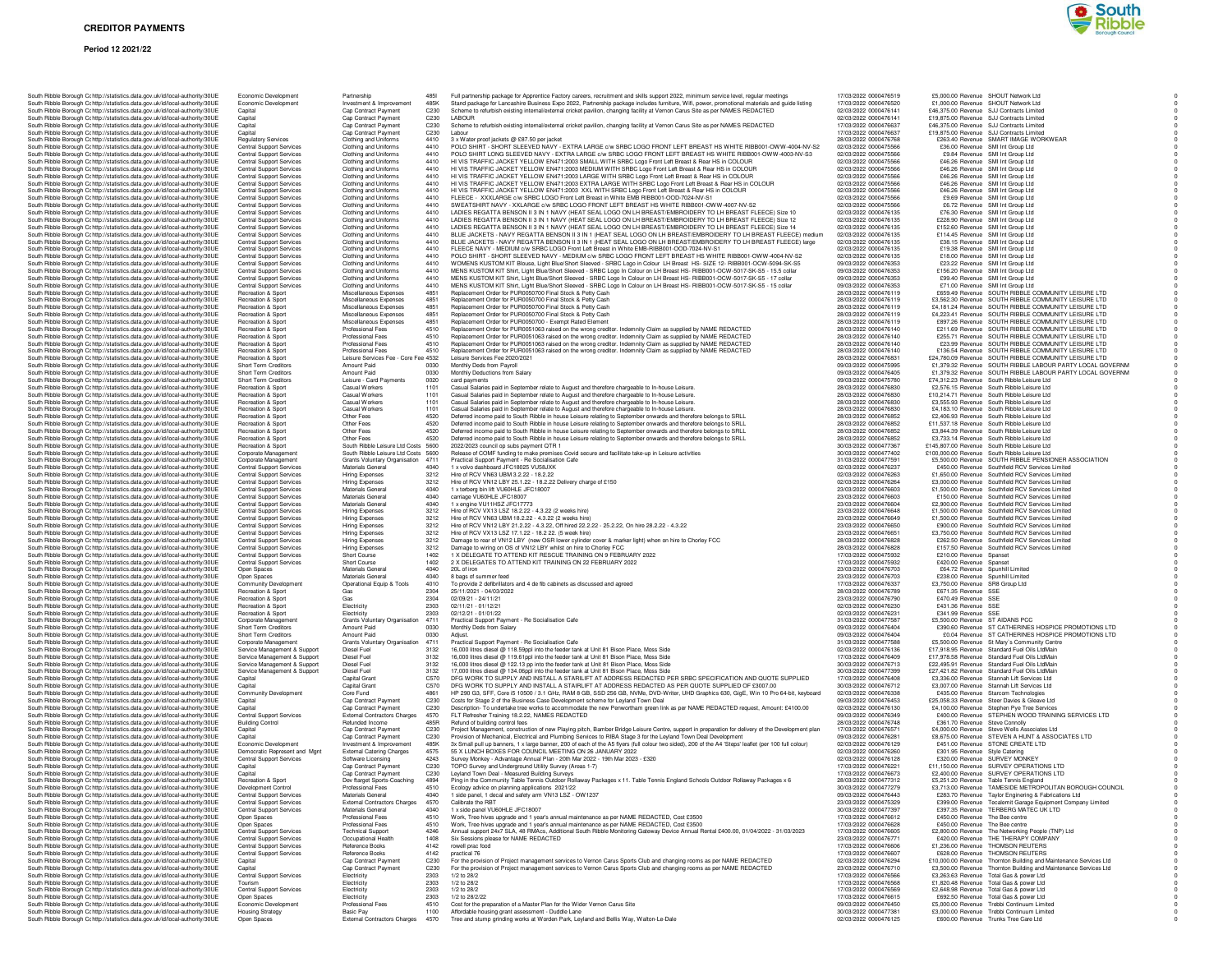### **Period 12 2021/22**

|  |  | South Ribble Borough Cc http://statistics.data.gov.uk/id/local-authority/30UE                                                                                  | Capital                                                        | Cap Contract Payment                                                       | C230                 |
|--|--|----------------------------------------------------------------------------------------------------------------------------------------------------------------|----------------------------------------------------------------|----------------------------------------------------------------------------|----------------------|
|  |  | South Ribble Borough Cc http://statistics.data.gov.uk/id/local-authority/30UE                                                                                  | Capital                                                        | Cap Contract Payment                                                       | C230                 |
|  |  | South Ribble Borough Cc http://statistics.data.gov.uk/id/local-authority/30UE                                                                                  | Capital                                                        | Cap Contract Payment                                                       | C230                 |
|  |  | South Ribble Borough Cc http://statistics.data.gov.uk/id/local-authority/30UE                                                                                  | Capital                                                        | Cap Contract Payment                                                       |                      |
|  |  | South Ribble Borough C: http://statistics.data.gov.uk/id/local-authority/30UE                                                                                  | <b>Regulatory Services</b>                                     | Clothing and Uniforms                                                      | 4410                 |
|  |  | South Ribble Borough Cc http://statistics.data.gov.uk/id/local-authority/30UE                                                                                  | Central Support Services                                       | Clothing and Uniforms                                                      | 4410                 |
|  |  | South Ribble Borough Cc http://statistics.data.gov.uk/id/local-authority/30UE<br>South Ribble Borough Cc http://statistics.data.gov.uk/id/local-authority/30UE | Central Support Services<br>Central Support Services           | Clothing and Uniforms<br>Clothing and Uniforms                             | 4410<br>4410         |
|  |  | South Ribble Borough C: http://statistics.data.gov.uk/id/local-authority/30UE                                                                                  | Central Support Services                                       | Clothing and Uniforms                                                      | 4410                 |
|  |  | South Ribble Borough Cc http://statistics.data.gov.uk/id/local-authority/30UE                                                                                  | <b>Central Support Services</b>                                | Clothing and Uniforms                                                      | 4410                 |
|  |  | South Ribble Borough Cc http://statistics.data.gov.uk/id/local-authority/30UE                                                                                  | Central Support Services                                       | Clothing and Uniforms                                                      | 4410                 |
|  |  | South Ribble Borough Cc http://statistics.data.gov.uk/id/local-authority/30UE                                                                                  | Central Support Services                                       | Clothing and Uniforms                                                      | 4410                 |
|  |  | South Ribble Borough Cc http://statistics.data.gov.uk/id/local-authority/30UE                                                                                  | <b>Central Support Services</b>                                | Clothing and Uniforms                                                      | 4410                 |
|  |  | South Ribble Borough Cc http://statistics.data.gov.uk/id/local-authority/30UE                                                                                  | Central Support Services                                       | Clothing and Uniforms                                                      | 4410                 |
|  |  | South Ribble Borough Cc http://statistics.data.gov.uk/id/local-authority/30UE                                                                                  | Central Support Services                                       | Clothing and Uniforms                                                      | 4410                 |
|  |  | South Ribble Borough Cc http://statistics.data.gov.uk/id/local-authority/30UE                                                                                  | Central Support Services                                       | Clothing and Uniforms                                                      | 4410                 |
|  |  | South Ribble Borough Cc http://statistics.data.gov.uk/id/local-authority/30UE                                                                                  | Central Support Services                                       | Clothing and Uniforms                                                      | 4410                 |
|  |  | South Ribble Borough Cc http://statistics.data.gov.uk/id/local-authority/30UE                                                                                  | <b>Central Support Services</b>                                | Clothing and Uniforms                                                      | 4410                 |
|  |  | South Ribble Borough Cc http://statistics.data.gov.uk/id/local-authority/30UE                                                                                  | <b>Central Support Services</b>                                | Clothing and Uniforms                                                      | 4410                 |
|  |  | South Ribble Borough C: http://statistics.data.gov.uk/id/local-authority/30UE                                                                                  | Central Support Services                                       | Clothing and Uniforms                                                      | 4410                 |
|  |  | South Ribble Borough Cc http://statistics.data.gov.uk/id/local-authority/30UE                                                                                  | Central Support Services                                       | Clothing and Uniforms                                                      | 4410                 |
|  |  | South Ribble Borough Cc http://statistics.data.gov.uk/id/local-authority/30UE                                                                                  | Central Support Services                                       | Clothing and Uniforms                                                      | 4410<br>4410         |
|  |  | South Ribble Borough Cc http://statistics.data.gov.uk/id/local-authority/30UE                                                                                  | Central Support Services                                       | Clothing and Uniforms                                                      |                      |
|  |  | South Ribble Borough C: http://statistics.data.gov.uk/id/local-authority/30UE                                                                                  | Central Support Services                                       | Clothing and Uniforms                                                      | 4410                 |
|  |  | South Ribble Borough Cr http://statistics.data.gov.uk/id/local-authority/30UE                                                                                  | Central Support Services                                       | Clothing and Uniforms                                                      | 4410                 |
|  |  | South Ribble Borough Cc http://statistics.data.gov.uk/id/local-authority/30UE                                                                                  | Recreation & Sport                                             | Miscellaneous Expenses                                                     | 4851                 |
|  |  | South Ribble Borough Cc http://statistics.data.gov.uk/id/local-authority/30UE                                                                                  | Recreation & Sport                                             | Miscellaneous Expenses                                                     | 4851                 |
|  |  | South Ribble Borough Cc http://statistics.data.gov.uk/id/local-authority/30UE                                                                                  | Recreation & Sport                                             | Miscellaneous Expenses                                                     | 4851                 |
|  |  | South Ribble Borough Cc http://statistics.data.gov.uk/id/local-authority/30UE                                                                                  | Recreation & Sport                                             | Miscellaneous Expenses                                                     | 4851                 |
|  |  | South Ribble Borough Cc http://statistics.data.gov.uk/id/local-authority/30UE                                                                                  | Recreation & Sport                                             | Miscellaneous Expenses                                                     | 4851                 |
|  |  | South Ribble Borough Cc http://statistics.data.gov.uk/id/local-authority/30UE                                                                                  | Recreation & Sport                                             | Professional Fees                                                          | 4510                 |
|  |  | South Ribble Borough Cc http://statistics.data.gov.uk/id/local-authority/30UE                                                                                  | Recreation & Sport                                             | Professional Fees                                                          | 4510                 |
|  |  | South Ribble Borough Cc http://statistics.data.gov.uk/id/local-authority/30UE                                                                                  | Recreation & Sport                                             | Professional Fees<br>Professional Fees                                     | 4510<br>4510         |
|  |  | South Ribble Borough C: http://statistics.data.gov.uk/id/local-authority/30UE                                                                                  | Recreation & Sport                                             |                                                                            |                      |
|  |  | South Ribble Borough Cc http://statistics.data.gov.uk/id/local-authority/30UE<br>South Ribble Borough Cc http://statistics.data.gov.uk/id/local-authority/30UE | Recreation & Sport<br>Short Term Creditors                     | Leisure Services Fee - Core Fee 4532<br>Amount Paid                        | 0030                 |
|  |  |                                                                                                                                                                |                                                                |                                                                            |                      |
|  |  | South Ribble Borough Cc http://statistics.data.gov.uk/id/local-authority/30UE<br>South Ribble Borough Cc http://statistics.data.gov.uk/id/local-authority/30UE | Short Term Creditors<br><b>Short Term Creditors</b>            | Amount Paid<br>Leisure - Card Payments                                     | 0030<br>0020         |
|  |  | South Ribble Borough Cc http://statistics.data.gov.uk/id/local-authority/30UE                                                                                  | Recreation & Sport                                             | Casual Workers                                                             | 1101                 |
|  |  | South Ribble Borough Cc http://statistics.data.gov.uk/id/local-authority/30UE                                                                                  | Recreation & Sport                                             | Casual Workers                                                             | 1101                 |
|  |  | South Ribble Borough C: http://statistics.data.gov.uk/id/local-authority/30UE                                                                                  | Recreation & Sport                                             | Casual Workers                                                             | 1101                 |
|  |  | South Ribble Borough Cr http://statistics.data.gov.uk/id/local-authority/30UE                                                                                  | Recreation & Sport                                             | Casual Workers                                                             | 1101                 |
|  |  | South Ribble Borough Cc http://statistics.data.gov.uk/id/local-authority/30UE                                                                                  | Recreation & Sport                                             | Other Fees                                                                 | 4520                 |
|  |  | South Ribble Borough Cc http://statistics.data.gov.uk/id/local-authority/30UE                                                                                  | Recreation & Sport                                             | Other Fees                                                                 | 4520                 |
|  |  | South Ribble Borough C: http://statistics.data.gov.uk/id/local-authority/30UE                                                                                  | Recreation & Sport                                             | Other Fees                                                                 | 4520                 |
|  |  | South Ribble Borough Cc http://statistics.data.gov.uk/id/local-authority/30UE                                                                                  | Recreation & Sport                                             | Other Fees                                                                 | 4520                 |
|  |  | South Ribble Borough Cc http://statistics.data.gov.uk/id/local-authority/30UE                                                                                  | Recreation & Sport                                             | South Ribble Leisure Ltd Costs 5600<br>South Ribble Leisure Ltd Costs 5600 |                      |
|  |  | South Ribble Borough Cc http://statistics.data.gov.uk/id/local-authority/30UE                                                                                  | Corporate Management                                           |                                                                            |                      |
|  |  | South Ribble Borough C: http://statistics.data.gov.uk/id/local-authority/30UE                                                                                  | Corporate Management                                           | Grants Voluntary Organisation                                              | 4711                 |
|  |  | South Ribble Borough C: http://statistics.data.gov.uk/id/local-authority/30UE                                                                                  | Central Support Services                                       | Materials General                                                          | 4040                 |
|  |  | South Ribble Borough Cc http://statistics.data.gov.uk/id/local-authority/30UE                                                                                  | <b>Central Support Services</b>                                | Hiring Expenses                                                            | 3212                 |
|  |  | South Ribble Borough Cr http://statistics.data.gov.uk/id/local-authority/30UE                                                                                  | Central Support Services                                       | <b>Hiring Expenses</b>                                                     | 3212                 |
|  |  | South Ribble Borough Cc http://statistics.data.gov.uk/id/local-authority/30UE                                                                                  | Central Support Services                                       | Materials General                                                          | 4040                 |
|  |  | South Ribble Borough Cc http://statistics.data.gov.uk/id/local-authority/30UE                                                                                  | <b>Central Support Services</b>                                | Materials General                                                          | 4040                 |
|  |  | South Ribble Borough Cc http://statistics.data.gov.uk/id/local-authority/30UE                                                                                  | <b>Central Support Services</b>                                | Materials General                                                          | 4040                 |
|  |  | South Ribble Borough Cc http://statistics.data.gov.uk/id/local-authority/30UE                                                                                  | Central Support Services                                       | Hiring Expenses                                                            | 3212<br>3212         |
|  |  | South Ribble Borough Cc http://statistics.data.gov.uk/id/local-authority/30UE                                                                                  | <b>Central Support Services</b>                                | Hiring Expenses                                                            |                      |
|  |  | South Ribble Borough C: http://statistics.data.gov.uk/id/local-authority/30UE                                                                                  | Central Support Services                                       | Hiring Expenses                                                            | 3212                 |
|  |  | South Ribble Borough C: http://statistics.data.gov.uk/id/local-authority/30UE                                                                                  | Central Support Services                                       | Hiring Expenses                                                            | 3212                 |
|  |  | South Ribble Borough Cc http://statistics.data.gov.uk/id/local-authority/30UE<br>South Ribble Borough Cr http://statistics.data.gov.uk/id/local-authority/30UE | <b>Central Support Services</b><br>Central Support Services    | Hiring Expenses                                                            | 3212<br>3212         |
|  |  |                                                                                                                                                                |                                                                | <b>Hiring Expenses</b>                                                     | 1402                 |
|  |  | South Ribble Borough Cc http://statistics.data.gov.uk/id/local-authority/30UE                                                                                  | Central Support Services<br>Central Support Services           | Short Course<br>Short Course                                               | 1402                 |
|  |  | South Ribble Borough Cc http://statistics.data.gov.uk/id/local-authority/30UE<br>South Ribble Borough Cc http://statistics.data.gov.uk/id/local-authority/30UE |                                                                | Materials General                                                          | 4040                 |
|  |  | South Ribble Borough Cc http://statistics.data.gov.uk/id/local-authority/30UE                                                                                  | Open Spaces<br>Open Spaces                                     | Materials General                                                          | 4040                 |
|  |  | South Ribble Borough C: http://statistics.data.gov.uk/id/local-authority/30UE                                                                                  | Community Development                                          | Operational Equip & Tools                                                  | 4010                 |
|  |  | South Ribble Borough Cc http://statistics.data.gov.uk/id/local-authority/30UE                                                                                  | Recreation & Sport                                             | Gas                                                                        | 2304                 |
|  |  | South Ribble Borough Cc http://statistics.data.gov.uk/id/local-authority/30UE                                                                                  | Recreation & Sport                                             | Gas                                                                        | 2304                 |
|  |  | South Ribble Borough Cc http://statistics.data.gov.uk/id/local-authority/30UE                                                                                  | Recreation & Sport                                             | Electricity                                                                | 2303                 |
|  |  | South Ribble Borough Cc http://statistics.data.gov.uk/id/local-authority/30UE                                                                                  | Recreation & Sport                                             | Electricity                                                                | 2303                 |
|  |  | South Ribble Borough Cc http://statistics.data.gov.uk/id/local-authority/30UE                                                                                  | Corporate Management                                           | Grants Voluntary Organisation                                              | 4711                 |
|  |  | South Ribble Borough Cc http://statistics.data.gov.uk/id/local-authority/30UE                                                                                  | Short Term Creditors                                           | Amount Paid                                                                | 0030                 |
|  |  | South Ribble Borough Cc http://statistics.data.gov.uk/id/local-authority/30UE                                                                                  | Short Term Creditors                                           | Amount Paid                                                                | 0030                 |
|  |  | South Ribble Borough C: http://statistics.data.gov.uk/id/local-authority/30UE                                                                                  | Corporate Management                                           | Grants Voluntary Organisation                                              | 4711                 |
|  |  | South Ribble Borough C: http://statistics.data.gov.uk/id/local-authority/30UE                                                                                  | Service Management & Support                                   | Diesel Fuel                                                                | 3132                 |
|  |  | South Ribble Borough Cc http://statistics.data.gov.uk/id/local-authority/30UE                                                                                  | Service Management & Support                                   | Diesel Fuel                                                                | 3132                 |
|  |  | South Ribble Borough Cc http://statistics.data.gov.uk/id/local-authority/30UE                                                                                  | Service Management & Support                                   | Diesel Fuel                                                                | 3132                 |
|  |  | South Ribble Borough Cc http://statistics.data.gov.uk/id/local-authority/30UE                                                                                  | Service Management & Support                                   | Diesel Fuel                                                                | 3132<br>C570<br>C570 |
|  |  | South Ribble Borough Cc http://statistics.data.gov.uk/id/local-authority/30UE                                                                                  | Capital                                                        | Capital Grant                                                              |                      |
|  |  | South Ribble Borough Cc http://statistics.data.gov.uk/id/local-authority/30UE                                                                                  | Capital                                                        | Capital Grant                                                              |                      |
|  |  | South Ribble Borough Cc http://statistics.data.gov.uk/id/local-authority/30UE<br>South Ribble Borough Cc http://statistics.data.gov.uk/id/local-authority/30UE | Community Development<br>Capital                               | Core Fund<br>Cap Contract Payment                                          | 4861<br>C230         |
|  |  |                                                                                                                                                                |                                                                |                                                                            |                      |
|  |  |                                                                                                                                                                |                                                                |                                                                            |                      |
|  |  | South Ribble Borough Cc http://statistics.data.gov.uk/id/local-authority/30UE                                                                                  | Capital                                                        | Cap Contract Payment                                                       | C230                 |
|  |  | South Ribble Borough Cc http://statistics.data.gov.uk/id/local-authority/30UE                                                                                  | Central Support Services                                       | <b>External Contractors Charges</b>                                        | 4570                 |
|  |  | South Ribble Borough Cc http://statistics.data.gov.uk/id/local-authority/30UE                                                                                  | <b>Building Control</b>                                        | Refunded Income                                                            | 485F                 |
|  |  | South Ribble Borough Cc http://statistics.data.gov.uk/id/local-authority/30UE                                                                                  | Capital                                                        | Cap Contract Payment                                                       | C230                 |
|  |  | South Ribble Borough Cc http://statistics.data.gov.uk/id/local-authority/30UE                                                                                  | Canital<br>Economic Development                                | Cap Contract Payment                                                       |                      |
|  |  | South Ribble Borough Cr http://statistics.data.gov.uk/id/local-authority/30UE                                                                                  |                                                                | Investment & Improvement                                                   | C230<br>485K         |
|  |  | South Ribble Borough Cc http://statistics.data.gov.uk/id/local-authority/30UE<br>South Ribble Borough Cc http://statistics.data.gov.uk/id/local-authority/30UE | Democratic Represent and Mgnt                                  | <b>External Catering Charges</b>                                           |                      |
|  |  |                                                                                                                                                                | Central Support Services<br>Capital                            | Software Licensing                                                         | 4575<br>4243         |
|  |  | South Ribble Borough Cc http://statistics.data.gov.uk/id/local-authority/30UE<br>South Ribble Borough Cc http://statistics.data.gov.uk/id/local-authority/30UE | Capital                                                        | Cap Contract Payment<br>Cap Contract Payment                               |                      |
|  |  | South Ribble Borough Cc http://statistics.data.gov.uk/id/local-authority/30UE                                                                                  | Recreation & Sport                                             | Dev ftarget Sports-Coaching                                                | C230<br>C230<br>4894 |
|  |  | South Ribble Borough Cc http://statistics.data.gov.uk/id/local-authority/30UE                                                                                  | Development Control                                            | Professional Fees                                                          | 4510                 |
|  |  | South Ribble Borough Cc http://statistics.data.gov.uk/id/local-authority/30UE                                                                                  | Central Support Services                                       | Materials General                                                          | 4040                 |
|  |  | South Ribble Borough Cc http://statistics.data.gov.uk/id/local-authority/30UE                                                                                  | Central Support Services                                       | <b>External Contractors Charges</b>                                        | 4570                 |
|  |  | South Ribble Borough Cc http://statistics.data.gov.uk/id/local-authority/30UE                                                                                  | <b>Central Support Services</b>                                | Materials General                                                          | 4040                 |
|  |  | South Ribble Borough Cc http://statistics.data.gov.uk/id/local-authority/30UE                                                                                  | Open Spaces                                                    | Professional Fees                                                          | 4510                 |
|  |  | South Ribble Borough Cc http://statistics.data.gov.uk/id/local-authority/30UE                                                                                  | Open Spaces                                                    | Professional Fees                                                          | 4510                 |
|  |  | South Ribble Borough Cc http://statistics.data.gov.uk/id/local-authority/30UE                                                                                  | <b>Central Support Services</b>                                | <b>Technical Support</b>                                                   | 4246                 |
|  |  | South Ribble Borough Cc http://statistics.data.gov.uk/id/local-authority/30UE                                                                                  | <b>Central Support Services</b>                                | Occupational Health                                                        | 1408                 |
|  |  | South Ribble Borough Cc http://statistics.data.gov.uk/id/local-authority/30UE                                                                                  | Central Support Services                                       | Reference Books                                                            | 4142                 |
|  |  | South Ribble Borough Cohttp://statistics.data.gov.uk/id/local-authority/30UE                                                                                   | <b>Central Support Services</b>                                | Reference Books                                                            | 4142                 |
|  |  | South Ribble Borough Cc http://statistics.data.gov.uk/id/local-authority/30UE                                                                                  | Capital                                                        | Can Contract Payment                                                       | C230                 |
|  |  | South Ribble Borough Cc http://statistics.data.gov.uk/id/local-authority/30UE                                                                                  | Capital                                                        | Cap Contract Payment                                                       | C230                 |
|  |  | South Ribble Borough Cc http://statistics.data.gov.uk/id/local-authority/30UE                                                                                  | Central Support Services                                       | Electricity                                                                | 2303                 |
|  |  | South Ribble Borough Cc http://statistics.data.gov.uk/id/local-authority/30UE                                                                                  | Tourism                                                        | Electricity                                                                | 2303                 |
|  |  | South Ribble Borough C: http://statistics.data.gov.uk/id/local-authority/30UE                                                                                  | Central Support Services                                       | Electricity<br>Electricity                                                 | 2303<br>2303         |
|  |  | South Ribble Borough C: http://statistics.data.gov.uk/id/local-authority/30UE<br>South Ribble Borough Cohttp://statistics.data.gov.uk/id/local-authority/30UE  | Open Spaces                                                    |                                                                            | 4510                 |
|  |  | South Ribble Borough Cc http://statistics.data.gov.uk/id/local-authority/30UE<br>South Ribble Borough Cc http://statistics.data.gov.uk/id/local-authority/30UE | Economic Development<br><b>Housing Strategy</b><br>Open Spaces | Professional Fees<br>Basic Pay                                             | 1100                 |

| South Ribble Borough Cc http://statistics.data.gov.uk/id/local-authority/30UE<br>South Ribble Borough Cc http://statistics.data.gov.uk/id/local-authority/30UE | Economic Development<br>Economic Development                       | Partnership<br>Investment & Improvement          | 485K                     | Full partnership package for Apprentice Factory careers, recruitment and skills support 2022, minimum service level, regular meetings<br>Stand package for Lancashire Business Expo 2022, Partnership package includes furniture, Wifi, power, promotional materials and guide listing | 17/03/2022 0000476519<br>17/03/2022 0000476520 | £5,000.00 Revenue SHOUT Network Ltd<br>£1,000.00 Revenue SHOUT Network Ltd                               |
|----------------------------------------------------------------------------------------------------------------------------------------------------------------|--------------------------------------------------------------------|--------------------------------------------------|--------------------------|----------------------------------------------------------------------------------------------------------------------------------------------------------------------------------------------------------------------------------------------------------------------------------------|------------------------------------------------|----------------------------------------------------------------------------------------------------------|
| South Ribble Borough Cc http://statistics.data.gov.uk/id/local-authority/30UE                                                                                  | Capital                                                            | Cap Contract Payment                             | C <sub>230</sub>         | Scheme to refurbish existing internal/external cricket pavilion, changing facility at Vernon Carus Site as per NAMES REDACTED                                                                                                                                                          | 02/03/2022 0000476141                          | £46,375.00 Bevenue S.U Contracts Limited                                                                 |
| South Ribble Borough Cc http://statistics.data.gov.uk/id/local-authority/30UE                                                                                  | Capital                                                            | Cap Contract Payment                             | C230                     | <b>I AROUR</b>                                                                                                                                                                                                                                                                         | 02/03/2022 0000476141                          | £19,875.00 Revenue SJJ Contracts Limited                                                                 |
| South Ribble Borough Cc http://statistics.data.gov.uk/id/local-authority/30UE                                                                                  | Capital                                                            | Cap Contract Payment                             | C <sub>230</sub>         | Scheme to refurbish existing internal/external cricket pavilion, changing facility at Vernon Carus Site as per NAMES REDACTED                                                                                                                                                          | 17/03/2022 0000476637                          | £46,375.00 Revenue SJJ Contracts Limited                                                                 |
| South Ribble Borough Cc http://statistics.data.gov.uk/id/local-authority/30UE                                                                                  | Capital                                                            | Cap Contract Payment                             | C230                     | Labour                                                                                                                                                                                                                                                                                 | 17/03/2022 0000476637                          | £19,875.00 Revenue SJJ Contracts Limited                                                                 |
| South Ribble Borough C: http://statistics.data.gov.uk/id/local-authority/30UE<br>South Ribble Borough Cr http://statistics.data.gov.uk/id/local-authority/30UE | <b>Regulatory Services</b><br>Central Support Services             | Clothing and Uniforms<br>Clothing and Uniforms   | 4410<br>4410             | 3 x Water proof jackets @ £87.50 per jacket<br>POLO SHIRT - SHORT SLEEVED NAVY - EXTRA LARGE c/w SRBC LOGO FRONT LEFT BREAST HS WHITE RIBB001-OWW-4004-NV-S2                                                                                                                           | 28/03/2022 0000476768<br>02/03/2022 0000475566 | £263.40 Revenue SMART IMAGE WORKWEAR<br>£36.00 Revenue SMI Int Group Ltd                                 |
| South Ribble Borough C: http://statistics.data.gov.uk/id/local-authority/30UE                                                                                  | <b>Central Support Services</b>                                    | Clothing and Uniforms                            | 4410                     | POLO SHIRT LONG SLEEVED NAVY - EXTRA LARGE c/w SRBC LOGO FRONT LEFT BREAST HS WHITE RIBB001-OWW-4003-NV-S3                                                                                                                                                                             | 02/03/2022 0000475566                          | £9.84 Revenue SMI Int Group Ltd                                                                          |
| South Ribble Borough Cc http://statistics.data.gov.uk/id/local-authority/30UE                                                                                  | <b>Central Support Services</b>                                    | Clothing and Uniforms                            | 4410                     | HI VIS TRAFFIC JACKET YELLOW EN471:2003 SMALL WITH SRBC Logo Front Left Breast & Rear HS in COLOUR                                                                                                                                                                                     | 02/03/2022 0000475566                          | £46.26 Revenue SMI Int Group Ltd                                                                         |
| South Ribble Borough Cc http://statistics.data.gov.uk/id/local-authority/30UE                                                                                  | <b>Central Support Services</b>                                    | Clothing and Uniforms                            | 4410                     | HI VIS TRAFFIC JACKET YELLOW EN471:2003 MEDIUM WITH SRBC Logo Front Left Breast & Rear HS in COLOUR<br>HI VIS TRAFFIC JACKET YELLOW EN471:2003 LARGE WITH SRBC Logo Front Left Breast & Rear HS in COLOUR                                                                              | 02/03/2022 0000475566                          | £46.26 Revenue SMI Int Group Ltd<br>£46.26 Revenue SMI Int Group Ltd.                                    |
| South Ribble Borough Cr http://statistics.data.gov.uk/id/local-authority/30UE<br>South Ribble Borough Cc http://statistics.data.gov.uk/id/local-authority/30UE | <b>Central Support Services</b><br><b>Central Support Services</b> | Clothing and Uniforms<br>Clothing and Uniforms   | 4410<br>4410             | HI VIS TRAFFIC JACKET YELLOW EN471:2003 EXTRA LARGE WITH SRBC Logo Front Left Breast & Rear HS in COLOUR                                                                                                                                                                               | 02/03/2022 0000475566<br>02/03/2022 0000475566 | £46.26 Revenue SMI Int Group Ltd                                                                         |
| South Ribble Borough Cc http://statistics.data.gov.uk/id/local-authority/30UE                                                                                  | Central Support Services                                           | Clothing and Uniforms                            | 4410                     | HI VIS TRAFFIC JACKET YELLOW EN471:2003 XXL WITH SRBC Logo Front Left Breast & Rear HS in COLOUR                                                                                                                                                                                       | 02/03/2022 0000475566                          | £46.26 Revenue SMI Int Group Ltd                                                                         |
| South Ribble Borough Cc http://statistics.data.gov.uk/id/local-authority/30UE                                                                                  | <b>Central Support Services</b>                                    | Clothing and Uniforms                            | 4410                     | FLEECE - XXXLARGE c/w SRBC LOGO Front Left Breast in White EMB RIBB001-OOD-7024-NV-S1                                                                                                                                                                                                  | 02/03/2022 0000475566                          | £9.69 Revenue SMI Int Group Ltd                                                                          |
| South Ribble Borough C: http://statistics.data.gov.uk/id/local-authority/30UE                                                                                  | Central Support Services                                           | Clothing and Uniforms                            | 4410                     | SWEATSHIRT NAVY - XXLARGE c/w SRBC LOGO FRONT LEFT BREAST HS WHITE RIBB001-OWW-4007-NV-S2                                                                                                                                                                                              | 02/03/2022 0000475566                          | £6.72 Revenue SMI Int Group Ltd                                                                          |
| South Ribble Borough Cc http://statistics.data.gov.uk/id/local-authority/30UE                                                                                  | <b>Central Support Services</b>                                    | Clothing and Uniforms                            | 4410                     | LADIES REGATTA BENSON II 3 IN 1 NAVY (HEAT SEAL LOGO ON LH BREAST/EMBROIDERY TO LH BREAST FLEECE) Size 10                                                                                                                                                                              | 02/03/2022 0000476135                          | £76.30 Revenue SMI Int Group Ltd                                                                         |
| South Ribble Borough Cc http://statistics.data.gov.uk/id/local-authority/30UE                                                                                  | <b>Central Support Services</b>                                    | Clothing and Uniforms                            | 4410                     | LADIES REGATTA BENSON II 3 IN 1 NAVY (HEAT SEAL LOGO ON LH BREAST/EMBROIDERY TO LH BREAST FLEECE) Size 12                                                                                                                                                                              | 02/03/2022 0000476135                          | £228.90 Revenue SMI Int Group Ltd                                                                        |
| South Ribble Borough Cc http://statistics.data.gov.uk/id/local-authority/30UE                                                                                  | <b>Central Support Services</b><br><b>Central Support Services</b> | Clothing and Uniforms<br>Clothing and Uniforms   | 4410<br>4410             | LADIES REGATTA BENSON II 3 IN 1 NAVY (HEAT SEAL LOGO ON LH BREAST/EMBROIDERY TO LH BREAST FLEECE) Size 14<br>BLUE JACKETS - NAVY REGATTA BENSON II 3 IN 1 (HEAT SEAL LOGO ON LH BREAST/EMBROIDERY TO LH BREAST FLEECE) medium                                                          | 02/03/2022 0000476135<br>02/03/2022 0000476135 | £152.60 Revenue SMI Int Group Ltd<br>£114.45 Revenue SMI Int Group Ltd                                   |
| South Ribble Borough Cc http://statistics.data.gov.uk/id/local-authority/30UE<br>South Ribble Borough Cc http://statistics.data.gov.uk/id/local-authority/30UE | <b>Central Support Services</b>                                    | Clothing and Uniforms                            | 4410                     | BLUE JACKETS - NAVY REGATTA BENSON II 3 IN 1 (HEAT SEAL LOGO ON LH BREAST/EMBROIDERY TO LH BREAST FLEECE) large                                                                                                                                                                        | 02/03/2022 0000476135                          | £38.15 Revenue SMI Int Group Ltd                                                                         |
| South Ribble Borough Cc http://statistics.data.gov.uk/id/local-authority/30UE                                                                                  | <b>Central Support Services</b>                                    | Clothing and Uniforms                            | 4410                     | FLEECE NAVY - MEDIUM c/w SRBC LOGO Front Left Breast in White EMB-RIBB001-OOD-7024-NV-S1                                                                                                                                                                                               | 02/03/2022 0000476135                          | £19.38 Revenue SMI Int Group Ltd                                                                         |
| South Ribble Borough Cc http://statistics.data.gov.uk/id/local-authority/30UE                                                                                  | <b>Central Support Services</b>                                    | Clothing and Uniforms                            | 4410                     | POLO SHIRT - SHORT SLEEVED NAVY - MEDIUM c/w SRBC LOGO FRONT LEFT BREAST HS WHITE RIBB001-OWW-4004-NV-S2                                                                                                                                                                               | 02/03/2022 0000476135                          | £18.00 Revenue SMI Int Group Ltd                                                                         |
| South Ribble Borough Cr http://statistics.data.gov.uk/id/local-authority/30UE                                                                                  | <b>Central Support Services</b>                                    | Clothing and Uniforms                            | 4410                     | WOMENS KUSTOM KIT Blouse, Light Blue/Short Sleeved - SRBC Logo in Colour LH Breast HS- SIZE 12- RIBB001-OCW-5094-SK-S5                                                                                                                                                                 | 09/03/2022 0000476353                          | £23.22 Revenue SMI Int Group Ltd                                                                         |
| South Ribble Borough Cc http://statistics.data.gov.uk/id/local-authority/30UE                                                                                  | <b>Central Support Services</b>                                    | Clothing and Uniforms                            | 4410                     | MENS KUSTOM KIT Shirt, Light Blue/Short Sleeved - SRBC Logo In Colour on LH Breast HS- RIBB001-OCW-5017-SK-S5 - 15.5 collar                                                                                                                                                            | 09/03/2022 0000476353                          | £156.20 Revenue SMI Int Group Ltd                                                                        |
| South Ribble Borough Cc http://statistics.data.gov.uk/id/local-authority/30UE<br>South Ribble Borough Cc http://statistics.data.gov.uk/id/local-authority/30UE | <b>Central Support Services</b><br><b>Central Support Services</b> | Clothing and Uniforms<br>Clothing and Uniforms   | 4410<br>4410             | MENS KUSTOM KIT Shirt, Light Blue/Short Sleeved - SRBC Logo In Colour on LH Breast HS- RIBB001-OCW-5017-SK-S5 - 17 collar<br>MENS KUSTOM KIT Shirt, Light Blue/Short Sleeved - SRBC Logo In Colour on LH Breast HS- RIBB001-OCW-5017-SK-S5 - 15 collar                                 | 09/03/2022 0000476353<br>09/03/2022 0000476353 | £99.40 Revenue SMI Int Group Ltd<br>£71.00 Revenue SMI Int Group Ltd                                     |
| South Ribble Borough Cc http://statistics.data.gov.uk/id/local-authority/30UE                                                                                  | Recreation & Sport                                                 | Miscellaneous Expenses                           | 4851                     | Replacement Order for PUR0050700 Final Stock & Petty Cash                                                                                                                                                                                                                              | 28/03/2022 0000476119                          | £659.49 Revenue SOUTH RIBBLE COMMUNITY LEISURE LTD                                                       |
| South Ribble Borough Cc http://statistics.data.gov.uk/id/local-authority/30UE                                                                                  | Recreation & Sport                                                 | Miscellaneous Expenses                           | 4851                     | Replacement Order for PUR0050700 Final Stock & Petty Cash                                                                                                                                                                                                                              | 28/03/2022 0000476119                          | £3,562.30 Revenue SOUTH RIBBLE COMMUNITY LEISURE LTD                                                     |
| South Ribble Borough Cc http://statistics.data.gov.uk/id/local-authority/30UE                                                                                  | Recreation & Sport                                                 | Miscellaneous Expenses                           | 4851                     | Replacement Order for PUR0050700 Final Stock & Petty Cash                                                                                                                                                                                                                              | 28/03/2022 0000476119                          | £4,181.24 Revenue SOUTH RIBBLE COMMUNITY LEISURE LTD                                                     |
| South Ribble Borough Cc http://statistics.data.gov.uk/id/local-authority/30UE                                                                                  | Recreation & Sport                                                 | Miscellaneous Expenses                           | 4851                     | Replacement Order for PUR0050700 Final Stock & Petty Cash                                                                                                                                                                                                                              | 28/03/2022 0000476119                          | £4,223.41 Revenue SOUTH RIBBLE COMMUNITY LEISURE LTD                                                     |
| South Ribble Borough Cr http://statistics.data.gov.uk/id/local-authority/30UE                                                                                  | Recreation & Sport                                                 | Miscellaneous Expenses                           | 4851                     | Replacement Order for PUR0050700 - Exempt Rated Element                                                                                                                                                                                                                                | 28/03/2022 0000476119                          | £897.26 Revenue SOUTH RIBBLE COMMUNITY LEISURE LTD                                                       |
| South Ribble Borough Cr http://statistics.data.gov.uk/id/local-authority/30UE<br>South Ribble Borough Cc http://statistics.data.gov.uk/id/local-authority/30UE | Recreation & Sport<br>Recreation & Sport                           | Professional Fees<br>Professional Fees           | 4510<br>4510             | Replacement Order for PUR0051063 raised on the wrong creditor. Indemnity Claim as supplied by NAME REDACTED<br>Replacement Order for PUR0051063 raised on the wrong creditor. Indemnity Claim as supplied by NAME REDACTED                                                             | 28/03/2022 0000476140<br>28/03/2022 0000476140 | £211.69 Revenue SOUTH RIBBLE COMMUNITY LEISURE LTD<br>£255.71 Revenue SOUTH RIBBLE COMMUNITY LEISURE LTD |
| South Ribble Borough Cc http://statistics.data.gov.uk/id/local-authority/30UE                                                                                  | Recreation & Sport                                                 | Professional Fees                                | 4510                     | Replacement Order for PUR0051063 raised on the wrong creditor. Indemnity Claim as supplied by NAME REDACTED                                                                                                                                                                            | 28/03/2022 0000476140                          | £23.99 Revenue SOUTH RIBBLE COMMUNITY LEISURE LTD                                                        |
| South Ribble Borough Cc http://statistics.data.gov.uk/id/local-authority/30UE                                                                                  | Recreation & Sport                                                 | Professional Fees                                | 4510                     | Replacement Order for PUR0051063 raised on the wrong creditor. Indemnity Claim as supplied by NAME REDACTED                                                                                                                                                                            | 28/03/2022 0000476140                          | £136.54 Revenue SOUTH RIBBLE COMMUNITY LEISURE LTD                                                       |
| South Ribble Borough Cc http://statistics.data.gov.uk/id/local-authority/30UE                                                                                  | Recreation & Sport                                                 | Leisure Services Fee - Core Fee 4532             |                          | Leisure Services Fee 2020/2021                                                                                                                                                                                                                                                         | 28/03/2022 0000476831                          | £24,780.09 Revenue SOUTH RIBBLE COMMUNITY LEISURE LTD                                                    |
| South Ribble Borough Cc http://statistics.data.gov.uk/id/local-authority/30UE                                                                                  | <b>Short Term Creditors</b>                                        | Amount Paid                                      | 0030                     | Monthly Deds from Payroll                                                                                                                                                                                                                                                              | 09/03/2022 0000475995                          | £1,379.32 Revenue SOUTH RIBBLE LABOUR PARTY LOCAL GOVERNM                                                |
| South Ribble Borough Cc http://statistics.data.gov.uk/id/local-authority/30UE                                                                                  | Short Term Creditors                                               | Amount Paid                                      | 0030<br>0020             | Monthly Deductions from Salary                                                                                                                                                                                                                                                         | 09/03/2022 0000476405                          | £1,379.32 Revenue SOUTH RIBBLE LABOUR PARTY LOCAL GOVERNM                                                |
| South Ribble Borough Cc http://statistics.data.gov.uk/id/local-authority/30UE<br>South Ribble Borough Cr http://statistics.data.gov.uk/id/local-authority/30UE | Short Term Creditors<br>Recreation & Sport                         | Leisure - Card Payments<br>Casual Workers        | 1101                     | card payments<br>Casual Salaries paid in September relate to August and therefore chargeable to In-house Leisure.                                                                                                                                                                      | 09/03/2022 0000475780<br>28/03/2022 0000476830 | £74,312.23 Revenue South Ribble Leisure Ltd<br>£2,576.15 Revenue South Ribble Leisure Ltd                |
| South Ribble Borough Cc http://statistics.data.gov.uk/id/local-authority/30UE                                                                                  | Recreation & Sport                                                 | Casual Workers                                   | 1101                     | Casual Salaries paid in September relate to August and therefore chargeable to In-house Leisure.                                                                                                                                                                                       | 28/03/2022 0000476830                          | £10,214.71 Revenue South Ribble Leisure Ltd                                                              |
| South Ribble Borough Cc http://statistics.data.gov.uk/id/local-authority/30UE                                                                                  | Recreation & Sport                                                 | Casual Workers                                   | 1101                     | Casual Salaries paid in September relate to August and therefore chargeable to In-house Leisure.                                                                                                                                                                                       | 28/03/2022 0000476830                          | £3,555.93 Revenue South Ribble Leisure Ltd                                                               |
| South Ribble Borough Cc http://statistics.data.gov.uk/id/local-authority/30UE                                                                                  | Recreation & Sport                                                 | Casual Workers                                   | 1101                     | Casual Salaries paid in September relate to August and therefore chargeable to In-house Leisure.                                                                                                                                                                                       | 28/03/2022 0000476830                          | £4,183.10 Revenue South Ribble Leisure Ltd                                                               |
| South Ribble Borough Cc http://statistics.data.gov.uk/id/local-authority/30UE                                                                                  | Recreation & Sport                                                 | Other Fees                                       | 4520                     | Deferred income paid to South Ribble in house Leisure relating to September onwards and therefore belongs to SRLL                                                                                                                                                                      | 28/03/2022 0000476852                          | £2,406.93 Bevenue South Bibble Leisure Ltd.                                                              |
| South Ribble Borough Cc http://statistics.data.gov.uk/id/local-authority/30UE                                                                                  | Recreation & Sport<br>Recreation & Sport                           | Other Fees                                       | 4520<br>4520             | Deferred income paid to South Ribble in house Leisure relating to September onwards and therefore belongs to SRLL                                                                                                                                                                      | 28/03/2022 0000476852                          | £11.537.18 Bevenue South Bibble Leisure Ltd.                                                             |
| South Ribble Borough Cc http://statistics.data.gov.uk/id/local-authority/30UE<br>South Ribble Borough Cc http://statistics.data.gov.uk/id/local-authority/30UE | Recreation & Sport                                                 | Other Fees<br>Other Fees                         | 4520                     | Deferred income paid to South Ribble in house Leisure relating to September onwards and therefore belongs to SRLL<br>Deferred income paid to South Ribble in house Leisure relating to September onwards and therefore belongs to SRLL                                                 | 28/03/2022 0000476852<br>28/03/2022 0000476852 | £3,844.39 Revenue South Ribble Leisure Ltd<br>£3,733.14 Revenue South Ribble Leisure Ltd                 |
| South Ribble Borough Cr http://statistics.data.gov.uk/id/local-authority/30UE                                                                                  | Recreation & Sport                                                 | South Ribble Leisure Ltd Costs 5600              |                          | 2022/2023 council op subs payment QTR 1                                                                                                                                                                                                                                                | 30/03/2022 0000477367                          | £145,807.00 Revenue South Ribble Leisure Ltd                                                             |
| South Ribble Borough Cr http://statistics.data.gov.uk/id/local-authority/30UE                                                                                  | Corporate Management                                               | South Ribble Leisure Ltd Costs 5600              |                          | Release of COMF funding to make premises Covid secure and facilitate take-up in Leisure activities                                                                                                                                                                                     | 30/03/2022 0000477402                          | £100,000.00 Revenue South Ribble Leisure Ltd                                                             |
| South Ribble Borough Cc http://statistics.data.gov.uk/id/local-authority/30UE                                                                                  | Corporate Management                                               | Grants Voluntary Organisation 4711               |                          | Practical Support Payment - Re Socialisation Cafe                                                                                                                                                                                                                                      | 31/03/2022 0000477591                          | £5,500.00 Revenue SOUTH RIBBLE PENSIONER ASSOCIATION                                                     |
| South Ribble Borough Cc http://statistics.data.gov.uk/id/local-authority/30UE                                                                                  | <b>Central Support Services</b>                                    | Materials General                                | 4040                     | 1 x volvo dashboard JFC18025 VU58JXK                                                                                                                                                                                                                                                   | 02/03/2022 0000476237                          | £450.00 Revenue Southfield RCV Services Limited                                                          |
| South Ribble Borough Cc http://statistics.data.gov.uk/id/local-authority/30UE                                                                                  | <b>Central Support Services</b><br><b>Central Support Services</b> | <b>Hiring Expenses</b><br>Hiring Expenses        | 3212                     | Hire of RCV VN63 UBM 3.2.22 - 18.2.22<br>Hire of RCV VN12 LBY 25.1.22 - 18.2.22 Delivery charge of £150                                                                                                                                                                                | 02/03/2022 0000476263<br>02/03/2022 0000476264 | £1,650.00 Revenue Southfield RCV Services Limited<br>£3,000.00 Revenue Southfield RCV Services Limited   |
| South Ribble Borough Cc http://statistics.data.gov.uk/id/local-authority/30UE<br>South Ribble Borough Cc http://statistics.data.gov.uk/id/local-authority/30UE | Central Support Services                                           | Materials General                                | 3212<br>4040             | 1 x terberg bin lift VU60HLE JFC18007                                                                                                                                                                                                                                                  | 23/03/2022 0000476603                          | £1,500.00 Revenue Southfield RCV Services Limited                                                        |
| South Ribble Borough Cc http://statistics.data.gov.uk/id/local-authority/30UE                                                                                  | Central Support Services                                           | Materials General                                | 4040                     | carriage VU60HLE JFC18007                                                                                                                                                                                                                                                              | 23/03/2022 0000476603                          | £150.00 Revenue Southfield RCV Services Limited                                                          |
| South Ribble Borough Cr http://statistics.data.gov.uk/id/local-authority/30UE                                                                                  | <b>Central Support Services</b>                                    | Materials General                                | 4040                     | 1 x engine VU11HSZ JFC17773                                                                                                                                                                                                                                                            | 23/03/2022 0000476604                          | £2,900.00 Revenue Southfield RCV Services Limited                                                        |
| South Ribble Borough Cr http://statistics.data.gov.uk/id/local-authority/30UE                                                                                  | Central Support Services                                           | Hiring Expenses                                  | 3212                     | Hire of RCV VX13 LSZ 18.2.22 - 4.3.22 (2 weeks hire)                                                                                                                                                                                                                                   | 23/03/2022 0000476648                          | £1,500.00 Revenue Southfield RCV Services Limited                                                        |
| South Ribble Borough C: http://statistics.data.gov.uk/id/local-authority/30UE                                                                                  | <b>Central Support Services</b>                                    | Hiring Expenses                                  | 3212                     | Hire of RCV VN63 UBM 18.2.22 - 4.3.22 (2 weeks hire)                                                                                                                                                                                                                                   | 23/03/2022 0000476649                          | £1,500.00 Revenue Southfield RCV Services Limited                                                        |
| South Ribble Borough Cc http://statistics.data.gov.uk/id/local-authority/30UE<br>South Ribble Borough Cc http://statistics.data.gov.uk/id/local-authority/30UE | <b>Central Support Services</b><br><b>Central Support Services</b> | <b>Hiring Expenses</b>                           | 3212<br>3212             | Hire of RCV VN12 LBY 21.2.22 - 4.3.22, Off hired 22.2.22 - 25.2.22, On hire 28.2.22 - 4.3.22<br>Hire of RCV VX13 LSZ 17.1.22 - 18.2 22. (5 week hire)                                                                                                                                  | 23/03/2022 0000476650<br>23/03/2022 0000476651 | £900.00 Revenue Southfield RCV Services Limited<br>£3,750.00 Revenue Southfield RCV Services Limited     |
|                                                                                                                                                                | <b>Central Support Services</b>                                    | Hiring Expenses<br><b>Hiring Expenses</b>        | 3212                     | Damage to rear of VN12 LBY (new OSR lower cylinder cover & marker light) when on hire to Chorley FCC                                                                                                                                                                                   | 28/03/2022 0000476828                          | £262.50 Revenue Southfield RCV Services Limited                                                          |
|                                                                                                                                                                |                                                                    |                                                  |                          |                                                                                                                                                                                                                                                                                        |                                                |                                                                                                          |
| South Ribble Borough Cc http://statistics.data.gov.uk/id/local-authority/30UE                                                                                  | <b>Central Support Services</b>                                    |                                                  | 3212                     | Damage to wiring on OS of VN12 LBY whilst on hire to Chorley FCC                                                                                                                                                                                                                       | 28/03/2022 0000476828                          |                                                                                                          |
| South Ribble Borough Cc http://statistics.data.gov.uk/id/local-authority/30UE                                                                                  | <b>Central Support Services</b>                                    | Hiring Expenses<br>Short Course                  | 1402                     | 1 X DELEGATE TO ATTEND KIT RESCUE TRAINING ON 9 FEBRUARY 2022                                                                                                                                                                                                                          | 17/03/2022 0000475932                          | £157.50 Revenue Southfield RCV Services Limited<br>£210.00 Revenue Spanset                               |
| South Ribble Borough Cc http://statistics.data.gov.uk/id/local-authority/30UE<br>South Ribble Borough Cc http://statistics.data.gov.uk/id/local-authority/30UE | <b>Central Support Services</b>                                    | Short Course                                     | 1402                     | 2 X DELEGATES TO ATTEND KIT TRAINING ON 22 FEBRUARY 2022                                                                                                                                                                                                                               | 17/03/2022 0000475932                          | £420.00 Revenue Spanset                                                                                  |
| South Ribble Borough C: http://statistics.data.gov.uk/id/local-authority/30UE                                                                                  | Open Spaces                                                        | Materials General                                | 4040                     | 20L of iron                                                                                                                                                                                                                                                                            | 23/03/2022 0000476703                          | £64.72 Revenue Spunhill Limited                                                                          |
| South Ribble Borough Cr http://statistics.data.gov.uk/id/local-authority/30UE                                                                                  | Open Spaces                                                        | Materials General                                | 4040                     | 8 bags of summer feed                                                                                                                                                                                                                                                                  | 23/03/2022 0000476703                          | £238.00 Revenue Spunhill Limited                                                                         |
| South Ribble Borough Cc http://statistics.data.gov.uk/id/local-authority/30UE                                                                                  | Community Development                                              | Operational Equip & Tools<br>Gas                 | 4010<br>2304             | To provide 2 defibrillators and 4 de fib cabinets as discussed and agreed                                                                                                                                                                                                              | 17/03/2022 0000476337                          | £3,750.00 Revenue SR8 Group Ltd                                                                          |
| South Ribble Borough Cc http://statistics.data.gov.uk/id/local-authority/30UE<br>South Ribble Borough Cc http://statistics.data.gov.uk/id/local-authority/30UE | Recreation & Sport<br>Recreation & Sport                           | Gas                                              | 2304                     | 25/11/2021 - 04/03/2022<br>02/09/21 - 24/11/21                                                                                                                                                                                                                                         | 28/03/2022 0000476789<br>23/03/2022 0000476790 | £671.35 Revenue SSE<br>£470.49 Revenue SSE                                                               |
| South Ribble Borough Cc http://statistics.data.gov.uk/id/local-authority/30UE                                                                                  | Recreation & Sport                                                 | Electricity                                      | 2303                     | 02/11/21 - 01/12/21                                                                                                                                                                                                                                                                    | 02/03/2022 0000476230                          | £431.36 Revenue SSE                                                                                      |
| South Ribble Borough Cc http://statistics.data.gov.uk/id/local-authority/30UE                                                                                  | Recreation & Sport                                                 | Electricity                                      | 2303                     | 02/12/21 - 01/01/22                                                                                                                                                                                                                                                                    | 02/03/2022 0000476231                          | £341.99 Revenue SSE                                                                                      |
| South Ribble Borough Cc http://statistics.data.gov.uk/id/local-authority/30UE                                                                                  | Corporate Management                                               | Grants Voluntary Organisation                    | 4711                     | Practical Support Payment - Re Socialisation Cafe                                                                                                                                                                                                                                      | 31/03/2022 0000477587                          | £5,500.00 Revenue ST AIDANS PCC                                                                          |
| South Ribble Borough C: http://statistics.data.gov.uk/id/local-authority/30UE                                                                                  | Short Term Creditors                                               | Amount Paid                                      | 0030                     | Monthly Deds from Salary                                                                                                                                                                                                                                                               | 09/03/2022 0000476404                          | £390.60 Revenue ST CATHERINES HOSPICE PROMOTIONS LTD                                                     |
| South Ribble Borough Cc http://statistics.data.gov.uk/id/local-authority/30UE                                                                                  | Short Term Creditors                                               | Amount Paid                                      | 0030                     | Adjust.                                                                                                                                                                                                                                                                                | 09/03/2022 0000476404                          | £0.04 Revenue ST CATHERINES HOSPICE PROMOTIONS LTD                                                       |
| South Ribble Borough Cc http://statistics.data.gov.uk/id/local-authority/30UE<br>South Ribble Borough Cc http://statistics.data.gov.uk/id/local-authority/30UE | Corporate Management<br>Service Management & Support               | Grants Voluntary Organisation<br>Diesel Fuel     | 4711<br>3132             | Practical Support Payment - Re Socialisation Cafe<br>16,000 litres diesel @ 118.59ppl into the feeder tank at Unit 81 Bison Place, Moss Side                                                                                                                                           | 31/03/2022 0000477588<br>02/03/2022 0000476136 | £5,500.00 Revenue St Mary's Community Centre<br>£17,918.95 Revenue Standard Fuel Oils LtdMain            |
| South Ribble Borough Cc http://statistics.data.gov.uk/id/local-authority/30UE                                                                                  | Service Management & Support                                       | Diesel Fuel                                      | 3132                     | 16,000 litres diesel @ 119.61ppl into the feeder tank at Unit 81 Bison Place, Moss Side                                                                                                                                                                                                | 17/03/2022 0000476409                          | £17.978.58 Revenue Standard Fuel Oils LtdMain                                                            |
| South Ribble Borough Cc http://statistics.data.gov.uk/id/local-authority/30UE                                                                                  | Service Management & Support                                       | Diesel Fuel                                      | 3132                     | 16,000 litres diesel @ 122,13 pp into the feeder tank at Unit 81 Bison Place. Moss Side                                                                                                                                                                                                | 30/03/2022 0000476713                          | £22,495.91 Revenue Standard Fuel Oils LtdMain                                                            |
| South Ribble Borough Cc http://statistics.data.gov.uk/id/local-authority/30UE                                                                                  | Service Management & Support                                       | Diesel Fuel                                      | 3132<br>C570             | 17,000 litres diesel @ 134.06ppl into the feeder tank at Unit 81 Bison Place, Moss Side                                                                                                                                                                                                | 30/03/2022 0000477399                          | £27,421.82 Revenue Standard Fuel Oils LtdMain                                                            |
| South Ribble Borough Cc http://statistics.data.gov.uk/id/local-authority/30UE                                                                                  | Capital<br>Capital                                                 | Capital Grant                                    | C570                     | DFG WORK TO SUPPLY AND INSTALL A STARILIFT AT ADDRESS REDACTED PER SRBC SPECIFICATION AND QUOTE SUPPLIED                                                                                                                                                                               | 17/03/2022 0000476408                          | £3,336.00 Revenue Stannah Lift Services Ltd                                                              |
| South Ribble Borough Cc http://statistics.data.gov.uk/id/local-authority/30UE<br>South Ribble Borough Cc http://statistics.data.gov.uk/id/local-authority/30UE | Community Development                                              | Capital Grant<br>Core Fund                       | 4861                     | DFG WORK TO SUPPLY AND INSTALL A STAIRLIFT AT ADDRESS REDACTED AS PER QUOTE SUPPLIED OF £3007.00<br>HP 290 G3, SFF, Core i5 10500 / 3.1 GHz, RAM 8 GB, SSD 256 GB, NVMe, DVD-Writer, UHD Graphics 630, GigE, Win 10 Pro 64-bit, keyboard                                               | 30/03/2022 0000476712<br>02/03/2022 0000476338 | £3,007.00 Revenue Stannah Lift Services Ltd<br>£435.00 Revenue Starcom Technologies                      |
| South Ribble Borough Cc http://statistics.data.gov.uk/id/local-authority/30UE                                                                                  | Capital                                                            | Cap Contract Payment                             | C230                     | Costs for Stage 2 of the Business Case Development scheme for Leyland Town Deal                                                                                                                                                                                                        | 09/03/2022 0000476453                          | £25,058.33 Revenue Steer Davies & Gleave Ltd                                                             |
| South Ribble Borough Cc http://statistics.data.gov.uk/id/local-authority/30UE                                                                                  | Capital                                                            | Cap Contract Payment                             | C230                     | Description- To undertake tree works to accommodate the new Penwortham green link as per NAME REDACTED request, Amount: £4100.00                                                                                                                                                       | 02/03/2022 0000476130                          | £4,100.00 Revenue Stephen Pye Tree Services                                                              |
| South Ribble Borough Cc http://statistics.data.gov.uk/id/local-authority/30UE                                                                                  | Central Support Services                                           | <b>External Contractors Charges</b>              | 4570                     | FLT Refresher Training 18.2.22, NAMES REDACTED                                                                                                                                                                                                                                         | 09/03/2022 0000476349                          | £400.00 Revenue STEPHEN WOOD TRAINING SERVICES LTD                                                       |
| South Ribble Borough Cohttp://statistics.data.gov.uk/id/local-authority/30UE                                                                                   | <b>Building Control</b><br>Capital                                 | Refunded Income                                  | 485R<br>C <sub>230</sub> | Befund of building control fees                                                                                                                                                                                                                                                        | 28/03/2022 0000476748<br>17/03/2022 0000476571 | £361.70 Revenue Steve Connolly<br>£4,000.00 Bevenue Steve Wells Associates Ltd.                          |
| South Ribble Borough Cc http://statistics.data.gov.uk/id/local-authority/30UE                                                                                  | Capital                                                            | Cap Contract Payment<br>Cap Contract Payment     | C230                     | Project Management, construction of new Playing pitch, Bamber Bridge Leisure Centre, support in preparation for delivery of the Development plan                                                                                                                                       | 09/03/2022 0000476281                          |                                                                                                          |
| South Ribble Borough Cc http://statistics.data.gov.uk/id/local-authority/30UE<br>South Ribble Borough Cc http://statistics.data.gov.uk/id/local-authority/30UE | Economic Development                                               | Investment & Improvement                         | 485K                     | Provision of Mechanical, Electrical and Plumbing Services to RIBA Stage 3 for the Leyland Town Deal Development<br>3x Small pull up banners, 1 x large banner, 200 of each of the A5 flyers (full colour two sided), 200 of the A4 'Steps' leaflet (per 100 full colour)               | 02/03/2022 0000476129                          | £8,675.00 Revenue STEVEN A HUNT & ASSOCIATES LTD<br>£451.00 Revenue STONE CREATE LTD                     |
| South Ribble Borough C: http://statistics.data.gov.uk/id/local-authority/30UE                                                                                  | Democratic Represent and Mgnt                                      | External Catering Charges                        | 4575                     | 55 X LUNCH BOXES FOR COUNCIL MEETING ON 26 JANUARY 2022                                                                                                                                                                                                                                | 02/03/2022 0000476260                          | £301.95 Revenue Style Catering                                                                           |
| South Ribble Borough Cr http://statistics.data.gov.uk/id/local-authority/30UE                                                                                  | Central Support Services                                           | Software Licensing                               | 4243                     | Survey Monkey - Advantage Annual Plan - 20th Mar 2022 - 19th Mar 2023 - £320                                                                                                                                                                                                           | 02/03/2022 0000476128                          | £320.00 Revenue SURVEY MONKEY                                                                            |
| South Ribble Borough Cc http://statistics.data.gov.uk/id/local-authority/30UE                                                                                  | Capital                                                            | Cap Contract Payment                             | C230                     | TOPO Survey and Underground Utility Survey (Areas 1-7)                                                                                                                                                                                                                                 | 17/03/2022 0000476221                          | £11,150.00 Revenue SURVEY OPERATIONS LTD                                                                 |
| South Ribble Borough Cc http://statistics.data.gov.uk/id/local-authority/30UE                                                                                  | Capital<br><b>Becreation &amp; Sport</b>                           | Cap Contract Payment                             | C230<br>4894             | Leyland Town Deal - Measured Building Surveys                                                                                                                                                                                                                                          | 17/03/2022 0000476673<br>28/03/2022 0000477312 | £2,400.00 Revenue SURVEY OPERATIONS LTD<br>£5.251.20 Revenue Table Tennis England                        |
| South Ribble Borough Cc http://statistics.data.gov.uk/id/local-authority/30UE<br>South Ribble Borough Cc http://statistics.data.gov.uk/id/local-authority/30UE | <b>Development Control</b>                                         | Dev ftarget Sports-Coaching<br>Professional Fees | 4510                     | Ping in the Community Table Tennis Outdoor Rollaway Packages x 11. Table Tennis England Schools Outdoor Rollaway Packages x 6<br>Ecology advice on planning applications 2021/22                                                                                                       | 30/03/2022 0000477279                          | £3,713.00 Revenue TAMESIDE METROPOLITAN BOROUGH COUNCIL                                                  |
| South Ribble Borough Cc http://statistics.data.gov.uk/id/local-authority/30UE                                                                                  | <b>Central Support Services</b>                                    | Materials General                                | 4040                     | 1 side panel, 1 decal and safety arm VN13 LSZ - OW1237                                                                                                                                                                                                                                 | 09/03/2022 0000476443                          | £283.70 Revenue Taylor Enginering & Fabrications Ltd                                                     |
| South Ribble Borough Cc http://statistics.data.gov.uk/id/local-authority/30UE                                                                                  | <b>Central Support Services</b>                                    | <b>External Contractors Charges</b>              | 4570                     | Calibrate the RBT                                                                                                                                                                                                                                                                      | 23/03/2022 0000475329                          | £399.00 Revenue Tecalemit Garage Equipment Company Limited                                               |
| South Ribble Borough Cc http://statistics.data.gov.uk/id/local-authority/30UE                                                                                  | Central Support Services                                           | Materials General                                | 4040                     | 1 x side panel VU60HLE JFC18007                                                                                                                                                                                                                                                        | 30/03/2022 0000477397                          | £397.35 Revenue TERBERG MATEC UK LTD                                                                     |
| South Ribble Borough Cc http://statistics.data.gov.uk/id/local-authority/30UE                                                                                  | Open Spaces                                                        | Professional Fees                                | 4510                     | Work, Tree hives upgrade and 1 year's annual maintenance as per NAME REDACTED, Cost £3500                                                                                                                                                                                              | 17/03/2022 0000476612                          | £450.00 Revenue The Bee centre                                                                           |
| South Ribble Borough Cc http://statistics.data.gov.uk/id/local-authority/30UE                                                                                  | Open Spaces                                                        | Professional Fees                                | 4510<br>4246             | Work, Tree hives upgrade and 1 year's annual maintenance as per NAME REDACTED, Cost £3500                                                                                                                                                                                              | 17/03/2022 0000476628                          | £450.00 Revenue The Bee centre                                                                           |
| South Ribble Borough Cc http://statistics.data.gov.uk/id/local-authority/30UE<br>South Ribble Borough Cohttp://statistics.data.gov.uk/id/local-authority/30UE  | <b>Central Support Services</b><br>Central Support Services        | <b>Technical Support</b><br>Occupational Health  | 1408                     | Annual support 24x7 SLA, 48 RMAcs, Additional South Ribble Monitoring Gateway Device Annual Rental £400.00, 01/04/2022 - 31/03/2023<br>Six Sessions please for NAME REDACTED                                                                                                           | 17/03/2022 0000476605<br>23/03/2022 0000476771 | £2,800.00 Revenue The Networking People (TNP) Ltd<br>£420.00 Revenue THE THERAPY COMPANY                 |
| South Ribble Borough Cc http://statistics.data.gov.uk/id/local-authority/30UE                                                                                  | Central Support Services                                           | Reference Books                                  | 4142                     | rowell prac food                                                                                                                                                                                                                                                                       | 17/03/2022 0000476606                          | £1,236.00 Revenue THOMSON REUTERS                                                                        |
| South Ribble Borough Cc http://statistics.data.gov.uk/id/local-authority/30UE                                                                                  | <b>Central Support Services</b>                                    | Reference Books                                  | 4142                     | practical 76                                                                                                                                                                                                                                                                           | 17/03/2022 0000476607                          | £628.00 Revenue THOMSON REUTERS                                                                          |
| South Ribble Borough Cc http://statistics.data.gov.uk/id/local-authority/30UE                                                                                  | Capital                                                            | Cap Contract Payment                             | C <sub>230</sub>         | For the provision of Project management services to Vernon Carus Sports Club and changing rooms as per NAME REDACTED                                                                                                                                                                   | 02/03/2022 0000476294                          | £10,000.00 Revenue Thomton Building and Maintenance Services Ltd                                         |
| South Ribble Borough Cc http://statistics.data.gov.uk/id/local-authority/30UE                                                                                  | Capital                                                            | Cap Contract Payment                             | C230                     | For the provision of Project management services to Vernon Carus Sports Club and changing rooms as per NAME REDACTED                                                                                                                                                                   | 23/03/2022 0000476710                          | £3,500.00 Revenue Thomton Building and Maintenance Services Ltd                                          |
| South Ribble Borough Cc http://statistics.data.gov.uk/id/local-authority/30UE<br>South Ribble Borough Cc http://statistics.data.gov.uk/id/local-authority/30UE | Central Support Services<br>Tourism                                | Electricity<br>Electricity                       | 2303<br>2303             | 1/2 to 28/2<br>1/2 to 28/2                                                                                                                                                                                                                                                             | 17/03/2022 0000476566                          | £3,263.63 Revenue Total Gas & power Ltd<br>£1,820.48 Revenue Total Gas & power Ltd                       |
| South Ribble Borough Cc http://statistics.data.gov.uk/id/local-authority/30UE                                                                                  | <b>Central Support Services</b>                                    | Electricity                                      | 2303                     | 1/2 to 28/2                                                                                                                                                                                                                                                                            | 17/03/2022 0000476568<br>17/03/2022 0000476569 | £2,648.98 Revenue Total Gas & power Ltd                                                                  |
| South Ribble Borough Cc http://statistics.data.gov.uk/id/local-authority/30UE                                                                                  | Open Spaces                                                        | Electricity                                      | 2303                     | 1/2 to 28/2/22                                                                                                                                                                                                                                                                         | 17/03/2022 0000476615                          | £692.50 Revenue Total Gas & power Ltd                                                                    |
| South Ribble Borough Cc http://statistics.data.gov.uk/id/local-authority/30UE                                                                                  | Economic Development                                               | Professional Fees                                | 4510                     | Cost for the preparation of a Master Plan for the Wider Vernon Carus Site                                                                                                                                                                                                              | 09/03/2022 0000476450                          | £5,000.00 Bevenue Trebbi Continuum Limited                                                               |
| South Ribble Borough Cc http://statistics.data.gov.uk/id/local-authority/30UE<br>South Ribble Borough Cc http://statistics.data.gov.uk/id/local-authority/30UE | Housing Strategy<br>Open Spaces                                    | Basic Pay<br><b>External Contractors Charges</b> | 1100<br>4570             | Affordable housing grant assessment - Duddle Lane<br>Tree and stump grinding works at Worden Park, Leyland and Bellis Way, Walton-Le-Dale                                                                                                                                              | 30/03/2022 0000477381<br>02/03/2022 0000476125 | £3,000.00 Revenue Trebbi Continuum Limited<br>$\circ$<br>£600.00 Revenue Trunks Tree Care Ltd            |

| 4851             | Full partnership package for Apprentice Factory careers, recruitment and skills support 2022, minimum service level, regular meetings                                                                                                                                    | 17/03/2022 0000476519                          |                                   | £5,000.00 Revenue SHOUT Network Ltd                                                  |              |
|------------------|--------------------------------------------------------------------------------------------------------------------------------------------------------------------------------------------------------------------------------------------------------------------------|------------------------------------------------|-----------------------------------|--------------------------------------------------------------------------------------|--------------|
| 485K             | Stand package for Lancashire Business Expo 2022, Partnership package includes furniture, Wifi, power, promotional materials and guide listing                                                                                                                            | 17/03/2022 0000476520                          |                                   | £1,000.00 Revenue SHOUT Network Ltd                                                  |              |
| C230             | Scheme to refurbish existing internal/external cricket pavilion, changing facility at Vernon Carus Site as per NAMES REDACTED                                                                                                                                            | 02/03/2022 0000476141                          |                                   | £46,375.00 Revenue SJJ Contracts Limited                                             |              |
| C230             | LABOUR                                                                                                                                                                                                                                                                   | 02/03/2022 0000476141                          |                                   | £19,875.00 Revenue SJJ Contracts Limited                                             |              |
| C230             | Scheme to refurbish existing internal/external cricket pavilion, changing facility at Vernon Carus Site as per NAMES REDACTED<br>Labour                                                                                                                                  | 17/03/2022 0000476637                          |                                   | £46,375.00 Revenue SJJ Contracts Limited                                             |              |
| C230<br>4410     | 3 x Water proof jackets @ £87.50 per jacket                                                                                                                                                                                                                              | 17/03/2022 0000476637<br>28/03/2022 0000476768 |                                   | £19,875.00 Revenue SJJ Contracts Limited<br>£263.40 Revenue SMART IMAGE WORKWEAR     |              |
| 4410             | POLO SHIRT - SHORT SLEEVED NAVY - EXTRA LARGE C/W SRBC LOGO FRONT LEFT BREAST HS WHITE RIBB001-OWW-4004-NV-S2                                                                                                                                                            | 02/03/2022 0000475566                          |                                   | £36.00 Revenue SMI Int Group Ltd                                                     |              |
| 4410             | POLO SHIRT LONG SLEEVED NAVY - EXTRA LARGE c/w SRBC LOGO FRONT LEFT BREAST HS WHITE RIBB001-OWW-4003-NV-S3                                                                                                                                                               | 02/03/2022 0000475566                          |                                   | £9.84 Revenue SMI Int Group Ltd                                                      |              |
| 4410             |                                                                                                                                                                                                                                                                          |                                                |                                   |                                                                                      |              |
| 4410             | HI VIS TRAFFIC JACKET YELLOW EN471:2003 SMALL WITH SRBC Logo Front Left Breast & Rear HS in COLOUR                                                                                                                                                                       | 02/03/2022 0000475566                          |                                   | £46.26 Revenue SMI Int Group Ltd                                                     |              |
|                  | HI VIS TRAFFIC JACKET YELLOW EN471:2003 MEDIUM WITH SRBC Logo Front Left Breast & Rear HS in COLOUR                                                                                                                                                                      | 02/03/2022 0000475566                          |                                   | £46.26 Revenue SMI Int Group Ltd                                                     |              |
| 4410             | HI VIS TRAFFIC JACKET YELLOW EN471:2003 LARGE WITH SRBC Logo Front Left Breast & Rear HS in COLOUR                                                                                                                                                                       | 02/03/2022 0000475566                          |                                   | £46.26 Revenue SMI Int Group Ltd                                                     |              |
| 4410             | HI VIS TRAFFIC JACKET YELLOW EN471:2003 EXTRA LARGE WITH SRBC Logo Front Left Breast & Rear HS in COLOUR                                                                                                                                                                 | 02/03/2022 0000475566                          |                                   | £46.26 Revenue SMI Int Group Ltd                                                     |              |
| 4410             | HI VIS TRAFFIC JACKET YELLOW EN471:2003 XXL WITH SRBC Logo Front Left Breast & Rear HS in COLOUR                                                                                                                                                                         | 02/03/2022 0000475566                          |                                   | £46.26 Revenue SMI Int Group Ltd                                                     |              |
| 4410             | FLEECE - XXXLARGE c/w SRBC LOGO Front Left Breast in White EMB RIBB001-OOD-7024-NV-S1                                                                                                                                                                                    | 02/03/2022 0000475566                          |                                   | £9.69 Revenue SMI Int Group Ltd                                                      |              |
| 4410             | SWEATSHIRT NAVY - XXLARGE c/w SRBC LOGO FRONT LEFT BREAST HS WHITE RIBB001-OWW-4007-NV-S2                                                                                                                                                                                | 02/03/2022 0000475566                          |                                   | £6.72 Revenue SMI Int Group Ltd                                                      |              |
| 4410             | LADIES REGATTA BENSON II 3 IN 1 NAVY (HEAT SEAL LOGO ON LH BREAST/EMBROIDERY TO LH BREAST FLEECE) Size 10                                                                                                                                                                | 02/03/2022 0000476135                          |                                   | £76.30 Revenue SMI Int Group Ltd                                                     |              |
| 4410             | LADIES REGATTA BENSON II 3 IN 1 NAVY (HEAT SEAL LOGO ON LH BREAST/EMBROIDERY TO LH BREAST FLEECE) Size 12                                                                                                                                                                | 02/03/2022 0000476135                          | £228.90 Revenue SMI Int Group Ltd |                                                                                      |              |
| 4410             | LADIES REGATTA BENSON II 3 IN 1 NAVY (HEAT SEAL LOGO ON LH BREAST/EMBROIDERY TO LH BREAST FLEECE) Size 14                                                                                                                                                                | 02/03/2022 0000476135                          | £152.60 Revenue SMI Int Group Ltd |                                                                                      |              |
| 4410             | BLUE JACKETS - NAVY REGATTA BENSON II 3 IN 1 (HEAT SEAL LOGO ON LH BREAST/EMBROIDERY TO LH BREAST FLEECE) medium                                                                                                                                                         | 02/03/2022 0000476135                          |                                   | £114.45 Revenue SMI Int Group Ltd                                                    |              |
| 4410             | BLUE JACKETS - NAVY REGATTA BENSON II 3 IN 1 (HEAT SEAL LOGO ON LH BREAST/EMBROIDERY TO LH BREAST FLEECE) large                                                                                                                                                          | 02/03/2022 0000476135                          |                                   | £38.15 Revenue SMI Int Group Ltd                                                     |              |
| 4410             | FLEECE NAVY - MEDIUM c/w SRBC LOGO Front Left Breast in White EMB-RIBB001-OOD-7024-NV-S1                                                                                                                                                                                 | 02/03/2022 0000476135                          |                                   | £19.38 Revenue SMI Int Group Ltd                                                     |              |
| 4410             | POLO SHIRT - SHORT SLEEVED NAVY - MEDIUM c/w SRBC LOGO FRONT LEFT BREAST HS WHITE RIBB001-OWW-4004-NV-S2                                                                                                                                                                 | 02/03/2022 0000476135                          |                                   | £18.00 Revenue SMI Int Group Ltd                                                     |              |
| 4410             | WOMENS KUSTOM KIT Blouse, Light Blue/Short Sleeved - SRBC Logo in Colour LH Breast HS- SIZE 12- RIBB001-OCW-5094-SK-S5                                                                                                                                                   | 09/03/2022 0000476353                          |                                   | £23.22 Revenue SMI Int Group Ltd                                                     |              |
| 4410             | MENS KUSTOM KIT Shirt, Light Blue/Short Sleeved - SRBC Logo In Colour on LH Breast HS- RIBB001-OCW-5017-SK-S5 - 15.5 collar                                                                                                                                              | 09/03/2022 0000476353                          |                                   | £156.20 Revenue SMI Int Group Ltd                                                    |              |
| 4410             | MENS KUSTOM KIT Shirt, Light Blue/Short Sleeved - SRBC Logo In Colour on LH Breast HS- RIBB001-OCW-5017-SK-S5 - 17 collar                                                                                                                                                | 09/03/2022 0000476353                          |                                   | £99.40 Bevenue SMI Int Group Ltd.                                                    |              |
| 4410             | MENS KUSTOM KIT Shirt, Light Blue/Short Sleeved - SRBC Logo In Colour on LH Breast HS- RIBB001-OCW-5017-SK-S5 - 15 collar                                                                                                                                                | 09/03/2022 0000476353                          |                                   | £71.00 Revenue SMI Int Group Ltd                                                     |              |
| 4851             | Replacement Order for PUR0050700 Final Stock & Petty Cash                                                                                                                                                                                                                | 28/03/2022 0000476119                          |                                   | £659.49 Revenue SOUTH RIBBLE COMMUNITY LEISURE LTD                                   |              |
| 4851             | Replacement Order for PUR0050700 Final Stock & Petty Cash                                                                                                                                                                                                                | 28/03/2022 0000476119                          |                                   | £3,562.30 Revenue SOUTH RIBBLE COMMUNITY LEISURE LTD                                 |              |
| 4851             | Replacement Order for PUR0050700 Final Stock & Petty Cash                                                                                                                                                                                                                | 28/03/2022 0000476119                          |                                   | £4,181.24 Revenue SOUTH RIBBLE COMMUNITY LEISURE LTD                                 |              |
| 4851             | Replacement Order for PUR0050700 Final Stock & Petty Cash                                                                                                                                                                                                                | 28/03/2022 0000476119                          |                                   | £4,223.41 Revenue SOUTH RIBBLE COMMUNITY LEISURE LTD                                 |              |
| 4851             | Replacement Order for PUR0050700 - Exempt Rated Element                                                                                                                                                                                                                  | 28/03/2022 0000476119                          |                                   | £897.26 Revenue SOUTH RIBBLE COMMUNITY LEISURE LTD                                   |              |
| 4510             | Replacement Order for PUR0051063 raised on the wrong creditor. Indemnity Claim as supplied by NAME REDACTED                                                                                                                                                              | 28/03/2022 0000476140                          |                                   | £211.69 Revenue SOUTH RIBBLE COMMUNITY LEISURE LTD                                   |              |
| 4510             | Replacement Order for PUR0051063 raised on the wrong creditor. Indemnity Claim as supplied by NAME REDACTED                                                                                                                                                              | 28/03/2022 0000476140                          |                                   | £255.71 Revenue SOUTH RIBBLE COMMUNITY LEISURE LTD                                   |              |
| 4510             | Replacement Order for PUR0051063 raised on the wrong creditor. Indemnity Claim as supplied by NAME REDACTED                                                                                                                                                              | 28/03/2022 0000476140                          |                                   | £23.99 Revenue SOUTH RIBBLE COMMUNITY LEISURE LTD                                    |              |
| 4510             | Replacement Order for PUR0051063 raised on the wrong creditor. Indemnity Claim as supplied by NAME REDACTED                                                                                                                                                              | 28/03/2022 0000476140                          |                                   | £136.54 Revenue SOUTH RIBBLE COMMUNITY LEISURE LTD                                   |              |
| ee 4532          | Leisure Services Fee 2020/2021                                                                                                                                                                                                                                           | 28/03/2022 0000476831                          |                                   | £24,780.09 Revenue SOUTH RIBBLE COMMUNITY LEISURE LTD                                |              |
| 0030             | Monthly Deds from Payroll                                                                                                                                                                                                                                                | 09/03/2022 0000475995                          |                                   | £1,379.32 Revenue SOUTH RIBBLE LABOUR PARTY LOCAL GOVERNM                            |              |
| 0030             |                                                                                                                                                                                                                                                                          |                                                |                                   | £1,379.32 Revenue SOUTH RIBBLE LABOUR PARTY LOCAL GOVERNM                            |              |
|                  | Monthly Deductions from Salary                                                                                                                                                                                                                                           | 09/03/2022 0000476405                          |                                   |                                                                                      |              |
| 0020             | card payments                                                                                                                                                                                                                                                            | 09/03/2022 0000475780                          |                                   | £74,312.23 Revenue South Ribble Leisure Ltd                                          |              |
| 1101             | Casual Salaries paid in September relate to August and therefore chargeable to In-house Leisure.                                                                                                                                                                         | 28/03/2022 0000476830<br>28/03/2022 0000476830 |                                   | £2,576.15 Revenue South Ribble Leisure Ltd                                           |              |
| 1101             | Casual Salaries paid in September relate to August and therefore chargeable to In-house Leisure.                                                                                                                                                                         |                                                |                                   | £10.214.71 Revenue South Ribble Leisure Ltd                                          |              |
| 1101             | Casual Salaries paid in September relate to August and therefore chargeable to In-house Leisure.                                                                                                                                                                         | 28/03/2022 0000476830                          |                                   | £3,555.93 Revenue South Ribble Leisure Ltd                                           |              |
| 1101             | Casual Salaries paid in September relate to August and therefore chargeable to In-house Leisure.                                                                                                                                                                         | 28/03/2022 0000476830                          |                                   | £4,183.10 Revenue South Ribble Leisure Ltd                                           | 0            |
| 4520             | Deferred income paid to South Ribble in house Leisure relating to September onwards and therefore belongs to SRLL                                                                                                                                                        | 28/03/2022 0000476852                          |                                   | £2,406.93 Revenue South Ribble Leisure Ltd                                           |              |
| 4520             | Deferred income paid to South Ribble in house Leisure relating to September onwards and therefore belongs to SRLL                                                                                                                                                        | 28/03/2022 0000476852                          |                                   | £11,537.18 Revenue South Ribble Leisure Ltd                                          |              |
| 4520             | Deferred income paid to South Ribble in house Leisure relating to September onwards and therefore belongs to SRLL                                                                                                                                                        | 28/03/2022 0000476852                          |                                   | £3,844.39 Revenue South Ribble Leisure Ltd                                           |              |
| 4520             | Deferred income paid to South Ribble in house Leisure relating to September onwards and therefore belongs to SRLL                                                                                                                                                        | 28/03/2022 0000476852                          |                                   | £3,733.14 Revenue South Ribble Leisure Ltd                                           |              |
| sts 5600         | 2022/2023 council op subs payment QTR 1                                                                                                                                                                                                                                  | 30/03/2022 0000477367                          |                                   | £145,807.00 Revenue South Ribble Leisure Ltd                                         |              |
| sts 5600         | Release of COMF funding to make premises Covid secure and facilitate take-up in Leisure activities                                                                                                                                                                       | 30/03/2022 0000477402                          |                                   | £100,000.00 Revenue South Ribble Leisure Ltd                                         |              |
| 4711             | Practical Support Payment - Re Socialisation Cafe                                                                                                                                                                                                                        | 31/03/2022 0000477591                          |                                   | £5,500.00 Revenue SOUTH RIBBLE PENSIONER ASSOCIATION                                 |              |
| 4040             | 1 x volvo dashboard JFC18025 VU58JXK                                                                                                                                                                                                                                     | 02/03/2022 0000476237                          |                                   | £450.00 Revenue Southfield RCV Services Limited                                      |              |
| 3212             | Hire of RCV VN63 UBM 3.2.22 - 18.2.22                                                                                                                                                                                                                                    | 02/03/2022 0000476263                          |                                   | £1,650.00 Revenue Southfield RCV Services Limited                                    |              |
| 3212             | Hire of RCV VN12 LBY 25.1.22 - 18.2.22 Delivery charge of £150                                                                                                                                                                                                           | 02/03/2022 0000476264                          |                                   | £3,000.00 Revenue Southfield RCV Services Limited                                    |              |
| 4040             | 1 x terberg bin lift VU60HLE JFC18007                                                                                                                                                                                                                                    | 23/03/2022 0000476603                          |                                   | £1,500.00 Revenue Southfield RCV Services Limited                                    |              |
| 4040             | carriage VU60HLE JFC18007                                                                                                                                                                                                                                                | 23/03/2022 0000476603                          |                                   | £150.00 Revenue Southfield RCV Services Limited                                      |              |
| 4040             | 1 x engine VU11HSZ JFC17773                                                                                                                                                                                                                                              | 23/03/2022 0000476604                          |                                   | £2,900.00 Revenue Southfield RCV Services Limited                                    |              |
| 3212             | Hire of RCV VX13 LSZ 18.2.22 - 4.3.22 (2 weeks hire)                                                                                                                                                                                                                     | 23/03/2022 0000476648                          |                                   | £1,500.00 Revenue Southfield RCV Services Limited                                    |              |
| 3212             | Hire of RCV VN63 UBM 18.2.22 - 4.3.22 (2 weeks hire)                                                                                                                                                                                                                     | 23/03/2022 0000476649                          |                                   | £1,500.00 Revenue Southfield RCV Services Limited                                    |              |
| 3212             | Hire of RCV VN12 LBY 21.2.22 - 4.3.22, Off hired 22.2.22 - 25.2.22, On hire 28.2.22 - 4.3.22                                                                                                                                                                             | 23/03/2022 0000476650                          |                                   | £900.00 Revenue Southfield RCV Services Limited                                      |              |
| 3212             | Hire of RCV VX13 LSZ 17.1.22 - 18.2 22. (5 week hire)                                                                                                                                                                                                                    | 23/03/2022 0000476651                          |                                   | £3,750.00 Revenue Southfield RCV Services Limited                                    |              |
| 3212             | Damage to rear of VN12 LBY (new OSR lower cylinder cover & marker light) when on hire to Chorley FCC                                                                                                                                                                     | 28/03/2022 0000476828                          |                                   | £262.50 Revenue Southfield RCV Services Limited                                      |              |
| 3212             | Damage to wiring on OS of VN12 LBY whilst on hire to Chorley FCC                                                                                                                                                                                                         | 28/03/2022 0000476828                          |                                   | £157.50 Revenue Southfield RCV Services Limited                                      |              |
| 1402             | 1 X DELEGATE TO ATTEND KIT RESCUE TRAINING ON 9 FEBRUARY 2022                                                                                                                                                                                                            | 17/03/2022 0000475932                          | £210.00 Revenue Spanset           |                                                                                      |              |
| 1402             | 2 X DELEGATES TO ATTEND KIT TRAINING ON 22 FEBRUARY 2022                                                                                                                                                                                                                 | 17/03/2022 0000475932                          | £420.00 Revenue Spanset           |                                                                                      |              |
| 4040             | 20L of iron                                                                                                                                                                                                                                                              | 23/03/2022 0000476703                          | £64.72 Revenue Spunhill Limited   |                                                                                      |              |
| 4040             | 8 bags of summer feed                                                                                                                                                                                                                                                    | 23/03/2022 0000476703                          | £238.00 Revenue Spunhill Limited  |                                                                                      |              |
| 4010             | To provide 2 defibrillators and 4 de fib cabinets as discussed and agreed                                                                                                                                                                                                | 17/03/2022 0000476337                          | £3,750.00 Revenue SR8 Group Ltd   |                                                                                      |              |
| 2304             | 25/11/2021 - 04/03/2022                                                                                                                                                                                                                                                  | 28/03/2022 0000476789                          | £671.35 Revenue SSE               |                                                                                      |              |
| 2304             | 02/09/21 - 24/11/21                                                                                                                                                                                                                                                      | 23/03/2022 0000476790                          | £470.49 Revenue SSE               |                                                                                      |              |
| 2303             | 02/11/21 - 01/12/21                                                                                                                                                                                                                                                      | 02/03/2022 0000476230                          | £431.36 Revenue SSE               |                                                                                      |              |
| 2303             | 02/12/21 - 01/01/22                                                                                                                                                                                                                                                      | 02/03/2022 0000476231                          | £341.99 Revenue SSE               |                                                                                      |              |
| 4711             | Practical Support Payment - Re Socialisation Cafe                                                                                                                                                                                                                        | 31/03/2022 0000477587                          | £5,500.00 Revenue ST AIDANS PCC   |                                                                                      |              |
| 0030             | Monthly Deds from Salary                                                                                                                                                                                                                                                 | 09/03/2022 0000476404                          |                                   | £390.60 Revenue ST CATHERINES HOSPICE PROMOTIONS LTD                                 |              |
| 0030             | Adiust.                                                                                                                                                                                                                                                                  | 09/03/2022 0000476404                          |                                   | £0.04 Revenue ST CATHERINES HOSPICE PROMOTIONS LTD                                   |              |
| 4711             | Practical Support Payment - Re Socialisation Cafe                                                                                                                                                                                                                        | 31/03/2022 0000477588                          |                                   | £5,500.00 Revenue St Mary's Community Centre                                         |              |
| 3132             | 16,000 litres diesel @ 118.59ppl into the feeder tank at Unit 81 Bison Place, Moss Side                                                                                                                                                                                  | 02/03/2022 0000476136                          |                                   | £17,918.95 Revenue Standard Fuel Oils LtdMain                                        |              |
| 3132             | 16,000 litres diesel @ 119.61ppl into the feeder tank at Unit 81 Bison Place, Moss Side                                                                                                                                                                                  | 17/03/2022 0000476409                          |                                   | £17,978.58 Revenue Standard Fuel Oils LtdMain                                        |              |
| 3132             | 16,000 litres diesel @ 122.13 pp into the feeder tank at Unit 81 Bison Place, Moss Side                                                                                                                                                                                  | 30/03/2022 0000476713                          |                                   | £22,495.91 Revenue Standard Fuel Oils LtdMain                                        |              |
| 3132             | 17,000 litres diesel @ 134.06ppl into the feeder tank at Unit 81 Bison Place, Moss Side                                                                                                                                                                                  | 30/03/2022 0000477399                          |                                   | £27,421.82 Revenue Standard Fuel Oils LtdMain                                        |              |
| C570             | DFG WORK TO SUPPLY AND INSTALL A STARILIFT AT ADDRESS REDACTED PER SRBC SPECIFICATION AND QUOTE SUPPLIED                                                                                                                                                                 | 17/03/2022 0000476408                          |                                   | £3,336.00 Revenue Stannah Lift Services Ltd                                          |              |
| C570             | DFG WORK TO SUPPLY AND INSTALL A STAIRLIFT AT ADDRESS REDACTED AS PER QUOTE SUPPLIED OF £3007.00                                                                                                                                                                         | 30/03/2022 0000476712                          |                                   | £3,007.00 Revenue Stannah Lift Services Ltd                                          |              |
| 4861             | HP 290 G3, SFF, Core i5 10500 / 3.1 GHz, RAM 8 GB, SSD 256 GB, NVMe, DVD-Writer, UHD Graphics 630, GigE, Win 10 Pro 64-bit, keyboard                                                                                                                                     | 02/03/2022 0000476338                          |                                   | £435.00 Bevenue Starcom Technologies                                                 |              |
| C <sub>230</sub> | Costs for Stage 2 of the Business Case Development scheme for Leyland Town Deal                                                                                                                                                                                          | 09/03/2022 0000476453                          |                                   | £25.058.33 Revenue Steer Davies & Gleave Ltd                                         |              |
| C230             | Description- To undertake tree works to accommodate the new Perwortham green link as per NAME REDACTED request, Amount: £4100.00                                                                                                                                         | 02/03/2022 0000476130                          |                                   | £4,100.00 Revenue Stephen Pye Tree Services                                          |              |
| 4570             | FLT Refresher Training 18.2.22, NAMES REDACTED                                                                                                                                                                                                                           | 09/03/2022 0000476349                          |                                   | £400.00 Revenue STEPHEN WOOD TRAINING SERVICES LTD                                   |              |
|                  |                                                                                                                                                                                                                                                                          |                                                | £361.70 Revenue Steve Connolly    |                                                                                      |              |
| 485R             | Refund of building control fees                                                                                                                                                                                                                                          | 28/03/2022 0000476748                          |                                   |                                                                                      |              |
| C230             | Project Management, construction of new Playing pitch, Bamber Bridge Leisure Centre, support in preparation for delivery of the Development plan                                                                                                                         | 17/03/2022 0000476571                          |                                   | £4,000.00 Revenue Steve Wells Associates Ltd                                         |              |
| C230<br>485K     | Provision of Mechanical, Electrical and Plumbing Services to RIBA Stage 3 for the Leyland Town Deal Development<br>3x Small pull up banners, 1 x large banner, 200 of each of the A5 flyers (full colour two sided), 200 of the A4 'Steps' leaflet (per 100 full colour) | 09/03/2022 0000476281<br>02/03/2022 0000476129 |                                   | £8,675.00 Revenue STEVEN A HUNT & ASSOCIATES LTD<br>£451.00 Revenue STONE CREATE LTD |              |
| 4575             | 55 X LUNCH BOXES FOR COUNCIL MEETING ON 26 JANUARY 2022                                                                                                                                                                                                                  | 02/03/2022 0000476260                          |                                   |                                                                                      |              |
| 4243             |                                                                                                                                                                                                                                                                          | 02/03/2022 0000476128                          | £301.95 Revenue Style Catering    | £320.00 Revenue SURVEY MONKEY                                                        |              |
|                  | Survey Monkey - Advantage Annual Plan - 20th Mar 2022 - 19th Mar 2023 - £320                                                                                                                                                                                             |                                                |                                   |                                                                                      |              |
| C230             | TOPO Survey and Underground Utility Survey (Areas 1-7)                                                                                                                                                                                                                   | 17/03/2022 0000476221                          |                                   | £11,150.00 Revenue SURVEY OPERATIONS LTD                                             | 0            |
| C230             | Leyland Town Deal - Measured Building Surveys                                                                                                                                                                                                                            | 17/03/2022 0000476673                          |                                   | £2,400.00 Revenue SURVEY OPERATIONS LTD                                              | 0            |
| 4894             | Ping in the Community Table Tennis Outdoor Rollaway Packages x 11. Table Tennis England Schools Outdoor Rollaway Packages x 6                                                                                                                                            | 28/03/2022 0000477312                          |                                   | £5,251.20 Revenue Table Tennis England                                               | $\mathbf 0$  |
| 4510             | Ecology advice on planning applications 2021/22                                                                                                                                                                                                                          | 30/03/2022 0000477279                          |                                   | £3,713.00 Revenue TAMESIDE METROPOLITAN BOROUGH COUNCIL                              |              |
| 4040             | 1 side panel, 1 decal and safety arm VN13 LSZ - OW1237                                                                                                                                                                                                                   | 09/03/2022 0000476443                          |                                   | £283.70 Revenue Taylor Enginering & Fabrications Ltd                                 |              |
| 4570             | Calibrate the RRT                                                                                                                                                                                                                                                        | 23/03/2022 0000475329                          |                                   | £399.00 Revenue Tecalemit Garage Equipment Company Limited                           |              |
| 4040             | 1 x side panel VU60HLE JFC18007                                                                                                                                                                                                                                          | 30/03/2022 0000477397                          |                                   | £397.35 Revenue TERBERG MATEC UK LTD                                                 |              |
| 4510             | Work, Tree hives upgrade and 1 year's annual maintenance as per NAME REDACTED, Cost £3500                                                                                                                                                                                | 17/03/2022 0000476612                          | £450.00 Revenue The Bee centre    |                                                                                      |              |
| 4510             | Work, Tree hives upgrade and 1 year's annual maintenance as per NAME REDACTED, Cost £3500                                                                                                                                                                                | 17/03/2022 0000476628                          | £450.00 Revenue The Bee centre    |                                                                                      | $\mathbf 0$  |
| 4246             | Annual support 24x7 SLA, 48 RMAcs, Additional South Ribble Monitoring Gateway Device Annual Rental £400.00, 01/04/2022 - 31/03/2023                                                                                                                                      | 17/03/2022 0000476605                          |                                   | £2,800.00 Revenue The Networking People (TNP) Ltd                                    |              |
| 1408             | Six Sessions please for NAME REDACTED                                                                                                                                                                                                                                    | 23/03/2022 0000476771                          |                                   | £420.00 Revenue THE THERAPY COMPANY                                                  |              |
| 4142             | rowell prac food                                                                                                                                                                                                                                                         | 17/03/2022 0000476606                          |                                   | £1,236.00 Revenue THOMSON REUTERS                                                    |              |
| 4142             | practical 76                                                                                                                                                                                                                                                             | 17/03/2022 0000476607                          |                                   | £628.00 Revenue THOMSON REUTERS                                                      |              |
| C230             | .<br>For the provision of Project management services to Vernon Carus Sports Club and changing rooms as per NAME REDACTED                                                                                                                                                | 02/03/2022 0000476294                          |                                   | £10,000.00 Revenue Thornton Building and Maintenance Services Ltd                    |              |
| C230             | For the provision of Project management services to Vernon Carus Sports Club and changing rooms as per NAME REDACTED                                                                                                                                                     | 23/03/2022 0000476710                          |                                   | £3,500.00 Revenue Thomton Building and Maintenance Services Ltd                      |              |
| 2303             | 1/2 to 28/2                                                                                                                                                                                                                                                              | 17/03/2022 0000476566                          |                                   | £3,263.63 Revenue Total Gas & power Ltd                                              |              |
| 2303             | 1/2 to 28/2                                                                                                                                                                                                                                                              | 17/03/2022 0000476568                          |                                   | £1,820.48 Revenue Total Gas & power Ltd                                              |              |
| 2303             | 1/2 to 28/2                                                                                                                                                                                                                                                              | 17/03/2022 0000476569                          |                                   | £2,648.98 Revenue Total Gas & power Ltd                                              | $\mathbf 0$  |
| 2303             | 1/2 to 28/2/22                                                                                                                                                                                                                                                           | 17/03/2022 0000476615                          |                                   | £692.50 Revenue Total Gas & power Ltd                                                | 0            |
| 4510             | Cost for the preparation of a Master Plan for the Wider Vernon Carus Site                                                                                                                                                                                                | 09/03/2022 0000476450                          |                                   | £5,000.00 Revenue Trebbi Continuum Limited                                           | 0            |
| 1100             | Affordable housing grant assessment - Duddle Lane                                                                                                                                                                                                                        | 30/03/2022 0000477381                          |                                   | £3,000.00 Revenue Trebbi Continuum Limited                                           | $\mathbf{0}$ |
| 4570             | Tree and stump grinding works at Worden Park, Leyland and Bellis Way, Walton-Le-Dale                                                                                                                                                                                     | 02/03/2022 0000476125                          |                                   | £600.00 Revenue Trunks Tree Care Ltd                                                 | $\mathbf 0$  |
|                  |                                                                                                                                                                                                                                                                          |                                                |                                   |                                                                                      |              |